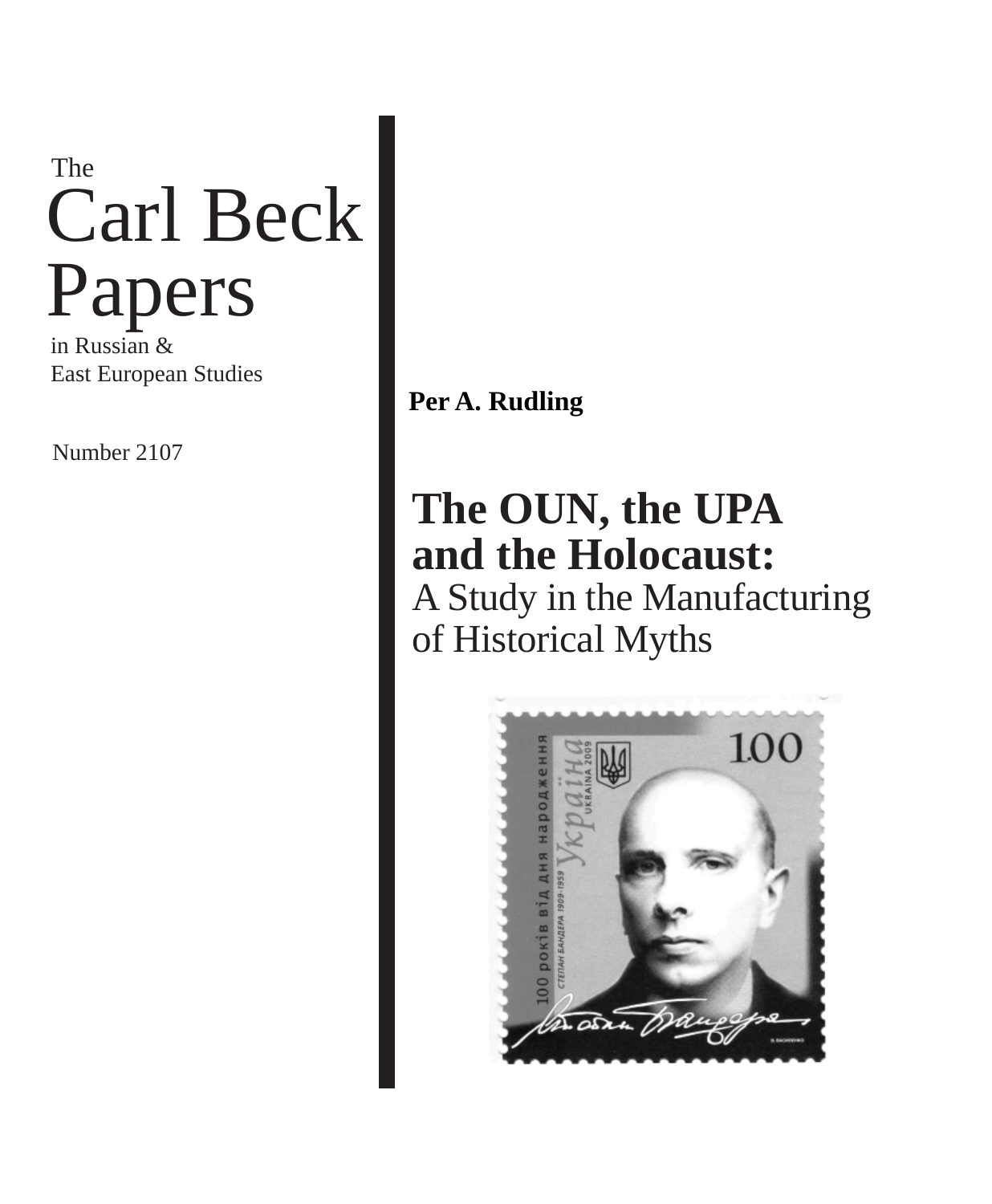# Carl Beck Papers The

in Russian & East European Studies

Number 2107

### **Per A. Rudling**

## **The OUN, the UPA and the Holocaust:**

A Study in the Manufacturing of Historical Myths

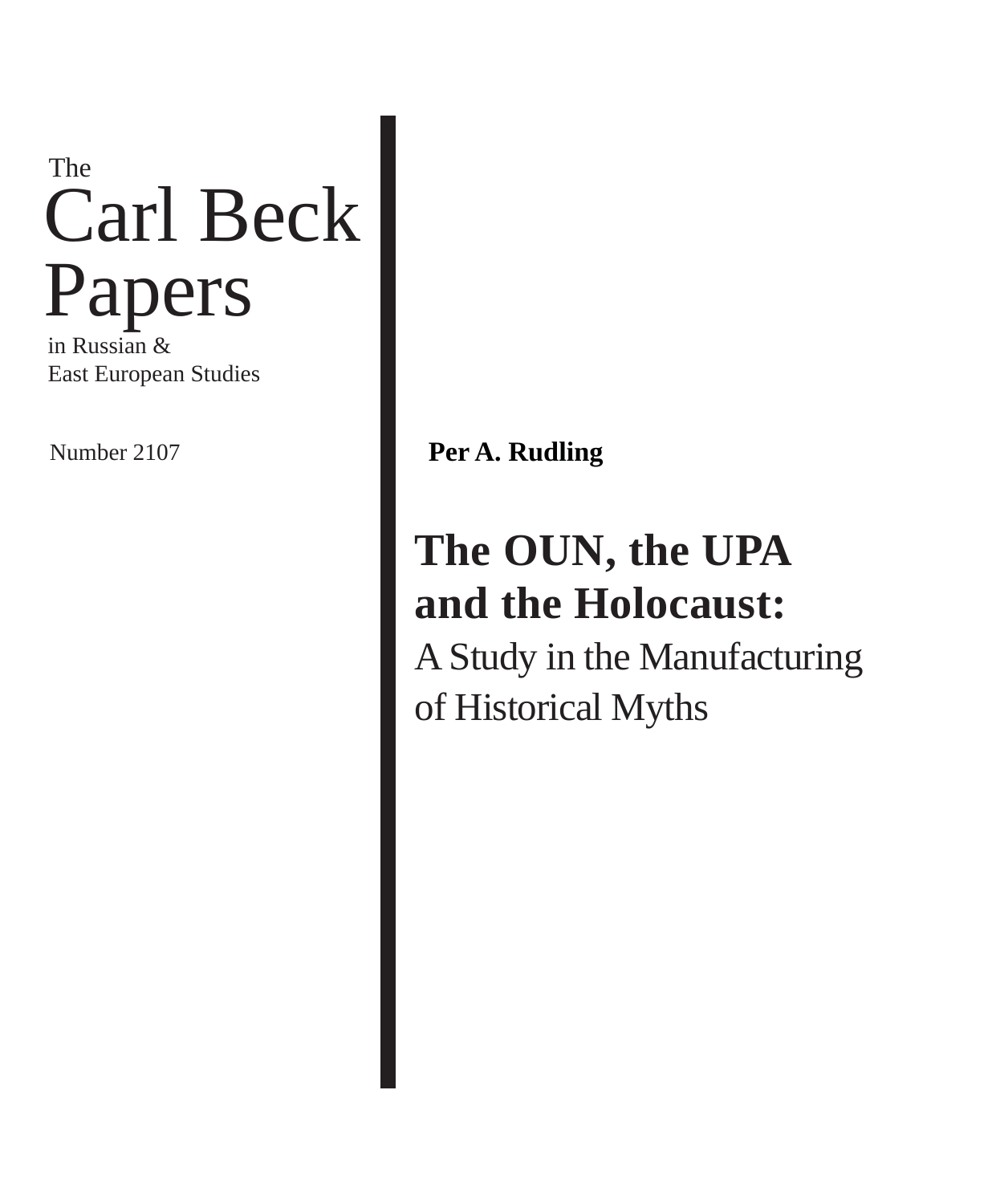# Carl Beck Papers The

in Russian & East European Studies

Number 2107 **Per A. Rudling** 

## **The OUN, the UPA and the Holocaust:** A Study in the Manufacturing of Historical Myths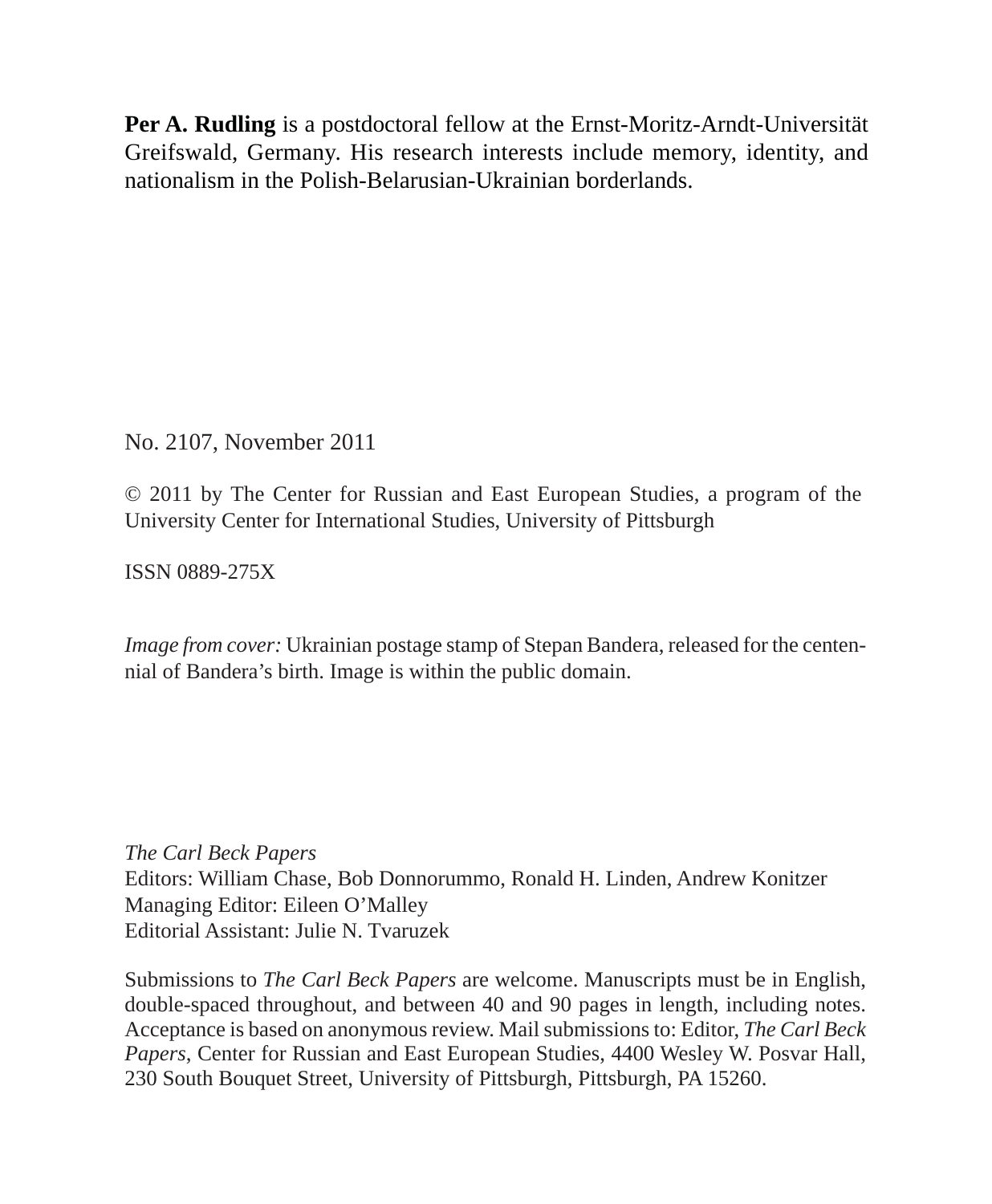**Per A. Rudling** is a postdoctoral fellow at the Ernst-Moritz-Arndt-Universität Greifswald, Germany. His research interests include memory, identity, and nationalism in the Polish-Belarusian-Ukrainian borderlands.

No. 2107, November 2011

© 2011 by The Center for Russian and East European Studies, a program of the University Center for International Studies, University of Pittsburgh

ISSN 0889-275X

*Image from cover:* Ukrainian postage stamp of Stepan Bandera, released for the centennial of Bandera's birth. Image is within the public domain.

*The Carl Beck Papers* Editors: William Chase, Bob Donnorummo, Ronald H. Linden, Andrew Konitzer Managing Editor: Eileen O'Malley Editorial Assistant: Julie N. Tvaruzek

Submissions to *The Carl Beck Papers* are welcome. Manuscripts must be in English, double-spaced throughout, and between 40 and 90 pages in length, including notes. Acceptance is based on anonymous review. Mail submissions to: Editor, *The Carl Beck Papers*, Center for Russian and East European Studies, 4400 Wesley W. Posvar Hall, 230 South Bouquet Street, University of Pittsburgh, Pittsburgh, PA 15260.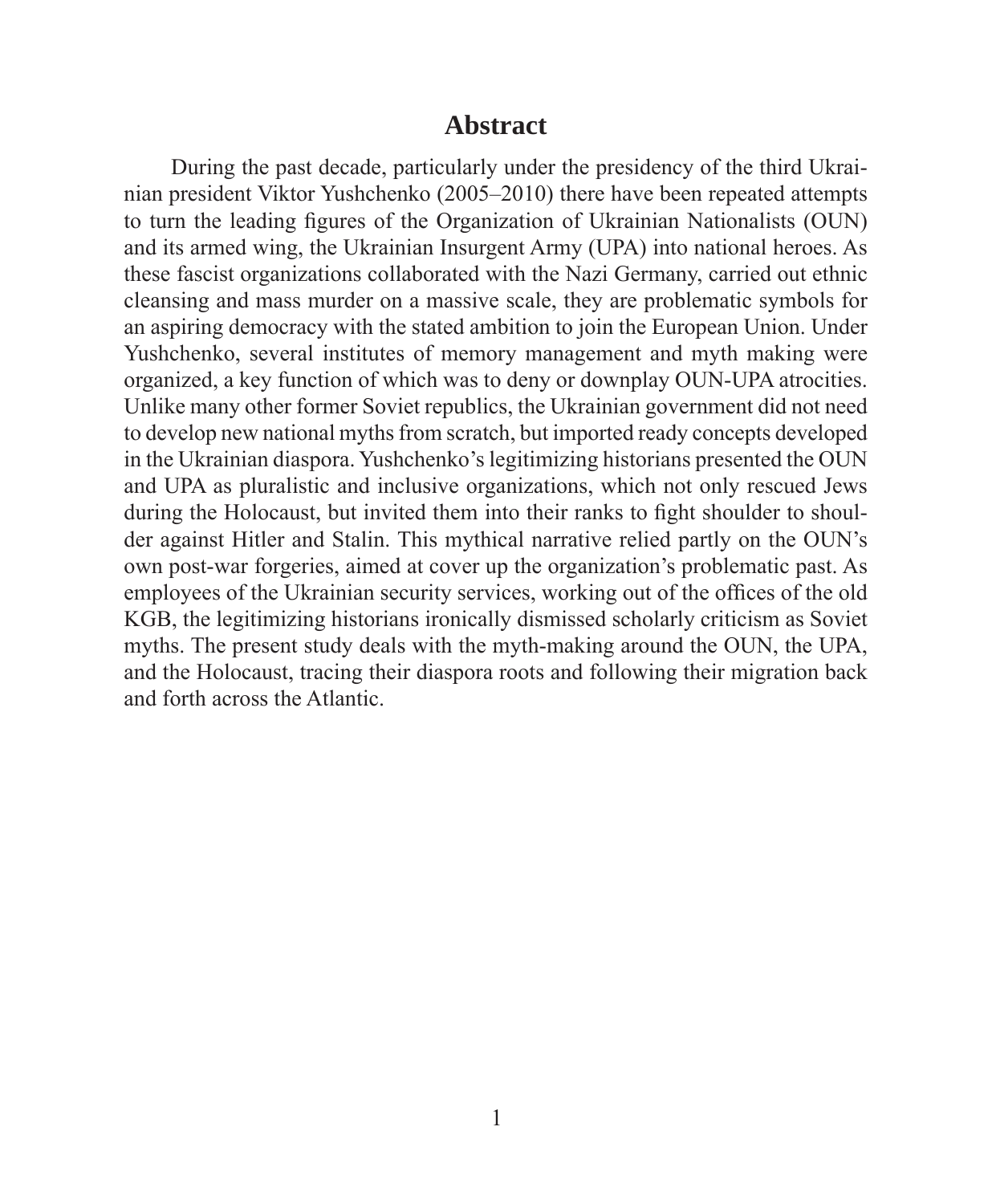#### **Abstract**

During the past decade, particularly under the presidency of the third Ukrainian president Viktor Yushchenko (2005–2010) there have been repeated attempts to turn the leading figures of the Organization of Ukrainian Nationalists (OUN) and its armed wing, the Ukrainian Insurgent Army (UPA) into national heroes. As these fascist organizations collaborated with the Nazi Germany, carried out ethnic cleansing and mass murder on a massive scale, they are problematic symbols for an aspiring democracy with the stated ambition to join the European Union. Under Yushchenko, several institutes of memory management and myth making were organized, a key function of which was to deny or downplay OUN-UPA atrocities. Unlike many other former Soviet republics, the Ukrainian government did not need to develop new national myths from scratch, but imported ready concepts developed in the Ukrainian diaspora. Yushchenko's legitimizing historians presented the OUN and UPA as pluralistic and inclusive organizations, which not only rescued Jews during the Holocaust, but invited them into their ranks to fight shoulder to shoulder against Hitler and Stalin. This mythical narrative relied partly on the OUN's own post-war forgeries, aimed at cover up the organization's problematic past. As employees of the Ukrainian security services, working out of the offices of the old KGB, the legitimizing historians ironically dismissed scholarly criticism as Soviet myths. The present study deals with the myth-making around the OUN, the UPA, and the Holocaust, tracing their diaspora roots and following their migration back and forth across the Atlantic.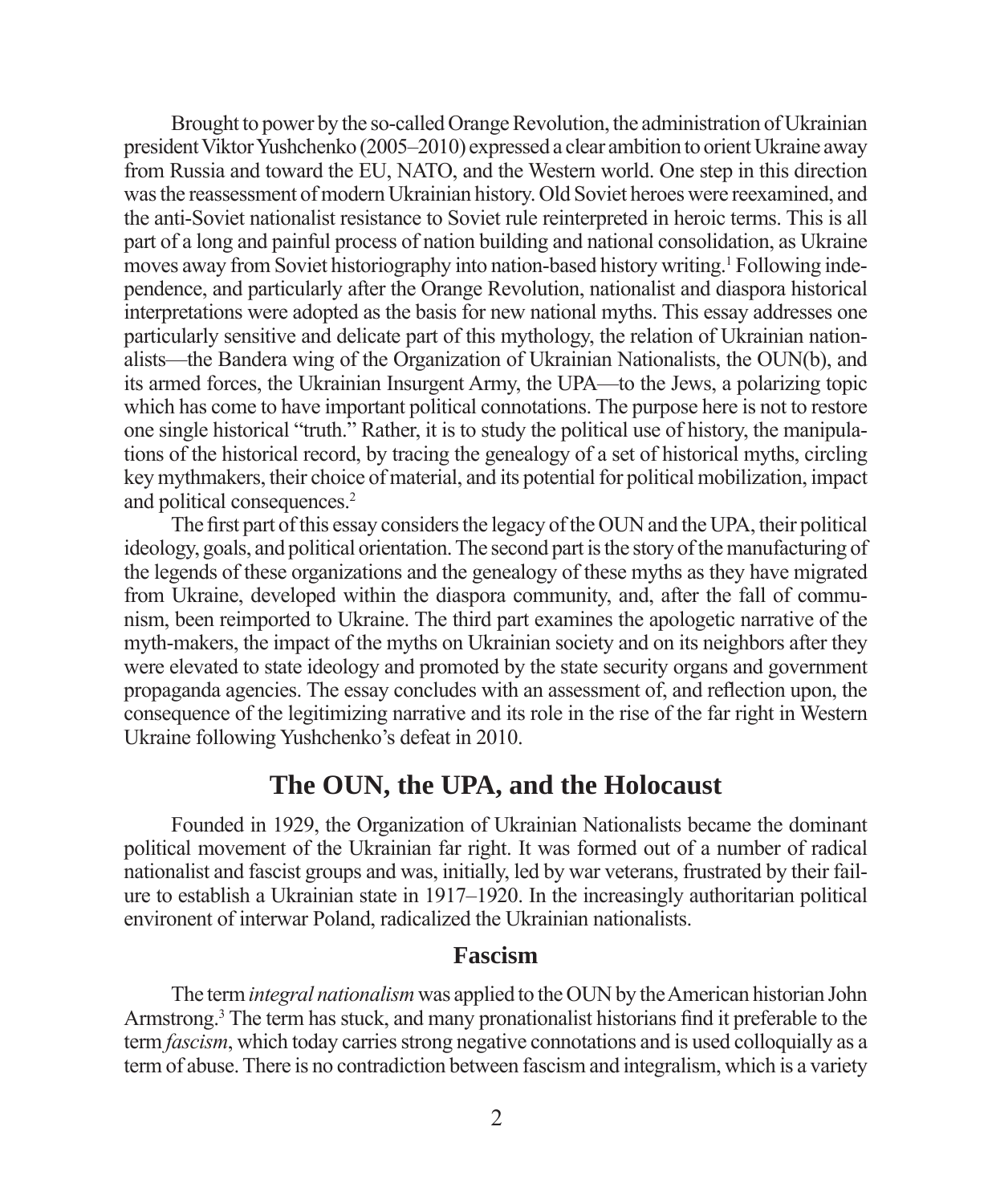Brought to power by the so-called Orange Revolution, the administration of Ukrainian president Viktor Yushchenko (2005–2010) expressed a clear ambition to orient Ukraine away from Russia and toward the EU, NATO, and the Western world. One step in this direction was the reassessment of modern Ukrainian history. Old Soviet heroes were reexamined, and the anti-Soviet nationalist resistance to Soviet rule reinterpreted in heroic terms. This is all part of a long and painful process of nation building and national consolidation, as Ukraine moves away from Soviet historiography into nation-based history writing.<sup>1</sup> Following independence, and particularly after the Orange Revolution, nationalist and diaspora historical interpretations were adopted as the basis for new national myths. This essay addresses one particularly sensitive and delicate part of this mythology, the relation of Ukrainian nationalists—the Bandera wing of the Organization of Ukrainian Nationalists, the OUN(b), and its armed forces, the Ukrainian Insurgent Army, the UPA—to the Jews, a polarizing topic which has come to have important political connotations. The purpose here is not to restore one single historical "truth." Rather, it is to study the political use of history, the manipulations of the historical record, by tracing the genealogy of a set of historical myths, circling key mythmakers, their choice of material, and its potential for political mobilization, impact and political consequences.2

The first part of this essay considers the legacy of the OUN and the UPA, their political ideology, goals, and political orientation. The second part is the story of the manufacturing of the legends of these organizations and the genealogy of these myths as they have migrated from Ukraine, developed within the diaspora community, and, after the fall of communism, been reimported to Ukraine. The third part examines the apologetic narrative of the myth-makers, the impact of the myths on Ukrainian society and on its neighbors after they were elevated to state ideology and promoted by the state security organs and government propaganda agencies. The essay concludes with an assessment of, and reflection upon, the consequence of the legitimizing narrative and its role in the rise of the far right in Western Ukraine following Yushchenko's defeat in 2010.

### **The OUN, the UPA, and the Holocaust**

Founded in 1929, the Organization of Ukrainian Nationalists became the dominant political movement of the Ukrainian far right. It was formed out of a number of radical nationalist and fascist groups and was, initially, led by war veterans, frustrated by their failure to establish a Ukrainian state in 1917–1920. In the increasingly authoritarian political environent of interwar Poland, radicalized the Ukrainian nationalists.

#### **Fascism**

The term *integral nationalism* was applied to the OUN by the American historian John Armstrong.<sup>3</sup> The term has stuck, and many pronationalist historians find it preferable to the term *fascism*, which today carries strong negative connotations and is used colloquially as a term of abuse. There is no contradiction between fascism and integralism, which is a variety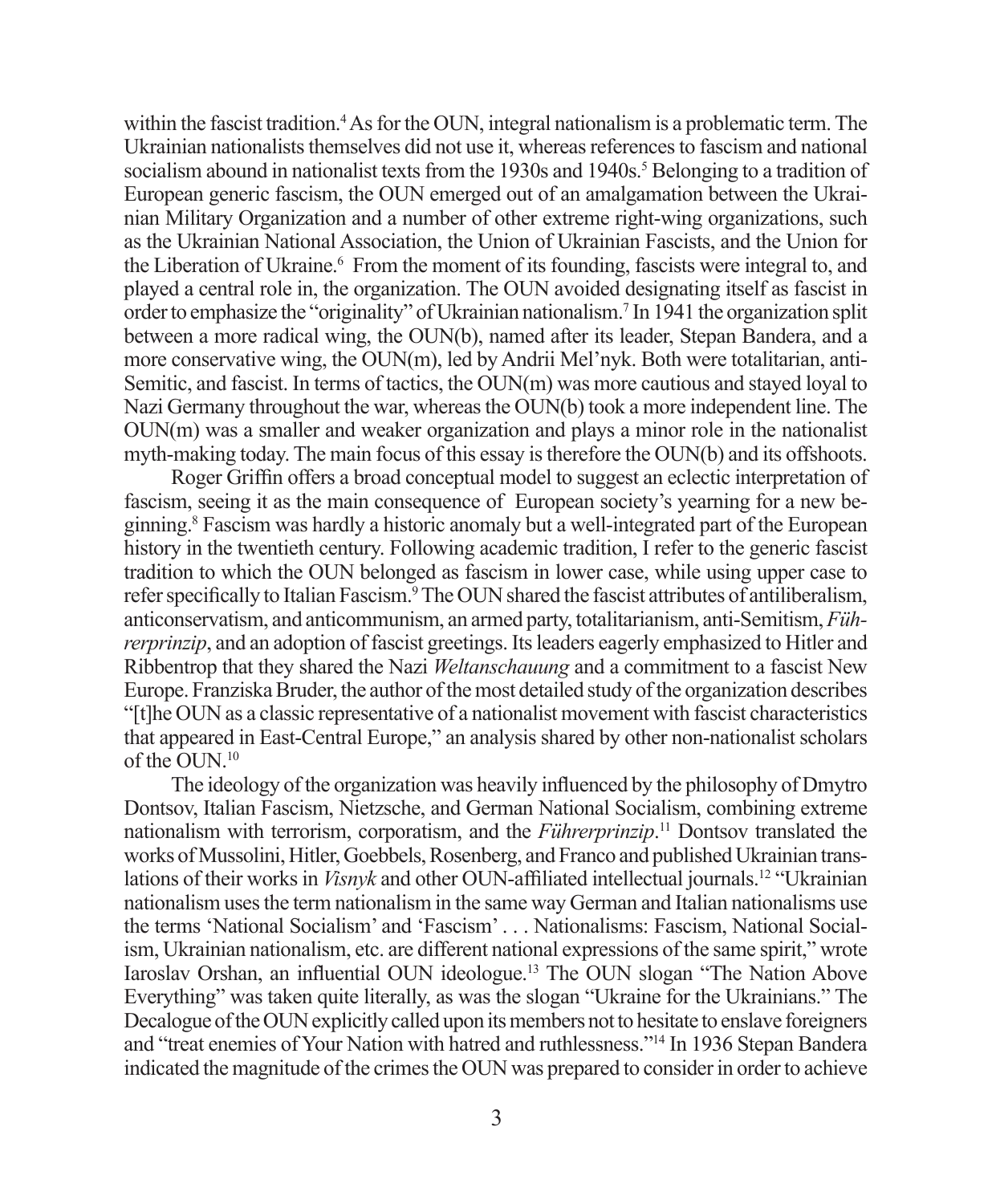within the fascist tradition.<sup>4</sup> As for the OUN, integral nationalism is a problematic term. The Ukrainian nationalists themselves did not use it, whereas references to fascism and national socialism abound in nationalist texts from the 1930s and 1940s.<sup>5</sup> Belonging to a tradition of European generic fascism, the OUN emerged out of an amalgamation between the Ukrainian Military Organization and a number of other extreme right-wing organizations, such as the Ukrainian National Association, the Union of Ukrainian Fascists, and the Union for the Liberation of Ukraine.<sup>6</sup> From the moment of its founding, fascists were integral to, and played a central role in, the organization. The OUN avoided designating itself as fascist in order to emphasize the "originality" of Ukrainian nationalism.<sup>7</sup> In 1941 the organization split between a more radical wing, the OUN(b), named after its leader, Stepan Bandera, and a more conservative wing, the OUN(m), led by Andrii Mel'nyk. Both were totalitarian, anti-Semitic, and fascist. In terms of tactics, the OUN(m) was more cautious and stayed loyal to Nazi Germany throughout the war, whereas the OUN(b) took a more independent line. The OUN(m) was a smaller and weaker organization and plays a minor role in the nationalist myth-making today. The main focus of this essay is therefore the OUN(b) and its offshoots.

Roger Griffin offers a broad conceptual model to suggest an eclectic interpretation of fascism, seeing it as the main consequence of European society's yearning for a new beginning.8 Fascism was hardly a historic anomaly but a well-integrated part of the European history in the twentieth century. Following academic tradition, I refer to the generic fascist tradition to which the OUN belonged as fascism in lower case, while using upper case to refer specifically to Italian Fascism.<sup>9</sup> The OUN shared the fascist attributes of antiliberalism, anticonservatism, and anticommunism, an armed party, totalitarianism, anti-Semitism, *Führerprinzip*, and an adoption of fascist greetings. Its leaders eagerly emphasized to Hitler and Ribbentrop that they shared the Nazi *Weltanschauung* and a commitment to a fascist New Europe. Franziska Bruder, the author of the most detailed study of the organization describes "[t]he OUN as a classic representative of a nationalist movement with fascist characteristics that appeared in East-Central Europe," an analysis shared by other non-nationalist scholars of the OUN.10

The ideology of the organization was heavily influenced by the philosophy of Dmytro Dontsov, Italian Fascism, Nietzsche, and German National Socialism, combining extreme nationalism with terrorism, corporatism, and the *Führerprinzip*. 11 Dontsov translated the works of Mussolini, Hitler, Goebbels, Rosenberg, and Franco and published Ukrainian translations of their works in *Visnyk* and other OUN-affiliated intellectual journals.<sup>12</sup> "Ukrainian" nationalism uses the term nationalism in the same way German and Italian nationalisms use the terms 'National Socialism' and 'Fascism' . . . Nationalisms: Fascism, National Socialism, Ukrainian nationalism, etc. are different national expressions of the same spirit," wrote Iaroslav Orshan, an influential OUN ideologue.<sup>13</sup> The OUN slogan "The Nation Above Everything" was taken quite literally, as was the slogan "Ukraine for the Ukrainians." The Decalogue of the OUN explicitly called upon its members not to hesitate to enslave foreigners and "treat enemies of Your Nation with hatred and ruthlessness."14 In 1936 Stepan Bandera indicated the magnitude of the crimes the OUN was prepared to consider in order to achieve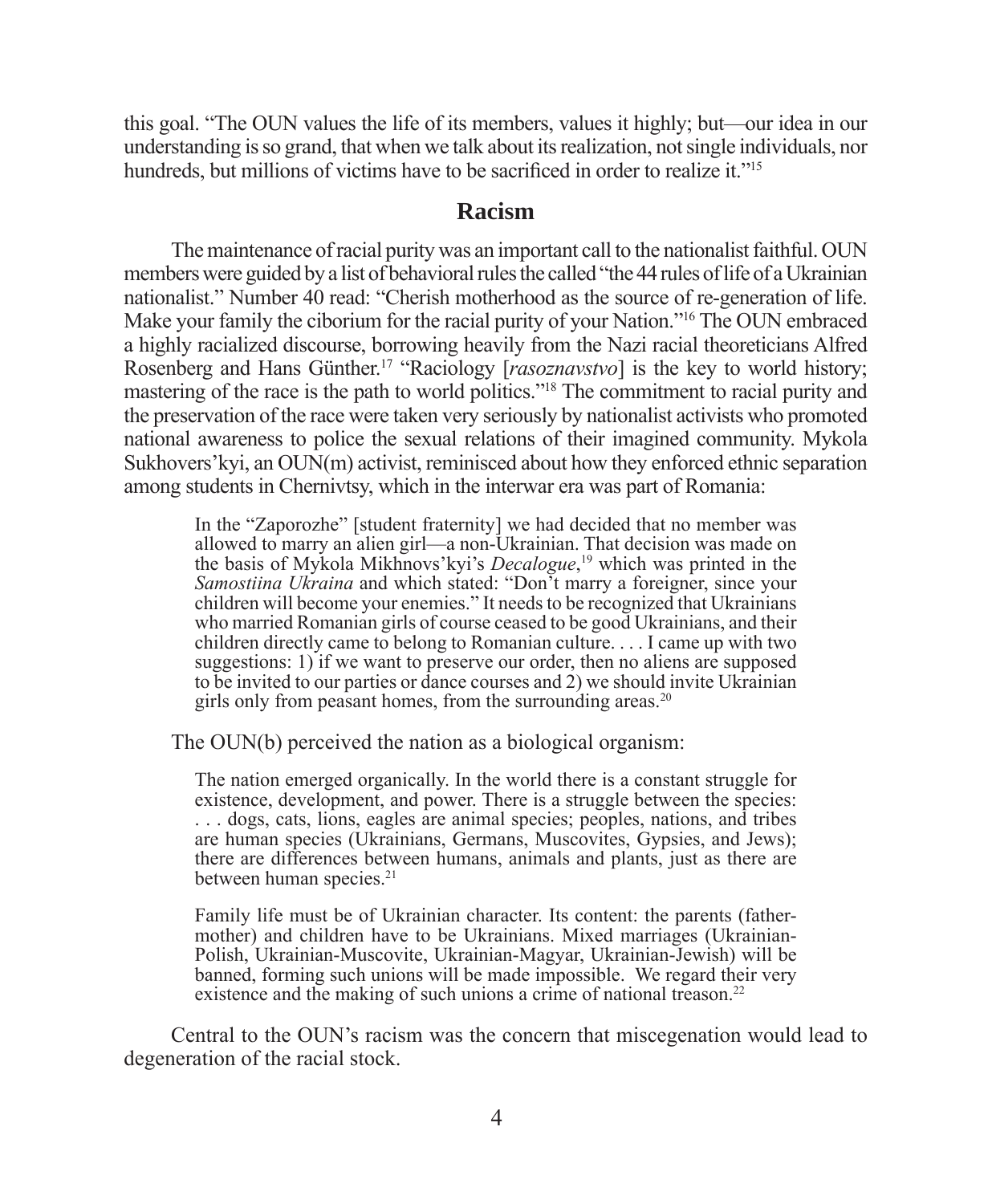this goal. "The OUN values the life of its members, values it highly; but—our idea in our understanding is so grand, that when we talk about its realization, not single individuals, nor hundreds, but millions of victims have to be sacrificed in order to realize it."<sup>15</sup>

#### **Racism**

The maintenance of racial purity was an important call to the nationalist faithful. OUN members were guided by a list of behavioral rules the called "the 44 rules of life of a Ukrainian nationalist." Number 40 read: "Cherish motherhood as the source of re-generation of life. Make your family the ciborium for the racial purity of your Nation."16 The OUN embraced a highly racialized discourse, borrowing heavily from the Nazi racial theoreticians Alfred Rosenberg and Hans Günther.17 "Raciology [*rasoznavstvo*] is the key to world history; mastering of the race is the path to world politics."18 The commitment to racial purity and the preservation of the race were taken very seriously by nationalist activists who promoted national awareness to police the sexual relations of their imagined community. Mykola Sukhovers' kyi, an  $\text{OUN}(m)$  activist, reminisced about how they enforced ethnic separation among students in Chernivtsy, which in the interwar era was part of Romania:

In the "Zaporozhe" [student fraternity] we had decided that no member was allowed to marry an alien girl—a non-Ukrainian. That decision was made on the basis of Mykola Mikhnovs'kyi's *Decalogue*, 19 which was printed in the *Samostiina Ukraina* and which stated: "Don't marry a foreigner, since your children will become your enemies." It needs to be recognized that Ukrainians who married Romanian girls of course ceased to be good Ukrainians, and their children directly came to belong to Romanian culture. . . . I came up with two suggestions: 1) if we want to preserve our order, then no aliens are supposed to be invited to our parties or dance courses and 2) we should invite Ukrainian girls only from peasant homes, from the surrounding areas.<sup>20</sup>

The OUN(b) perceived the nation as a biological organism:

The nation emerged organically. In the world there is a constant struggle for existence, development, and power. There is a struggle between the species: . . . dogs, cats, lions, eagles are animal species; peoples, nations, and tribes are human species (Ukrainians, Germans, Muscovites, Gypsies, and Jews); there are differences between humans, animals and plants, just as there are between human species.<sup>21</sup>

Family life must be of Ukrainian character. Its content: the parents (fathermother) and children have to be Ukrainians. Mixed marriages (Ukrainian-Polish, Ukrainian-Muscovite, Ukrainian-Magyar, Ukrainian-Jewish) will be banned, forming such unions will be made impossible. We regard their very existence and the making of such unions a crime of national treason.<sup>22</sup>

Central to the OUN's racism was the concern that miscegenation would lead to degeneration of the racial stock.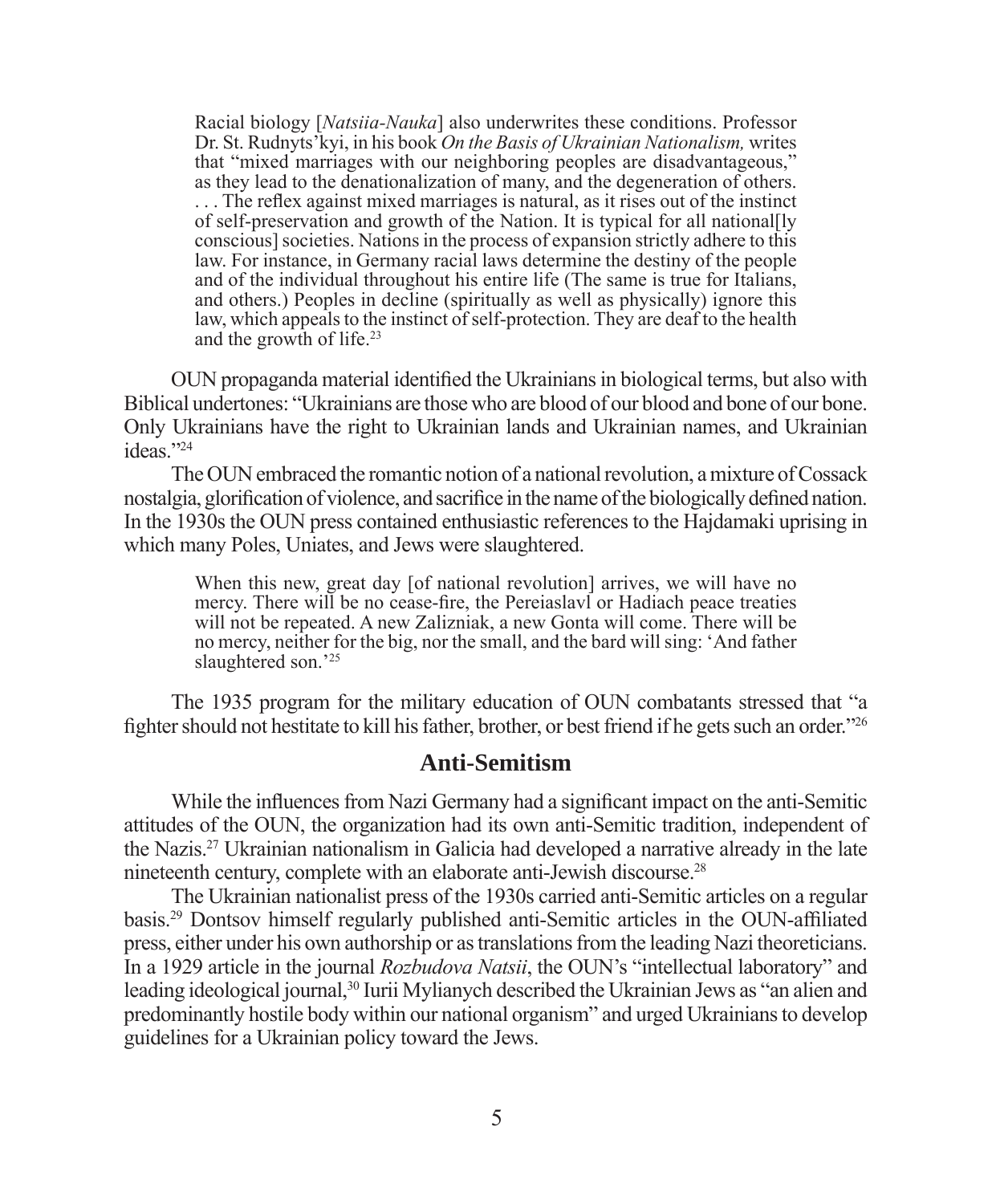Racial biology [*Natsiia-Nauka*] also underwrites these conditions. Professor Dr. St. Rudnyts'kyi, in his book *On the Basis of Ukrainian Nationalism,* writes that "mixed marriages with our neighboring peoples are disadvantageous," as they lead to the denationalization of many, and the degeneration of others. ... The reflex against mixed marriages is natural, as it rises out of the instinct of self-preservation and growth of the Nation. It is typical for all national[ly conscious] societies. Nations in the process of expansion strictly adhere to this law. For instance, in Germany racial laws determine the destiny of the people and of the individual throughout his entire life (The same is true for Italians, and others.) Peoples in decline (spiritually as well as physically) ignore this law, which appeals to the instinct of self-protection. They are deaf to the health and the growth of life.<sup>23</sup>

OUN propaganda material identified the Ukrainians in biological terms, but also with Biblical undertones: "Ukrainians are those who are blood of our blood and bone of our bone. Only Ukrainians have the right to Ukrainian lands and Ukrainian names, and Ukrainian ideas."24

The OUN embraced the romantic notion of a national revolution, a mixture of Cossack nostalgia, glorification of violence, and sacrifice in the name of the biologically defined nation. In the 1930s the OUN press contained enthusiastic references to the Hajdamaki uprising in which many Poles, Uniates, and Jews were slaughtered.

When this new, great day [of national revolution] arrives, we will have no mercy. There will be no cease-fire, the Pereiaslavl or Hadiach peace treaties will not be repeated. A new Zalizniak, a new Gonta will come. There will be no mercy, neither for the big, nor the small, and the bard will sing: 'And father slaughtered son.<sup>'25</sup>

The 1935 program for the military education of OUN combatants stressed that "a fighter should not hestitate to kill his father, brother, or best friend if he gets such an order."<sup>26</sup>

#### **Anti-Semitism**

While the influences from Nazi Germany had a significant impact on the anti-Semitic attitudes of the OUN, the organization had its own anti-Semitic tradition, independent of the Nazis.27 Ukrainian nationalism in Galicia had developed a narrative already in the late nineteenth century, complete with an elaborate anti-Jewish discourse.28

The Ukrainian nationalist press of the 1930s carried anti-Semitic articles on a regular basis.<sup>29</sup> Dontsov himself regularly published anti-Semitic articles in the OUN-affiliated press, either under his own authorship or as translations from the leading Nazi theoreticians. In a 1929 article in the journal *Rozbudova Natsii*, the OUN's "intellectual laboratory" and leading ideological journal,<sup>30</sup> Iurii Mylianych described the Ukrainian Jews as "an alien and predominantly hostile body within our national organism" and urged Ukrainians to develop guidelines for a Ukrainian policy toward the Jews.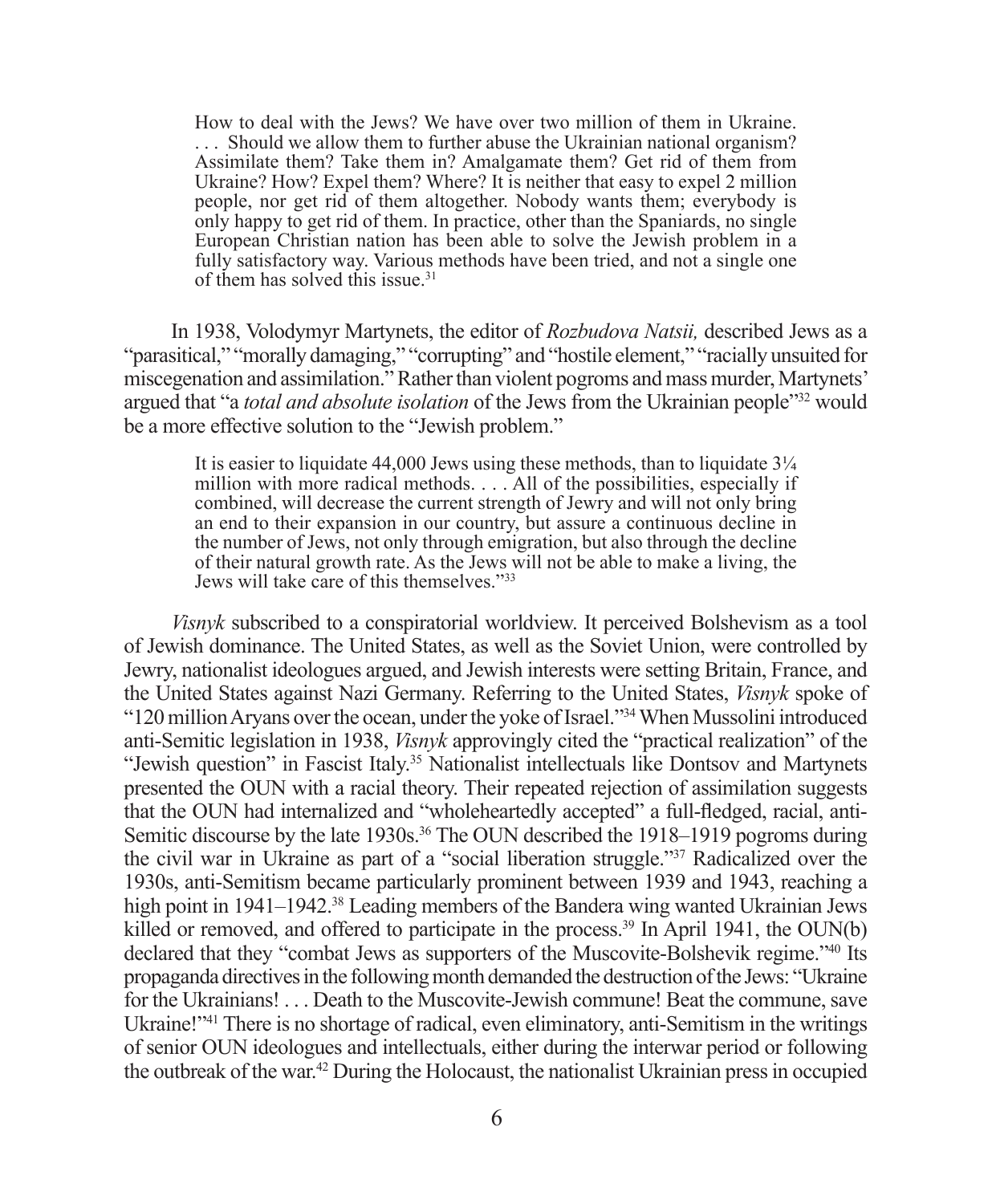How to deal with the Jews? We have over two million of them in Ukraine. . . . Should we allow them to further abuse the Ukrainian national organism? Assimilate them? Take them in? Amalgamate them? Get rid of them from Ukraine? How? Expel them? Where? It is neither that easy to expel 2 million people, nor get rid of them altogether. Nobody wants them; everybody is only happy to get rid of them. In practice, other than the Spaniards, no single European Christian nation has been able to solve the Jewish problem in a fully satisfactory way. Various methods have been tried, and not a single one of them has solved this issue.31

In 1938, Volodymyr Martynets, the editor of *Rozbudova Natsii,* described Jews as a "parasitical," "morally damaging," "corrupting" and "hostile element," "racially unsuited for miscegenation and assimilation." Rather than violent pogroms and mass murder, Martynets' argued that "a *total and absolute isolation* of the Jews from the Ukrainian people"32 would be a more effective solution to the "Jewish problem."

It is easier to liquidate  $44,000$  Jews using these methods, than to liquidate  $3\frac{1}{4}$ million with more radical methods. . . . All of the possibilities, especially if combined, will decrease the current strength of Jewry and will not only bring an end to their expansion in our country, but assure a continuous decline in the number of Jews, not only through emigration, but also through the decline of their natural growth rate. As the Jews will not be able to make a living, the Jews will take care of this themselves."33

*Visnyk* subscribed to a conspiratorial worldview. It perceived Bolshevism as a tool of Jewish dominance. The United States, as well as the Soviet Union, were controlled by Jewry, nationalist ideologues argued, and Jewish interests were setting Britain, France, and the United States against Nazi Germany. Referring to the United States, *Visnyk* spoke of "120 million Aryans over the ocean, under the yoke of Israel."34 When Mussolini introduced anti-Semitic legislation in 1938, *Visnyk* approvingly cited the "practical realization" of the "Jewish question" in Fascist Italy.35 Nationalist intellectuals like Dontsov and Martynets presented the OUN with a racial theory. Their repeated rejection of assimilation suggests that the OUN had internalized and "wholeheartedly accepted" a full-fledged, racial, anti-Semitic discourse by the late 1930s.<sup>36</sup> The OUN described the 1918–1919 pogroms during the civil war in Ukraine as part of a "social liberation struggle."37 Radicalized over the 1930s, anti-Semitism became particularly prominent between 1939 and 1943, reaching a high point in 1941–1942.<sup>38</sup> Leading members of the Bandera wing wanted Ukrainian Jews killed or removed, and offered to participate in the process.<sup>39</sup> In April 1941, the OUN(b) declared that they "combat Jews as supporters of the Muscovite-Bolshevik regime."40 Its propaganda directives in the following month demanded the destruction of the Jews: "Ukraine for the Ukrainians! . . . Death to the Muscovite-Jewish commune! Beat the commune, save Ukraine!"<sup>41</sup> There is no shortage of radical, even eliminatory, anti-Semitism in the writings of senior OUN ideologues and intellectuals, either during the interwar period or following the outbreak of the war.42 During the Holocaust, the nationalist Ukrainian press in occupied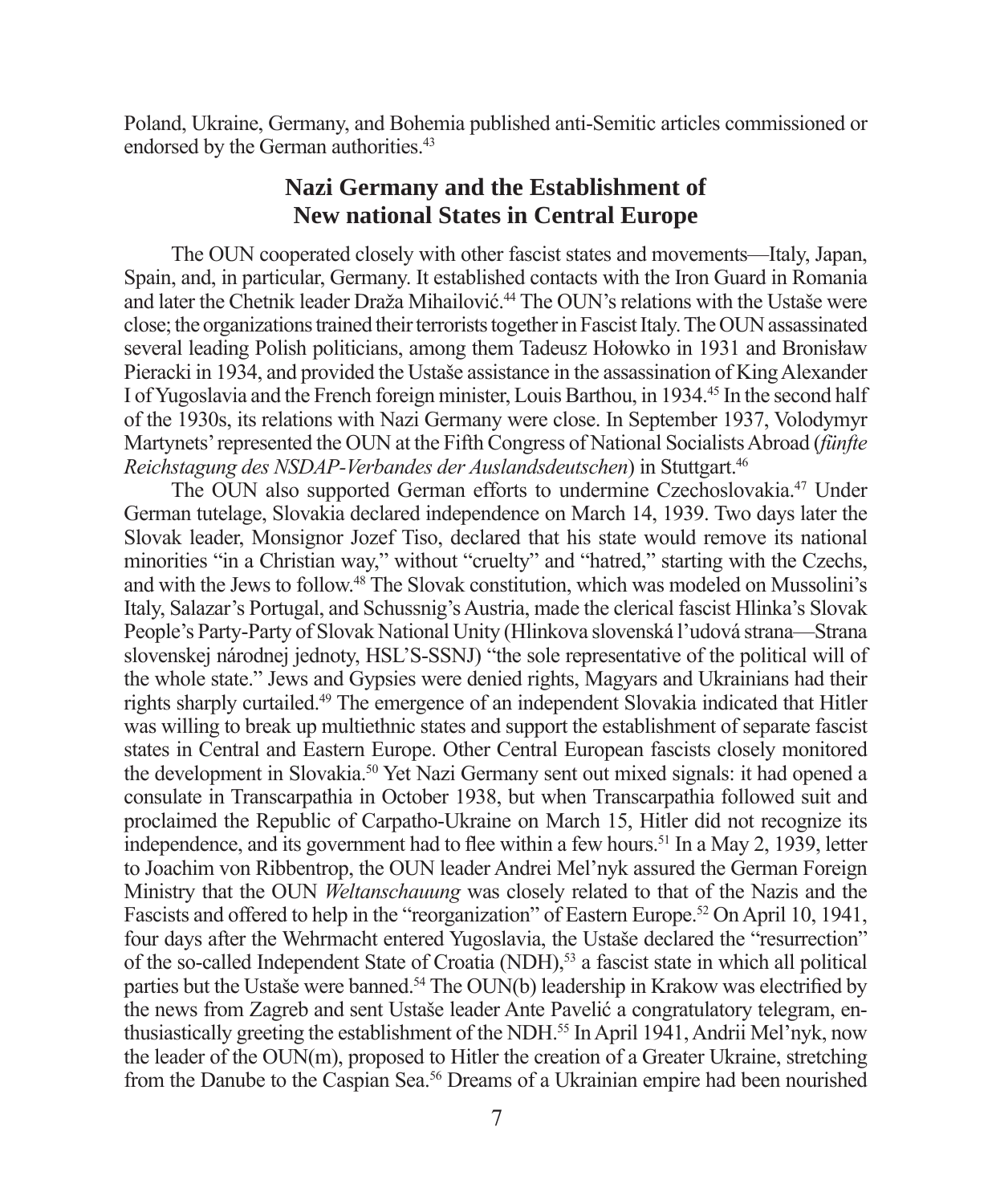Poland, Ukraine, Germany, and Bohemia published anti-Semitic articles commissioned or endorsed by the German authorities.<sup>43</sup>

#### **Nazi Germany and the Establishment of New national States in Central Europe**

The OUN cooperated closely with other fascist states and movements—Italy, Japan, Spain, and, in particular, Germany. It established contacts with the Iron Guard in Romania and later the Chetnik leader Draža Mihailović. 44 The OUN's relations with the Ustaše were close; the organizations trained their terrorists together in Fascist Italy. The OUN assassinated several leading Polish politicians, among them Tadeusz Hołowko in 1931 and Bronisław Pieracki in 1934, and provided the Ustaše assistance in the assassination of King Alexander I of Yugoslavia and the French foreign minister, Louis Barthou, in 1934.45 In the second half of the 1930s, its relations with Nazi Germany were close. In September 1937, Volodymyr Martynets' represented the OUN at the Fifth Congress of National Socialists Abroad (*fünfte Reichstagung des NSDAP-Verbandes der Auslandsdeutschen*) in Stuttgart.46

The OUN also supported German efforts to undermine Czechoslovakia.47 Under German tutelage, Slovakia declared independence on March 14, 1939. Two days later the Slovak leader, Monsignor Jozef Tiso, declared that his state would remove its national minorities "in a Christian way," without "cruelty" and "hatred," starting with the Czechs, and with the Jews to follow.48 The Slovak constitution, which was modeled on Mussolini's Italy, Salazar's Portugal, and Schussnig's Austria, made the clerical fascist Hlinka's Slovak People's Party-Party of Slovak National Unity (Hlinkova slovenská l'udová strana—Strana slovenskej národnej jednoty, HSL'S-SSNJ) "the sole representative of the political will of the whole state." Jews and Gypsies were denied rights, Magyars and Ukrainians had their rights sharply curtailed.49 The emergence of an independent Slovakia indicated that Hitler was willing to break up multiethnic states and support the establishment of separate fascist states in Central and Eastern Europe. Other Central European fascists closely monitored the development in Slovakia.50 Yet Nazi Germany sent out mixed signals: it had opened a consulate in Transcarpathia in October 1938, but when Transcarpathia followed suit and proclaimed the Republic of Carpatho-Ukraine on March 15, Hitler did not recognize its independence, and its government had to flee within a few hours.<sup>51</sup> In a May 2, 1939, letter to Joachim von Ribbentrop, the OUN leader Andrei Mel'nyk assured the German Foreign Ministry that the OUN *Weltanschauung* was closely related to that of the Nazis and the Fascists and offered to help in the "reorganization" of Eastern Europe.<sup>52</sup> On April 10, 1941, four days after the Wehrmacht entered Yugoslavia, the Ustaše declared the "resurrection" of the so-called Independent State of Croatia (NDH),53 a fascist state in which all political parties but the Ustaše were banned.<sup>54</sup> The OUN(b) leadership in Krakow was electrified by the news from Zagreb and sent Ustaše leader Ante Pavelić a congratulatory telegram, enthusiastically greeting the establishment of the NDH.55 In April 1941, Andrii Mel'nyk, now the leader of the OUN(m), proposed to Hitler the creation of a Greater Ukraine, stretching from the Danube to the Caspian Sea.56 Dreams of a Ukrainian empire had been nourished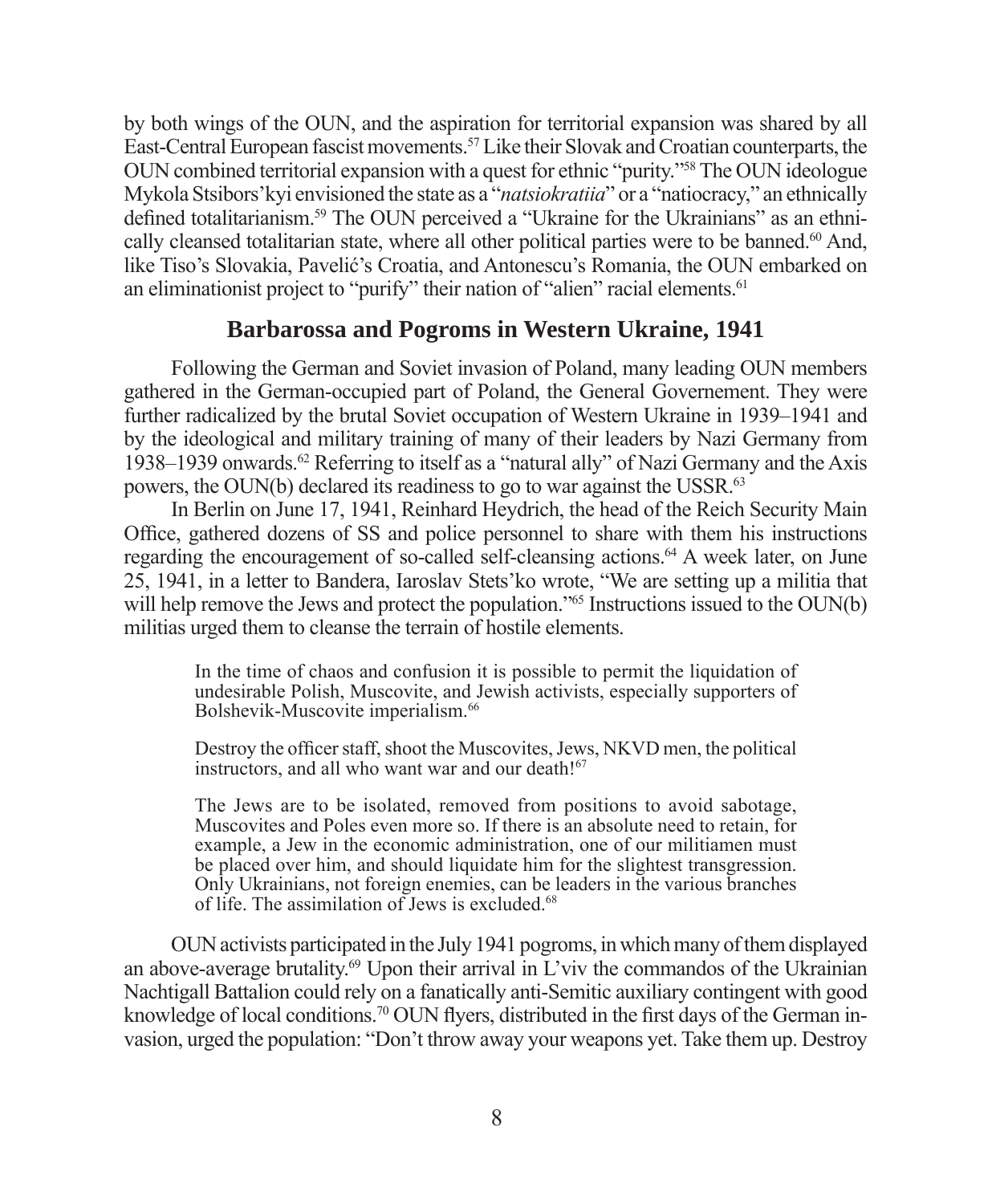by both wings of the OUN, and the aspiration for territorial expansion was shared by all East-Central European fascist movements.57 Like their Slovak and Croatian counterparts, the OUN combined territorial expansion with a quest for ethnic "purity."58 The OUN ideologue Mykola Stsibors'kyi envisioned the state as a "*natsiokratiia*" or a "natiocracy," an ethnically defined totalitarianism.<sup>59</sup> The OUN perceived a "Ukraine for the Ukrainians" as an ethnically cleansed totalitarian state, where all other political parties were to be banned.<sup>60</sup> And, like Tiso's Slovakia, Pavelić's Croatia, and Antonescu's Romania, the OUN embarked on an eliminationist project to "purify" their nation of "alien" racial elements.<sup>61</sup>

#### **Barbarossa and Pogroms in Western Ukraine, 1941**

Following the German and Soviet invasion of Poland, many leading OUN members gathered in the German-occupied part of Poland, the General Governement. They were further radicalized by the brutal Soviet occupation of Western Ukraine in 1939–1941 and by the ideological and military training of many of their leaders by Nazi Germany from 1938–1939 onwards.<sup>62</sup> Referring to itself as a "natural ally" of Nazi Germany and the Axis powers, the OUN(b) declared its readiness to go to war against the USSR.63

In Berlin on June 17, 1941, Reinhard Heydrich, the head of the Reich Security Main Office, gathered dozens of SS and police personnel to share with them his instructions regarding the encouragement of so-called self-cleansing actions.64 A week later, on June 25, 1941, in a letter to Bandera, Iaroslav Stets'ko wrote, "We are setting up a militia that will help remove the Jews and protect the population."<sup>65</sup> Instructions issued to the OUN(b) militias urged them to cleanse the terrain of hostile elements.

In the time of chaos and confusion it is possible to permit the liquidation of undesirable Polish, Muscovite, and Jewish activists, especially supporters of Bolshevik-Muscovite imperialism.<sup>66</sup>

Destroy the officer staff, shoot the Muscovites, Jews, NKVD men, the political instructors, and all who want war and our death!<sup>67</sup>

The Jews are to be isolated, removed from positions to avoid sabotage, Muscovites and Poles even more so. If there is an absolute need to retain, for example, a Jew in the economic administration, one of our militiamen must be placed over him, and should liquidate him for the slightest transgression. Only Ukrainians, not foreign enemies, can be leaders in the various branches of life. The assimilation of Jews is excluded.68

OUN activists participated in the July 1941 pogroms, in which many of them displayed an above-average brutality.<sup>69</sup> Upon their arrival in L'viv the commandos of the Ukrainian Nachtigall Battalion could rely on a fanatically anti-Semitic auxiliary contingent with good knowledge of local conditions.<sup>70</sup> OUN flyers, distributed in the first days of the German invasion, urged the population: "Don't throw away your weapons yet. Take them up. Destroy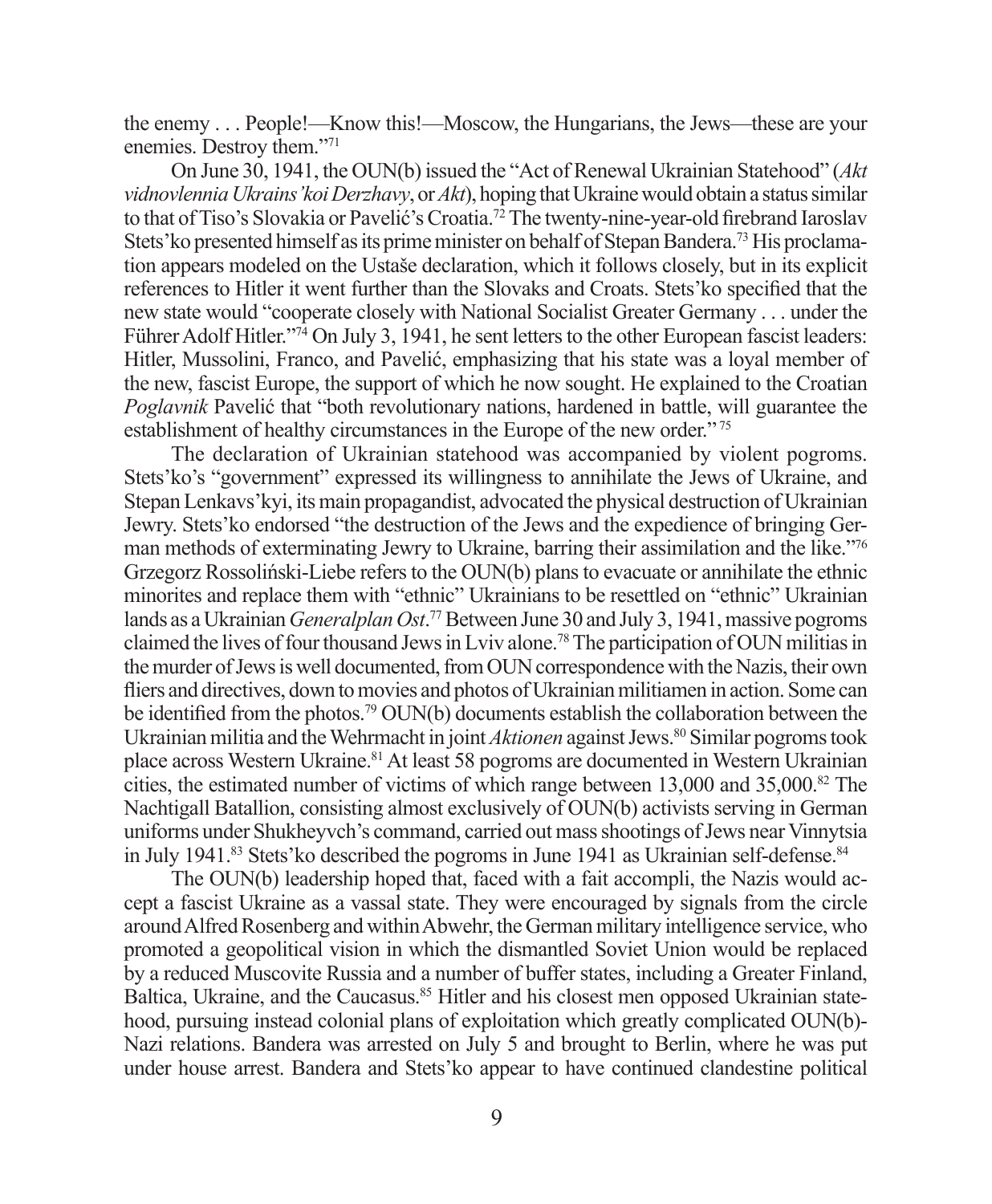the enemy . . . People!—Know this!—Moscow, the Hungarians, the Jews—these are your enemies. Destroy them."71

On June 30, 1941, the OUN(b) issued the "Act of Renewal Ukrainian Statehood" (*Akt vidnovlennia Ukrains'koi Derzhavy*, or *Akt*), hoping that Ukraine would obtain a status similar to that of Tiso's Slovakia or Pavelić's Croatia.<sup>72</sup> The twenty-nine-year-old firebrand Iaroslav Stets' ko presented himself as its prime minister on behalf of Stepan Bandera.<sup>73</sup> His proclamation appears modeled on the Ustaše declaration, which it follows closely, but in its explicit references to Hitler it went further than the Slovaks and Croats. Stets' ko specified that the new state would "cooperate closely with National Socialist Greater Germany . . . under the Führer Adolf Hitler."<sup>74</sup> On July 3, 1941, he sent letters to the other European fascist leaders: Hitler, Mussolini, Franco, and Pavelić, emphasizing that his state was a loyal member of the new, fascist Europe, the support of which he now sought. He explained to the Croatian *Poglavnik* Pavelić that "both revolutionary nations, hardened in battle, will guarantee the establishment of healthy circumstances in the Europe of the new order." 75

The declaration of Ukrainian statehood was accompanied by violent pogroms. Stets'ko's "government" expressed its willingness to annihilate the Jews of Ukraine, and Stepan Lenkavs'kyi, its main propagandist, advocated the physical destruction of Ukrainian Jewry. Stets'ko endorsed "the destruction of the Jews and the expedience of bringing German methods of exterminating Jewry to Ukraine, barring their assimilation and the like."76 Grzegorz Rossoliński-Liebe refers to the OUN(b) plans to evacuate or annihilate the ethnic minorites and replace them with "ethnic" Ukrainians to be resettled on "ethnic" Ukrainian lands as a Ukrainian *Generalplan Ost*. 77 Between June 30 and July 3, 1941, massive pogroms claimed the lives of four thousand Jews in Lviv alone.78 The participation of OUN militias in the murder of Jews is well documented, from OUN correspondence with the Nazis, their own fliers and directives, down to movies and photos of Ukrainian militiamen in action. Some can be identified from the photos.<sup>79</sup> OUN(b) documents establish the collaboration between the Ukrainian militia and the Wehrmacht in joint *Aktionen* against Jews.<sup>80</sup> Similar pogroms took place across Western Ukraine.81 At least 58 pogroms are documented in Western Ukrainian cities, the estimated number of victims of which range between 13,000 and 35,000.<sup>82</sup> The Nachtigall Batallion, consisting almost exclusively of OUN(b) activists serving in German uniforms under Shukheyvch's command, carried out mass shootings of Jews near Vinnytsia in July 1941.<sup>83</sup> Stets'ko described the pogroms in June 1941 as Ukrainian self-defense.<sup>84</sup>

The OUN(b) leadership hoped that, faced with a fait accompli, the Nazis would accept a fascist Ukraine as a vassal state. They were encouraged by signals from the circle around Alfred Rosenberg and within Abwehr, the German military intelligence service, who promoted a geopolitical vision in which the dismantled Soviet Union would be replaced by a reduced Muscovite Russia and a number of buffer states, including a Greater Finland, Baltica, Ukraine, and the Caucasus.<sup>85</sup> Hitler and his closest men opposed Ukrainian statehood, pursuing instead colonial plans of exploitation which greatly complicated OUN(b)- Nazi relations. Bandera was arrested on July 5 and brought to Berlin, where he was put under house arrest. Bandera and Stets'ko appear to have continued clandestine political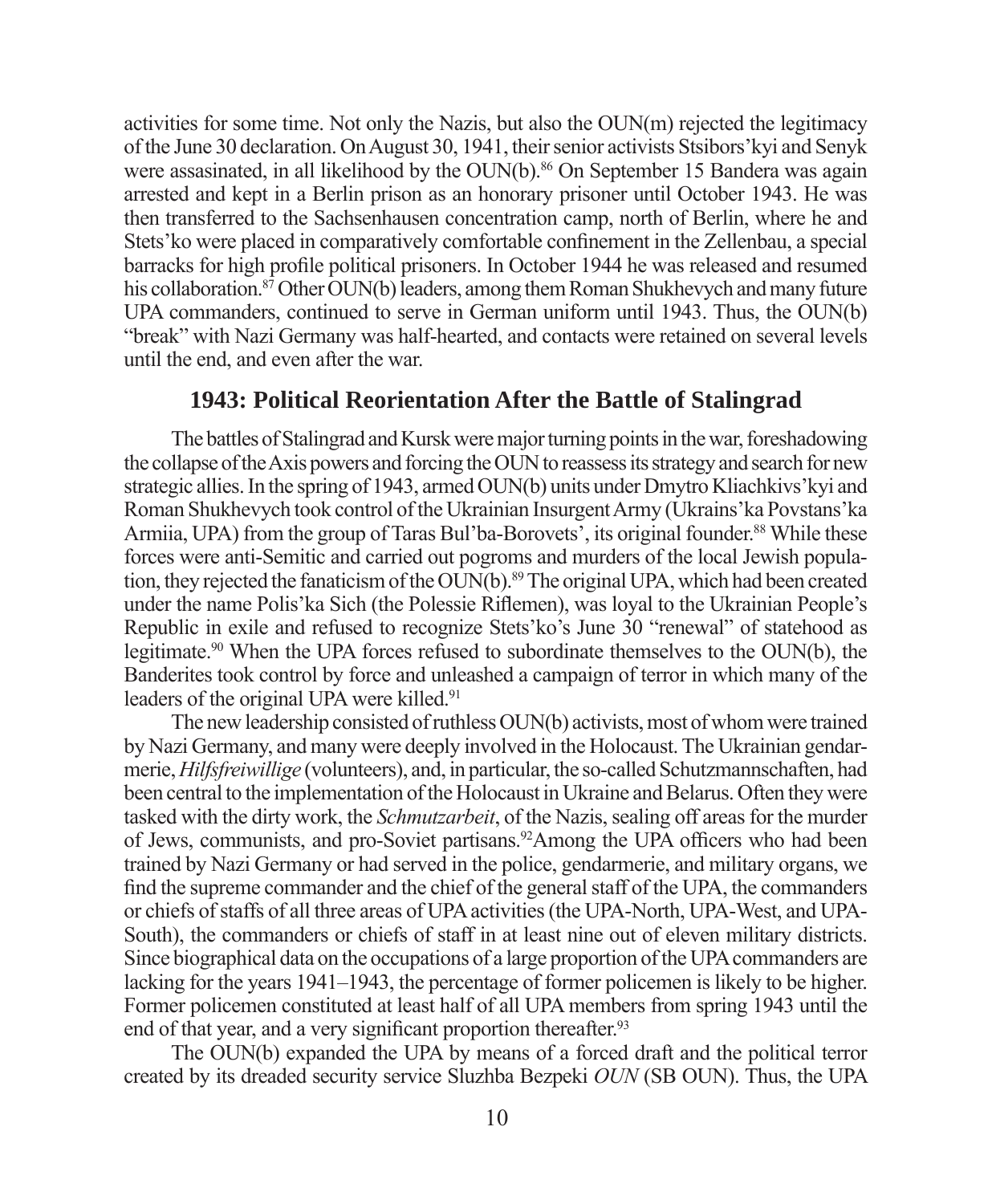activities for some time. Not only the Nazis, but also the OUN(m) rejected the legitimacy of the June 30 declaration. On August 30, 1941, their senior activists Stsibors'kyi and Senyk were assasinated, in all likelihood by the OUN(b).<sup>86</sup> On September 15 Bandera was again arrested and kept in a Berlin prison as an honorary prisoner until October 1943. He was then transferred to the Sachsenhausen concentration camp, north of Berlin, where he and Stets' ko were placed in comparatively comfortable confinement in the Zellenbau, a special barracks for high profile political prisoners. In October 1944 he was released and resumed his collaboration.<sup>87</sup> Other OUN(b) leaders, among them Roman Shukhevych and many future UPA commanders, continued to serve in German uniform until 1943. Thus, the OUN(b) "break" with Nazi Germany was half-hearted, and contacts were retained on several levels until the end, and even after the war.

#### **1943: Political Reorientation After the Battle of Stalingrad**

The battles of Stalingrad and Kursk were major turning points in the war, foreshadowing the collapse of the Axis powers and forcing the OUN to reassess its strategy and search for new strategic allies. In the spring of 1943, armed OUN(b) units under Dmytro Kliachkivs'kyi and Roman Shukhevych took control of the Ukrainian Insurgent Army (Ukrains'ka Povstans'ka Armiia, UPA) from the group of Taras Bul'ba-Borovets', its original founder.<sup>88</sup> While these forces were anti-Semitic and carried out pogroms and murders of the local Jewish population, they rejected the fanaticism of the OUN(b).<sup>89</sup> The original UPA, which had been created under the name Polis'ka Sich (the Polessie Riflemen), was loyal to the Ukrainian People's Republic in exile and refused to recognize Stets'ko's June 30 "renewal" of statehood as legitimate.90 When the UPA forces refused to subordinate themselves to the OUN(b), the Banderites took control by force and unleashed a campaign of terror in which many of the leaders of the original UPA were killed.<sup>91</sup>

The new leadership consisted of ruthless OUN(b) activists, most of whom were trained by Nazi Germany, and many were deeply involved in the Holocaust. The Ukrainian gendarmerie, *Hilfsfreiwillige* (volunteers), and, in particular, the so-called Schutzmannschaften, had been central to the implementation of the Holocaust in Ukraine and Belarus. Often they were tasked with the dirty work, the *Schmutzarbeit*, of the Nazis, sealing off areas for the murder of Jews, communists, and pro-Soviet partisans.<sup>92</sup>Among the UPA officers who had been trained by Nazi Germany or had served in the police, gendarmerie, and military organs, we find the supreme commander and the chief of the general staff of the UPA, the commanders or chiefs of staffs of all three areas of UPA activities (the UPA-North, UPA-West, and UPA-South), the commanders or chiefs of staff in at least nine out of eleven military districts. Since biographical data on the occupations of a large proportion of the UPA commanders are lacking for the years 1941–1943, the percentage of former policemen is likely to be higher. Former policemen constituted at least half of all UPA members from spring 1943 until the end of that year, and a very significant proportion thereafter.<sup>93</sup>

The OUN(b) expanded the UPA by means of a forced draft and the political terror created by its dreaded security service Sluzhba Bezpeki *OUN* (SB OUN). Thus, the UPA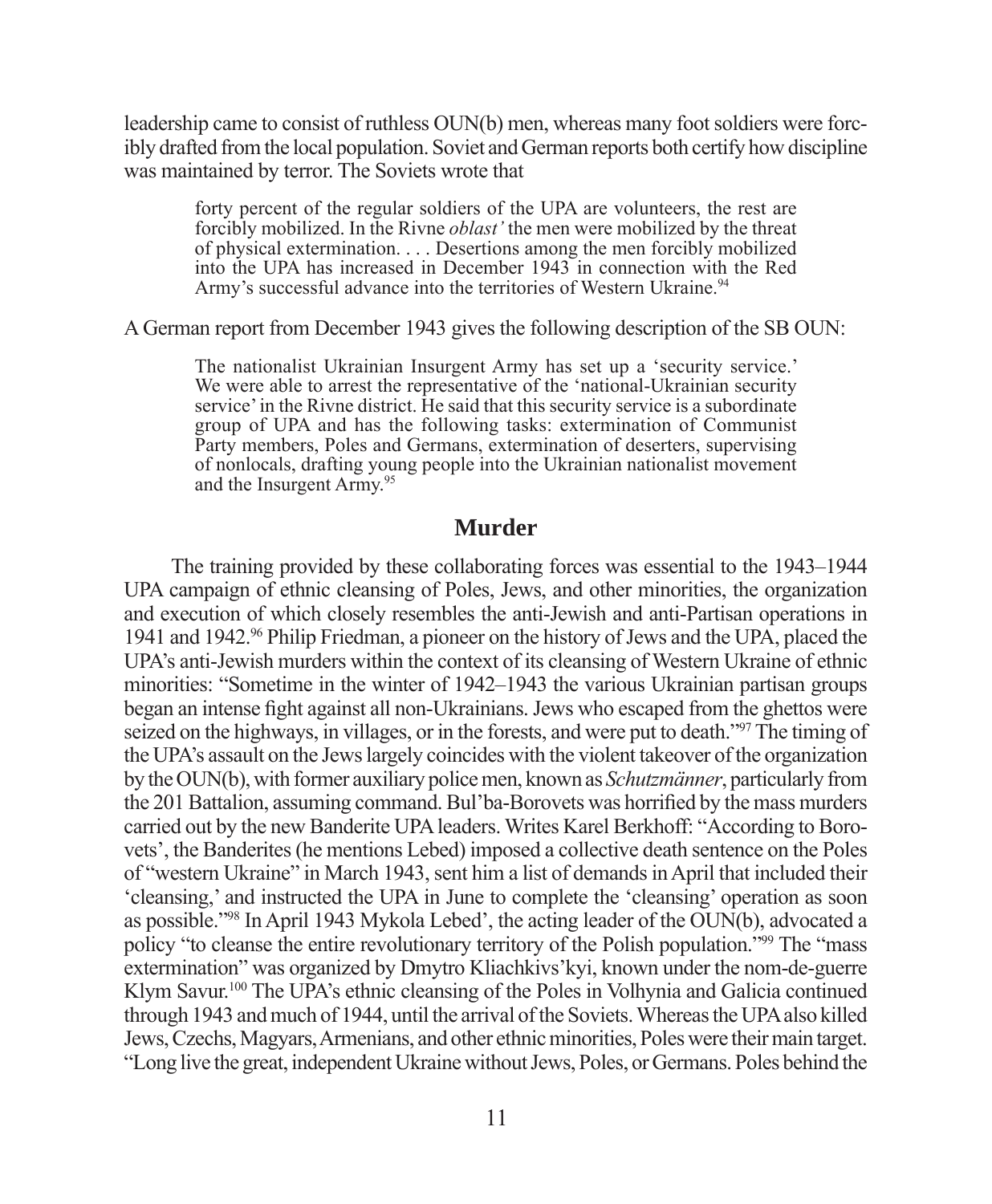leadership came to consist of ruthless OUN(b) men, whereas many foot soldiers were forcibly drafted from the local population. Soviet and German reports both certify how discipline was maintained by terror. The Soviets wrote that

forty percent of the regular soldiers of the UPA are volunteers, the rest are forcibly mobilized. In the Rivne *oblast'* the men were mobilized by the threat of physical extermination. . . . Desertions among the men forcibly mobilized into the UPA has increased in December 1943 in connection with the Red Army's successful advance into the territories of Western Ukraine.<sup>94</sup>

A German report from December 1943 gives the following description of the SB OUN:

The nationalist Ukrainian Insurgent Army has set up a 'security service.' We were able to arrest the representative of the 'national-Ukrainian security service' in the Rivne district. He said that this security service is a subordinate group of UPA and has the following tasks: extermination of Communist Party members, Poles and Germans, extermination of deserters, supervising of nonlocals, drafting young people into the Ukrainian nationalist movement and the Insurgent Army.95

#### **Murder**

The training provided by these collaborating forces was essential to the 1943–1944 UPA campaign of ethnic cleansing of Poles, Jews, and other minorities, the organization and execution of which closely resembles the anti-Jewish and anti-Partisan operations in 1941 and 1942.96 Philip Friedman, a pioneer on the history of Jews and the UPA, placed the UPA's anti-Jewish murders within the context of its cleansing of Western Ukraine of ethnic minorities: "Sometime in the winter of 1942–1943 the various Ukrainian partisan groups began an intense fight against all non-Ukrainians. Jews who escaped from the ghettos were seized on the highways, in villages, or in the forests, and were put to death."97 The timing of the UPA's assault on the Jews largely coincides with the violent takeover of the organization by the OUN(b), with former auxiliary police men, known as *Schutzmänner*, particularly from the 201 Battalion, assuming command. Bul'ba-Borovets was horrified by the mass murders carried out by the new Banderite UPA leaders. Writes Karel Berkhoff: "According to Borovets', the Banderites (he mentions Lebed) imposed a collective death sentence on the Poles of "western Ukraine" in March 1943, sent him a list of demands in April that included their 'cleansing,' and instructed the UPA in June to complete the 'cleansing' operation as soon as possible."98 In April 1943 Mykola Lebed', the acting leader of the OUN(b), advocated a policy "to cleanse the entire revolutionary territory of the Polish population."99 The "mass extermination" was organized by Dmytro Kliachkivs'kyi, known under the nom-de-guerre Klym Savur.<sup>100</sup> The UPA's ethnic cleansing of the Poles in Volhynia and Galicia continued through 1943 and much of 1944, until the arrival of the Soviets. Whereas the UPA also killed Jews, Czechs, Magyars, Armenians, and other ethnic minorities, Poles were their main target. "Long live the great, independent Ukraine without Jews, Poles, or Germans. Poles behind the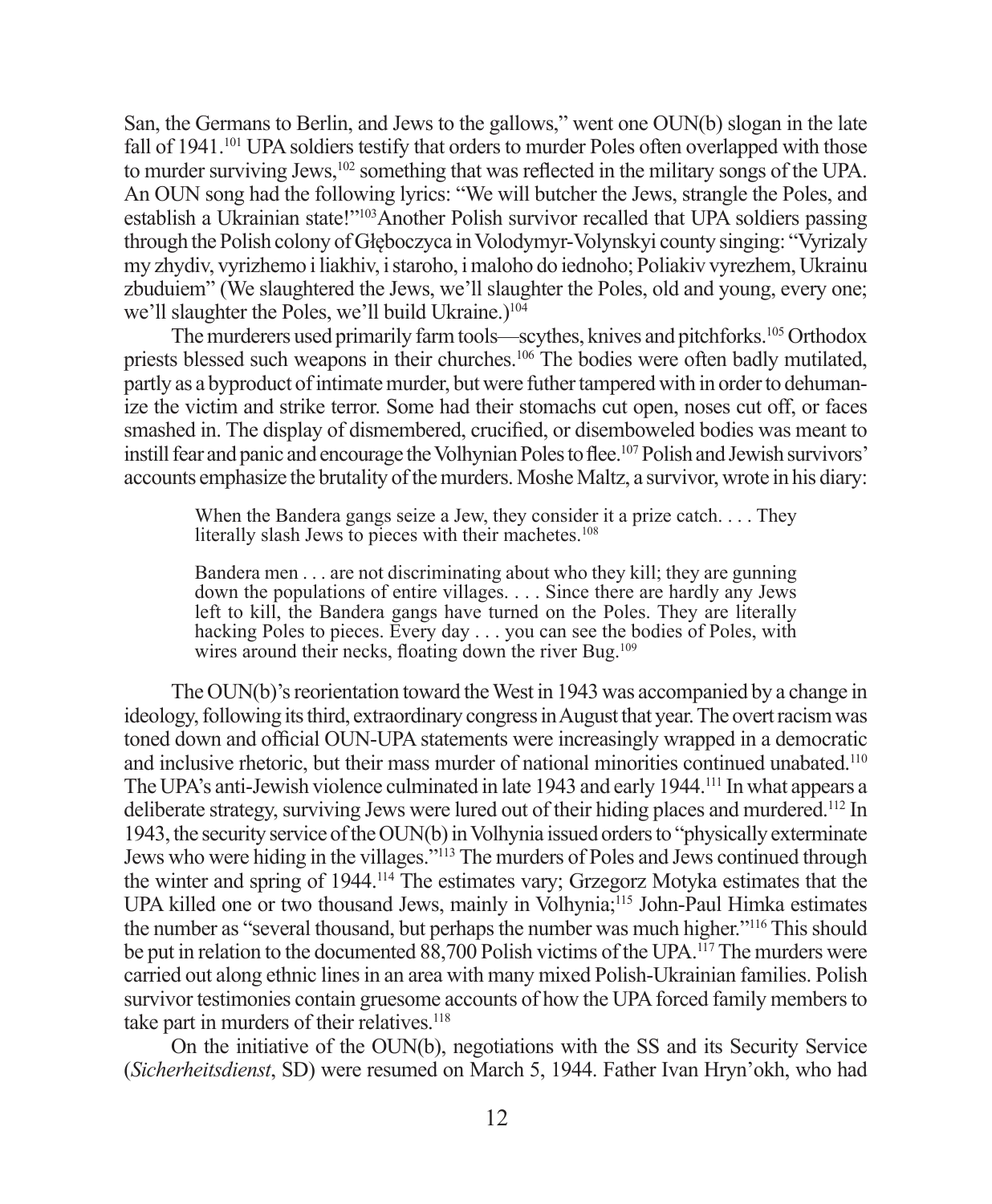San, the Germans to Berlin, and Jews to the gallows," went one OUN(b) slogan in the late fall of 1941.<sup>101</sup> UPA soldiers testify that orders to murder Poles often overlapped with those to murder surviving Jews,<sup>102</sup> something that was reflected in the military songs of the UPA. An OUN song had the following lyrics: "We will butcher the Jews, strangle the Poles, and establish a Ukrainian state!"103Another Polish survivor recalled that UPA soldiers passing through the Polish colony of Głęboczyca in Volodymyr-Volynskyi county singing: "Vyrizaly my zhydiv, vyrizhemo i liakhiv, i staroho, i maloho do iednoho; Poliakiv vyrezhem, Ukrainu zbuduiem" (We slaughtered the Jews, we'll slaughter the Poles, old and young, every one; we'll slaughter the Poles, we'll build Ukraine.)<sup>104</sup>

The murderers used primarily farm tools—scythes, knives and pitchforks.<sup>105</sup> Orthodox priests blessed such weapons in their churches.106 The bodies were often badly mutilated, partly as a byproduct of intimate murder, but were futher tampered with in order to dehumanize the victim and strike terror. Some had their stomachs cut open, noses cut off, or faces smashed in. The display of dismembered, crucified, or disemboweled bodies was meant to instill fear and panic and encourage the Volhynian Poles to flee.<sup>107</sup> Polish and Jewish survivors' accounts emphasize the brutality of the murders. Moshe Maltz, a survivor, wrote in his diary:

When the Bandera gangs seize a Jew, they consider it a prize catch. . . . They literally slash Jews to pieces with their machetes.<sup>108</sup>

Bandera men . . . are not discriminating about who they kill; they are gunning down the populations of entire villages. . . . Since there are hardly any Jews left to kill, the Bandera gangs have turned on the Poles. They are literally hacking Poles to pieces. Every day . . . you can see the bodies of Poles, with wires around their necks, floating down the river Bug.<sup>109</sup>

The OUN(b)'s reorientation toward the West in 1943 was accompanied by a change in ideology, following its third, extraordinary congress in August that year. The overt racism was toned down and official OUN-UPA statements were increasingly wrapped in a democratic and inclusive rhetoric, but their mass murder of national minorities continued unabated.110 The UPA's anti-Jewish violence culminated in late 1943 and early 1944.111 In what appears a deliberate strategy, surviving Jews were lured out of their hiding places and murdered.112 In 1943, the security service of the OUN(b) in Volhynia issued orders to "physically exterminate Jews who were hiding in the villages."113 The murders of Poles and Jews continued through the winter and spring of 1944.114 The estimates vary; Grzegorz Motyka estimates that the UPA killed one or two thousand Jews, mainly in Volhynia;115 John-Paul Himka estimates the number as "several thousand, but perhaps the number was much higher."116 This should be put in relation to the documented 88,700 Polish victims of the UPA.<sup>117</sup> The murders were carried out along ethnic lines in an area with many mixed Polish-Ukrainian families. Polish survivor testimonies contain gruesome accounts of how the UPA forced family members to take part in murders of their relatives.<sup>118</sup>

On the initiative of the OUN(b), negotiations with the SS and its Security Service (*Sicherheitsdienst*, SD) were resumed on March 5, 1944. Father Ivan Hryn'okh, who had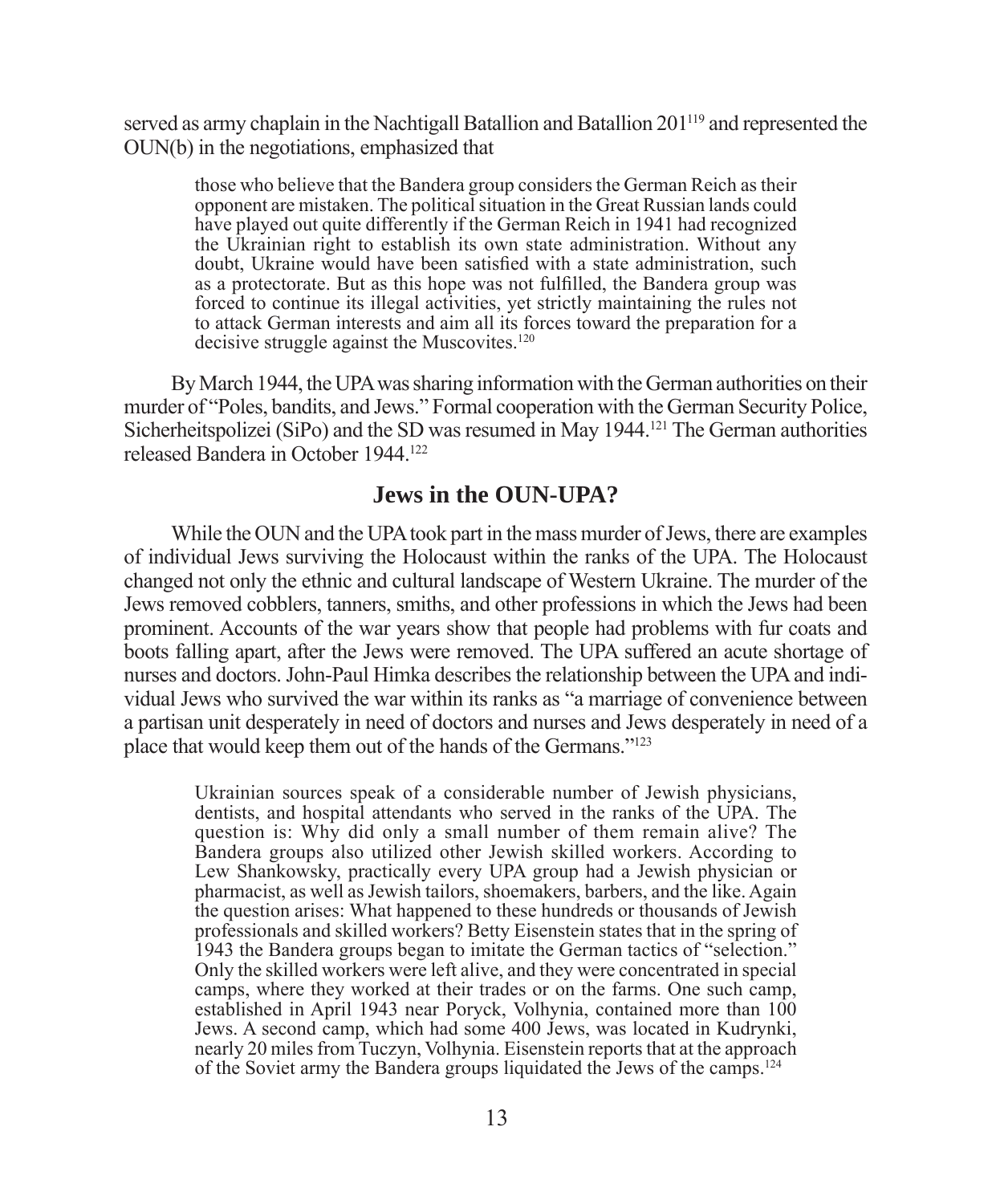served as army chaplain in the Nachtigall Batallion and Batallion 201<sup>119</sup> and represented the OUN(b) in the negotiations, emphasized that

those who believe that the Bandera group considers the German Reich as their opponent are mistaken. The political situation in the Great Russian lands could have played out quite differently if the German Reich in 1941 had recognized the Ukrainian right to establish its own state administration. Without any doubt, Ukraine would have been satisfied with a state administration, such as a protectorate. But as this hope was not fulfilled, the Bandera group was forced to continue its illegal activities, yet strictly maintaining the rules not to attack German interests and aim all its forces toward the preparation for a decisive struggle against the Muscovites.<sup>120</sup>

By March 1944, the UPA was sharing information with the German authorities on their murder of "Poles, bandits, and Jews." Formal cooperation with the German Security Police, Sicherheitspolizei (SiPo) and the SD was resumed in May 1944.121 The German authorities released Bandera in October 1944<sup>122</sup>

#### **Jews in the OUN-UPA?**

While the OUN and the UPA took part in the mass murder of Jews, there are examples of individual Jews surviving the Holocaust within the ranks of the UPA. The Holocaust changed not only the ethnic and cultural landscape of Western Ukraine. The murder of the Jews removed cobblers, tanners, smiths, and other professions in which the Jews had been prominent. Accounts of the war years show that people had problems with fur coats and boots falling apart, after the Jews were removed. The UPA suffered an acute shortage of nurses and doctors. John-Paul Himka describes the relationship between the UPA and individual Jews who survived the war within its ranks as "a marriage of convenience between a partisan unit desperately in need of doctors and nurses and Jews desperately in need of a place that would keep them out of the hands of the Germans."123

Ukrainian sources speak of a considerable number of Jewish physicians, dentists, and hospital attendants who served in the ranks of the UPA. The question is: Why did only a small number of them remain alive? The Bandera groups also utilized other Jewish skilled workers. According to Lew Shankowsky, practically every UPA group had a Jewish physician or pharmacist, as well as Jewish tailors, shoemakers, barbers, and the like. Again the question arises: What happened to these hundreds or thousands of Jewish professionals and skilled workers? Betty Eisenstein states that in the spring of 1943 the Bandera groups began to imitate the German tactics of "selection." Only the skilled workers were left alive, and they were concentrated in special camps, where they worked at their trades or on the farms. One such camp, established in April 1943 near Poryck, Volhynia, contained more than 100 Jews. A second camp, which had some 400 Jews, was located in Kudrynki, nearly 20 miles from Tuczyn, Volhynia. Eisenstein reports that at the approach of the Soviet army the Bandera groups liquidated the Jews of the camps.124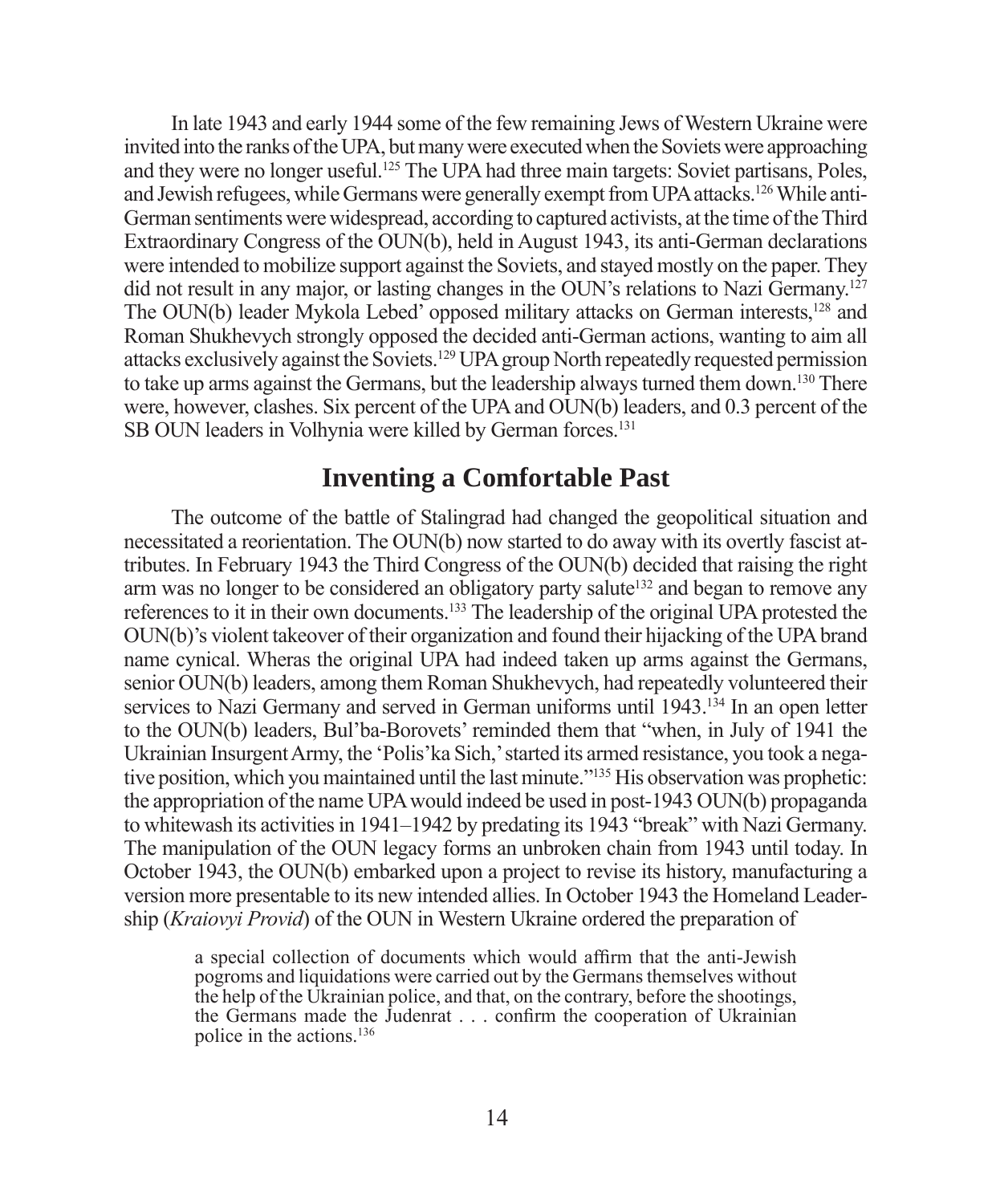In late 1943 and early 1944 some of the few remaining Jews of Western Ukraine were invited into the ranks of the UPA, but many were executed when the Soviets were approaching and they were no longer useful.125 The UPA had three main targets: Soviet partisans, Poles, and Jewish refugees, while Germans were generally exempt from UPA attacks.126 While anti-German sentiments were widespread, according to captured activists, at the time of the Third Extraordinary Congress of the OUN(b), held in August 1943, its anti-German declarations were intended to mobilize support against the Soviets, and stayed mostly on the paper. They did not result in any major, or lasting changes in the OUN's relations to Nazi Germany.127 The OUN(b) leader Mykola Lebed' opposed military attacks on German interests,128 and Roman Shukhevych strongly opposed the decided anti-German actions, wanting to aim all attacks exclusively against the Soviets.129 UPA group North repeatedly requested permission to take up arms against the Germans, but the leadership always turned them down.130 There were, however, clashes. Six percent of the UPA and OUN(b) leaders, and 0.3 percent of the SB OUN leaders in Volhynia were killed by German forces.<sup>131</sup>

#### **Inventing a Comfortable Past**

The outcome of the battle of Stalingrad had changed the geopolitical situation and necessitated a reorientation. The OUN(b) now started to do away with its overtly fascist attributes. In February 1943 the Third Congress of the OUN(b) decided that raising the right arm was no longer to be considered an obligatory party salute<sup>132</sup> and began to remove any references to it in their own documents.133 The leadership of the original UPA protested the OUN(b)'s violent takeover of their organization and found their hijacking of the UPA brand name cynical. Wheras the original UPA had indeed taken up arms against the Germans, senior OUN(b) leaders, among them Roman Shukhevych, had repeatedly volunteered their services to Nazi Germany and served in German uniforms until 1943.134 In an open letter to the OUN(b) leaders, Bul'ba-Borovets' reminded them that "when, in July of 1941 the Ukrainian Insurgent Army, the 'Polis'ka Sich,' started its armed resistance, you took a negative position, which you maintained until the last minute."135 His observation was prophetic: the appropriation of the name UPA would indeed be used in post-1943 OUN(b) propaganda to whitewash its activities in 1941–1942 by predating its 1943 "break" with Nazi Germany. The manipulation of the OUN legacy forms an unbroken chain from 1943 until today. In October 1943, the OUN(b) embarked upon a project to revise its history, manufacturing a version more presentable to its new intended allies. In October 1943 the Homeland Leadership (*Kraiovyi Provid*) of the OUN in Western Ukraine ordered the preparation of

a special collection of documents which would affirm that the anti-Jewish pogroms and liquidations were carried out by the Germans themselves without the help of the Ukrainian police, and that, on the contrary, before the shootings, the Germans made the Judenrat . . . confirm the cooperation of Ukrainian police in the actions.136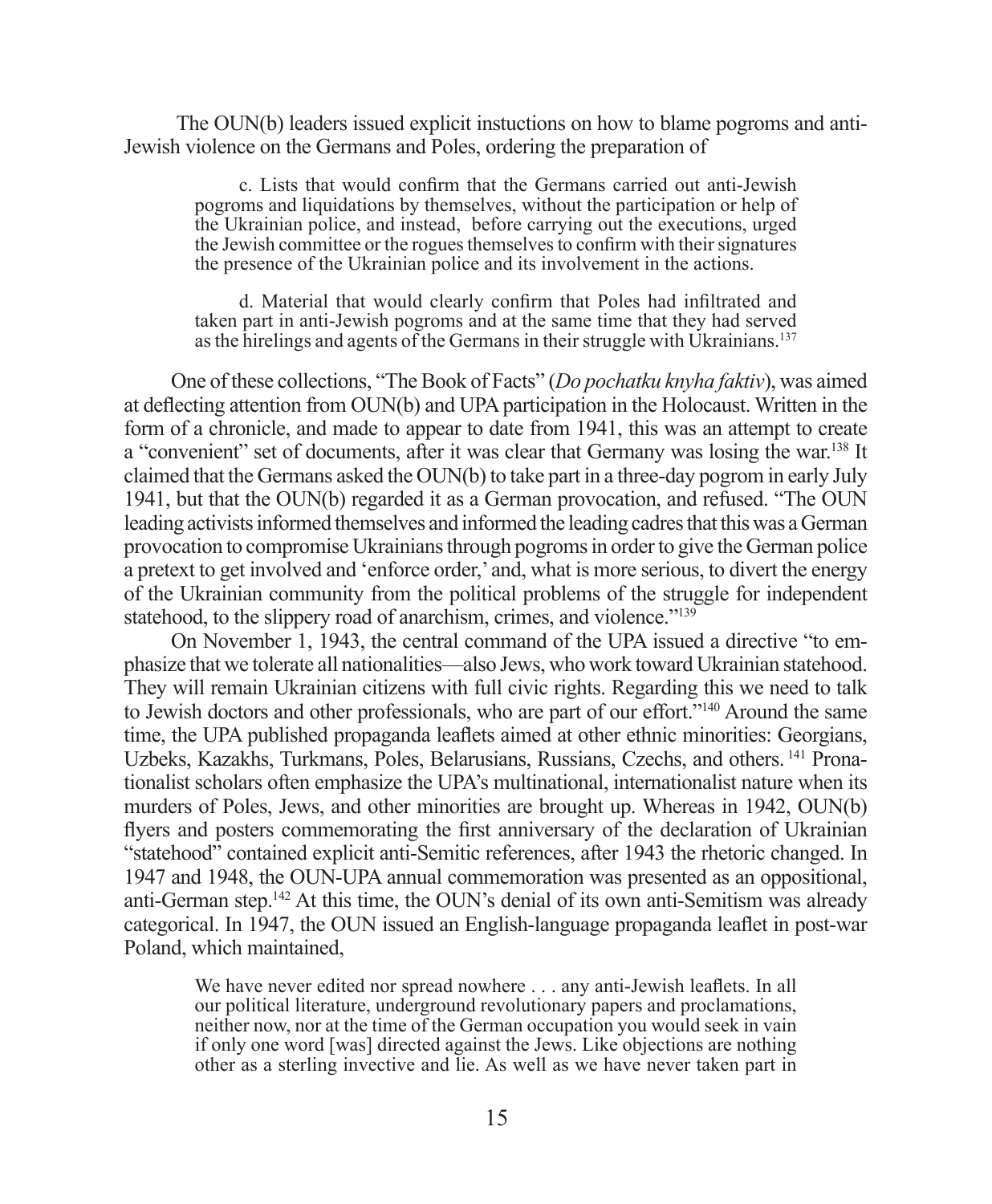The OUN(b) leaders issued explicit instuctions on how to blame pogroms and anti-Jewish violence on the Germans and Poles, ordering the preparation of

c. Lists that would confirm that the Germans carried out anti-Jewish pogroms and liquidations by themselves, without the participation or help of the Ukrainian police, and instead, before carrying out the executions, urged the Jewish committee or the rogues themselves to confirm with their signatures the presence of the Ukrainian police and its involvement in the actions.

d. Material that would clearly confirm that Poles had infiltrated and taken part in anti-Jewish pogroms and at the same time that they had served as the hirelings and agents of the Germans in their struggle with Ukrainians.137

One of these collections, "The Book of Facts" (*Do pochatku knyha faktiv*), was aimed at deflecting attention from OUN(b) and UPA participation in the Holocaust. Written in the form of a chronicle, and made to appear to date from 1941, this was an attempt to create a "convenient" set of documents, after it was clear that Germany was losing the war.138 It claimed that the Germans asked the OUN(b) to take part in a three-day pogrom in early July 1941, but that the OUN(b) regarded it as a German provocation, and refused. "The OUN leading activists informed themselves and informed the leading cadres that this was a German provocation to compromise Ukrainians through pogroms in order to give the German police a pretext to get involved and 'enforce order,' and, what is more serious, to divert the energy of the Ukrainian community from the political problems of the struggle for independent statehood, to the slippery road of anarchism, crimes, and violence."<sup>139</sup>

On November 1, 1943, the central command of the UPA issued a directive "to emphasize that we tolerate all nationalities—also Jews, who work toward Ukrainian statehood. They will remain Ukrainian citizens with full civic rights. Regarding this we need to talk to Jewish doctors and other professionals, who are part of our effort."140 Around the same time, the UPA published propaganda leaflets aimed at other ethnic minorities: Georgians, Uzbeks, Kazakhs, Turkmans, Poles, Belarusians, Russians, Czechs, and others. 141 Pronationalist scholars often emphasize the UPA's multinational, internationalist nature when its murders of Poles, Jews, and other minorities are brought up. Whereas in 1942, OUN(b) flyers and posters commemorating the first anniversary of the declaration of Ukrainian "statehood" contained explicit anti-Semitic references, after 1943 the rhetoric changed. In 1947 and 1948, the OUN-UPA annual commemoration was presented as an oppositional, anti-German step.142 At this time, the OUN's denial of its own anti-Semitism was already categorical. In 1947, the OUN issued an English-language propaganda leaflet in post-war Poland, which maintained,

We have never edited nor spread nowhere . . . any anti-Jewish leaflets. In all our political literature, underground revolutionary papers and proclamations, neither now, nor at the time of the German occupation you would seek in vain if only one word [was] directed against the Jews. Like objections are nothing other as a sterling invective and lie. As well as we have never taken part in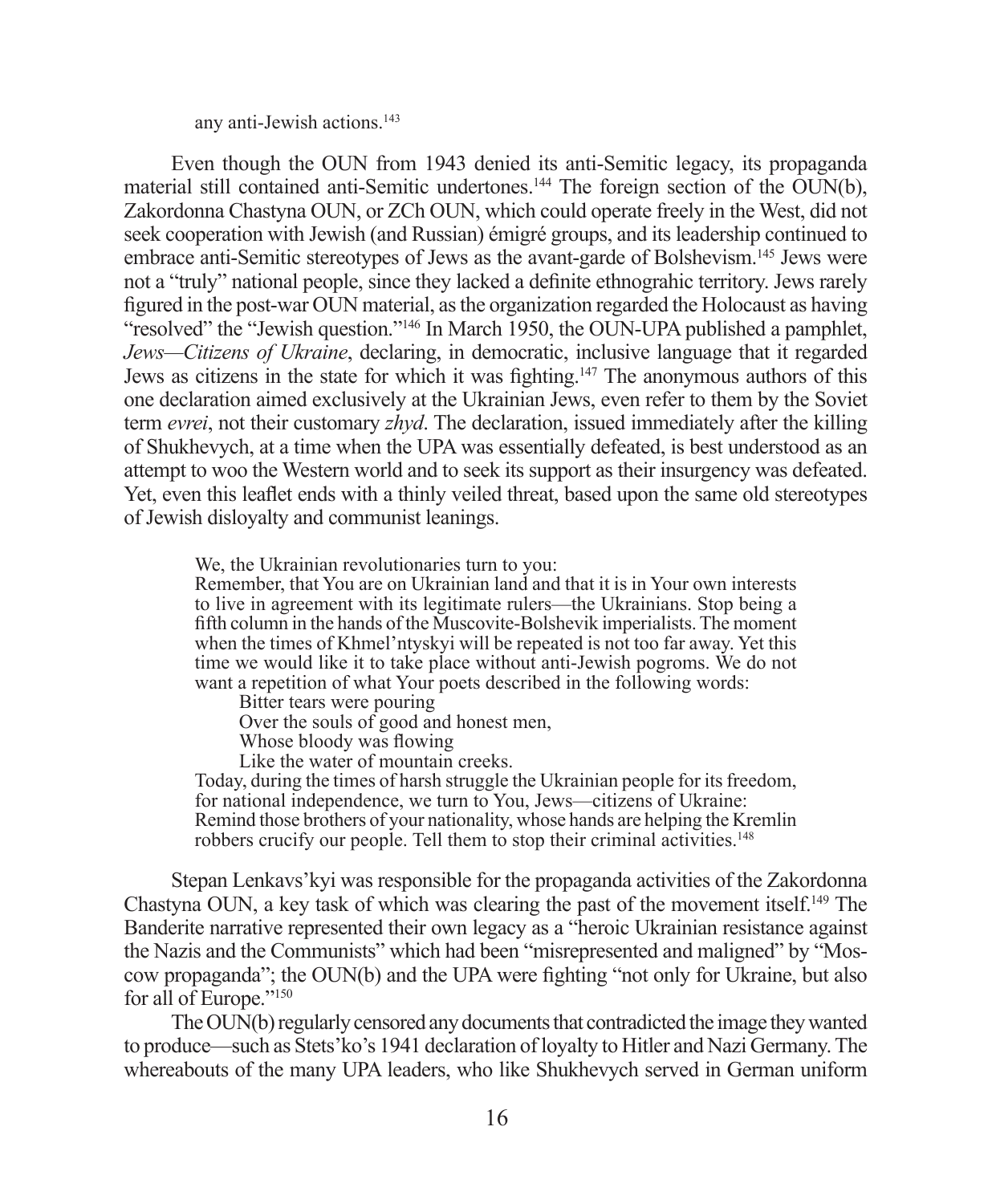any anti-Jewish actions.<sup>143</sup>

Even though the OUN from 1943 denied its anti-Semitic legacy, its propaganda material still contained anti-Semitic undertones.<sup>144</sup> The foreign section of the OUN(b), Zakordonna Chastyna OUN, or ZCh OUN, which could operate freely in the West, did not seek cooperation with Jewish (and Russian) émigré groups, and its leadership continued to embrace anti-Semitic stereotypes of Jews as the avant-garde of Bolshevism.<sup>145</sup> Jews were not a "truly" national people, since they lacked a definite ethnograhic territory. Jews rarely figured in the post-war OUN material, as the organization regarded the Holocaust as having "resolved" the "Jewish question."<sup>146</sup> In March 1950, the OUN-UPA published a pamphlet, *Jews—Citizens of Ukraine*, declaring, in democratic, inclusive language that it regarded Jews as citizens in the state for which it was fighting.<sup>147</sup> The anonymous authors of this one declaration aimed exclusively at the Ukrainian Jews, even refer to them by the Soviet term *evrei*, not their customary *zhyd*. The declaration, issued immediately after the killing of Shukhevych, at a time when the UPA was essentially defeated, is best understood as an attempt to woo the Western world and to seek its support as their insurgency was defeated. Yet, even this leaflet ends with a thinly veiled threat, based upon the same old stereotypes of Jewish disloyalty and communist leanings.

We, the Ukrainian revolutionaries turn to you:

Remember, that You are on Ukrainian land and that it is in Your own interests to live in agreement with its legitimate rulers—the Ukrainians. Stop being a fifth column in the hands of the Muscovite-Bolshevik imperialists. The moment when the times of Khmel'ntyskyi will be repeated is not too far away. Yet this time we would like it to take place without anti-Jewish pogroms. We do not want a repetition of what Your poets described in the following words:

Bitter tears were pouring

Over the souls of good and honest men,

Whose bloody was flowing

Like the water of mountain creeks.

Today, during the times of harsh struggle the Ukrainian people for its freedom, for national independence, we turn to You, Jews—citizens of Ukraine: Remind those brothers of your nationality, whose hands are helping the Kremlin robbers crucify our people. Tell them to stop their criminal activities.<sup>148</sup>

Stepan Lenkavs'kyi was responsible for the propaganda activities of the Zakordonna Chastyna OUN, a key task of which was clearing the past of the movement itself.149 The Banderite narrative represented their own legacy as a "heroic Ukrainian resistance against the Nazis and the Communists" which had been "misrepresented and maligned" by "Moscow propaganda"; the OUN(b) and the UPA were fighting "not only for Ukraine, but also for all of Europe."150

The OUN(b) regularly censored any documents that contradicted the image they wanted to produce—such as Stets'ko's 1941 declaration of loyalty to Hitler and Nazi Germany. The whereabouts of the many UPA leaders, who like Shukhevych served in German uniform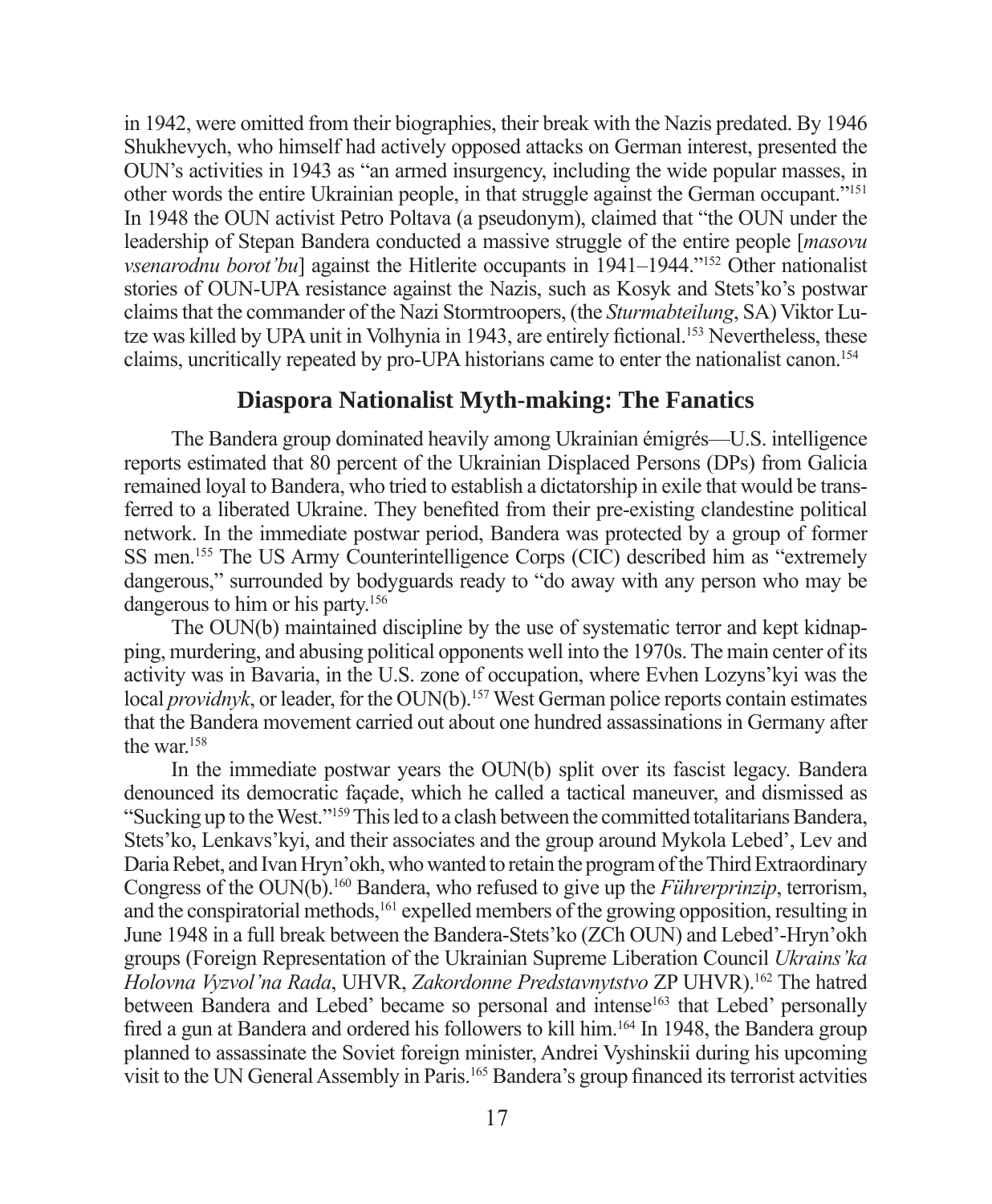in 1942, were omitted from their biographies, their break with the Nazis predated. By 1946 Shukhevych, who himself had actively opposed attacks on German interest, presented the OUN's activities in 1943 as "an armed insurgency, including the wide popular masses, in other words the entire Ukrainian people, in that struggle against the German occupant."151 In 1948 the OUN activist Petro Poltava (a pseudonym), claimed that "the OUN under the leadership of Stepan Bandera conducted a massive struggle of the entire people [*masovu vsenarodnu borot'bu*] against the Hitlerite occupants in 1941–1944."<sup>152</sup> Other nationalist stories of OUN-UPA resistance against the Nazis, such as Kosyk and Stets'ko's postwar claims that the commander of the Nazi Stormtroopers, (the *Sturmabteilung*, SA) Viktor Lutze was killed by UPA unit in Volhynia in 1943, are entirely fictional.<sup>153</sup> Nevertheless, these claims, uncritically repeated by pro-UPA historians came to enter the nationalist canon.154

#### **Diaspora Nationalist Myth-making: The Fanatics**

The Bandera group dominated heavily among Ukrainian émigrés—U.S. intelligence reports estimated that 80 percent of the Ukrainian Displaced Persons (DPs) from Galicia remained loyal to Bandera, who tried to establish a dictatorship in exile that would be transferred to a liberated Ukraine. They benefited from their pre-existing clandestine political network. In the immediate postwar period, Bandera was protected by a group of former SS men.155 The US Army Counterintelligence Corps (CIC) described him as "extremely dangerous," surrounded by bodyguards ready to "do away with any person who may be dangerous to him or his party.156

The OUN(b) maintained discipline by the use of systematic terror and kept kidnapping, murdering, and abusing political opponents well into the 1970s. The main center of its activity was in Bavaria, in the U.S. zone of occupation, where Evhen Lozyns'kyi was the local *providnyk*, or leader, for the OUN(b).<sup>157</sup> West German police reports contain estimates that the Bandera movement carried out about one hundred assassinations in Germany after the war<sup>158</sup>

In the immediate postwar years the OUN(b) split over its fascist legacy. Bandera denounced its democratic façade, which he called a tactical maneuver, and dismissed as "Sucking up to the West."159 This led to a clash between the committed totalitarians Bandera, Stets'ko, Lenkavs'kyi, and their associates and the group around Mykola Lebed', Lev and Daria Rebet, and Ivan Hryn'okh, who wanted to retain the program of the Third Extraordinary Congress of the OUN(b).160 Bandera, who refused to give up the *Führerprinzip*, terrorism, and the conspiratorial methods,<sup>161</sup> expelled members of the growing opposition, resulting in June 1948 in a full break between the Bandera-Stets'ko (ZCh OUN) and Lebed'-Hryn'okh groups (Foreign Representation of the Ukrainian Supreme Liberation Council *Ukrains'ka Holovna Vyzvol'na Rada*, UHVR, *Zakordonne Predstavnytstvo* ZP UHVR).162 The hatred between Bandera and Lebed' became so personal and intense<sup>163</sup> that Lebed' personally fired a gun at Bandera and ordered his followers to kill him.<sup>164</sup> In 1948, the Bandera group planned to assassinate the Soviet foreign minister, Andrei Vyshinskii during his upcoming visit to the UN General Assembly in Paris.<sup>165</sup> Bandera's group financed its terrorist actvities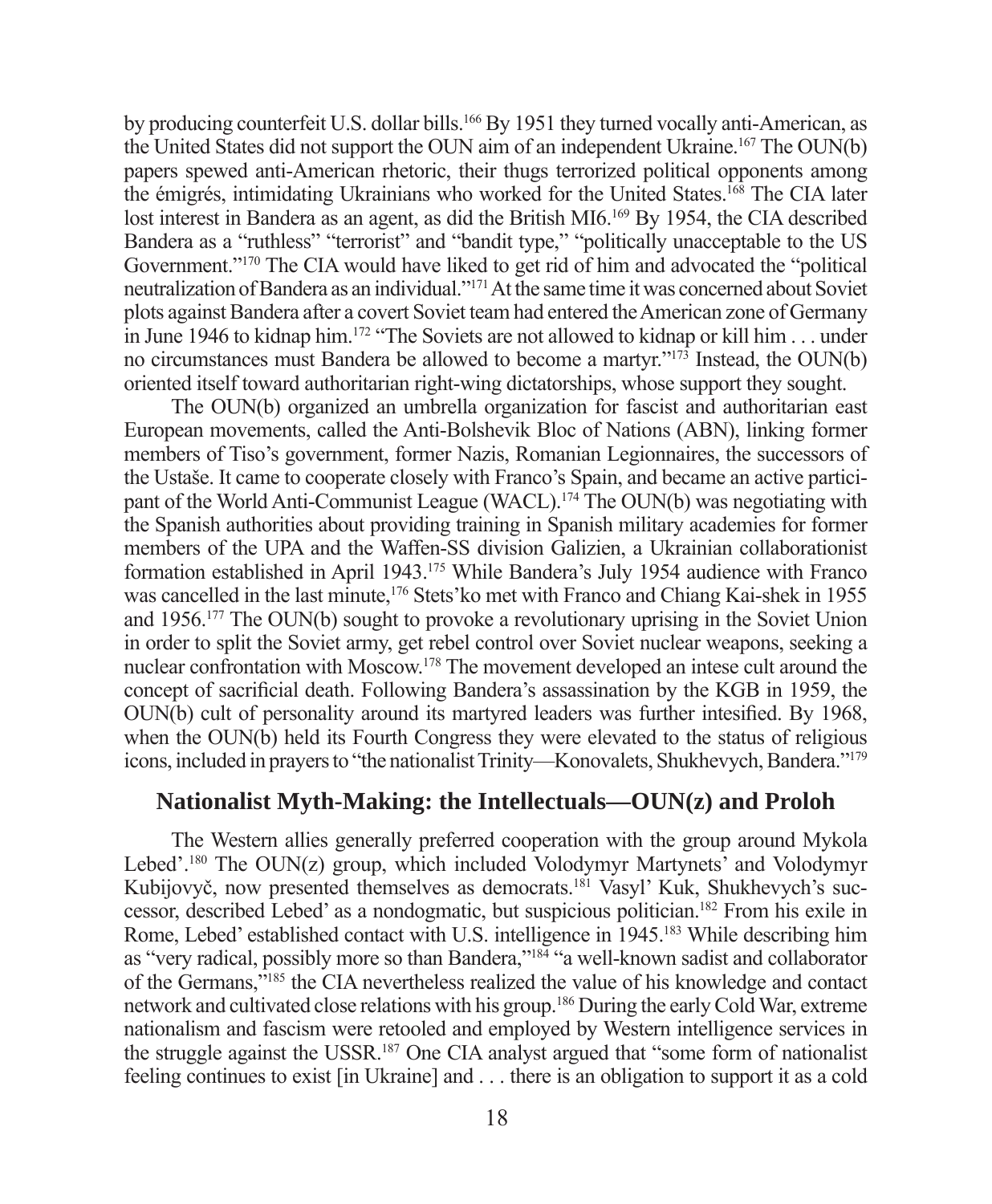by producing counterfeit U.S. dollar bills.166 By 1951 they turned vocally anti-American, as the United States did not support the OUN aim of an independent Ukraine.167 The OUN(b) papers spewed anti-American rhetoric, their thugs terrorized political opponents among the émigrés, intimidating Ukrainians who worked for the United States.168 The CIA later lost interest in Bandera as an agent, as did the British MI6.<sup>169</sup> By 1954, the CIA described Bandera as a "ruthless" "terrorist" and "bandit type," "politically unacceptable to the US Government."170 The CIA would have liked to get rid of him and advocated the "political neutralization of Bandera as an individual."171 At the same time it was concerned about Soviet plots against Bandera after a covert Soviet team had entered the American zone of Germany in June 1946 to kidnap him.<sup>172</sup> "The Soviets are not allowed to kidnap or kill him . . . under no circumstances must Bandera be allowed to become a martyr."173 Instead, the OUN(b) oriented itself toward authoritarian right-wing dictatorships, whose support they sought.

The OUN(b) organized an umbrella organization for fascist and authoritarian east European movements, called the Anti-Bolshevik Bloc of Nations (ABN), linking former members of Tiso's government, former Nazis, Romanian Legionnaires, the successors of the Ustaše. It came to cooperate closely with Franco's Spain, and became an active participant of the World Anti-Communist League (WACL).<sup>174</sup> The OUN(b) was negotiating with the Spanish authorities about providing training in Spanish military academies for former members of the UPA and the Waffen-SS division Galizien, a Ukrainian collaborationist formation established in April 1943.175 While Bandera's July 1954 audience with Franco was cancelled in the last minute,176 Stets'ko met with Franco and Chiang Kai-shek in 1955 and 1956.177 The OUN(b) sought to provoke a revolutionary uprising in the Soviet Union in order to split the Soviet army, get rebel control over Soviet nuclear weapons, seeking a nuclear confrontation with Moscow.178 The movement developed an intese cult around the concept of sacrificial death. Following Bandera's assassination by the KGB in 1959, the OUN(b) cult of personality around its martyred leaders was further intesified. By 1968, when the OUN(b) held its Fourth Congress they were elevated to the status of religious icons, included in prayers to "the nationalist Trinity—Konovalets, Shukhevych, Bandera."179

#### **Nationalist Myth-Making: the Intellectuals—OUN(z) and Proloh**

The Western allies generally preferred cooperation with the group around Mykola Lebed'.180 The OUN(z) group, which included Volodymyr Martynets' and Volodymyr Kubijovyč, now presented themselves as democrats.<sup>181</sup> Vasyl' Kuk, Shukhevych's successor, described Lebed' as a nondogmatic, but suspicious politician.182 From his exile in Rome, Lebed' established contact with U.S. intelligence in 1945.183 While describing him as "very radical, possibly more so than Bandera,"<sup>184</sup> "a well-known sadist and collaborator of the Germans,"185 the CIA nevertheless realized the value of his knowledge and contact network and cultivated close relations with his group.186 During the early Cold War, extreme nationalism and fascism were retooled and employed by Western intelligence services in the struggle against the USSR.187 One CIA analyst argued that "some form of nationalist feeling continues to exist [in Ukraine] and . . . there is an obligation to support it as a cold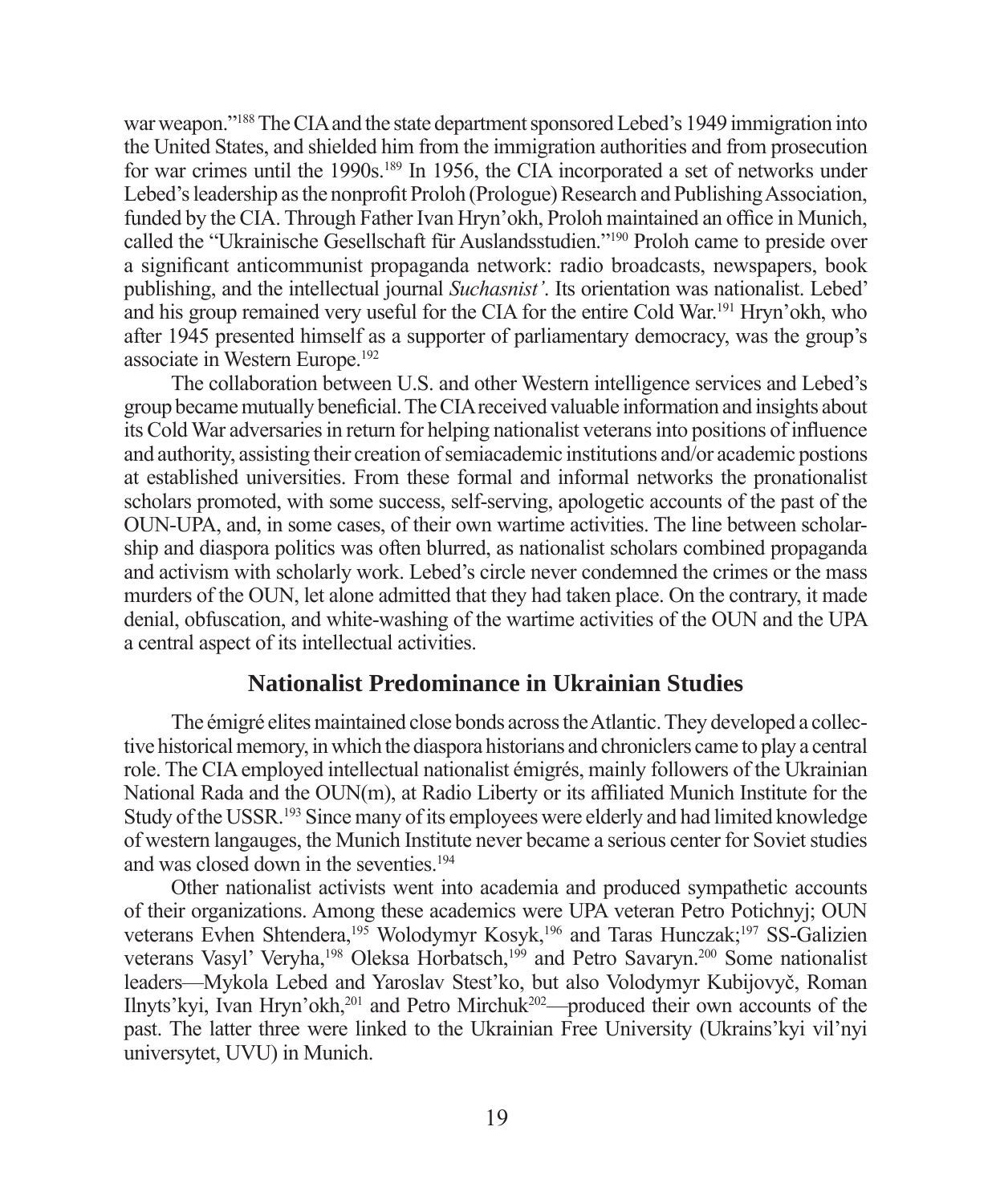war weapon."188 The CIA and the state department sponsored Lebed's 1949 immigration into the United States, and shielded him from the immigration authorities and from prosecution for war crimes until the 1990s.189 In 1956, the CIA incorporated a set of networks under Lebed's leadership as the nonprofi t Proloh (Prologue) Research and Publishing Association, funded by the CIA. Through Father Ivan Hryn'okh, Proloh maintained an office in Munich, called the "Ukrainische Gesellschaft für Auslandsstudien."190 Proloh came to preside over a significant anticommunist propaganda network: radio broadcasts, newspapers, book publishing, and the intellectual journal *Suchasnist'*. Its orientation was nationalist. Lebed' and his group remained very useful for the CIA for the entire Cold War.191 Hryn'okh, who after 1945 presented himself as a supporter of parliamentary democracy, was the group's associate in Western Europe.192

The collaboration between U.S. and other Western intelligence services and Lebed's group became mutually beneficial. The CIA received valuable information and insights about its Cold War adversaries in return for helping nationalist veterans into positions of influence and authority, assisting their creation of semiacademic institutions and/or academic postions at established universities. From these formal and informal networks the pronationalist scholars promoted, with some success, self-serving, apologetic accounts of the past of the OUN-UPA, and, in some cases, of their own wartime activities. The line between scholarship and diaspora politics was often blurred, as nationalist scholars combined propaganda and activism with scholarly work. Lebed's circle never condemned the crimes or the mass murders of the OUN, let alone admitted that they had taken place. On the contrary, it made denial, obfuscation, and white-washing of the wartime activities of the OUN and the UPA a central aspect of its intellectual activities.

#### **Nationalist Predominance in Ukrainian Studies**

The émigré elites maintained close bonds across the Atlantic. They developed a collective historical memory, in which the diaspora historians and chroniclers came to play a central role. The CIA employed intellectual nationalist émigrés, mainly followers of the Ukrainian National Rada and the  $\text{OUN}(m)$ , at Radio Liberty or its affiliated Munich Institute for the Study of the USSR.193 Since many of its employees were elderly and had limited knowledge of western langauges, the Munich Institute never became a serious center for Soviet studies and was closed down in the seventies.194

Other nationalist activists went into academia and produced sympathetic accounts of their organizations. Among these academics were UPA veteran Petro Potichnyj; OUN veterans Evhen Shtendera,<sup>195</sup> Wolodymyr Kosyk,<sup>196</sup> and Taras Hunczak;<sup>197</sup> SS-Galizien veterans Vasyl' Veryha,<sup>198</sup> Oleksa Horbatsch,<sup>199</sup> and Petro Savaryn.<sup>200</sup> Some nationalist leaders—Mykola Lebed and Yaroslav Stest'ko, but also Volodymyr Kubijovyč, Roman Ilnyts'kyi, Ivan Hryn'okh,201 and Petro Mirchuk202—produced their own accounts of the past. The latter three were linked to the Ukrainian Free University (Ukrains'kyi vil'nyi universytet, UVU) in Munich.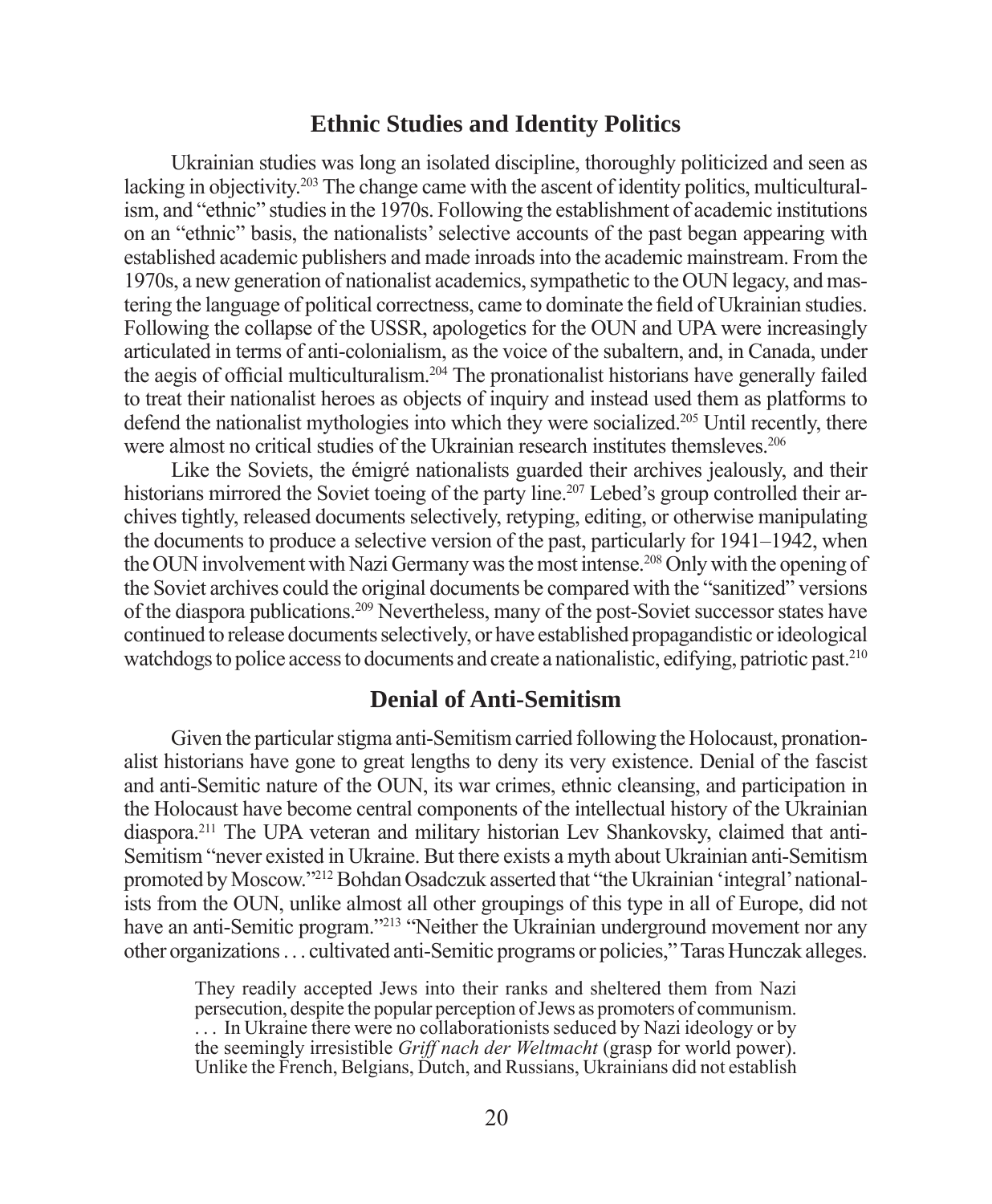#### **Ethnic Studies and Identity Politics**

Ukrainian studies was long an isolated discipline, thoroughly politicized and seen as lacking in objectivity.<sup>203</sup> The change came with the ascent of identity politics, multiculturalism, and "ethnic" studies in the 1970s. Following the establishment of academic institutions on an "ethnic" basis, the nationalists' selective accounts of the past began appearing with established academic publishers and made inroads into the academic mainstream. From the 1970s, a new generation of nationalist academics, sympathetic to the OUN legacy, and mastering the language of political correctness, came to dominate the field of Ukrainian studies. Following the collapse of the USSR, apologetics for the OUN and UPA were increasingly articulated in terms of anti-colonialism, as the voice of the subaltern, and, in Canada, under the aegis of official multiculturalism.<sup>204</sup> The pronationalist historians have generally failed to treat their nationalist heroes as objects of inquiry and instead used them as platforms to defend the nationalist mythologies into which they were socialized.205 Until recently, there were almost no critical studies of the Ukrainian research institutes themsleves.<sup>206</sup>

Like the Soviets, the émigré nationalists guarded their archives jealously, and their historians mirrored the Soviet toeing of the party line.<sup>207</sup> Lebed's group controlled their archives tightly, released documents selectively, retyping, editing, or otherwise manipulating the documents to produce a selective version of the past, particularly for 1941–1942, when the OUN involvement with Nazi Germany was the most intense.208 Only with the opening of the Soviet archives could the original documents be compared with the "sanitized" versions of the diaspora publications.209 Nevertheless, many of the post-Soviet successor states have continued to release documents selectively, or have established propagandistic or ideological watchdogs to police access to documents and create a nationalistic, edifying, patriotic past.<sup>210</sup>

#### **Denial of Anti-Semitism**

Given the particular stigma anti-Semitism carried following the Holocaust, pronationalist historians have gone to great lengths to deny its very existence. Denial of the fascist and anti-Semitic nature of the OUN, its war crimes, ethnic cleansing, and participation in the Holocaust have become central components of the intellectual history of the Ukrainian diaspora.211 The UPA veteran and military historian Lev Shankovsky, claimed that anti-Semitism "never existed in Ukraine. But there exists a myth about Ukrainian anti-Semitism promoted by Moscow."212 Bohdan Osadczuk asserted that "the Ukrainian 'integral' nationalists from the OUN, unlike almost all other groupings of this type in all of Europe, did not have an anti-Semitic program."<sup>213</sup> "Neither the Ukrainian underground movement nor any other organizations . . . cultivated anti-Semitic programs or policies," Taras Hunczak alleges.

They readily accepted Jews into their ranks and sheltered them from Nazi persecution, despite the popular perception of Jews as promoters of communism. ... In Ukraine there were no collaborationists seduced by Nazi ideology or by the seemingly irresistible *Griff nach der Weltmacht* (grasp for world power). Unlike the French, Belgians, Dutch, and Russians, Ukrainians did not establish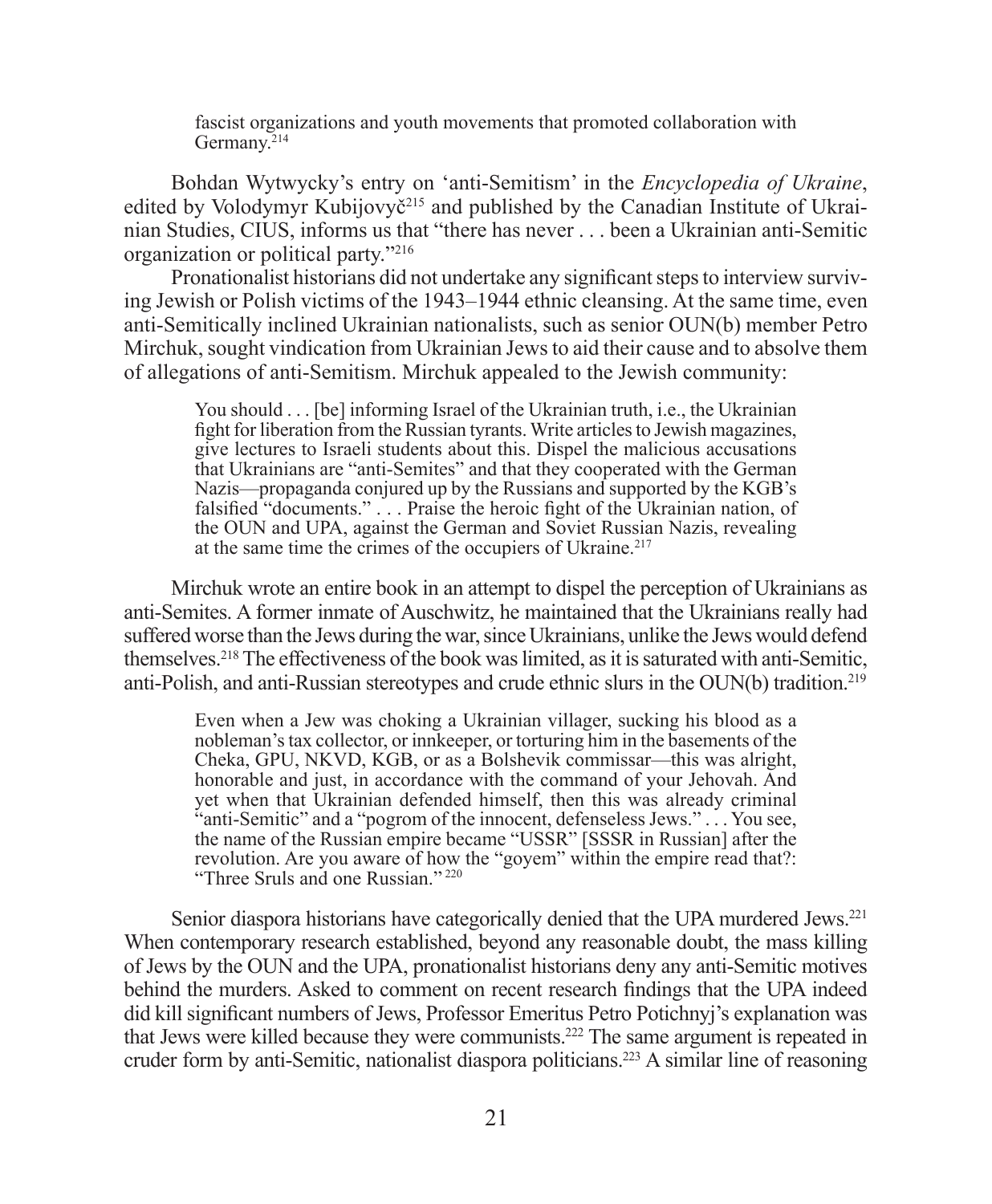fascist organizations and youth movements that promoted collaboration with Germany.<sup>214</sup>

Bohdan Wytwycky's entry on 'anti-Semitism' in the *Encyclopedia of Ukraine*, edited by Volodymyr Kubijovyč<sup>215</sup> and published by the Canadian Institute of Ukrainian Studies, CIUS, informs us that "there has never . . . been a Ukrainian anti-Semitic organization or political party."216

Pronationalist historians did not undertake any significant steps to interview surviving Jewish or Polish victims of the 1943–1944 ethnic cleansing. At the same time, even anti-Semitically inclined Ukrainian nationalists, such as senior OUN(b) member Petro Mirchuk, sought vindication from Ukrainian Jews to aid their cause and to absolve them of allegations of anti-Semitism. Mirchuk appealed to the Jewish community:

You should . . . [be] informing Israel of the Ukrainian truth, i.e., the Ukrainian fight for liberation from the Russian tyrants. Write articles to Jewish magazines, give lectures to Israeli students about this. Dispel the malicious accusations that Ukrainians are "anti-Semites" and that they cooperated with the German Nazis—propaganda conjured up by the Russians and supported by the KGB's falsified "documents." . . . Praise the heroic fight of the Ukrainian nation, of the OUN and UPA, against the German and Soviet Russian Nazis, revealing at the same time the crimes of the occupiers of Ukraine.<sup>217</sup>

Mirchuk wrote an entire book in an attempt to dispel the perception of Ukrainians as anti-Semites. A former inmate of Auschwitz, he maintained that the Ukrainians really had suffered worse than the Jews during the war, since Ukrainians, unlike the Jews would defend themselves.218 The effectiveness of the book was limited, as it is saturated with anti-Semitic, anti-Polish, and anti-Russian stereotypes and crude ethnic slurs in the OUN(b) tradition.219

Even when a Jew was choking a Ukrainian villager, sucking his blood as a nobleman's tax collector, or innkeeper, or torturing him in the basements of the Cheka, GPU, NKVD, KGB, or as a Bolshevik commissar—this was alright, honorable and just, in accordance with the command of your Jehovah. And yet when that Ukrainian defended himself, then this was already criminal "anti-Semitic" and a "pogrom of the innocent, defenseless Jews." . . . You see, the name of the Russian empire became "USSR" [SSSR in Russian] after the revolution. Are you aware of how the "goyem" within the empire read that?: "Three Sruls and one Russian." 220

Senior diaspora historians have categorically denied that the UPA murdered Jews.<sup>221</sup> When contemporary research established, beyond any reasonable doubt, the mass killing of Jews by the OUN and the UPA, pronationalist historians deny any anti-Semitic motives behind the murders. Asked to comment on recent research findings that the UPA indeed did kill significant numbers of Jews, Professor Emeritus Petro Potichnyj's explanation was that Jews were killed because they were communists.222 The same argument is repeated in cruder form by anti-Semitic, nationalist diaspora politicians.223 A similar line of reasoning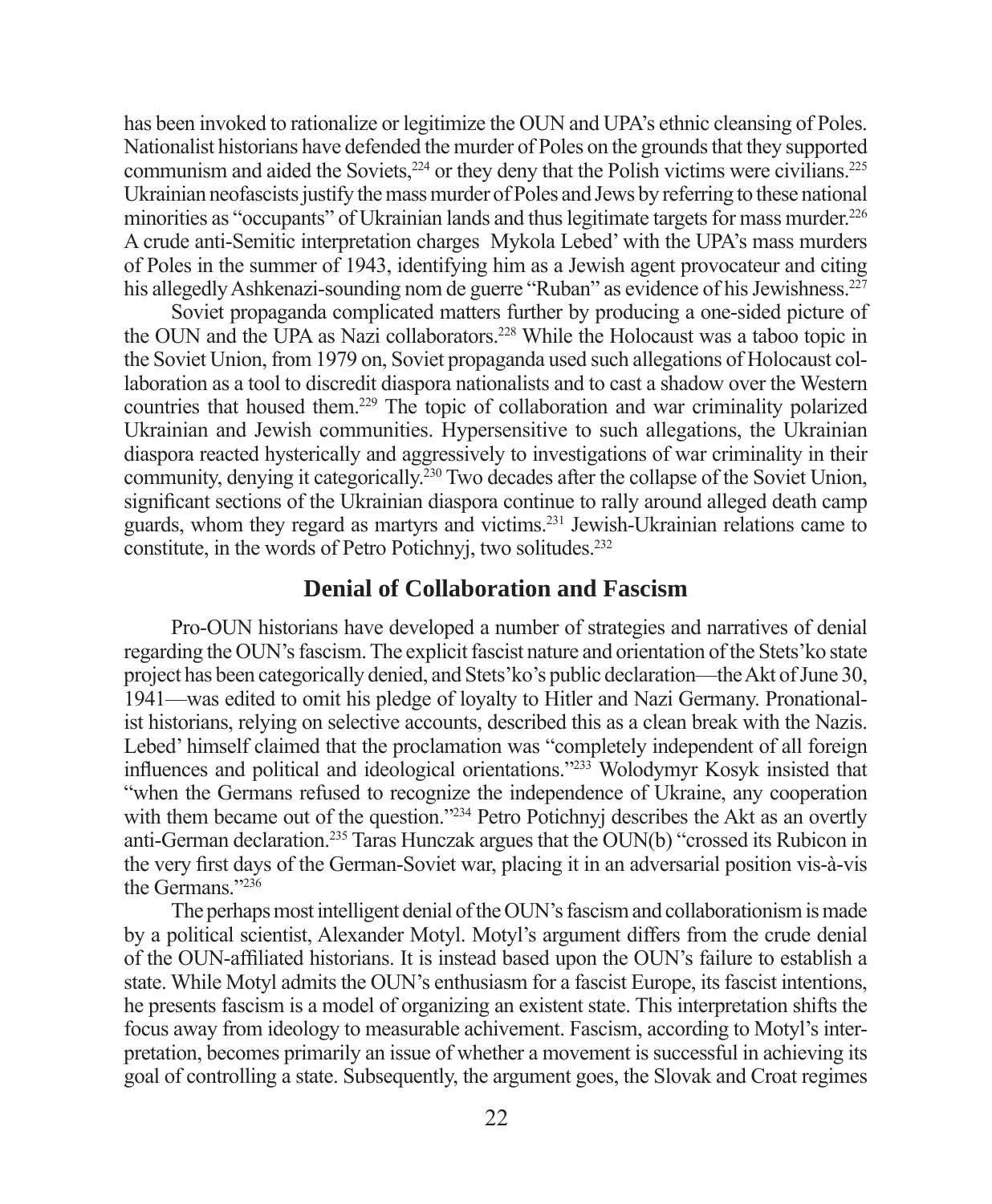has been invoked to rationalize or legitimize the OUN and UPA's ethnic cleansing of Poles. Nationalist historians have defended the murder of Poles on the grounds that they supported communism and aided the Soviets,<sup>224</sup> or they deny that the Polish victims were civilians.<sup>225</sup> Ukrainian neofascists justify the mass murder of Poles and Jews by referring to these national minorities as "occupants" of Ukrainian lands and thus legitimate targets for mass murder.226 A crude anti-Semitic interpretation charges Mykola Lebed' with the UPA's mass murders of Poles in the summer of 1943, identifying him as a Jewish agent provocateur and citing his allegedly Ashkenazi-sounding nom de guerre "Ruban" as evidence of his Jewishness.<sup>227</sup>

Soviet propaganda complicated matters further by producing a one-sided picture of the OUN and the UPA as Nazi collaborators.228 While the Holocaust was a taboo topic in the Soviet Union, from 1979 on, Soviet propaganda used such allegations of Holocaust collaboration as a tool to discredit diaspora nationalists and to cast a shadow over the Western countries that housed them.229 The topic of collaboration and war criminality polarized Ukrainian and Jewish communities. Hypersensitive to such allegations, the Ukrainian diaspora reacted hysterically and aggressively to investigations of war criminality in their community, denying it categorically.230 Two decades after the collapse of the Soviet Union, significant sections of the Ukrainian diaspora continue to rally around alleged death camp guards, whom they regard as martyrs and victims.231 Jewish-Ukrainian relations came to constitute, in the words of Petro Potichnyj, two solitudes.232

#### **Denial of Collaboration and Fascism**

Pro-OUN historians have developed a number of strategies and narratives of denial regarding the OUN's fascism. The explicit fascist nature and orientation of the Stets'ko state project has been categorically denied, and Stets'ko's public declaration—the Akt of June 30, 1941—was edited to omit his pledge of loyalty to Hitler and Nazi Germany. Pronationalist historians, relying on selective accounts, described this as a clean break with the Nazis. Lebed' himself claimed that the proclamation was "completely independent of all foreign influences and political and ideological orientations."<sup>233</sup> Wolodymyr Kosyk insisted that "when the Germans refused to recognize the independence of Ukraine, any cooperation with them became out of the question."<sup>234</sup> Petro Potichnyj describes the Akt as an overtly anti-German declaration.235 Taras Hunczak argues that the OUN(b) "crossed its Rubicon in the very first days of the German-Soviet war, placing it in an adversarial position vis-à-vis the Germans."236

The perhaps most intelligent denial of the OUN's fascism and collaborationism is made by a political scientist, Alexander Motyl. Motyl's argument differs from the crude denial of the OUN-affi liated historians. It is instead based upon the OUN's failure to establish a state. While Motyl admits the OUN's enthusiasm for a fascist Europe, its fascist intentions, he presents fascism is a model of organizing an existent state. This interpretation shifts the focus away from ideology to measurable achivement. Fascism, according to Motyl's interpretation, becomes primarily an issue of whether a movement is successful in achieving its goal of controlling a state. Subsequently, the argument goes, the Slovak and Croat regimes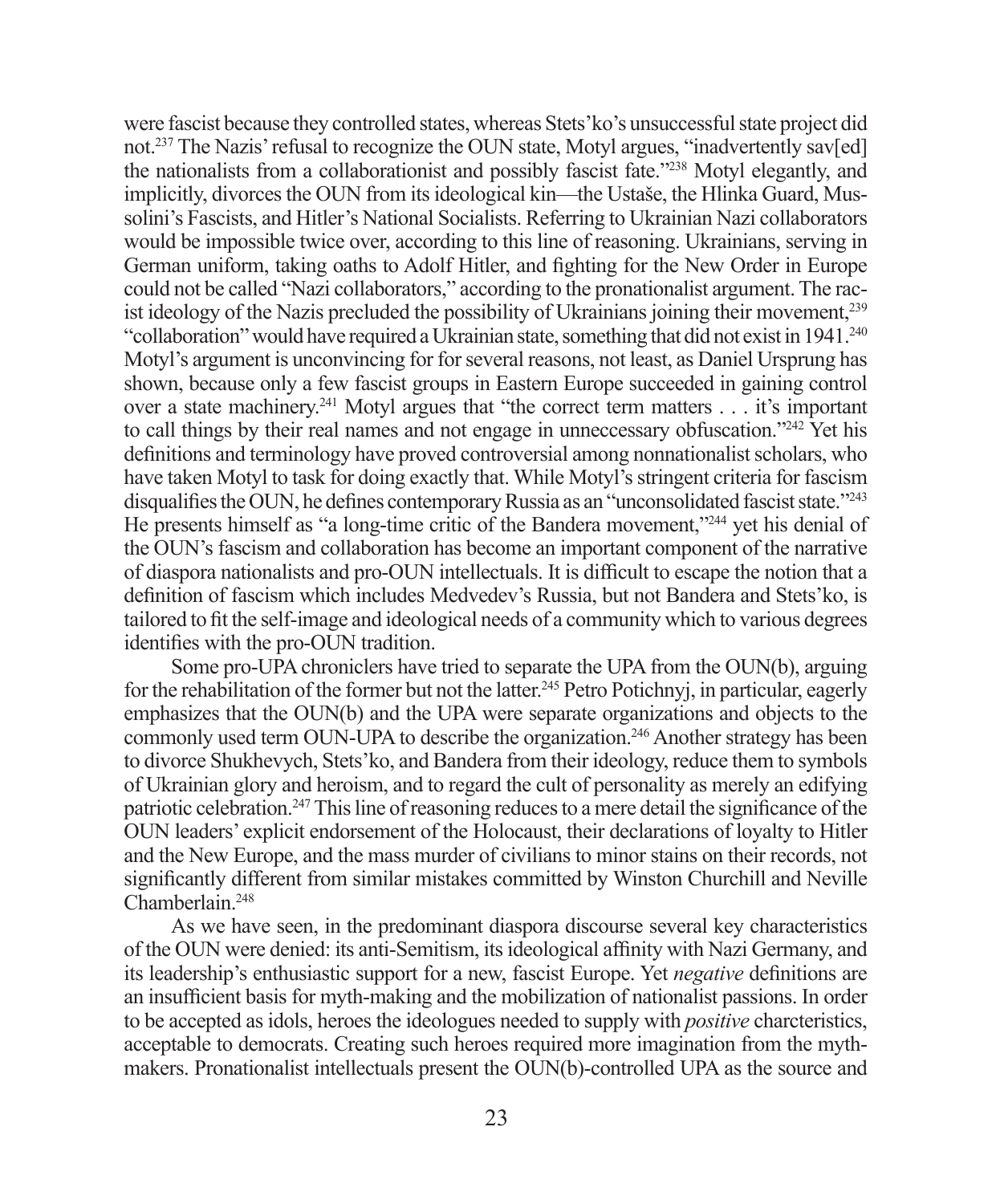were fascist because they controlled states, whereas Stets'ko's unsuccessful state project did not.<sup>237</sup> The Nazis' refusal to recognize the OUN state, Motyl argues, "inadvertently say[ed] the nationalists from a collaborationist and possibly fascist fate."<sup>238</sup> Motyl elegantly, and implicitly, divorces the OUN from its ideological kin—the Ustaše, the Hlinka Guard, Mussolini's Fascists, and Hitler's National Socialists. Referring to Ukrainian Nazi collaborators would be impossible twice over, according to this line of reasoning. Ukrainians, serving in German uniform, taking oaths to Adolf Hitler, and fighting for the New Order in Europe could not be called "Nazi collaborators," according to the pronationalist argument. The racist ideology of the Nazis precluded the possibility of Ukrainians joining their movement,239 "collaboration" would have required a Ukrainian state, something that did not exist in 1941.<sup>240</sup> Motyl's argument is unconvincing for for several reasons, not least, as Daniel Ursprung has shown, because only a few fascist groups in Eastern Europe succeeded in gaining control over a state machinery.241 Motyl argues that "the correct term matters . . . it's important to call things by their real names and not engage in unneccessary obfuscation."<sup>242</sup> Yet his definitions and terminology have proved controversial among nonnationalist scholars, who have taken Motyl to task for doing exactly that. While Motyl's stringent criteria for fascism disqualifies the OUN, he defines contemporary Russia as an "unconsolidated fascist state."<sup>243</sup> He presents himself as "a long-time critic of the Bandera movement,"244 yet his denial of the OUN's fascism and collaboration has become an important component of the narrative of diaspora nationalists and pro-OUN intellectuals. It is difficult to escape the notion that a definition of fascism which includes Medvedev's Russia, but not Bandera and Stets'ko, is tailored to fi t the self-image and ideological needs of a community which to various degrees identifies with the pro-OUN tradition.

Some pro-UPA chroniclers have tried to separate the UPA from the OUN(b), arguing for the rehabilitation of the former but not the latter.<sup>245</sup> Petro Potichnyj, in particular, eagerly emphasizes that the OUN(b) and the UPA were separate organizations and objects to the commonly used term OUN-UPA to describe the organization.246 Another strategy has been to divorce Shukhevych, Stets'ko, and Bandera from their ideology, reduce them to symbols of Ukrainian glory and heroism, and to regard the cult of personality as merely an edifying patriotic celebration.<sup>247</sup> This line of reasoning reduces to a mere detail the significance of the OUN leaders' explicit endorsement of the Holocaust, their declarations of loyalty to Hitler and the New Europe, and the mass murder of civilians to minor stains on their records, not significantly different from similar mistakes committed by Winston Churchill and Neville Chamberlain.248

As we have seen, in the predominant diaspora discourse several key characteristics of the OUN were denied: its anti-Semitism, its ideological affi nity with Nazi Germany, and its leadership's enthusiastic support for a new, fascist Europe. Yet *negative* definitions are an insufficient basis for myth-making and the mobilization of nationalist passions. In order to be accepted as idols, heroes the ideologues needed to supply with *positive* charcteristics, acceptable to democrats. Creating such heroes required more imagination from the mythmakers. Pronationalist intellectuals present the OUN(b)-controlled UPA as the source and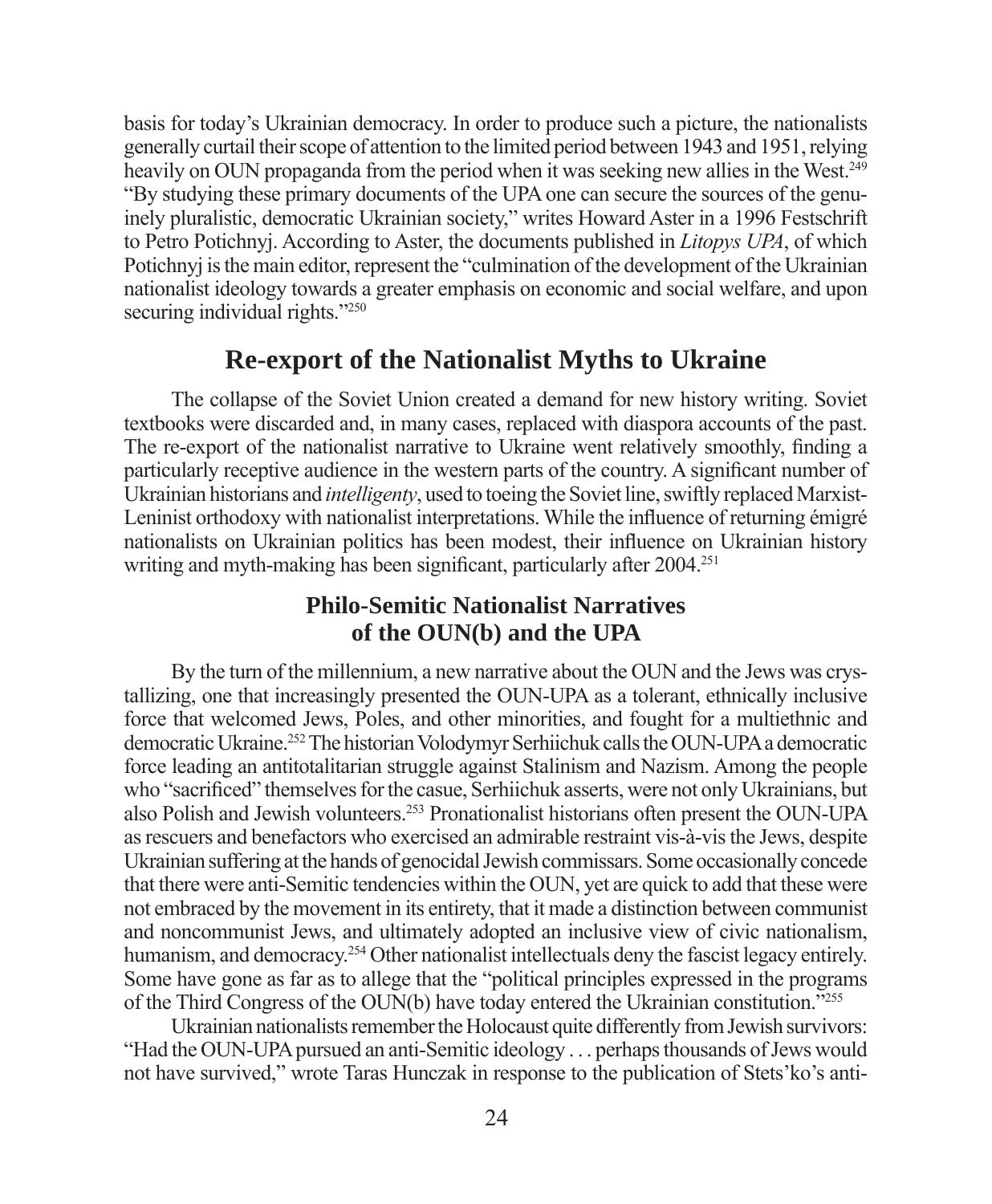basis for today's Ukrainian democracy. In order to produce such a picture, the nationalists generally curtail their scope of attention to the limited period between 1943 and 1951, relying heavily on OUN propaganda from the period when it was seeking new allies in the West.<sup>249</sup> "By studying these primary documents of the UPA one can secure the sources of the genuinely pluralistic, democratic Ukrainian society," writes Howard Aster in a 1996 Festschrift to Petro Potichnyj. According to Aster, the documents published in *Litopys UPA*, of which Potichnyj is the main editor, represent the "culmination of the development of the Ukrainian nationalist ideology towards a greater emphasis on economic and social welfare, and upon securing individual rights."<sup>250</sup>

#### **Re-export of the Nationalist Myths to Ukraine**

The collapse of the Soviet Union created a demand for new history writing. Soviet textbooks were discarded and, in many cases, replaced with diaspora accounts of the past. The re-export of the nationalist narrative to Ukraine went relatively smoothly, finding a particularly receptive audience in the western parts of the country. A significant number of Ukrainian historians and *intelligenty*, used to toeing the Soviet line, swiftly replaced Marxist-Leninist orthodoxy with nationalist interpretations. While the influence of returning émigré nationalists on Ukrainian politics has been modest, their influence on Ukrainian history writing and myth-making has been significant, particularly after 2004.<sup>251</sup>

#### **Philo-Semitic Nationalist Narratives of the OUN(b) and the UPA**

By the turn of the millennium, a new narrative about the OUN and the Jews was crystallizing, one that increasingly presented the OUN-UPA as a tolerant, ethnically inclusive force that welcomed Jews, Poles, and other minorities, and fought for a multiethnic and democratic Ukraine.252 The historian Volodymyr Serhiichuk calls the OUN-UPA a democratic force leading an antitotalitarian struggle against Stalinism and Nazism. Among the people who "sacrificed" themselves for the casue, Serhiichuk asserts, were not only Ukrainians, but also Polish and Jewish volunteers.253 Pronationalist historians often present the OUN-UPA as rescuers and benefactors who exercised an admirable restraint vis-à-vis the Jews, despite Ukrainian suffering at the hands of genocidal Jewish commissars. Some occasionally concede that there were anti-Semitic tendencies within the OUN, yet are quick to add that these were not embraced by the movement in its entirety, that it made a distinction between communist and noncommunist Jews, and ultimately adopted an inclusive view of civic nationalism, humanism, and democracy.<sup>254</sup> Other nationalist intellectuals deny the fascist legacy entirely. Some have gone as far as to allege that the "political principles expressed in the programs of the Third Congress of the OUN(b) have today entered the Ukrainian constitution."255

Ukrainian nationalists remember the Holocaust quite differently from Jewish survivors: "Had the OUN-UPA pursued an anti-Semitic ideology . . . perhaps thousands of Jews would not have survived," wrote Taras Hunczak in response to the publication of Stets'ko's anti-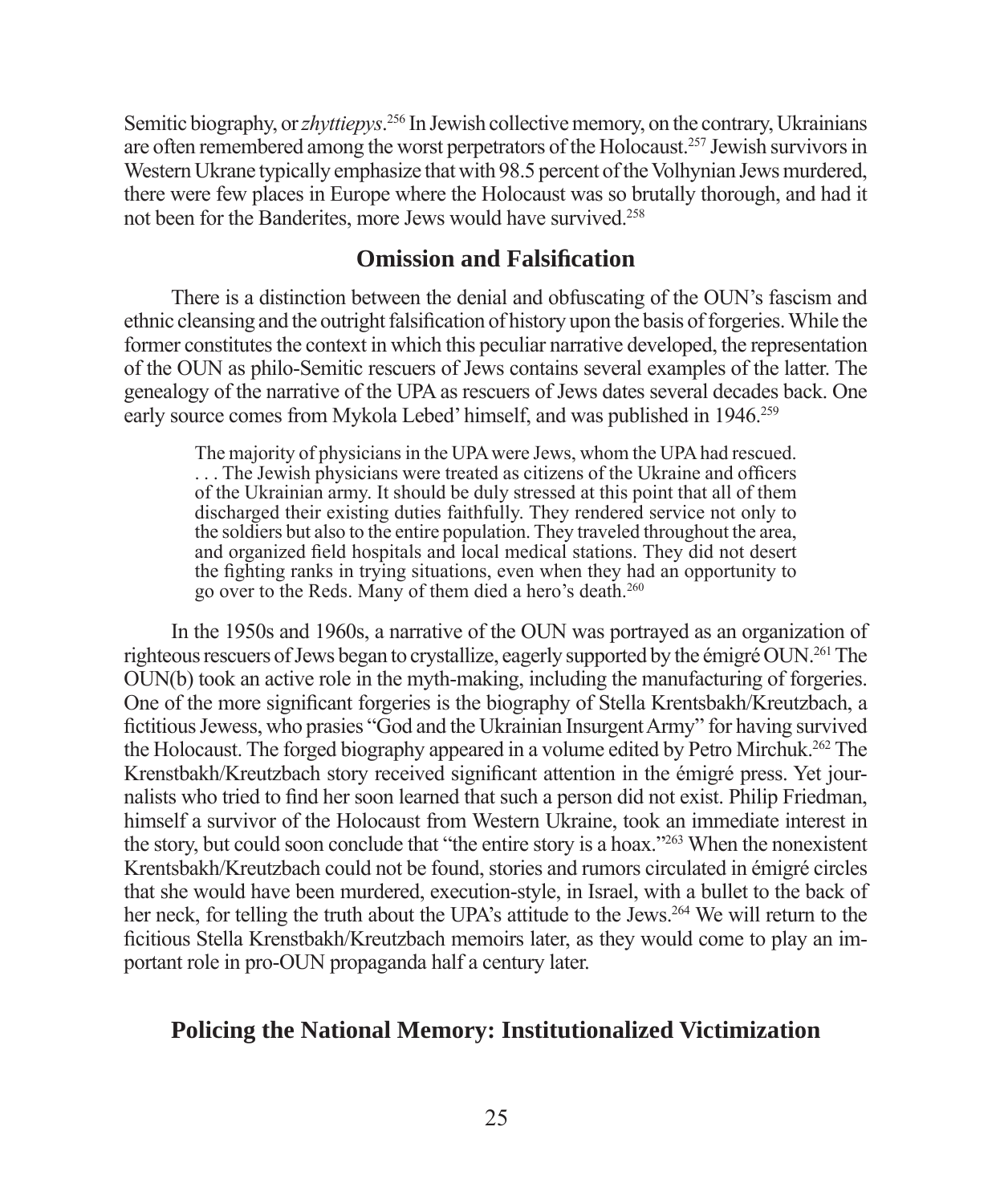Semitic biography, or *zhyttiepys*. 256 In Jewish collective memory, on the contrary, Ukrainians are often remembered among the worst perpetrators of the Holocaust.257 Jewish survivors in Western Ukrane typically emphasize that with 98.5 percent of the Volhynian Jews murdered, there were few places in Europe where the Holocaust was so brutally thorough, and had it not been for the Banderites, more Jews would have survived.258

#### **Omission and Falsifi cation**

There is a distinction between the denial and obfuscating of the OUN's fascism and ethnic cleansing and the outright falsification of history upon the basis of forgeries. While the former constitutes the context in which this peculiar narrative developed, the representation of the OUN as philo-Semitic rescuers of Jews contains several examples of the latter. The genealogy of the narrative of the UPA as rescuers of Jews dates several decades back. One early source comes from Mykola Lebed' himself, and was published in 1946.259

The majority of physicians in the UPA were Jews, whom the UPA had rescued. ... The Jewish physicians were treated as citizens of the Ukraine and officers of the Ukrainian army. It should be duly stressed at this point that all of them discharged their existing duties faithfully. They rendered service not only to the soldiers but also to the entire population. They traveled throughout the area, and organized field hospitals and local medical stations. They did not desert the fighting ranks in trying situations, even when they had an opportunity to go over to the Reds. Many of them died a hero's death.260

In the 1950s and 1960s, a narrative of the OUN was portrayed as an organization of righteous rescuers of Jews began to crystallize, eagerly supported by the émigré OUN.261 The OUN(b) took an active role in the myth-making, including the manufacturing of forgeries. One of the more significant forgeries is the biography of Stella Krentsbakh/Kreutzbach, a fictitious Jewess, who prasies "God and the Ukrainian Insurgent Army" for having survived the Holocaust. The forged biography appeared in a volume edited by Petro Mirchuk.262 The Krenstbakh/Kreutzbach story received significant attention in the émigré press. Yet journalists who tried to find her soon learned that such a person did not exist. Philip Friedman, himself a survivor of the Holocaust from Western Ukraine, took an immediate interest in the story, but could soon conclude that "the entire story is a hoax."263 When the nonexistent Krentsbakh/Kreutzbach could not be found, stories and rumors circulated in émigré circles that she would have been murdered, execution-style, in Israel, with a bullet to the back of her neck, for telling the truth about the UPA's attitude to the Jews.<sup>264</sup> We will return to the ficitious Stella Krenstbakh/Kreutzbach memoirs later, as they would come to play an important role in pro-OUN propaganda half a century later.

#### **Policing the National Memory: Institutionalized Victimization**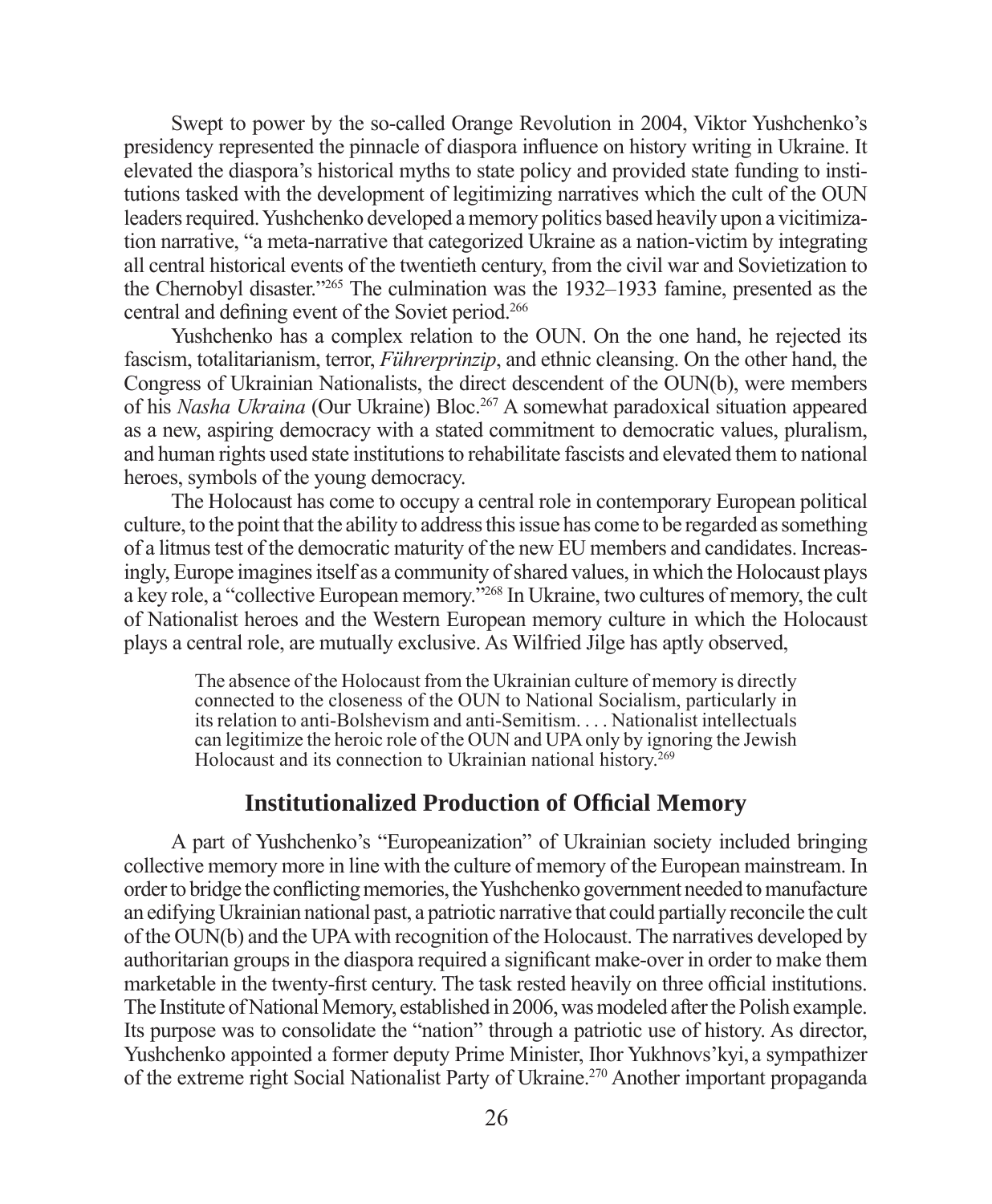Swept to power by the so-called Orange Revolution in 2004, Viktor Yushchenko's presidency represented the pinnacle of diaspora influence on history writing in Ukraine. It elevated the diaspora's historical myths to state policy and provided state funding to institutions tasked with the development of legitimizing narratives which the cult of the OUN leaders required. Yushchenko developed a memory politics based heavily upon a vicitimization narrative, "a meta-narrative that categorized Ukraine as a nation-victim by integrating all central historical events of the twentieth century, from the civil war and Sovietization to the Chernobyl disaster."265 The culmination was the 1932–1933 famine, presented as the central and defining event of the Soviet period.<sup>266</sup>

Yushchenko has a complex relation to the OUN. On the one hand, he rejected its fascism, totalitarianism, terror, *Führerprinzip*, and ethnic cleansing. On the other hand, the Congress of Ukrainian Nationalists, the direct descendent of the OUN(b), were members of his *Nasha Ukraina* (Our Ukraine) Bloc.267 A somewhat paradoxical situation appeared as a new, aspiring democracy with a stated commitment to democratic values, pluralism, and human rights used state institutions to rehabilitate fascists and elevated them to national heroes, symbols of the young democracy.

The Holocaust has come to occupy a central role in contemporary European political culture, to the point that the ability to address this issue has come to be regarded as something of a litmus test of the democratic maturity of the new EU members and candidates. Increasingly, Europe imagines itself as a community of shared values, in which the Holocaust plays a key role, a "collective European memory."268 In Ukraine, two cultures of memory, the cult of Nationalist heroes and the Western European memory culture in which the Holocaust plays a central role, are mutually exclusive. As Wilfried Jilge has aptly observed,

The absence of the Holocaust from the Ukrainian culture of memory is directly connected to the closeness of the OUN to National Socialism, particularly in its relation to anti-Bolshevism and anti-Semitism. . . . Nationalist intellectuals can legitimize the heroic role of the OUN and UPA only by ignoring the Jewish Holocaust and its connection to Ukrainian national history.<sup>269</sup>

#### **Institutionalized Production of Offi cial Memory**

A part of Yushchenko's "Europeanization" of Ukrainian society included bringing collective memory more in line with the culture of memory of the European mainstream. In order to bridge the conflicting memories, the Yushchenko government needed to manufacture an edifying Ukrainian national past, a patriotic narrative that could partially reconcile the cult of the OUN(b) and the UPA with recognition of the Holocaust. The narratives developed by authoritarian groups in the diaspora required a significant make-over in order to make them marketable in the twenty-first century. The task rested heavily on three official institutions. The Institute of National Memory, established in 2006, was modeled after the Polish example. Its purpose was to consolidate the "nation" through a patriotic use of history. As director, Yushchenko appointed a former deputy Prime Minister, Ihor Yukhnovs'kyi, a sympathizer of the extreme right Social Nationalist Party of Ukraine.270 Another important propaganda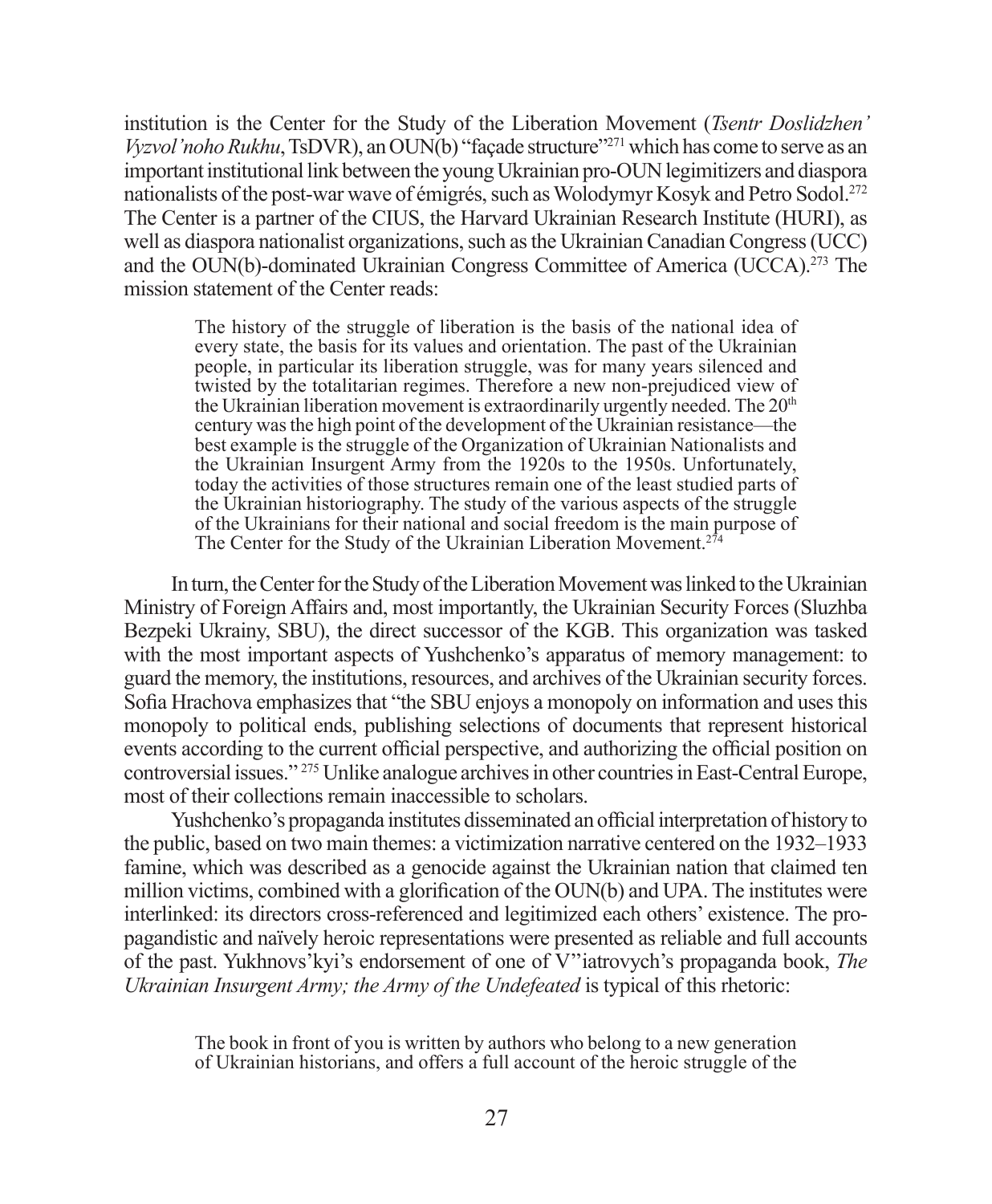institution is the Center for the Study of the Liberation Movement (*Tsentr Doslidzhen' Vyzvol'noho Rukhu*, TsDVR), an OUN(b) "facade structure"<sup>271</sup> which has come to serve as an important institutional link between the young Ukrainian pro-OUN legimitizers and diaspora nationalists of the post-war wave of émigrés, such as Wolodymyr Kosyk and Petro Sodol.272 The Center is a partner of the CIUS, the Harvard Ukrainian Research Institute (HURI), as well as diaspora nationalist organizations, such as the Ukrainian Canadian Congress (UCC) and the OUN(b)-dominated Ukrainian Congress Committee of America (UCCA).273 The mission statement of the Center reads:

The history of the struggle of liberation is the basis of the national idea of every state, the basis for its values and orientation. The past of the Ukrainian people, in particular its liberation struggle, was for many years silenced and twisted by the totalitarian regimes. Therefore a new non-prejudiced view of the Ukrainian liberation movement is extraordinarily urgently needed. The 20<sup>th</sup> century was the high point of the development of the Ukrainian resistance—the best example is the struggle of the Organization of Ukrainian Nationalists and the Ukrainian Insurgent Army from the 1920s to the 1950s. Unfortunately, today the activities of those structures remain one of the least studied parts of the Ukrainian historiography. The study of the various aspects of the struggle of the Ukrainians for their national and social freedom is the main purpose of The Center for the Study of the Ukrainian Liberation Movement.<sup>274</sup>

In turn, the Center for the Study of the Liberation Movement was linked to the Ukrainian Ministry of Foreign Affairs and, most importantly, the Ukrainian Security Forces (Sluzhba Bezpeki Ukrainy, SBU), the direct successor of the KGB. This organization was tasked with the most important aspects of Yushchenko's apparatus of memory management: to guard the memory, the institutions, resources, and archives of the Ukrainian security forces. Sofia Hrachova emphasizes that "the SBU enjoys a monopoly on information and uses this monopoly to political ends, publishing selections of documents that represent historical events according to the current official perspective, and authorizing the official position on controversial issues." 275 Unlike analogue archives in other countries in East-Central Europe, most of their collections remain inaccessible to scholars.

Yushchenko's propaganda institutes disseminated an official interpretation of history to the public, based on two main themes: a victimization narrative centered on the 1932–1933 famine, which was described as a genocide against the Ukrainian nation that claimed ten million victims, combined with a glorification of the  $\text{OUN(b)}$  and UPA. The institutes were interlinked: its directors cross-referenced and legitimized each others' existence. The propagandistic and naïvely heroic representations were presented as reliable and full accounts of the past. Yukhnovs'kyi's endorsement of one of V''iatrovych's propaganda book, *The Ukrainian Insurgent Army; the Army of the Undefeated* is typical of this rhetoric:

The book in front of you is written by authors who belong to a new generation of Ukrainian historians, and offers a full account of the heroic struggle of the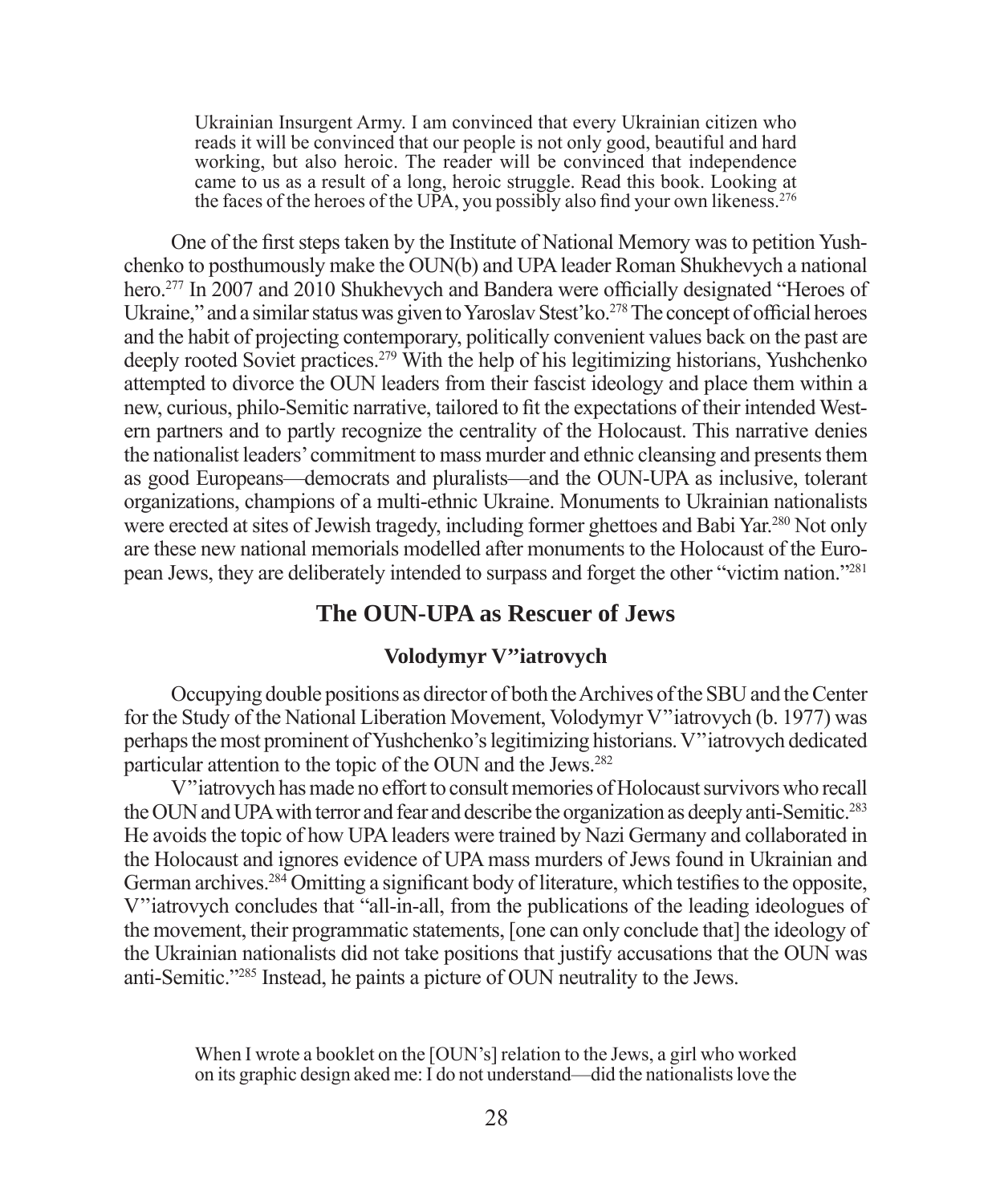Ukrainian Insurgent Army. I am convinced that every Ukrainian citizen who reads it will be convinced that our people is not only good, beautiful and hard working, but also heroic. The reader will be convinced that independence came to us as a result of a long, heroic struggle. Read this book. Looking at the faces of the heroes of the UPA, you possibly also find your own likeness.<sup>276</sup>

One of the first steps taken by the Institute of National Memory was to petition Yushchenko to posthumously make the OUN(b) and UPA leader Roman Shukhevych a national hero.<sup>277</sup> In 2007 and 2010 Shukhevych and Bandera were officially designated "Heroes of Ukraine," and a similar status was given to Yaroslav Stest'ko.<sup>278</sup> The concept of official heroes and the habit of projecting contemporary, politically convenient values back on the past are deeply rooted Soviet practices.279 With the help of his legitimizing historians, Yushchenko attempted to divorce the OUN leaders from their fascist ideology and place them within a new, curious, philo-Semitic narrative, tailored to fit the expectations of their intended Western partners and to partly recognize the centrality of the Holocaust. This narrative denies the nationalist leaders' commitment to mass murder and ethnic cleansing and presents them as good Europeans—democrats and pluralists—and the OUN-UPA as inclusive, tolerant organizations, champions of a multi-ethnic Ukraine. Monuments to Ukrainian nationalists were erected at sites of Jewish tragedy, including former ghettoes and Babi Yar.<sup>280</sup> Not only are these new national memorials modelled after monuments to the Holocaust of the European Jews, they are deliberately intended to surpass and forget the other "victim nation."281

#### **The OUN-UPA as Rescuer of Jews**

#### **Volodymyr V''iatrovych**

Occupying double positions as director of both the Archives of the SBU and the Center for the Study of the National Liberation Movement, Volodymyr V''iatrovych (b. 1977) was perhaps the most prominent of Yushchenko's legitimizing historians. V''iatrovych dedicated particular attention to the topic of the OUN and the Jews.282

V''iatrovych has made no effort to consult memories of Holocaust survivors who recall the OUN and UPA with terror and fear and describe the organization as deeply anti-Semitic.283 He avoids the topic of how UPA leaders were trained by Nazi Germany and collaborated in the Holocaust and ignores evidence of UPA mass murders of Jews found in Ukrainian and German archives.<sup>284</sup> Omitting a significant body of literature, which testifies to the opposite, V''iatrovych concludes that "all-in-all, from the publications of the leading ideologues of the movement, their programmatic statements, [one can only conclude that] the ideology of the Ukrainian nationalists did not take positions that justify accusations that the OUN was anti-Semitic."285 Instead, he paints a picture of OUN neutrality to the Jews.

When I wrote a booklet on the [OUN's] relation to the Jews, a girl who worked on its graphic design aked me: I do not understand—did the nationalists love the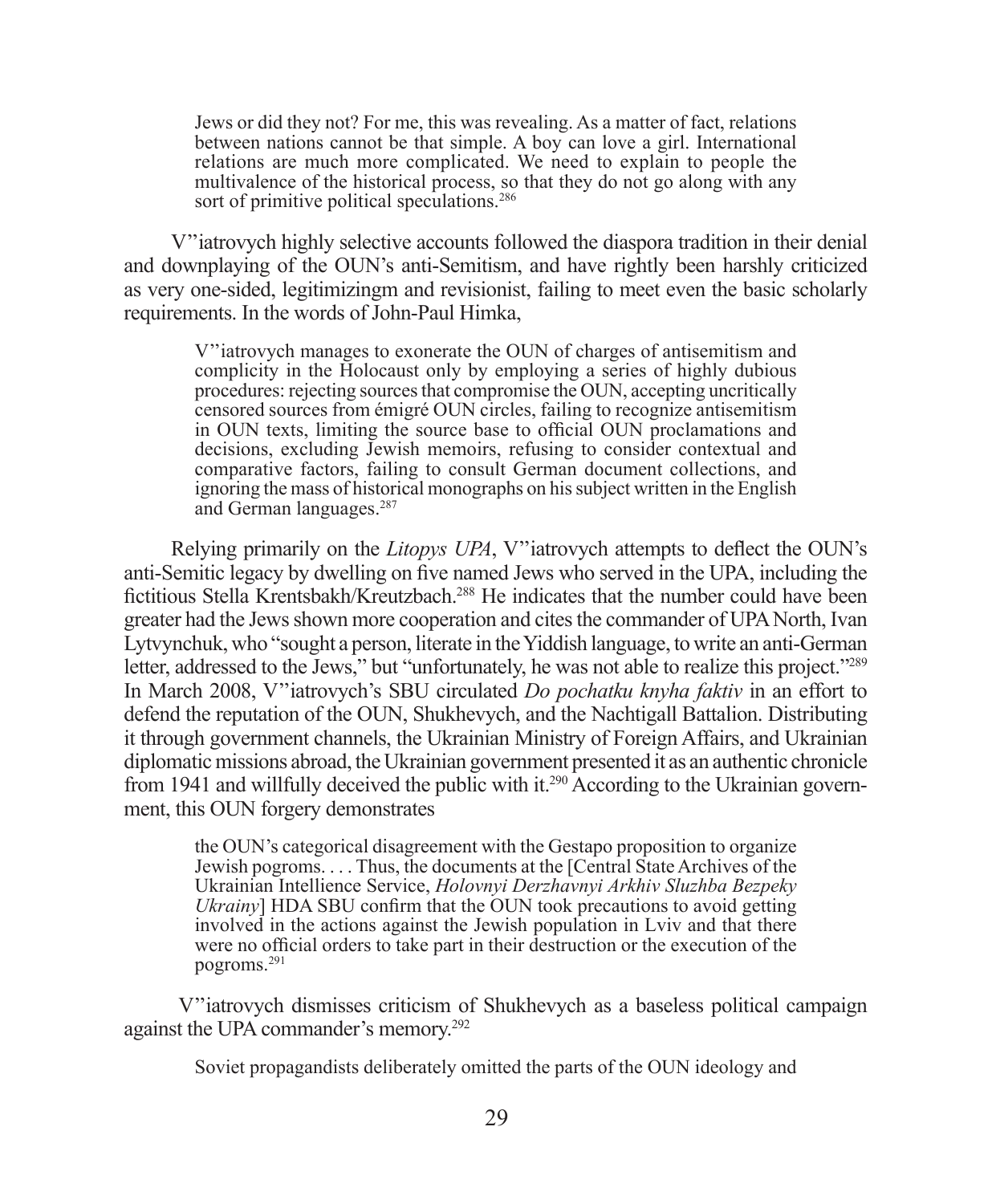Jews or did they not? For me, this was revealing. As a matter of fact, relations between nations cannot be that simple. A boy can love a girl. International relations are much more complicated. We need to explain to people the multivalence of the historical process, so that they do not go along with any sort of primitive political speculations.<sup>286</sup>

V''iatrovych highly selective accounts followed the diaspora tradition in their denial and downplaying of the OUN's anti-Semitism, and have rightly been harshly criticized as very one-sided, legitimizingm and revisionist, failing to meet even the basic scholarly requirements. In the words of John-Paul Himka,

V''iatrovych manages to exonerate the OUN of charges of antisemitism and complicity in the Holocaust only by employing a series of highly dubious procedures: rejecting sources that compromise the OUN, accepting uncritically censored sources from émigré OUN circles, failing to recognize antisemitism in OUN texts, limiting the source base to official OUN proclamations and decisions, excluding Jewish memoirs, refusing to consider contextual and comparative factors, failing to consult German document collections, and ignoring the mass of historical monographs on his subject written in the English and German languages.287

Relying primarily on the *Litopys UPA*, V"iatrovych attempts to deflect the OUN's anti-Semitic legacy by dwelling on five named Jews who served in the UPA, including the fictitious Stella Krentsbakh/Kreutzbach.<sup>288</sup> He indicates that the number could have been greater had the Jews shown more cooperation and cites the commander of UPA North, Ivan Lytvynchuk, who "sought a person, literate in the Yiddish language, to write an anti-German letter, addressed to the Jews," but "unfortunately, he was not able to realize this project."<sup>289</sup> In March 2008, V''iatrovych's SBU circulated *Do pochatku knyha faktiv* in an effort to defend the reputation of the OUN, Shukhevych, and the Nachtigall Battalion. Distributing it through government channels, the Ukrainian Ministry of Foreign Affairs, and Ukrainian diplomatic missions abroad, the Ukrainian government presented it as an authentic chronicle from 1941 and willfully deceived the public with it.<sup>290</sup> According to the Ukrainian government, this OUN forgery demonstrates

the OUN's categorical disagreement with the Gestapo proposition to organize Jewish pogroms. . . . Thus, the documents at the [Central State Archives of the Ukrainian Intellience Service, *Holovnyi Derzhavnyi Arkhiv Sluzhba Bezpeky Ukrainy*] HDA SBU confirm that the OUN took precautions to avoid getting involved in the actions against the Jewish population in Lviv and that there were no official orders to take part in their destruction or the execution of the pogroms.291

 V''iatrovych dismisses criticism of Shukhevych as a baseless political campaign against the UPA commander's memory.292

Soviet propagandists deliberately omitted the parts of the OUN ideology and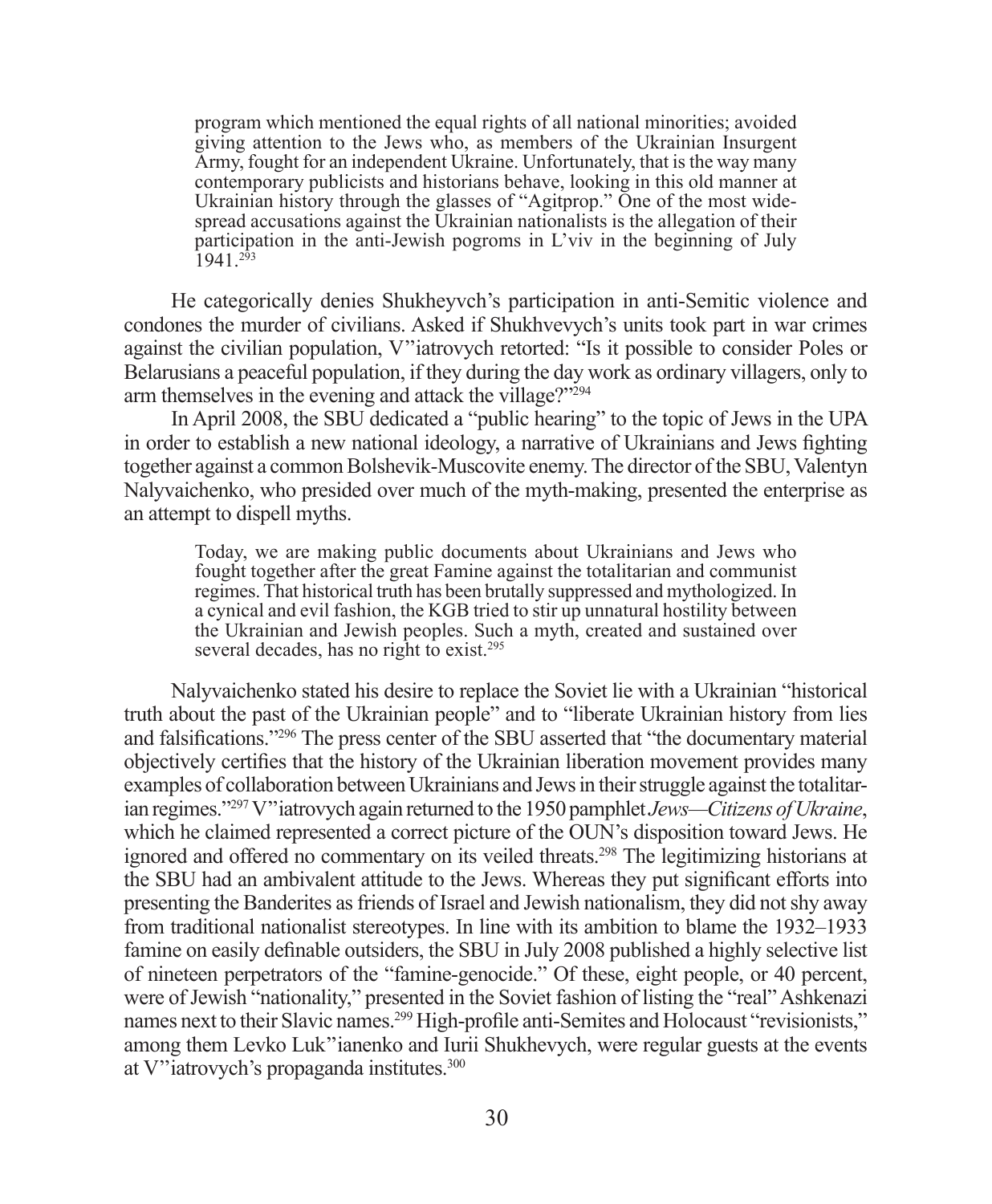program which mentioned the equal rights of all national minorities; avoided giving attention to the Jews who, as members of the Ukrainian Insurgent Army, fought for an independent Ukraine. Unfortunately, that is the way many contemporary publicists and historians behave, looking in this old manner at Ukrainian history through the glasses of "Agitprop." One of the most widespread accusations against the Ukrainian nationalists is the allegation of their participation in the anti-Jewish pogroms in L'viv in the beginning of July  $1941$ <sup>293</sup>

He categorically denies Shukheyvch's participation in anti-Semitic violence and condones the murder of civilians. Asked if Shukhvevych's units took part in war crimes against the civilian population, V''iatrovych retorted: "Is it possible to consider Poles or Belarusians a peaceful population, if they during the day work as ordinary villagers, only to arm themselves in the evening and attack the village?"294

In April 2008, the SBU dedicated a "public hearing" to the topic of Jews in the UPA in order to establish a new national ideology, a narrative of Ukrainians and Jews fighting together against a common Bolshevik-Muscovite enemy. The director of the SBU, Valentyn Nalyvaichenko, who presided over much of the myth-making, presented the enterprise as an attempt to dispell myths.

Today, we are making public documents about Ukrainians and Jews who fought together after the great Famine against the totalitarian and communist regimes. That historical truth has been brutally suppressed and mythologized. In a cynical and evil fashion, the KGB tried to stir up unnatural hostility between the Ukrainian and Jewish peoples. Such a myth, created and sustained over several decades, has no right to exist.<sup>295</sup>

Nalyvaichenko stated his desire to replace the Soviet lie with a Ukrainian "historical truth about the past of the Ukrainian people" and to "liberate Ukrainian history from lies and falsifications."<sup>296</sup> The press center of the SBU asserted that "the documentary material objectively certifies that the history of the Ukrainian liberation movement provides many examples of collaboration between Ukrainians and Jews in their struggle against the totalitarian regimes."297 V''iatrovych again returned to the 1950 pamphlet *Jews—Citizens of Ukraine*, which he claimed represented a correct picture of the OUN's disposition toward Jews. He ignored and offered no commentary on its veiled threats.298 The legitimizing historians at the SBU had an ambivalent attitude to the Jews. Whereas they put significant efforts into presenting the Banderites as friends of Israel and Jewish nationalism, they did not shy away from traditional nationalist stereotypes. In line with its ambition to blame the 1932–1933 famine on easily definable outsiders, the SBU in July 2008 published a highly selective list of nineteen perpetrators of the "famine-genocide." Of these, eight people, or 40 percent, were of Jewish "nationality," presented in the Soviet fashion of listing the "real" Ashkenazi names next to their Slavic names.<sup>299</sup> High-profile anti-Semites and Holocaust "revisionists," among them Levko Luk''ianenko and Iurii Shukhevych, were regular guests at the events at V''iatrovych's propaganda institutes.300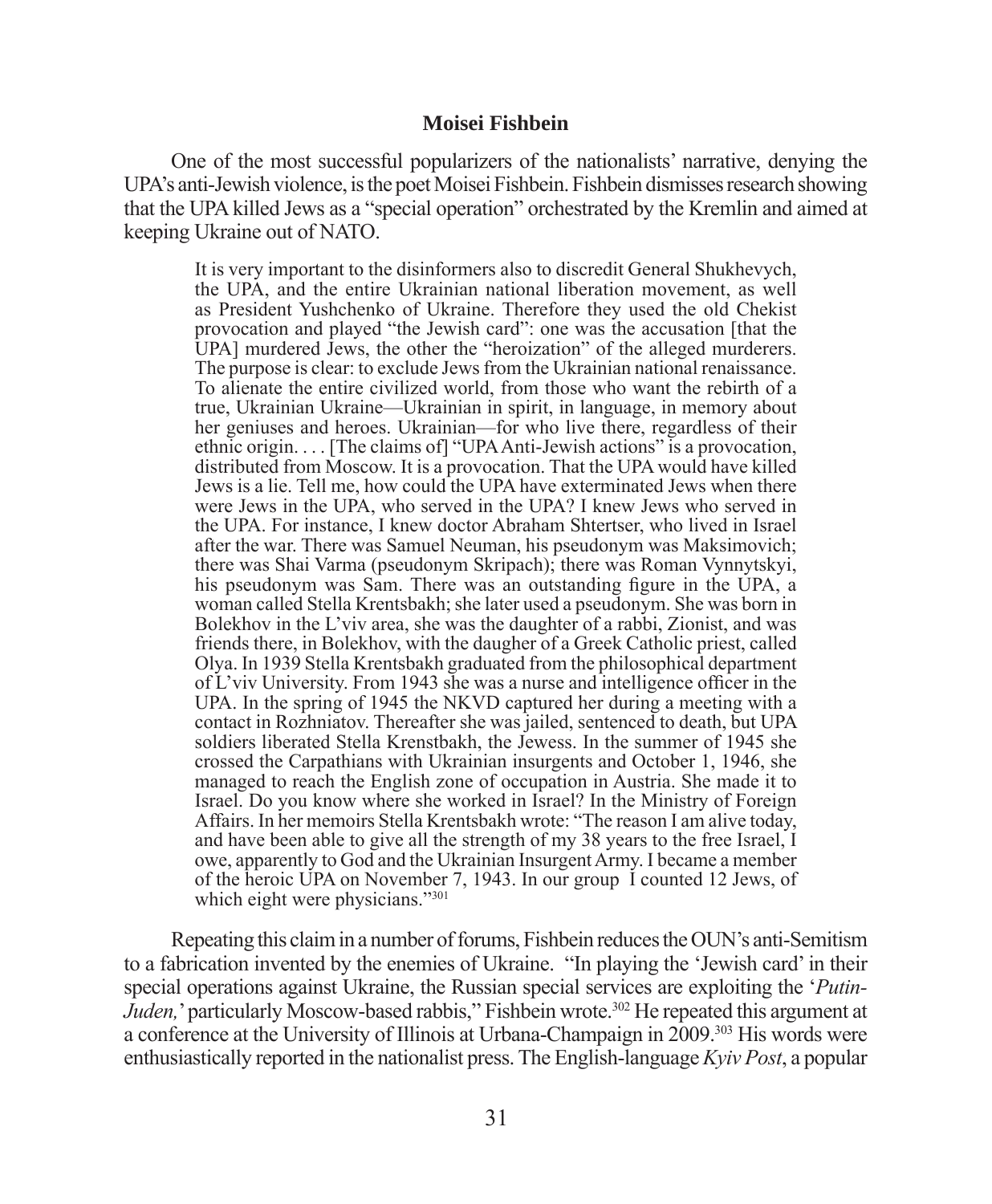#### **Moisei Fishbein**

One of the most successful popularizers of the nationalists' narrative, denying the UPA's anti-Jewish violence, is the poet Moisei Fishbein. Fishbein dismisses research showing that the UPA killed Jews as a "special operation" orchestrated by the Kremlin and aimed at keeping Ukraine out of NATO.

It is very important to the disinformers also to discredit General Shukhevych, the UPA, and the entire Ukrainian national liberation movement, as well as President Yushchenko of Ukraine. Therefore they used the old Chekist provocation and played "the Jewish card": one was the accusation [that the UPA] murdered Jews, the other the "heroization" of the alleged murderers. The purpose is clear: to exclude Jews from the Ukrainian national renaissance. To alienate the entire civilized world, from those who want the rebirth of a true, Ukrainian Ukraine—Ukrainian in spirit, in language, in memory about her geniuses and heroes. Ukrainian—for who live there, regardless of their ethnic origin. . . . [The claims of] "UPA Anti-Jewish actions" is a provocation, distributed from Moscow. It is a provocation. That the UPA would have killed Jews is a lie. Tell me, how could the UPA have exterminated Jews when there were Jews in the UPA, who served in the UPA? I knew Jews who served in the UPA. For instance, I knew doctor Abraham Shtertser, who lived in Israel after the war. There was Samuel Neuman, his pseudonym was Maksimovich; there was Shai Varma (pseudonym Skripach); there was Roman Vynnytskyi, his pseudonym was Sam. There was an outstanding figure in the UPA, a woman called Stella Krentsbakh; she later used a pseudonym. She was born in Bolekhov in the L'viv area, she was the daughter of a rabbi, Zionist, and was friends there, in Bolekhov, with the daugher of a Greek Catholic priest, called Olya. In 1939 Stella Krentsbakh graduated from the philosophical department of L'viv University. From 1943 she was a nurse and intelligence officer in the UPA. In the spring of 1945 the NKVD captured her during a meeting with a contact in Rozhniatov. Thereafter she was jailed, sentenced to death, but UPA soldiers liberated Stella Krenstbakh, the Jewess. In the summer of 1945 she crossed the Carpathians with Ukrainian insurgents and October 1, 1946, she managed to reach the English zone of occupation in Austria. She made it to Israel. Do you know where she worked in Israel? In the Ministry of Foreign Affairs. In her memoirs Stella Krentsbakh wrote: "The reason I am alive today, and have been able to give all the strength of my 38 years to the free Israel, I owe, apparently to God and the Ukrainian Insurgent Army. I became a member of the heroic UPA on November 7, 1943. In our group I counted 12 Jews, of which eight were physicians."301

Repeating this claim in a number of forums, Fishbein reduces the OUN's anti-Semitism to a fabrication invented by the enemies of Ukraine. "In playing the 'Jewish card' in their special operations against Ukraine, the Russian special services are exploiting the '*Putin-Juden*,' particularly Moscow-based rabbis,'' Fishbein wrote.<sup>302</sup> He repeated this argument at a conference at the University of Illinois at Urbana-Champaign in 2009.303 His words were enthusiastically reported in the nationalist press. The English-language *Kyiv Post*, a popular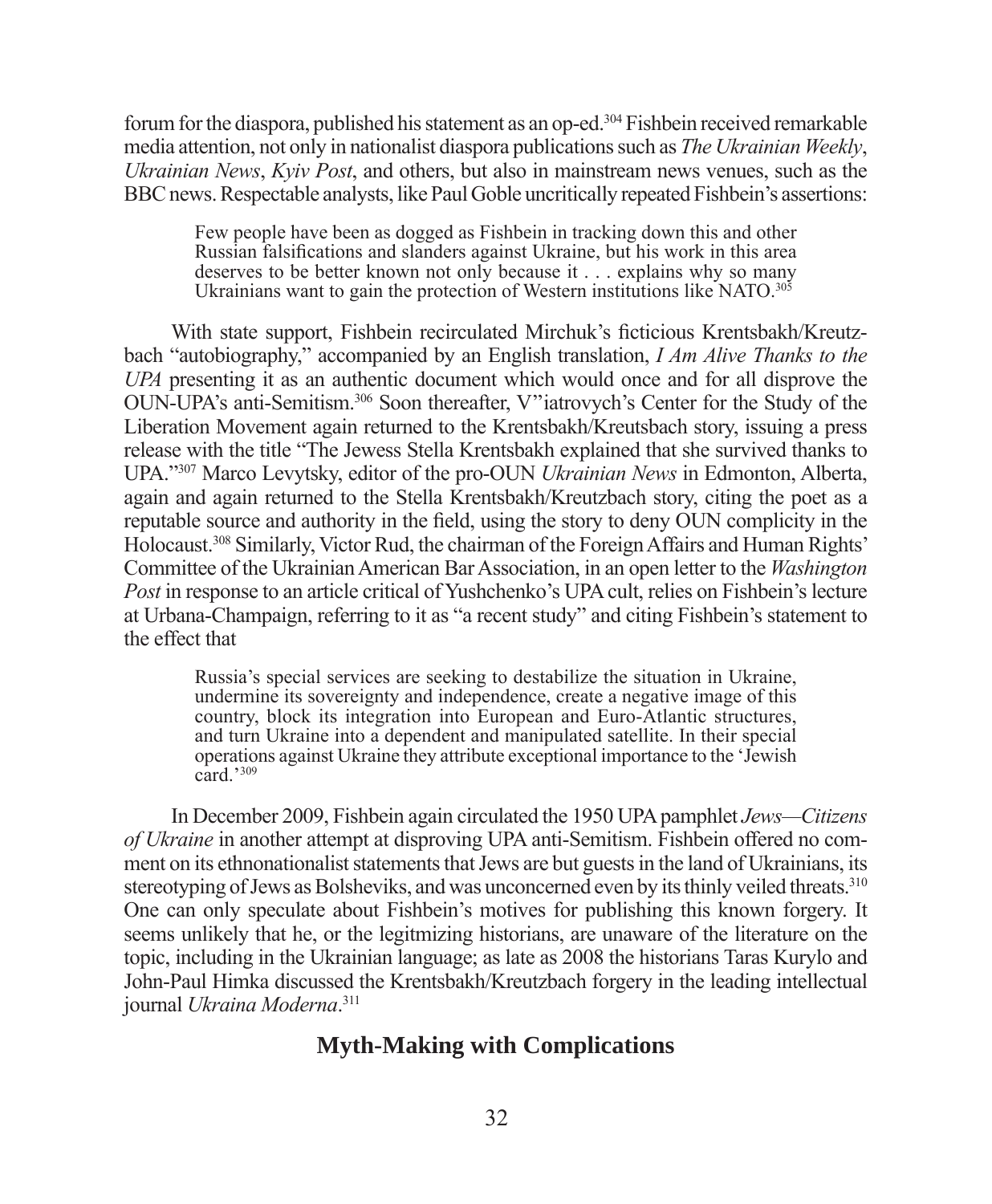forum for the diaspora, published his statement as an op-ed.<sup>304</sup> Fishbein received remarkable media attention, not only in nationalist diaspora publications such as *The Ukrainian Weekly*, *Ukrainian News*, *Kyiv Post*, and others, but also in mainstream news venues, such as the BBC news. Respectable analysts, like Paul Goble uncritically repeated Fishbein's assertions:

Few people have been as dogged as Fishbein in tracking down this and other Russian falsifications and slanders against Ukraine, but his work in this area deserves to be better known not only because it . . . explains why so many Ukrainians want to gain the protection of Western institutions like NATO.<sup>305</sup>

With state support, Fishbein recirculated Mirchuk's ficticious Krentsbakh/Kreutzbach "autobiography," accompanied by an English translation, *I Am Alive Thanks to the UPA* presenting it as an authentic document which would once and for all disprove the OUN-UPA's anti-Semitism.306 Soon thereafter, V''iatrovych's Center for the Study of the Liberation Movement again returned to the Krentsbakh/Kreutsbach story, issuing a press release with the title "The Jewess Stella Krentsbakh explained that she survived thanks to UPA."307 Marco Levytsky, editor of the pro-OUN *Ukrainian News* in Edmonton, Alberta, again and again returned to the Stella Krentsbakh/Kreutzbach story, citing the poet as a reputable source and authority in the field, using the story to deny OUN complicity in the Holocaust.308 Similarly, Victor Rud, the chairman of the Foreign Affairs and Human Rights' Committee of the Ukrainian American Bar Association, in an open letter to the *Washington Post* in response to an article critical of Yushchenko's UPA cult, relies on Fishbein's lecture at Urbana-Champaign, referring to it as "a recent study" and citing Fishbein's statement to the effect that

Russia's special services are seeking to destabilize the situation in Ukraine, undermine its sovereignty and independence, create a negative image of this country, block its integration into European and Euro-Atlantic structures, and turn Ukraine into a dependent and manipulated satellite. In their special operations against Ukraine they attribute exceptional importance to the 'Jewish card $,$ '<sup>309</sup>

In December 2009, Fishbein again circulated the 1950 UPA pamphlet *Jews—Citizens of Ukraine* in another attempt at disproving UPA anti-Semitism. Fishbein offered no comment on its ethnonationalist statements that Jews are but guests in the land of Ukrainians, its stereotyping of Jews as Bolsheviks, and was unconcerned even by its thinly veiled threats.<sup>310</sup> One can only speculate about Fishbein's motives for publishing this known forgery. It seems unlikely that he, or the legitmizing historians, are unaware of the literature on the topic, including in the Ukrainian language; as late as 2008 the historians Taras Kurylo and John-Paul Himka discussed the Krentsbakh/Kreutzbach forgery in the leading intellectual journal *Ukraina Moderna*. 311

#### **Myth-Making with Complications**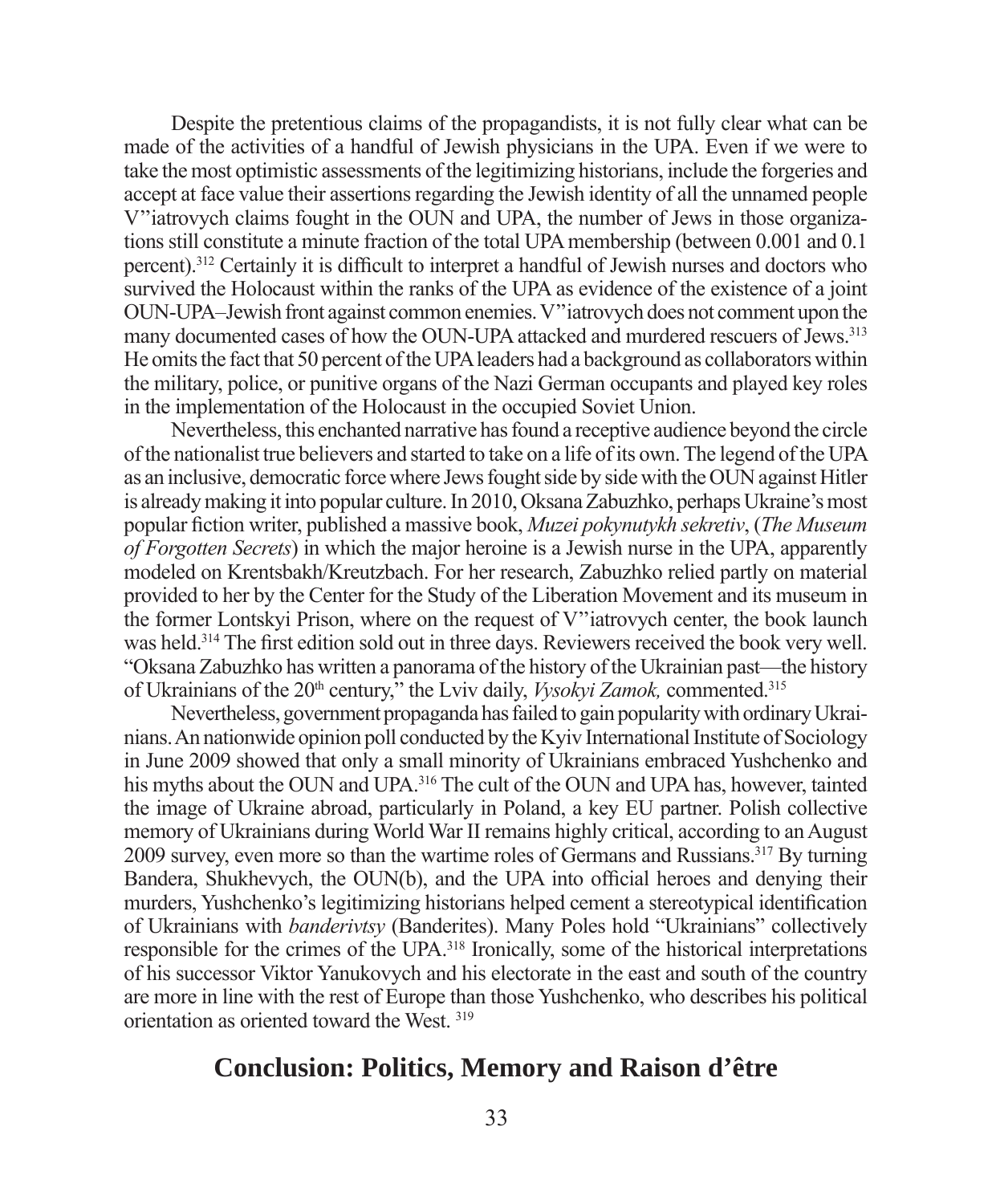Despite the pretentious claims of the propagandists, it is not fully clear what can be made of the activities of a handful of Jewish physicians in the UPA. Even if we were to take the most optimistic assessments of the legitimizing historians, include the forgeries and accept at face value their assertions regarding the Jewish identity of all the unnamed people V''iatrovych claims fought in the OUN and UPA, the number of Jews in those organizations still constitute a minute fraction of the total UPA membership (between 0.001 and 0.1 percent).<sup>312</sup> Certainly it is difficult to interpret a handful of Jewish nurses and doctors who survived the Holocaust within the ranks of the UPA as evidence of the existence of a joint OUN-UPA–Jewish front against common enemies. V''iatrovych does not comment upon the many documented cases of how the OUN-UPA attacked and murdered rescuers of Jews.<sup>313</sup> He omits the fact that 50 percent of the UPA leaders had a background as collaborators within the military, police, or punitive organs of the Nazi German occupants and played key roles in the implementation of the Holocaust in the occupied Soviet Union.

Nevertheless, this enchanted narrative has found a receptive audience beyond the circle of the nationalist true believers and started to take on a life of its own. The legend of the UPA as an inclusive, democratic force where Jews fought side by side with the OUN against Hitler is already making it into popular culture. In 2010, Oksana Zabuzhko, perhaps Ukraine's most popular fi ction writer, published a massive book, *Muzei pokynutykh sekretiv*, (*The Museum of Forgotten Secrets*) in which the major heroine is a Jewish nurse in the UPA, apparently modeled on Krentsbakh/Kreutzbach. For her research, Zabuzhko relied partly on material provided to her by the Center for the Study of the Liberation Movement and its museum in the former Lontskyi Prison, where on the request of V''iatrovych center, the book launch was held.<sup>314</sup> The first edition sold out in three days. Reviewers received the book very well. "Oksana Zabuzhko has written a panorama of the history of the Ukrainian past—the history of Ukrainians of the 20<sup>th</sup> century," the Lviv daily, *Vysokyi Zamok*, commented.<sup>315</sup>

Nevertheless, government propaganda has failed to gain popularity with ordinary Ukrainians. An nationwide opinion poll conducted by the Kyiv International Institute of Sociology in June 2009 showed that only a small minority of Ukrainians embraced Yushchenko and his myths about the OUN and UPA.<sup>316</sup> The cult of the OUN and UPA has, however, tainted the image of Ukraine abroad, particularly in Poland, a key EU partner. Polish collective memory of Ukrainians during World War II remains highly critical, according to an August 2009 survey, even more so than the wartime roles of Germans and Russians.317 By turning Bandera, Shukhevych, the OUN(b), and the UPA into official heroes and denying their murders, Yushchenko's legitimizing historians helped cement a stereotypical identification of Ukrainians with *banderivtsy* (Banderites). Many Poles hold "Ukrainians" collectively responsible for the crimes of the UPA.318 Ironically, some of the historical interpretations of his successor Viktor Yanukovych and his electorate in the east and south of the country are more in line with the rest of Europe than those Yushchenko, who describes his political orientation as oriented toward the West. 319

#### **Conclusion: Politics, Memory and Raison d'être**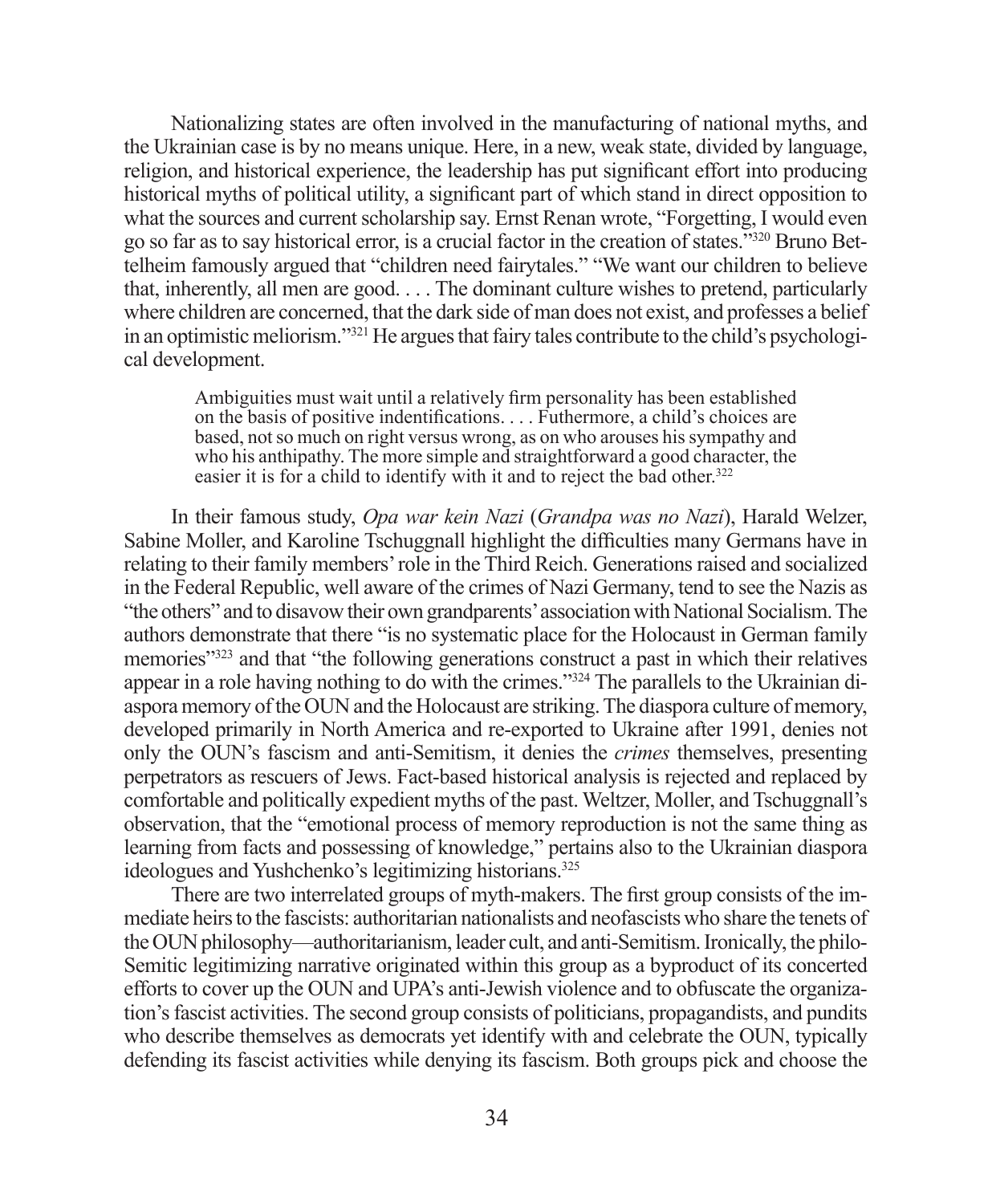Nationalizing states are often involved in the manufacturing of national myths, and the Ukrainian case is by no means unique. Here, in a new, weak state, divided by language, religion, and historical experience, the leadership has put significant effort into producing historical myths of political utility, a significant part of which stand in direct opposition to what the sources and current scholarship say. Ernst Renan wrote, "Forgetting, I would even go so far as to say historical error, is a crucial factor in the creation of states."320 Bruno Bettelheim famously argued that "children need fairytales." "We want our children to believe that, inherently, all men are good. . . . The dominant culture wishes to pretend, particularly where children are concerned, that the dark side of man does not exist, and professes a belief in an optimistic meliorism."321 He argues that fairy tales contribute to the child's psychological development.

Ambiguities must wait until a relatively firm personality has been established on the basis of positive indentifications. . . . Futhermore, a child's choices are based, not so much on right versus wrong, as on who arouses his sympathy and who his anthipathy. The more simple and straightforward a good character, the easier it is for a child to identify with it and to reject the bad other.<sup>322</sup>

In their famous study, *Opa war kein Nazi* (*Grandpa was no Nazi*), Harald Welzer, Sabine Moller, and Karoline Tschuggnall highlight the difficulties many Germans have in relating to their family members' role in the Third Reich. Generations raised and socialized in the Federal Republic, well aware of the crimes of Nazi Germany, tend to see the Nazis as "the others" and to disavow their own grandparents' association with National Socialism. The authors demonstrate that there "is no systematic place for the Holocaust in German family memories"323 and that "the following generations construct a past in which their relatives appear in a role having nothing to do with the crimes."324 The parallels to the Ukrainian diaspora memory of the OUN and the Holocaust are striking. The diaspora culture of memory, developed primarily in North America and re-exported to Ukraine after 1991, denies not only the OUN's fascism and anti-Semitism, it denies the *crimes* themselves, presenting perpetrators as rescuers of Jews. Fact-based historical analysis is rejected and replaced by comfortable and politically expedient myths of the past. Weltzer, Moller, and Tschuggnall's observation, that the "emotional process of memory reproduction is not the same thing as learning from facts and possessing of knowledge," pertains also to the Ukrainian diaspora ideologues and Yushchenko's legitimizing historians.<sup>325</sup>

There are two interrelated groups of myth-makers. The first group consists of the immediate heirs to the fascists: authoritarian nationalists and neofascists who share the tenets of the OUN philosophy—authoritarianism, leader cult, and anti-Semitism. Ironically, the philo-Semitic legitimizing narrative originated within this group as a byproduct of its concerted efforts to cover up the OUN and UPA's anti-Jewish violence and to obfuscate the organization's fascist activities. The second group consists of politicians, propagandists, and pundits who describe themselves as democrats yet identify with and celebrate the OUN, typically defending its fascist activities while denying its fascism. Both groups pick and choose the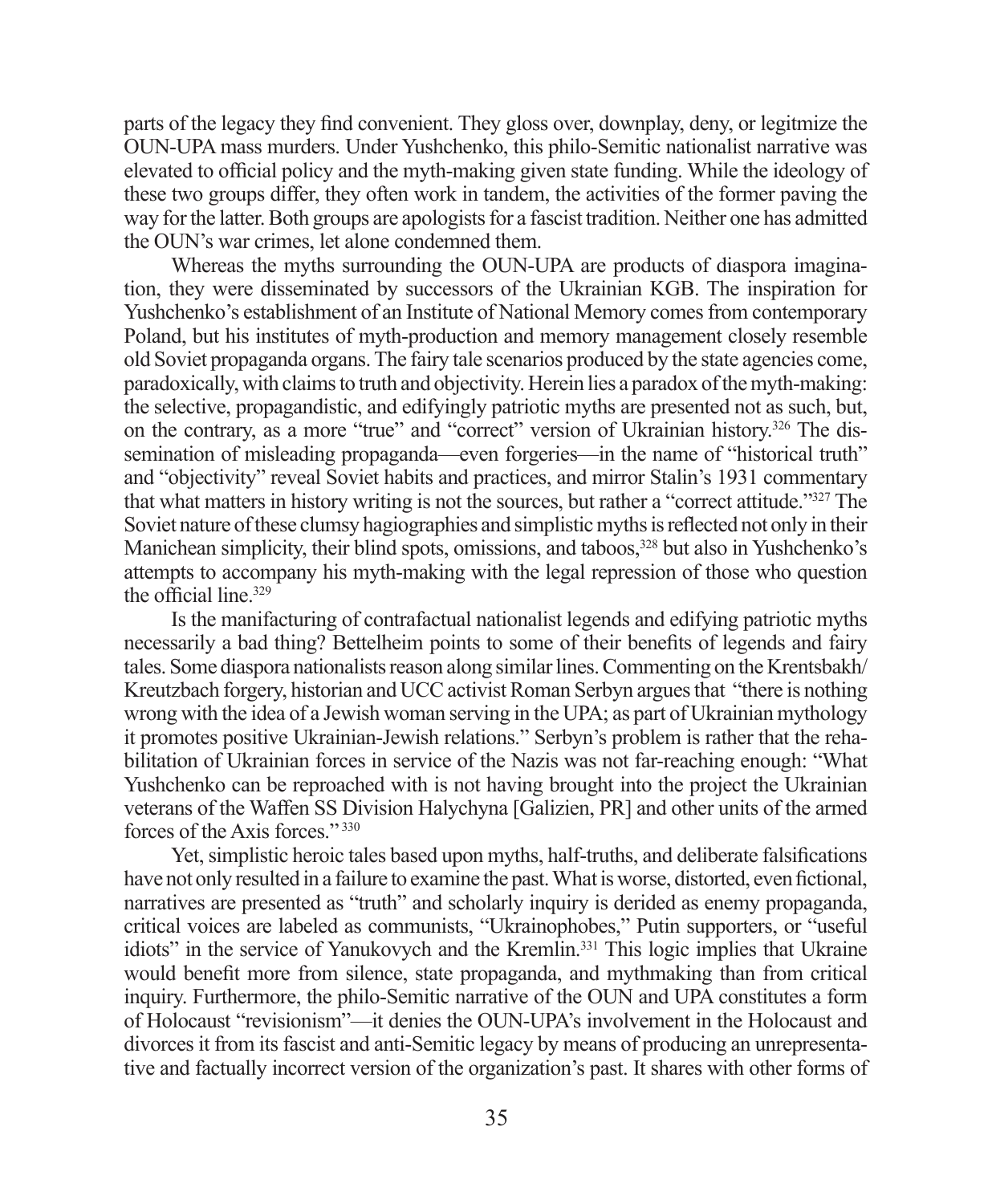parts of the legacy they find convenient. They gloss over, downplay, deny, or legitmize the OUN-UPA mass murders. Under Yushchenko, this philo-Semitic nationalist narrative was elevated to official policy and the myth-making given state funding. While the ideology of these two groups differ, they often work in tandem, the activities of the former paving the way for the latter. Both groups are apologists for a fascist tradition. Neither one has admitted the OUN's war crimes, let alone condemned them.

Whereas the myths surrounding the OUN-UPA are products of diaspora imagination, they were disseminated by successors of the Ukrainian KGB. The inspiration for Yushchenko's establishment of an Institute of National Memory comes from contemporary Poland, but his institutes of myth-production and memory management closely resemble old Soviet propaganda organs. The fairy tale scenarios produced by the state agencies come, paradoxically, with claims to truth and objectivity. Herein lies a paradox of the myth-making: the selective, propagandistic, and edifyingly patriotic myths are presented not as such, but, on the contrary, as a more "true" and "correct" version of Ukrainian history.326 The dissemination of misleading propaganda—even forgeries—in the name of "historical truth" and "objectivity" reveal Soviet habits and practices, and mirror Stalin's 1931 commentary that what matters in history writing is not the sources, but rather a "correct attitude."327 The Soviet nature of these clumsy hagiographies and simplistic myths is reflected not only in their Manichean simplicity, their blind spots, omissions, and taboos,<sup>328</sup> but also in Yushchenko's attempts to accompany his myth-making with the legal repression of those who question the official line. $329$ 

Is the manifacturing of contrafactual nationalist legends and edifying patriotic myths necessarily a bad thing? Bettelheim points to some of their benefits of legends and fairy tales. Some diaspora nationalists reason along similar lines. Commenting on the Krentsbakh/ Kreutzbach forgery, historian and UCC activist Roman Serbyn argues that "there is nothing wrong with the idea of a Jewish woman serving in the UPA; as part of Ukrainian mythology it promotes positive Ukrainian-Jewish relations." Serbyn's problem is rather that the rehabilitation of Ukrainian forces in service of the Nazis was not far-reaching enough: "What Yushchenko can be reproached with is not having brought into the project the Ukrainian veterans of the Waffen SS Division Halychyna [Galizien, PR] and other units of the armed forces of the Axis forces<sup>"330</sup>

Yet, simplistic heroic tales based upon myths, half-truths, and deliberate falsifications have not only resulted in a failure to examine the past. What is worse, distorted, even fictional, narratives are presented as "truth" and scholarly inquiry is derided as enemy propaganda, critical voices are labeled as communists, "Ukrainophobes," Putin supporters, or "useful idiots" in the service of Yanukovych and the Kremlin.<sup>331</sup> This logic implies that Ukraine would benefit more from silence, state propaganda, and mythmaking than from critical inquiry. Furthermore, the philo-Semitic narrative of the OUN and UPA constitutes a form of Holocaust "revisionism"—it denies the OUN-UPA's involvement in the Holocaust and divorces it from its fascist and anti-Semitic legacy by means of producing an unrepresentative and factually incorrect version of the organization's past. It shares with other forms of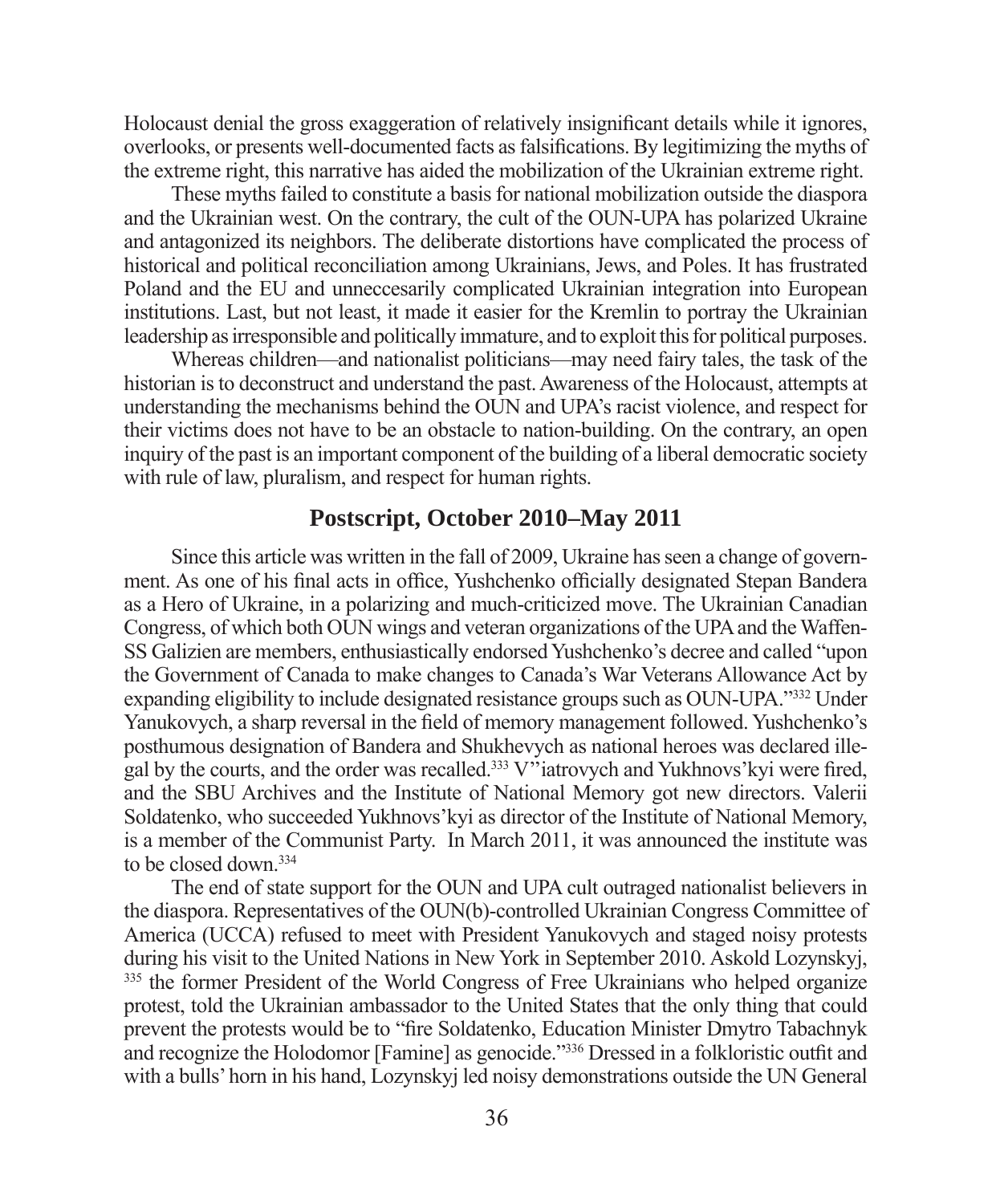Holocaust denial the gross exaggeration of relatively insignificant details while it ignores, overlooks, or presents well-documented facts as falsifications. By legitimizing the myths of the extreme right, this narrative has aided the mobilization of the Ukrainian extreme right.

These myths failed to constitute a basis for national mobilization outside the diaspora and the Ukrainian west. On the contrary, the cult of the OUN-UPA has polarized Ukraine and antagonized its neighbors. The deliberate distortions have complicated the process of historical and political reconciliation among Ukrainians, Jews, and Poles. It has frustrated Poland and the EU and unneccesarily complicated Ukrainian integration into European institutions. Last, but not least, it made it easier for the Kremlin to portray the Ukrainian leadership as irresponsible and politically immature, and to exploit this for political purposes.

Whereas children—and nationalist politicians—may need fairy tales, the task of the historian is to deconstruct and understand the past. Awareness of the Holocaust, attempts at understanding the mechanisms behind the OUN and UPA's racist violence, and respect for their victims does not have to be an obstacle to nation-building. On the contrary, an open inquiry of the past is an important component of the building of a liberal democratic society with rule of law, pluralism, and respect for human rights.

# **Postscript, October 2010–May 2011**

Since this article was written in the fall of 2009, Ukraine has seen a change of government. As one of his final acts in office, Yushchenko officially designated Stepan Bandera as a Hero of Ukraine, in a polarizing and much-criticized move. The Ukrainian Canadian Congress, of which both OUN wings and veteran organizations of the UPA and the Waffen-SS Galizien are members, enthusiastically endorsed Yushchenko's decree and called "upon the Government of Canada to make changes to Canada's War Veterans Allowance Act by expanding eligibility to include designated resistance groups such as OUN-UPA."332 Under Yanukovych, a sharp reversal in the field of memory management followed. Yushchenko's posthumous designation of Bandera and Shukhevych as national heroes was declared illegal by the courts, and the order was recalled.<sup>333</sup> V<sup>3</sup> iatrovych and Yukhnovs' kyi were fired, and the SBU Archives and the Institute of National Memory got new directors. Valerii Soldatenko, who succeeded Yukhnovs'kyi as director of the Institute of National Memory, is a member of the Communist Party. In March 2011, it was announced the institute was to be closed down.<sup>334</sup>

The end of state support for the OUN and UPA cult outraged nationalist believers in the diaspora. Representatives of the OUN(b)-controlled Ukrainian Congress Committee of America (UCCA) refused to meet with President Yanukovych and staged noisy protests during his visit to the United Nations in New York in September 2010. Askold Lozynskyj, <sup>335</sup> the former President of the World Congress of Free Ukrainians who helped organize protest, told the Ukrainian ambassador to the United States that the only thing that could prevent the protests would be to "fire Soldatenko, Education Minister Dmytro Tabachnyk and recognize the Holodomor [Famine] as genocide."<sup>336</sup> Dressed in a folkloristic outfit and with a bulls' horn in his hand, Lozynskyj led noisy demonstrations outside the UN General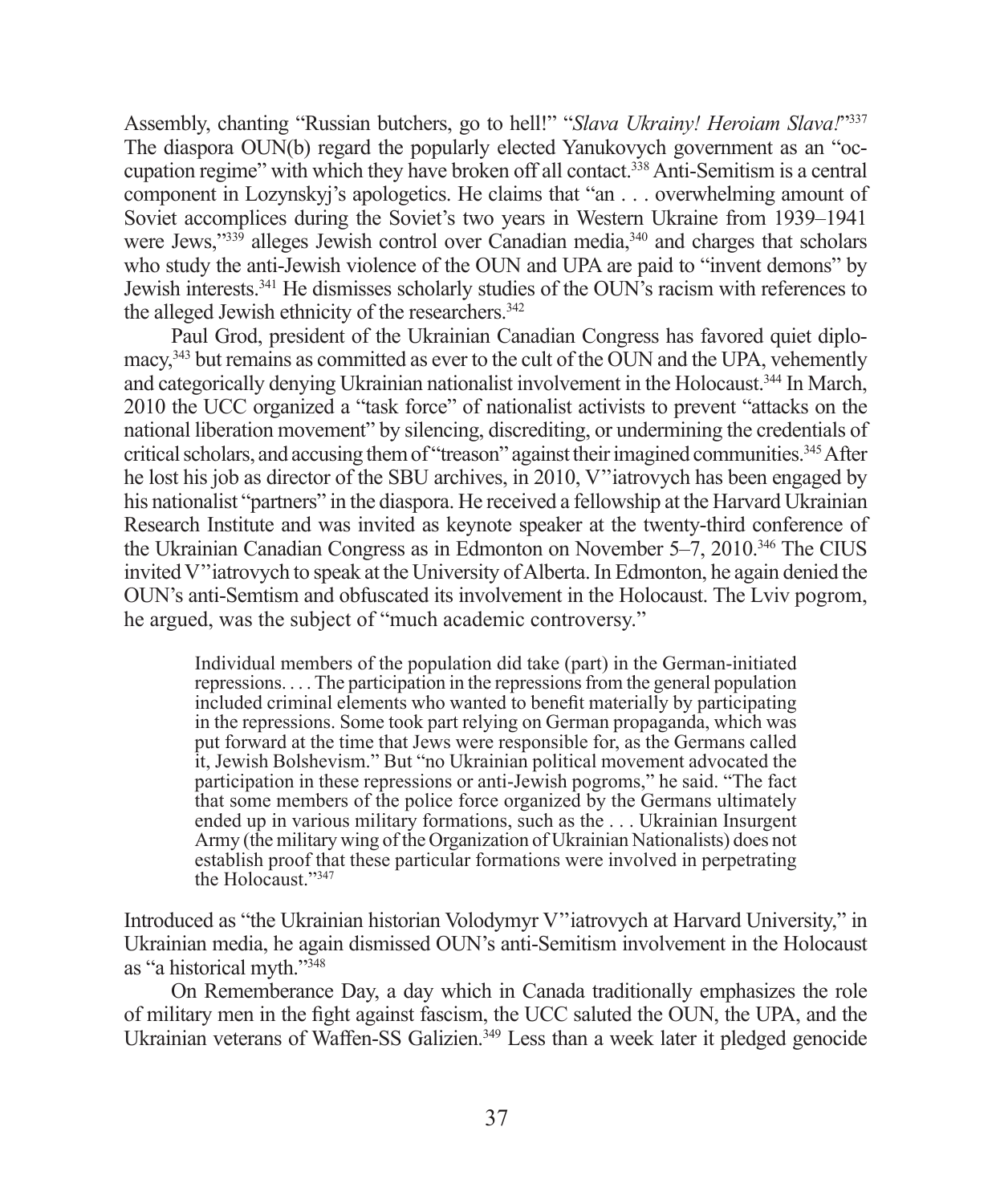Assembly, chanting "Russian butchers, go to hell!" "*Slava Ukrainy! Heroiam Slava!*"337 The diaspora OUN(b) regard the popularly elected Yanukovych government as an "occupation regime" with which they have broken off all contact.338 Anti-Semitism is a central component in Lozynskyj's apologetics. He claims that "an . . . overwhelming amount of Soviet accomplices during the Soviet's two years in Western Ukraine from 1939–1941 were Jews,"339 alleges Jewish control over Canadian media, 340 and charges that scholars who study the anti-Jewish violence of the OUN and UPA are paid to "invent demons" by Jewish interests.341 He dismisses scholarly studies of the OUN's racism with references to the alleged Jewish ethnicity of the researchers.<sup>342</sup>

Paul Grod, president of the Ukrainian Canadian Congress has favored quiet diplomacy,343 but remains as committed as ever to the cult of the OUN and the UPA, vehemently and categorically denying Ukrainian nationalist involvement in the Holocaust.344 In March, 2010 the UCC organized a "task force" of nationalist activists to prevent "attacks on the national liberation movement" by silencing, discrediting, or undermining the credentials of critical scholars, and accusing them of "treason" against their imagined communities.345 After he lost his job as director of the SBU archives, in 2010, V''iatrovych has been engaged by his nationalist "partners" in the diaspora. He received a fellowship at the Harvard Ukrainian Research Institute and was invited as keynote speaker at the twenty-third conference of the Ukrainian Canadian Congress as in Edmonton on November 5–7, 2010.346 The CIUS invited V''iatrovych to speak at the University of Alberta. In Edmonton, he again denied the OUN's anti-Semtism and obfuscated its involvement in the Holocaust. The Lviv pogrom, he argued, was the subject of "much academic controversy."

Individual members of the population did take (part) in the German-initiated repressions. . . . The participation in the repressions from the general population included criminal elements who wanted to benefit materially by participating in the repressions. Some took part relying on German propaganda, which was put forward at the time that Jews were responsible for, as the Germans called it, Jewish Bolshevism." But "no Ukrainian political movement advocated the participation in these repressions or anti-Jewish pogroms," he said. "The fact that some members of the police force organized by the Germans ultimately ended up in various military formations, such as the . . . Ukrainian Insurgent Army (the military wing of the Organization of Ukrainian Nationalists) does not establish proof that these particular formations were involved in perpetrating the Holocaust<sup>"347</sup>

Introduced as "the Ukrainian historian Volodymyr V''iatrovych at Harvard University," in Ukrainian media, he again dismissed OUN's anti-Semitism involvement in the Holocaust as "a historical myth."348

On Rememberance Day, a day which in Canada traditionally emphasizes the role of military men in the fight against fascism, the UCC saluted the OUN, the UPA, and the Ukrainian veterans of Waffen-SS Galizien.<sup>349</sup> Less than a week later it pledged genocide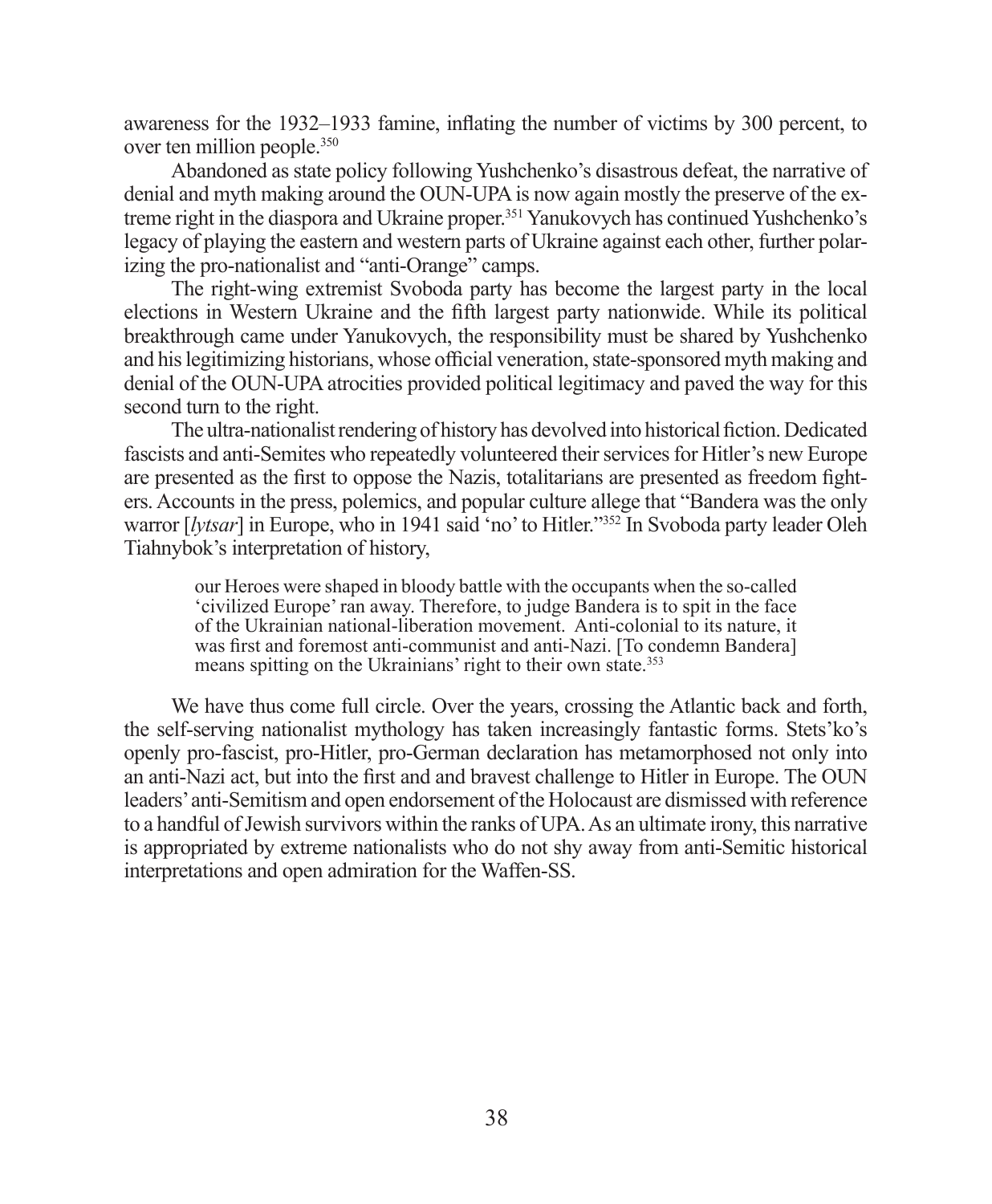awareness for the 1932–1933 famine, inflating the number of victims by 300 percent, to over ten million people.350

Abandoned as state policy following Yushchenko's disastrous defeat, the narrative of denial and myth making around the OUN-UPA is now again mostly the preserve of the extreme right in the diaspora and Ukraine proper.351 Yanukovych has continued Yushchenko's legacy of playing the eastern and western parts of Ukraine against each other, further polarizing the pro-nationalist and "anti-Orange" camps.

The right-wing extremist Svoboda party has become the largest party in the local elections in Western Ukraine and the fifth largest party nationwide. While its political breakthrough came under Yanukovych, the responsibility must be shared by Yushchenko and his legitimizing historians, whose official veneration, state-sponsored myth making and denial of the OUN-UPA atrocities provided political legitimacy and paved the way for this second turn to the right.

The ultra-nationalist rendering of history has devolved into historical fiction. Dedicated fascists and anti-Semites who repeatedly volunteered their services for Hitler's new Europe are presented as the first to oppose the Nazis, totalitarians are presented as freedom fighters. Accounts in the press, polemics, and popular culture allege that "Bandera was the only warror [*lytsar*] in Europe, who in 1941 said 'no' to Hitler."352 In Svoboda party leader Oleh Tiahnybok's interpretation of history,

our Heroes were shaped in bloody battle with the occupants when the so-called 'civilized Europe' ran away. Therefore, to judge Bandera is to spit in the face of the Ukrainian national-liberation movement. Anti-colonial to its nature, it was first and foremost anti-communist and anti-Nazi. [To condemn Bandera] means spitting on the Ukrainians' right to their own state.<sup>353</sup>

We have thus come full circle. Over the years, crossing the Atlantic back and forth, the self-serving nationalist mythology has taken increasingly fantastic forms. Stets'ko's openly pro-fascist, pro-Hitler, pro-German declaration has metamorphosed not only into an anti-Nazi act, but into the first and and bravest challenge to Hitler in Europe. The OUN leaders' anti-Semitism and open endorsement of the Holocaust are dismissed with reference to a handful of Jewish survivors within the ranks of UPA. As an ultimate irony, this narrative is appropriated by extreme nationalists who do not shy away from anti-Semitic historical interpretations and open admiration for the Waffen-SS.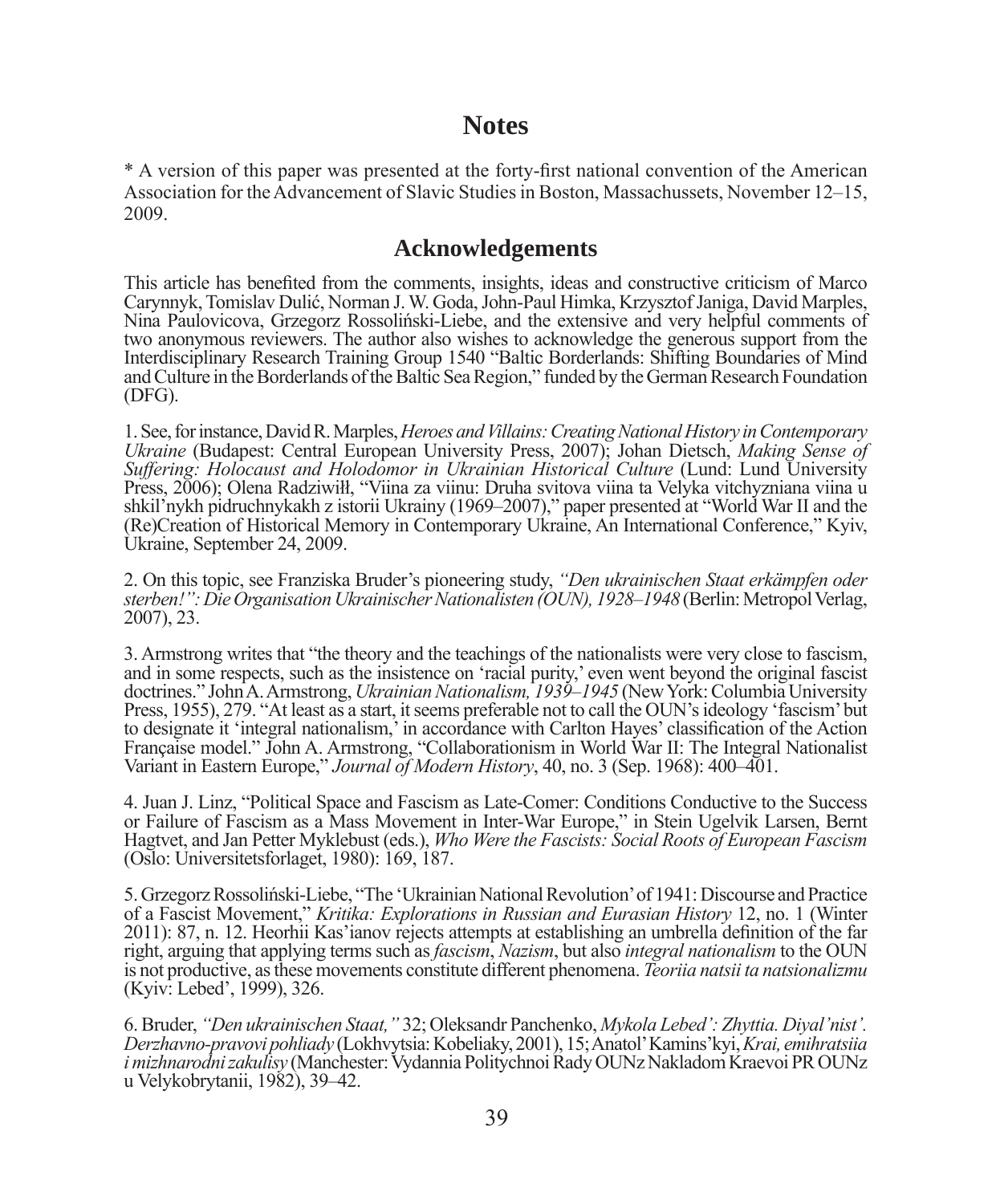# **Notes**

\* A version of this paper was presented at the forty-first national convention of the American Association for the Advancement of Slavic Studies in Boston, Massachussets, November 12–15, 2009.

# **Acknowledgements**

This article has benefited from the comments, insights, ideas and constructive criticism of Marco Carynnyk, Tomislav Dulić, Norman J. W. Goda, John-Paul Himka, Krzysztof Janiga, David Marples, Nina Paulovicova, Grzegorz Rossoliński-Liebe, and the extensive and very helpful comments of two anonymous reviewers. The author also wishes to acknowledge the generous support from the Interdisciplinary Research Training Group 1540 "Baltic Borderlands: Shifting Boundaries of Mind and Culture in the Borderlands of the Baltic Sea Region," funded by the German Research Foundation (DFG).

1. See, for instance, David R. Marples, *Heroes and Villains: Creating National History in Contemporary Ukraine* (Budapest: Central European University Press, 2007); Johan Dietsch, *Making Sense of Suffering: Holocaust and Holodomor in Ukrainian Historical Culture* (Lund: Lund University Press, 2006); Olena Radziwiłł, "Viina za viinu: Druha svitova viina ta Velyka vitchyzniana viina u shkil'nykh pidruchnykakh z istorii Ukrainy (1969–2007)," paper presented at "World War II and the (Re)Creation of Historical Memory in Contemporary Ukraine, An International Conference," Kyiv, Ukraine, September 24, 2009.

2. On this topic, see Franziska Bruder's pioneering study, *"Den ukrainischen Staat erkämpfen oder sterben!": Die Organisation Ukrainischer Nationalisten (OUN), 1928–1948* (Berlin: Metropol Verlag, 2007), 23.

3. Armstrong writes that "the theory and the teachings of the nationalists were very close to fascism, and in some respects, such as the insistence on 'racial purity,' even went beyond the original fascist doctrines." John A. Armstrong, *Ukrainian Nationalism, 1939–1945* (New York: Columbia University Press, 1955), 279. "At least as a start, it seems preferable not to call the OUN's ideology 'fascism' but to designate it 'integral nationalism,' in accordance with Carlton Hayes' classification of the Action Française model." John A. Armstrong, "Collaborationism in World War II: The Integral Nationalist Variant in Eastern Europe," *Journal of Modern History*, 40, no. 3 (Sep. 1968): 400–401.

4. Juan J. Linz, "Political Space and Fascism as Late-Comer: Conditions Conductive to the Success or Failure of Fascism as a Mass Movement in Inter-War Europe," in Stein Ugelvik Larsen, Bernt Hagtvet, and Jan Petter Myklebust (eds.), *Who Were the Fascists: Social Roots of European Fascism* (Oslo: Universitetsforlaget, 1980): 169, 187.

5. Grzegorz Rossoliński-Liebe, "The 'Ukrainian National Revolution' of 1941: Discourse and Practice of a Fascist Movement," *Kritika: Explorations in Russian and Eurasian History* 12, no. 1 (Winter 2011): 87, n. 12. Heorhii Kas'ianov rejects attempts at establishing an umbrella definition of the far right, arguing that applying terms such as *fascism*, *Nazism*, but also *integral nationalism* to the OUN is not productive, as these movements constitute different phenomena. *Teoriia natsii ta natsionalizmu* (Kyiv: Lebed', 1999), 326.

6. Bruder, *"Den ukrainischen Staat,"* 32; Oleksandr Panchenko, *Mykola Lebed': Zhyttia. Diyal'nist'. Derzhavno-pravovi pohliady* (Lokhvytsia: Kobeliaky, 2001), 15; Anatol' Kamins'kyi, *Krai, emihratsiia i mizhnarodni zakulisy* (Manchester: Vydannia Politychnoi Rady OUNz Nakladom Kraevoi PR OUNz u Velykobrytanii, 1982), 39–42.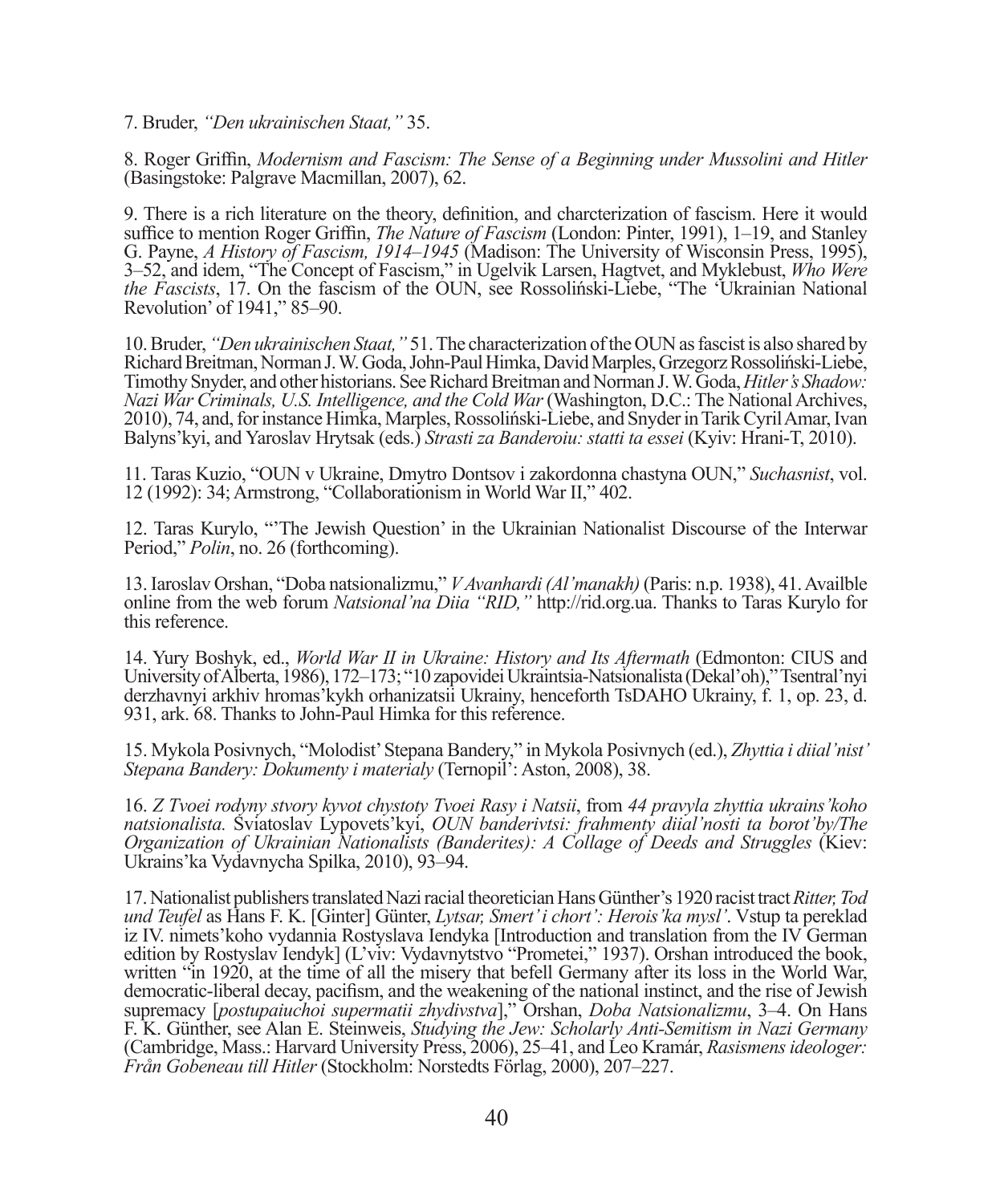7. Bruder, *"Den ukrainischen Staat,"* 35.

8. Roger Griffin, *Modernism and Fascism: The Sense of a Beginning under Mussolini and Hitler* (Basingstoke: Palgrave Macmillan, 2007), 62.

9. There is a rich literature on the theory, definition, and charcterization of fascism. Here it would suffice to mention Roger Griffin, *The Nature of Fascism* (London: Pinter, 1991), 1–19, and Stanley G. Payne, *A History of Fascism, 1914–1945* (Madison: The University of Wisconsin Press, 1995), 3–52, and idem, "The Concept of Fascism," in Ugelvik Larsen, Hagtvet, and Myklebust, *Who Were the Fascists*, 17. On the fascism of the OUN, see Rossoliński-Liebe, "The 'Ukrainian National Revolution' of 1941," 85–90.

10. Bruder, *"Den ukrainischen Staat,"* 51. The characterization of the OUN as fascist is also shared by Richard Breitman, Norman J. W. Goda, John-Paul Himka, David Marples, Grzegorz Rossoliński-Liebe, Timothy Snyder, and other historians. See Richard Breitman and Norman J. W. Goda, *Hitler's Shadow: Nazi War Criminals, U.S. Intelligence, and the Cold War* (Washington, D.C.: The National Archives, 2010), 74, and, for instance Himka, Marples, Rossoliński-Liebe, and Snyder in Tarik Cyril Amar, Ivan Balyns'kyi, and Yaroslav Hrytsak (eds.) *Strasti za Banderoiu: statti ta essei* (Kyiv: Hrani-T, 2010).

11. Taras Kuzio, "OUN v Ukraine, Dmytro Dontsov i zakordonna chastyna OUN," *Suchasnist*, vol. 12 (1992): 34; Armstrong, "Collaborationism in World War II," 402.

12. Taras Kurylo, "'The Jewish Question' in the Ukrainian Nationalist Discourse of the Interwar Period," *Polin*, no. 26 (forthcoming).

13. Iaroslav Orshan, "Doba natsionalizmu," *V Avanhardi (Al'manakh)* (Paris: n.p. 1938), 41. Availble online from the web forum *Natsional'na Diia "RID,"* http://rid.org.ua. Thanks to Taras Kurylo for this reference.

14. Yury Boshyk, ed., *World War II in Ukraine: History and Its Aftermath* (Edmonton: CIUS and University of Alberta, 1986), 172–173; "10 zapovidei Ukraintsia-Natsionalista (Dekal'oh)," Tsentral'nyi derzhavnyi arkhiv hromas'kykh orhanizatsii Ukrainy, henceforth TsDAHO Ukrainy, f. 1, op. 23, d. 931, ark. 68. Thanks to John-Paul Himka for this reference.

15. Mykola Posivnych, "Molodist' Stepana Bandery," in Mykola Posivnych (ed.), *Zhyttia i diial'nist' Stepana Bandery: Dokumenty i materialy* (Ternopil': Aston, 2008), 38.

16. *Z Tvoei rodyny stvory kyvot chystoty Tvoei Rasy i Natsii*, from *44 pravyla zhyttia ukrains'koho natsionalista.* Sviatoslav Lypovets'kyi, *OUN banderivtsi: frahmenty diial'nosti ta borot'by/The Organization of Ukrainian Nationalists (Banderites): A Collage of Deeds and Struggles* (Kiev: Ukrains'ka Vydavnycha Spilka, 2010), 93–94.

17. Nationalist publishers translated Nazi racial theoretician Hans Günther's 1920 racist tract *Ritter, Tod und Teufel* as Hans F. K. [Ginter] Günter, *Lytsar, Smert' i chort': Herois'ka mysl'*. Vstup ta pereklad iz IV. nimets'koho vydannia Rostyslava Iendyka [Introduction and translation from the IV German edition by Rostyslav Iendyk] (L'viv: Vydavnytstvo "Prometei," 1937). Orshan introduced the book, written "in 1920, at the time of all the misery that befell Germany after its loss in the World War, democratic-liberal decay, pacifism, and the weakening of the national instinct, and the rise of Jewish supremacy [*postupaiuchoi supermatii zhydivstva*]," Orshan, *Doba Natsionalizmu*, 3–4. On Hans F. K. Günther, see Alan E. Steinweis, *Studying the Jew: Scholarly Anti-Semitism in Nazi Germany* (Cambridge, Mass.: Harvard University Press, 2006), 25–41, and Leo Kramár, *Rasismens ideologer: Från Gobeneau till Hitler* (Stockholm: Norstedts Förlag, 2000), 207–227.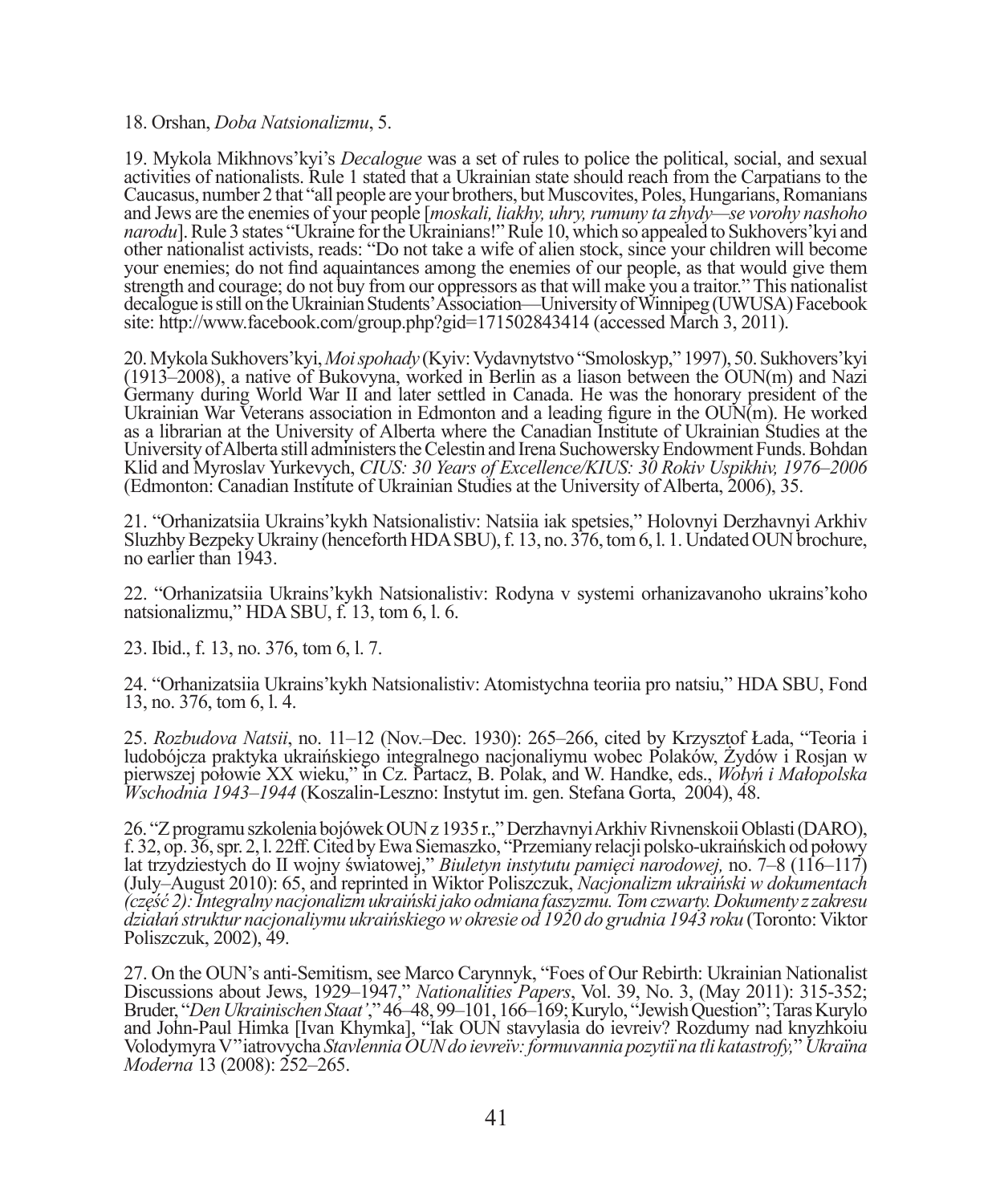## 18. Orshan, *Doba Natsionalizmu*, 5.

19. Mykola Mikhnovs'kyi's *Decalogue* was a set of rules to police the political, social, and sexual activities of nationalists. Rule 1 stated that a Ukrainian state should reach from the Carpatians to the Caucasus, number 2 that "all people are your brothers, but Muscovites, Poles, Hungarians, Romanians and Jews are the enemies of your people [*moskali, liakhy, uhry, rumuny ta zhydy—se vorohy nashoho narodu*]. Rule 3 states "Ukraine for the Ukrainians!" Rule 10, which so appealed to Sukhovers'kyi and other nationalist activists, reads: "Do not take a wife of alien stock, since your children will become your enemies; do not find aquaintances among the enemies of our people, as that would give them strength and courage; do not buy from our oppressors as that will make you a traitor." This nationalist decalogue is still on the Ukrainian Students' Association—University of Winnipeg (UWUSA) Facebook site: http://www.facebook.com/group.php?gid=171502843414 (accessed March 3, 2011).

20. Mykola Sukhovers'kyi, *Moi spohady* (Kyiv: Vydavnytstvo "Smoloskyp," 1997), 50. Sukhovers'kyi (1913–2008), a native of Bukovyna, worked in Berlin as a liason between the OUN(m) and Nazi Germany during World War II and later settled in Canada. He was the honorary president of the Ukrainian War Veterans association in Edmonton and a leading figure in the  $\text{OUN}(m)$ . He worked as a librarian at the University of Alberta where the Canadian Institute of Ukrainian Studies at the University of Alberta still administers the Celestin and Irena Suchowersky Endowment Funds. Bohdan Klid and Myroslav Yurkevych, *CIUS: 30 Years of Excellence/KIUS: 30 Rokiv Uspikhiv, 1976–2006* (Edmonton: Canadian Institute of Ukrainian Studies at the University of Alberta, 2006), 35.

21. "Orhanizatsiia Ukrains'kykh Natsionalistiv: Natsiia iak spetsies," Holovnyi Derzhavnyi Arkhiv Sluzhby Bezpeky Ukrainy (henceforth HDA SBU), f. 13, no. 376, tom 6, l. 1. Undated OUN brochure, no earlier than 1943.

22. "Orhanizatsiia Ukrains'kykh Natsionalistiv: Rodyna v systemi orhanizavanoho ukrains'koho natsionalizmu," HDA SBU, f. 13, tom 6, l. 6.

23. Ibid., f. 13, no. 376, tom 6, l. 7.

24. "Orhanizatsiia Ukrains'kykh Natsionalistiv: Atomistychna teoriia pro natsiu," HDA SBU, Fond 13, no. 376, tom 6, l. 4.

25. *Rozbudova Natsii*, no. 11–12 (Nov.–Dec. 1930): 265–266, cited by Krzysztof Łada, "Teoria i ludobójcza praktyka ukraińskiego integralnego nacjonaliymu wobec Polaków, Żydów i Rosjan w pierwszej połowie XX wieku," in Cz. Partacz, B. Polak, and W. Handke, eds., *Wołyń i Małopolska Wschodnia 1943–1944* (Koszalin-Leszno: Instytut im. gen. Stefana Gorta, 2004), 48.

26. "Z programu szkolenia bojówek OUN z 1935 r.," Derzhavnyi Arkhiv Rivnenskoii Oblasti (DARO), f. 32, op. 36, spr. 2, l. 22ff. Cited by Ewa Siemaszko, "Przemiany relacji polsko-ukraińskich od połowy lat trzydziestych do II wojny światowej," *Biuletyn instytutu pamięci narodowej,* no. 7–8 (116–117) (July–August 2010): 65, and reprinted in Wiktor Poliszczuk, *Nacjonalizm ukraiński w dokumentach (część 2): Integralny nacjonalizm ukraiński jako odmiana faszyzmu. Tom czwarty. Dokumenty z zakresu działań struktur nacjonaliymu ukraińskiego w okresie od 1920 do grudnia 1943 roku* (Toronto: Viktor Poliszczuk, 2002), 49.

27. On the OUN's anti-Semitism, see Marco Carynnyk, "Foes of Our Rebirth: Ukrainian Nationalist Discussions about Jews, 1929–1947," *Nationalities Papers*, Vol. 39, No. 3, (May 2011): 315-352; Bruder, "*Den Ukrainischen Staat'*," 46–48, 99–101, 166–169; Kurylo, "Jewish Question"; Taras Kurylo and John-Paul Himka [Ivan Khymka], "Iak OUN stavylasia do ievreiv? Rozdumy nad knyzhkoiu Volodymyra V''iatrovycha *StavlenniaOUN do ievreїv: formuvannia pozytiї na tli katastrofy,*" *Ukraїna Moderna* 13 (2008): 252–265.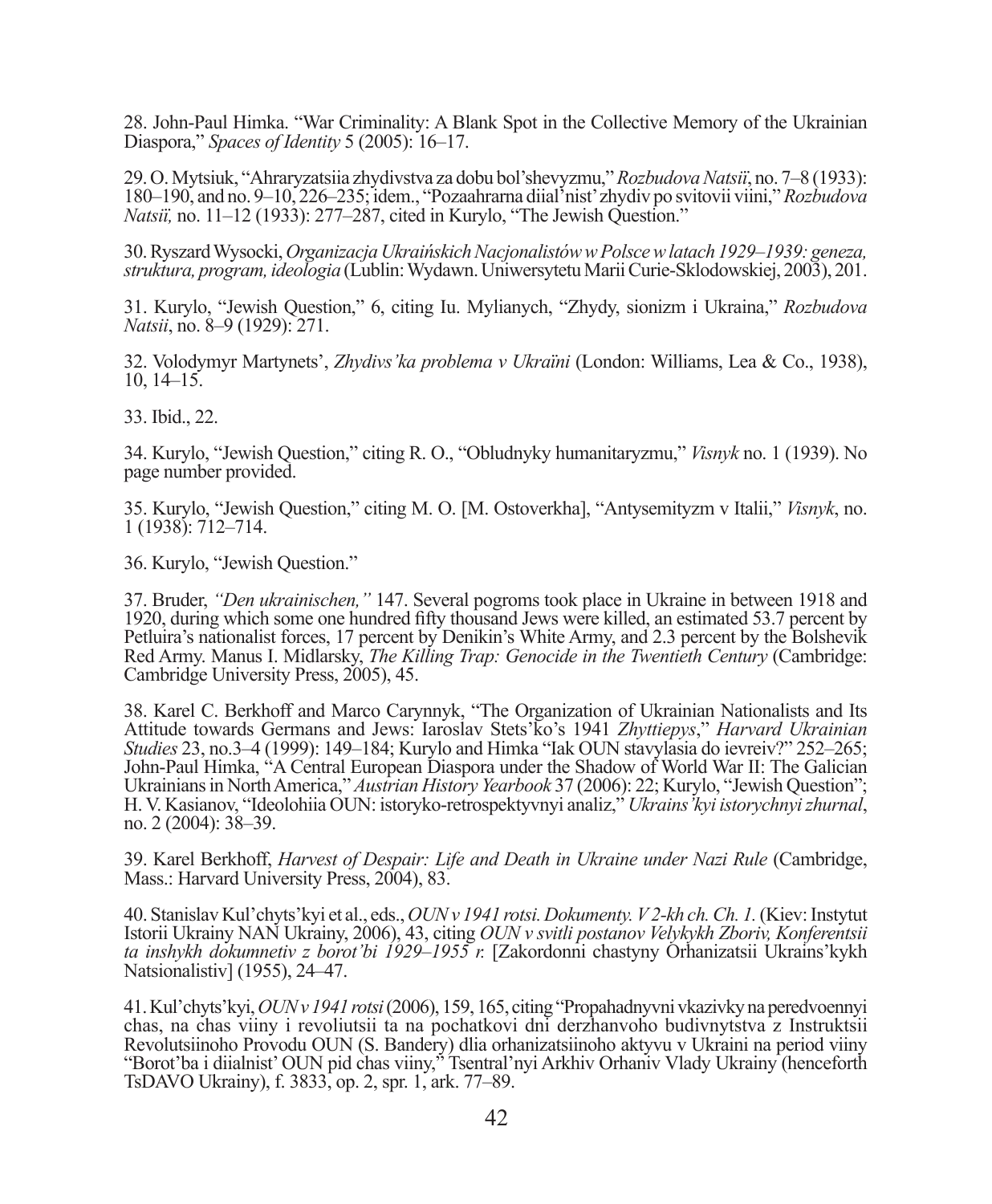28. John-Paul Himka. "War Criminality: A Blank Spot in the Collective Memory of the Ukrainian Diaspora," *Spaces of Identity* 5 (2005): 16–17.

29. O. Mytsiuk, "Ahraryzatsiia zhydivstva za dobu bol'shevyzmu," *Rozbudova Natsiї*, no. 7–8 (1933): 180–190, and no. 9–10, 226–235; idem., "Pozaahrarna diial'nist' zhydiv po svitovii viini," *Rozbudova Natsiї,* no. 11–12 (1933): 277–287, cited in Kurylo, "The Jewish Question."

30. Ryszard Wysocki, *Organizacja Ukraińskich Nacjonalistów w Polsce w latach 1929–1939: geneza, struktura, program, ideologia* (Lublin: Wydawn. Uniwersytetu Marii Curie-Sklodowskiej, 2003), 201.

31. Kurylo, "Jewish Question," 6, citing Iu. Mylianych, "Zhydy, sionizm i Ukraina," *Rozbudova Natsii*, no. 8–9 (1929): 271.

32. Volodymyr Martynets', *Zhydivs'ka problema v Ukraїni* (London: Williams, Lea & Co., 1938),  $10, 14-15.$ 

33. Ibid., 22.

34. Kurylo, "Jewish Question," citing R. O., "Obludnyky humanitaryzmu," *Visnyk* no. 1 (1939). No page number provided.

35. Kurylo, "Jewish Question," citing M. O. [M. Ostoverkha], "Antysemityzm v Italii," *Visnyk*, no. 1 (1938): 712–714.

36. Kurylo, "Jewish Question."

37. Bruder, *"Den ukrainischen,"* 147. Several pogroms took place in Ukraine in between 1918 and 1920, during which some one hundred fifty thousand Jews were killed, an estimated 53.7 percent by Petluira's nationalist forces, 17 percent by Denikin's White Army, and 2.3 percent by the Bolshevik Red Army. Manus I. Midlarsky, *The Killing Trap: Genocide in the Twentieth Century* (Cambridge: Cambridge University Press, 2005), 45.

38. Karel C. Berkhoff and Marco Carynnyk, "The Organization of Ukrainian Nationalists and Its Attitude towards Germans and Jews: Iaroslav Stets'ko's 1941 *Zhyttiepys*," *Harvard Ukrainian Studies* 23, no.3–4 (1999): 149–184; Kurylo and Himka "Iak OUN stavylasia do ievreiv?" 252–265; John-Paul Himka, "A Central European Diaspora under the Shadow of World War II: The Galician Ukrainians in North America," *Austrian History Yearbook* 37 (2006): 22; Kurylo, "Jewish Question"; H. V. Kasianov, "Ideolohiia OUN: istoryko-retrospektyvnyi analiz," *Ukrains'kyi istorychnyi zhurnal*, no. 2 (2004): 38–39.

39. Karel Berkhoff, *Harvest of Despair: Life and Death in Ukraine under Nazi Rule* (Cambridge, Mass.: Harvard University Press, 2004), 83.

40. Stanislav Kul'chyts'kyi et al., eds., *OUN v 1941 rotsi. Dokumenty. V 2-kh ch. Ch. 1.* (Kiev: Instytut Istorii Ukrainy NAN Ukrainy, 2006), 43, citing *OUN v svitli postanov Velykykh Zboriv, Konferentsii ta inshykh dokumnetiv z borot'bi 1929–1955 r.* [Zakordonni chastyny Orhanizatsii Ukrains'kykh Natsionalistiv] (1955), 24–47.

41. Kul'chyts'kyi, *OUN v 1941 rotsi* (2006), 159, 165, citing "Propahadnyvni vkazivky na peredvoennyi chas, na chas viiny i revoliutsii ta na pochatkovi dni derzhanvoho budivnytstva z Instruktsii Revolutsiinoho Provodu OUN (S. Bandery) dlia orhanizatsiinoho aktyvu v Ukraini na period viiny "Borot'ba i diialnist' OUN pid chas viiny," Tsentral'nyi Arkhiv Orhaniv Vlady Ukrainy (henceforth TsDAVO Ukrainy), f. 3833, op. 2, spr. 1, ark. 77–89.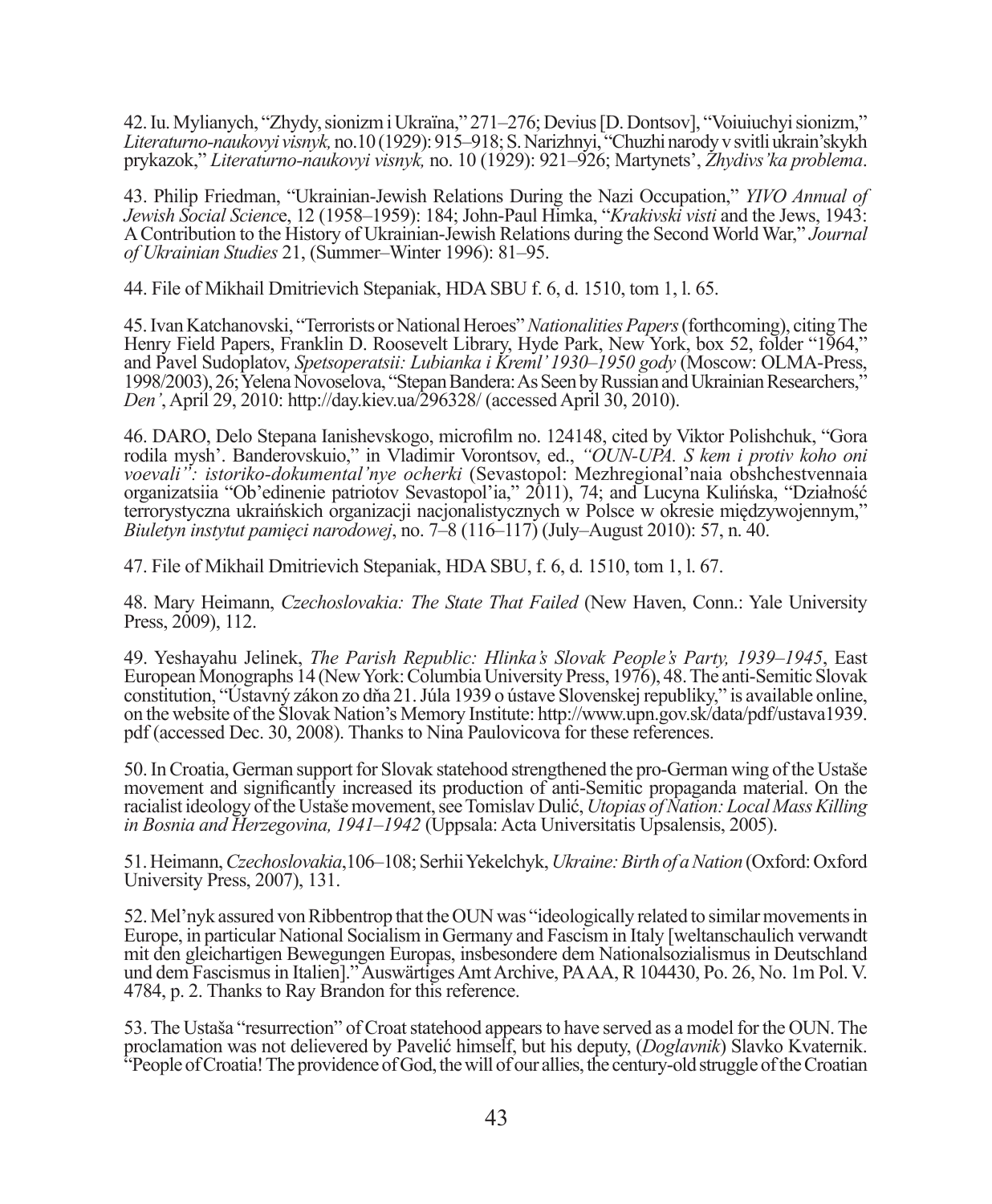42. Iu. Mylianych, "Zhydy, sionizm i Ukraїna," 271–276; Devius [D. Dontsov], "Voiuiuchyi sionizm," *Literaturno-naukovyi visnyk,* no.10 (1929): 915–918; S. Narizhnyi, "Chuzhi narody v svitli ukrain'skykh prykazok," *Literaturno-naukovyi visnyk,* no. 10 (1929): 921–926; Martynets', *Zhydivs'ka problema*.

43. Philip Friedman, "Ukrainian-Jewish Relations During the Nazi Occupation," *YIVO Annual of Jewish Social Scienc*e, 12 (1958–1959): 184; John-Paul Himka, "*Krakivski visti* and the Jews, 1943: A Contribution to the History of Ukrainian-Jewish Relations during the Second World War," *Journal of Ukrainian Studies* 21, (Summer–Winter 1996): 81–95.

44. File of Mikhail Dmitrievich Stepaniak, HDA SBU f. 6, d. 1510, tom 1, l. 65.

45. Ivan Katchanovski, "Terrorists or National Heroes" *Nationalities Papers* (forthcoming), citing The Henry Field Papers, Franklin D. Roosevelt Library, Hyde Park, New York, box 52, folder "1964," and Pavel Sudoplatov, *Spetsoperatsii: Lubianka i Kreml' 1930–1950 gody* (Moscow: OLMA-Press, 1998/2003), 26; Yelena Novoselova, "Stepan Bandera: As Seen by Russian and Ukrainian Researchers," *Den'*, April 29, 2010: http://day.kiev.ua/296328/ (accessed April 30, 2010).

46. DARO, Delo Stepana Ianishevskogo, microfilm no. 124148, cited by Viktor Polishchuk, "Gora rodila mysh'. Banderovskuio," in Vladimir Vorontsov, ed., *"OUN-UPA. S kem i protiv koho oni voevali": istoriko-dokumental'nye ocherki* (Sevastopol: Mezhregional'naia obshchestvennaia organizatsiia "Ob'edinenie patriotov Sevastopol'ia," 2011), 74; and Lucyna Kulińska, "Działność terrorystyczna ukraińskich organizacji nacjonalistycznych w Polsce w okresie międzywojennym," *Biuletyn instytut pamięci narodowej*, no. 7–8 (116–117) (July–August 2010): 57, n. 40.

47. File of Mikhail Dmitrievich Stepaniak, HDA SBU, f. 6, d. 1510, tom 1, l. 67.

48. Mary Heimann, *Czechoslovakia: The State That Failed* (New Haven, Conn.: Yale University Press, 2009), 112.

49. Yeshayahu Jelinek, *The Parish Republic: Hlinka's Slovak People's Party, 1939–1945*, East European Monographs 14 (New York: Columbia University Press, 1976), 48. The anti-Semitic Slovak constitution, "Ústavný zákon zo dňa 21. Júla 1939 o ústave Slovenskej republiky," is available online, on the website of the Slovak Nation's Memory Institute: http://www.upn.gov.sk/data/pdf/ustava1939. pdf (accessed Dec. 30, 2008). Thanks to Nina Paulovicova for these references.

50. In Croatia, German support for Slovak statehood strengthened the pro-German wing of the Ustaše movement and significantly increased its production of anti-Semitic propaganda material. On the racialist ideology of the Ustaše movement, see Tomislav Dulić, *Utopias of Nation: Local Mass Killing in Bosnia and Herzegovina, 1941–1942* (Uppsala: Acta Universitatis Upsalensis, 2005).

51. Heimann, *Czechoslovakia*,106–108; Serhii Yekelchyk, *Ukraine: Birth of a Nation* (Oxford: Oxford University Press, 2007), 131.

52. Mel'nyk assured von Ribbentrop that the OUN was "ideologically related to similar movements in Europe, in particular National Socialism in Germany and Fascism in Italy [weltanschaulich verwandt mit den gleichartigen Bewegungen Europas, insbesondere dem Nationalsozialismus in Deutschland und dem Fascismus in Italien]." Auswärtiges Amt Archive, PA AA, R 104430, Po. 26, No. 1m Pol. V. 4784, p. 2. Thanks to Ray Brandon for this reference.

53. The Ustaša "resurrection" of Croat statehood appears to have served as a model for the OUN. The proclamation was not delievered by Pavelić himself, but his deputy, (*Doglavnik*) Slavko Kvaternik. "People of Croatia! The providence of God, the will of our allies, the century-old struggle of the Croatian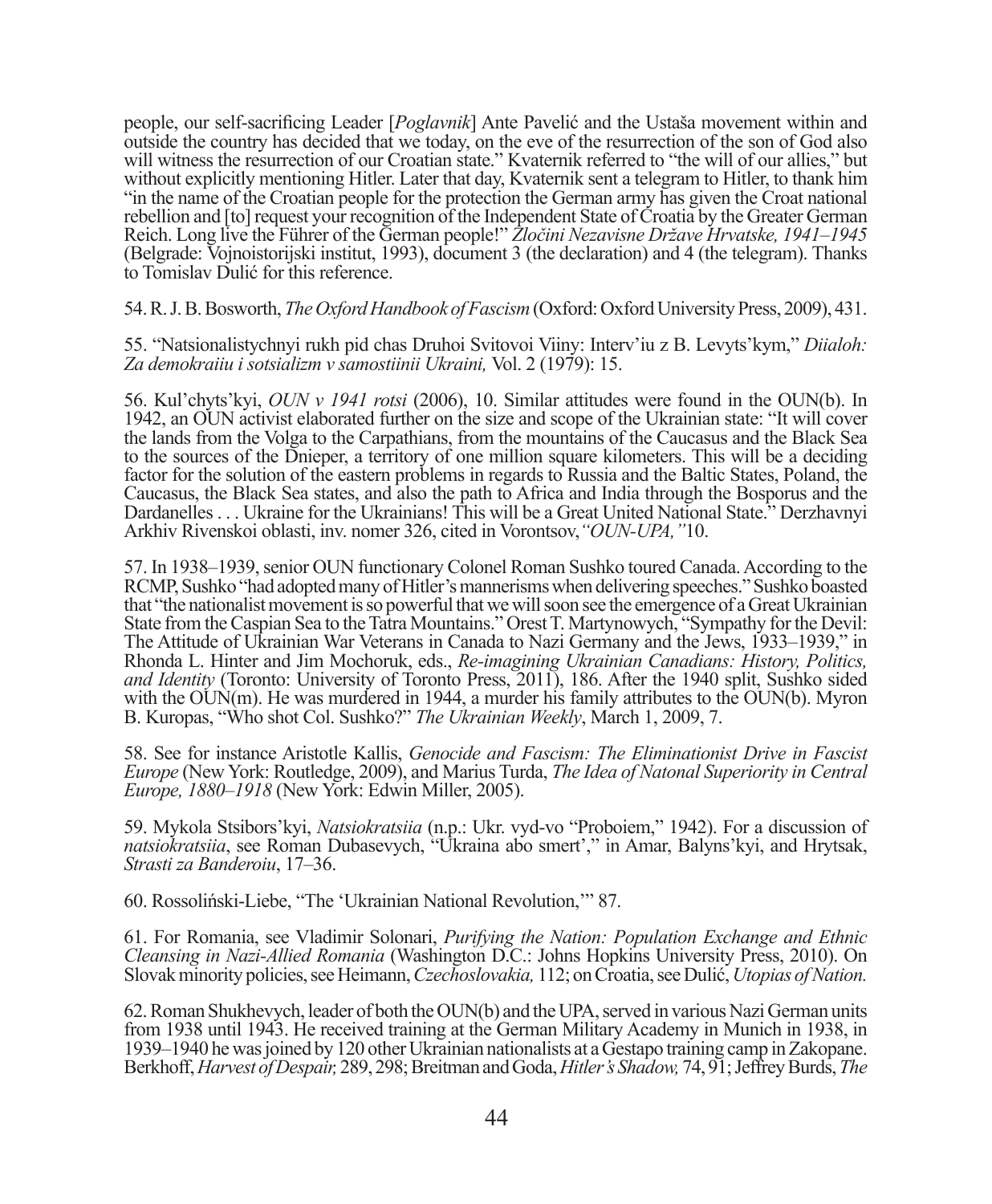people, our self-sacrificing Leader [*Poglavnik*] Ante Pavelić and the Ustaša movement within and outside the country has decided that we today, on the eve of the resurrection of the son of God also will witness the resurrection of our Croatian state." Kvaternik referred to "the will of our allies," but without explicitly mentioning Hitler. Later that day, Kvaternik sent a telegram to Hitler, to thank him "in the name of the Croatian people for the protection the German army has given the Croat national rebellion and [to] request your recognition of the Independent State of Croatia by the Greater German Reich. Long live the Führer of the German people!" *Zločini Nezavisne Države Hrvatske, 1941–1945* (Belgrade: Vojnoistorijski institut, 1993), document 3 (the declaration) and 4 (the telegram). Thanks to Tomislav Dulić for this reference.

54. R. J. B. Bosworth, *The Oxford Handbook of Fascism* (Oxford: Oxford University Press, 2009), 431.

55. "Natsionalistychnyi rukh pid chas Druhoi Svitovoi Viiny: Interv'iu z B. Levyts'kym," *Diialoh: Za demokraiiu i sotsializm v samostiinii Ukraini,* Vol. 2 (1979): 15.

56. Kul'chyts'kyi, *OUN v 1941 rotsi* (2006), 10. Similar attitudes were found in the OUN(b). In 1942, an OUN activist elaborated further on the size and scope of the Ukrainian state: "It will cover the lands from the Volga to the Carpathians, from the mountains of the Caucasus and the Black Sea to the sources of the Dnieper, a territory of one million square kilometers. This will be a deciding factor for the solution of the eastern problems in regards to Russia and the Baltic States, Poland, the Caucasus, the Black Sea states, and also the path to Africa and India through the Bosporus and the Dardanelles . . . Ukraine for the Ukrainians! This will be a Great United National State." Derzhavnyi Arkhiv Rivenskoi oblasti, inv. nomer 326, cited in Vorontsov,*"OUN-UPA,"*10.

57. In 1938–1939, senior OUN functionary Colonel Roman Sushko toured Canada. According to the RCMP, Sushko "had adopted many of Hitler's mannerisms when delivering speeches." Sushko boasted that "the nationalist movement is so powerful that we will soon see the emergence of a Great Ukrainian State from the Caspian Sea to the Tatra Mountains." Orest T. Martynowych, "Sympathy for the Devil: The Attitude of Ukrainian War Veterans in Canada to Nazi Germany and the Jews, 1933–1939," in Rhonda L. Hinter and Jim Mochoruk, eds., *Re-imagining Ukrainian Canadians: History, Politics, and Identity* (Toronto: University of Toronto Press, 2011), 186. After the 1940 split, Sushko sided with the  $\text{OUN}(m)$ . He was murdered in 1944, a murder his family attributes to the  $\text{OUN}(b)$ . Myron B. Kuropas, "Who shot Col. Sushko?" *The Ukrainian Weekly*, March 1, 2009, 7.

58. See for instance Aristotle Kallis, *Genocide and Fascism: The Eliminationist Drive in Fascist Europe* (New York: Routledge, 2009), and Marius Turda, *The Idea of Natonal Superiority in Central Europe, 1880–1918* (New York: Edwin Miller, 2005).

59. Mykola Stsibors'kyi, *Natsiokratsiia* (n.p.: Ukr. vyd-vo "Proboiem," 1942). For a discussion of *natsiokratsiia*, see Roman Dubasevych, "Ukraina abo smert'," in Amar, Balyns'kyi, and Hrytsak, *Strasti za Banderoiu*, 17–36.

60. Rossoliński-Liebe, "The 'Ukrainian National Revolution,'" 87.

61. For Romania, see Vladimir Solonari, *Purifying the Nation: Population Exchange and Ethnic Cleansing in Nazi-Allied Romania* (Washington D.C.: Johns Hopkins University Press, 2010). On Slovak minority policies, see Heimann, *Czechoslovakia,* 112; on Croatia, see Dulić, *Utopias of Nation.*

62. Roman Shukhevych, leader of both the OUN(b) and the UPA, served in various Nazi German units from 1938 until 1943. He received training at the German Military Academy in Munich in 1938, in 1939–1940 he was joined by 120 other Ukrainian nationalists at a Gestapo training camp in Zakopane. Berkhoff, *Harvest of Despair,* 289, 298; Breitman and Goda, *Hitler's Shadow,* 74, 91; Jeffrey Burds, *The*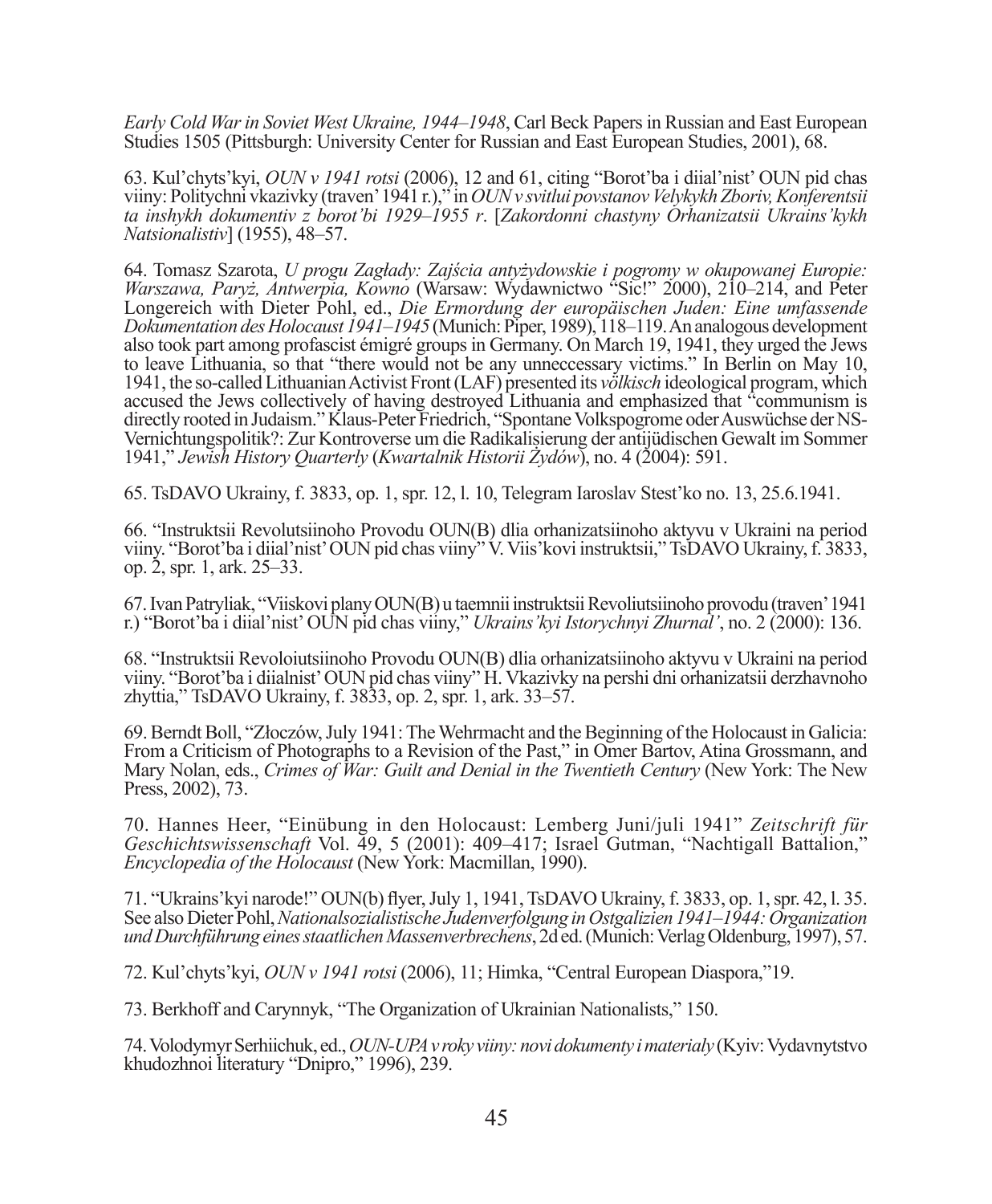*Early Cold War in Soviet West Ukraine, 1944–1948*, Carl Beck Papers in Russian and East European Studies 1505 (Pittsburgh: University Center for Russian and East European Studies, 2001), 68.

63. Kul'chyts'kyi, *OUN v 1941 rotsi* (2006), 12 and 61, citing "Borot'ba i diial'nist' OUN pid chas viiny: Politychni vkazivky (traven' 1941 r.)," in *OUN v svitlui povstanov Velykykh Zboriv, Konferentsii ta inshykh dokumentiv z borot'bi 1929–1955 r*. [*Zakordonni chastyny Orhanizatsii Ukrains'kykh Natsionalistiv*] (1955), 48–57.

64. Tomasz Szarota, *U progu Zagłady: Zajścia antyżydowskie i pogromy w okupowanej Europie: Warszawa, Paryż, Antwerpia, Kowno* (Warsaw: Wydawnictwo "Sic!" 2000), 210–214, and Peter Longereich with Dieter Pohl, ed., *Die Ermordung der europäischen Juden: Eine umfassende Dokumentation des Holocaust 1941–1945* (Munich: Piper, 1989), 118–119. An analogous development also took part among profascist émigré groups in Germany. On March 19, 1941, they urged the Jews to leave Lithuania, so that "there would not be any unneccessary victims." In Berlin on May 10, 1941, the so-called Lithuanian Activist Front (LAF) presented its *völkisch* ideological program, which accused the Jews collectively of having destroyed Lithuania and emphasized that "communism is directly rooted in Judaism." Klaus-Peter Friedrich, "Spontane Volkspogrome oder Auswüchse der NS-Vernichtungspolitik?: Zur Kontroverse um die Radikalisierung der antijüdischen Gewalt im Sommer 1941," *Jewish History Quarterly* (*Kwartalnik Historii Żydów*), no. 4 (2004): 591.

65. TsDAVO Ukrainy, f. 3833, op. 1, spr. 12, l. 10, Telegram Iaroslav Stest'ko no. 13, 25.6.1941.

66. "Instruktsii Revolutsiinoho Provodu OUN(B) dlia orhanizatsiinoho aktyvu v Ukraini na period viiny. "Borot'ba i diial'nist' OUN pid chas viiny" V. Viis'kovi instruktsii," TsDAVO Ukrainy, f. 3833, op. 2, spr. 1, ark. 25–33.

67. Ivan Patryliak, "Viiskovi plany OUN(B) u taemnii instruktsii Revoliutsiinoho provodu (traven' 1941 r.) "Borot'ba i diial'nist' OUN pid chas viiny," *Ukrains'kyi Istorychnyi Zhurnal'*, no. 2 (2000): 136.

68. "Instruktsii Revoloiutsiinoho Provodu OUN(B) dlia orhanizatsiinoho aktyvu v Ukraini na period viiny. "Borot'ba i diialnist' OUN pid chas viiny" H. Vkazivky na pershi dni orhanizatsii derzhavnoho zhyttia," TsDAVO Ukrainy, f. 3833, op. 2, spr. 1, ark. 33–57.

69. Berndt Boll, "Złoczów, July 1941: The Wehrmacht and the Beginning of the Holocaust in Galicia: From a Criticism of Photographs to a Revision of the Past," in Omer Bartov, Atina Grossmann, and Mary Nolan, eds., *Crimes of War: Guilt and Denial in the Twentieth Century* (New York: The New Press, 2002), 73.

70. Hannes Heer, "Einübung in den Holocaust: Lemberg Juni/juli 1941" *Zeitschrift für Geschichtswissenschaft* Vol. 49, 5 (2001): 409–417; Israel Gutman, "Nachtigall Battalion," *Encyclopedia of the Holocaust* (New York: Macmillan, 1990).

71. "Ukrains' kyi narode!" OUN(b) flyer, July 1, 1941, TsDAVO Ukrainy, f. 3833, op. 1, spr. 42, l. 35. See also Dieter Pohl, *Nationalsozialistische Judenverfolgung in Ostgalizien 1941*–*1944: Organization und Durchführung eines staatlichen Massenverbrechens*, 2d ed. (Munich: Verlag Oldenburg, 1997), 57.

72. Kul'chyts'kyi, *OUN v 1941 rotsi* (2006), 11; Himka, "Central European Diaspora,"19.

73. Berkhoff and Carynnyk, "The Organization of Ukrainian Nationalists," 150.

74. Volodymyr Serhiichuk, ed., *OUN-UPA v roky viiny: novi dokumenty i materialy* (Kyiv: Vydavnytstvo khudozhnoi literatury "Dnipro," 1996), 239.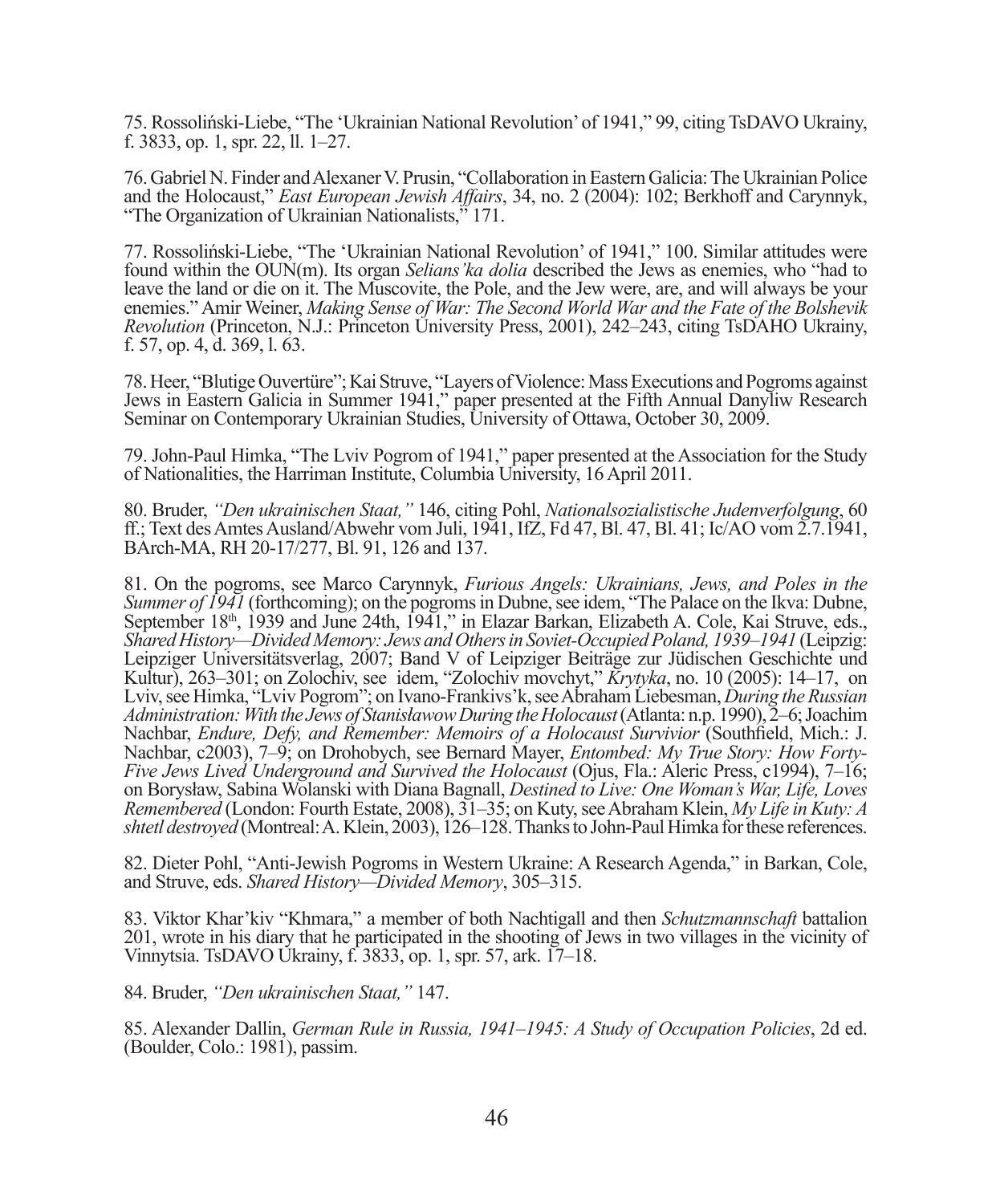75. Rossoliński-Liebe, "The 'Ukrainian National Revolution' of 1941," 99, citing TsDAVO Ukrainy, f. 3833, op. 1, spr. 22, ll. 1–27.

76. Gabriel N. Finder and Alexaner V. Prusin, "Collaboration in Eastern Galicia: The Ukrainian Police and the Holocaust," *East European Jewish Affairs*, 34, no. 2 (2004): 102; Berkhoff and Carynnyk, "The Organization of Ukrainian Nationalists," 171.

77. Rossoliński-Liebe, "The 'Ukrainian National Revolution' of 1941," 100. Similar attitudes were found within the OUN(m). Its organ *Selians'ka dolia* described the Jews as enemies, who "had to leave the land or die on it. The Muscovite, the Pole, and the Jew were, are, and will always be your enemies." Amir Weiner, *Making Sense of War: The Second World War and the Fate of the Bolshevik Revolution* (Princeton, N.J.: Princeton University Press, 2001), 242–243, citing TsDAHO Ukrainy, f. 57, op. 4, d. 369, l. 63.

78. Heer, "Blutige Ouvertüre"; Kai Struve, "Layers of Violence: Mass Executions and Pogroms against Jews in Eastern Galicia in Summer 1941," paper presented at the Fifth Annual Danyliw Research Seminar on Contemporary Ukrainian Studies, University of Ottawa, October 30, 2009.

79. John-Paul Himka, "The Lviv Pogrom of 1941," paper presented at the Association for the Study of Nationalities, the Harriman Institute, Columbia University, 16 April 2011.

80. Bruder, *"Den ukrainischen Staat,"* 146, citing Pohl, *Nationalsozialistische Judenverfolgung*, 60 ff.; Text des Amtes Ausland/Abwehr vom Juli, 1941, IfZ, Fd 47, Bl. 47, Bl. 41; Ic/AO vom 2.7.1941, BArch-MA, RH 20-17/277, Bl. 91, 126 and 137.

81. On the pogroms, see Marco Carynnyk, *Furious Angels: Ukrainians, Jews, and Poles in the Summer of 1941* (forthcoming); on the pogroms in Dubne, see idem, "The Palace on the Ikva: Dubne, September 18<sup>th</sup>, 1939 and June 24th, 1941," in Elazar Barkan, Elizabeth A. Cole, Kai Struve, eds., *Shared History—Divided Memory: Jews and Others in Soviet-Occupied Poland, 1939–1941* (Leipzig: Leipziger Universitätsverlag, 2007; Band V of Leipziger Beiträge zur Jüdischen Geschichte und Kultur), 263–301; on Zolochiv, see idem, "Zolochiv movchyt," *Krytyka*, no. 10 (2005): 14–17, on Lviv, see Himka, "Lviv Pogrom"; on Ivano-Frankivs'k, see Abraham Liebesman, *During the Russian Administration: With the Jews of Stanisławow During the Holocaust* (Atlanta: n.p. 1990), 2–6; Joachim Nachbar, *Endure, Defy, and Remember: Memoirs of a Holocaust Survivior* (Southfield, Mich.: J. Nachbar, c2003), 7–9; on Drohobych, see Bernard Mayer, *Entombed: My True Story: How Forty-Five Jews Lived Underground and Survived the Holocaust* (Ojus, Fla.: Aleric Press, c1994), 7–16; on Borysław, Sabina Wolanski with Diana Bagnall, *Destined to Live: One Woman's War, Life, Loves Remembered* (London: Fourth Estate, 2008), 31–35; on Kuty, see Abraham Klein, *My Life in Kuty: A shtetl destroyed* (Montreal: A. Klein, 2003), 126–128. Thanks to John-Paul Himka for these references.

82. Dieter Pohl, "Anti-Jewish Pogroms in Western Ukraine: A Research Agenda," in Barkan, Cole, and Struve, eds. *Shared History—Divided Memory*, 305–315.

83. Viktor Khar'kiv "Khmara," a member of both Nachtigall and then *Schutzmannschaft* battalion 201, wrote in his diary that he participated in the shooting of Jews in two villages in the vicinity of Vinnytsia. TsDAVO Ukrainy, f. 3833, op. 1, spr. 57, ark. 17–18.

84. Bruder, *"Den ukrainischen Staat,"* 147.

85. Alexander Dallin, *German Rule in Russia, 1941–1945: A Study of Occupation Policies*, 2d ed. (Boulder, Colo.: 1981), passim.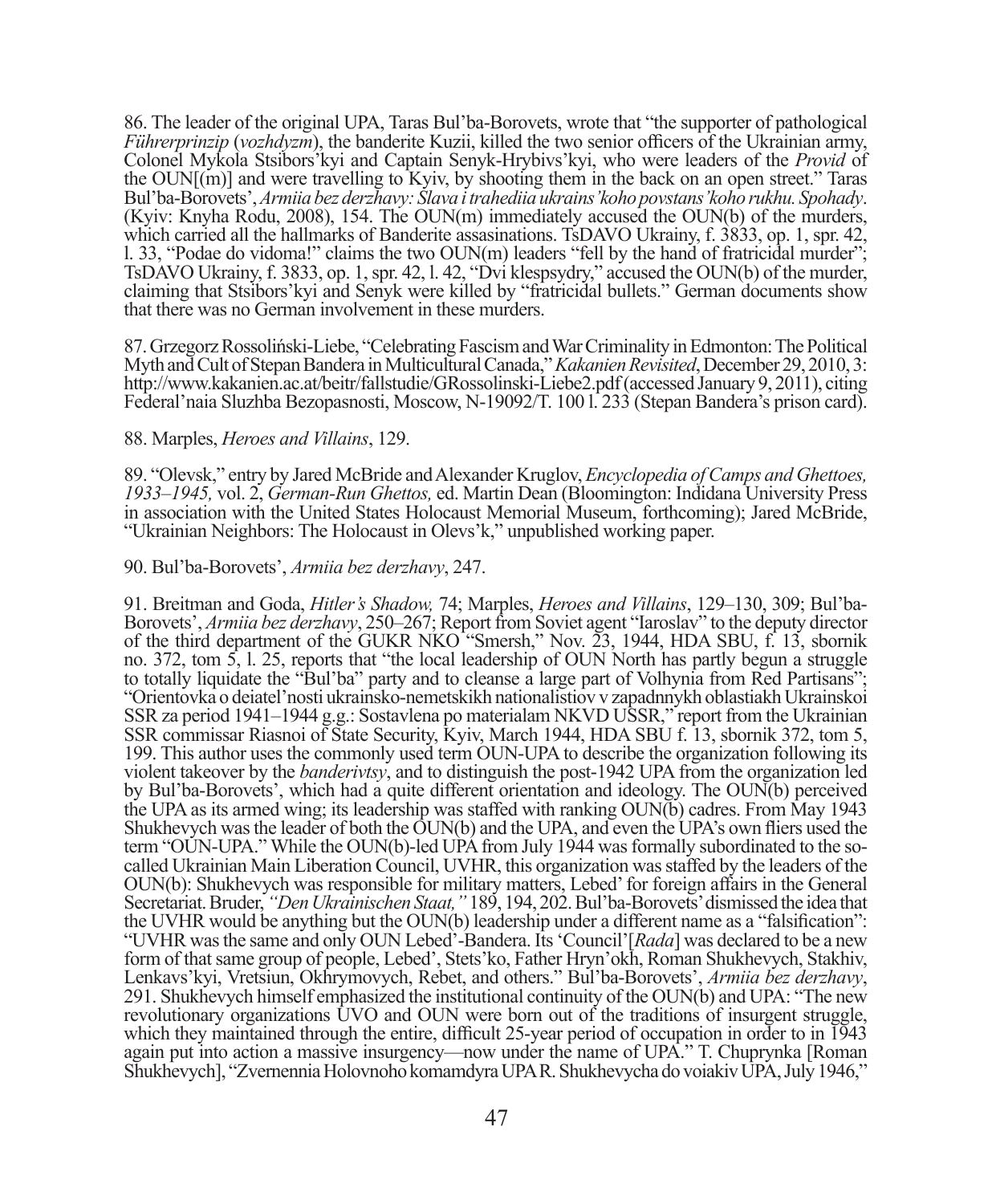86. The leader of the original UPA, Taras Bul'ba-Borovets, wrote that "the supporter of pathological *Führerprinzip* (*vozhdyzm*), the banderite Kuzii, killed the two senior officers of the Ukrainian army, Colonel Mykola Stsibors'kyi and Captain Senyk-Hrybivs'kyi, who were leaders of the *Provid* of the  $\text{OUN}[(m)]$  and were travelling to Kyiv, by shooting them in the back on an open street." Taras Bul'ba-Borovets', *Armiia bez derzhavy: Slava i trahediia ukrains'koho povstans'koho rukhu. Spohady*. (Kyiv: Knyha Rodu, 2008), 154. The OUN(m) immediately accused the OUN(b) of the murders, which carried all the hallmarks of Banderite assasinations. TsDAVO Ukrainy, f. 3833, op. 1, spr. 42, l. 33, "Podae do vidoma!" claims the two OUN(m) leaders "fell by the hand of fratricidal murder"; TsDAVO Ukrainy, f. 3833, op. 1, spr. 42, l. 42, "Dvi klespsydry," accused the OUN(b) of the murder, claiming that Stsibors'kyi and Senyk were killed by "fratricidal bullets." German documents show that there was no German involvement in these murders.

87. Grzegorz Rossoliński-Liebe, "Celebrating Fascism and War Criminality in Edmonton: The Political Myth and Cult of Stepan Bandera in Multicultural Canada," *Kakanien Revisited*, December 29, 2010, 3: http://www.kakanien.ac.at/beitr/fallstudie/GRossolinski-Liebe2.pdf (accessed January 9, 2011), citing Federal'naia Sluzhba Bezopasnosti, Moscow, N-19092/T. 100 l. 233 (Stepan Bandera's prison card).

## 88. Marples, *Heroes and Villains*, 129.

89. "Olevsk," entry by Jared McBride and Alexander Kruglov, *Encyclopedia of Camps and Ghettoes, 1933–1945,* vol. 2, *German-Run Ghettos,* ed. Martin Dean (Bloomington: Indidana University Press in association with the United States Holocaust Memorial Museum, forthcoming); Jared McBride, "Ukrainian Neighbors: The Holocaust in Olevs'k," unpublished working paper.

## 90. Bul'ba-Borovets', *Armiia bez derzhavy*, 247.

91. Breitman and Goda, *Hitler's Shadow,* 74; Marples, *Heroes and Villains*, 129–130, 309; Bul'ba-Borovets', *Armiia bez derzhavy*, 250–267; Report from Soviet agent "Iaroslav" to the deputy director of the third department of the GUKR NKO "Smersh," Nov. 23, 1944, HDA SBU, f. 13, sbornik no. 372, tom 5, l. 25, reports that "the local leadership of OUN North has partly begun a struggle to totally liquidate the "Bul'ba" party and to cleanse a large part of Volhynia from Red Partisans"; "Orientovka o deiatel'nosti ukrainsko-nemetskikh nationalistiov v zapadnnykh oblastiakh Ukrainskoi SSR za period 1941–1944 g.g.: Sostavlena po materialam NKVD USSR," report from the Ukrainian SSR commissar Riasnoi of State Security, Kyiv, March 1944, HDA SBU f. 13, sbornik 372, tom 5, 199. This author uses the commonly used term OUN-UPA to describe the organization following its violent takeover by the *banderivtsy*, and to distinguish the post-1942 UPA from the organization led by Bul'ba-Borovets', which had a quite different orientation and ideology. The OUN(b) perceived the UPA as its armed wing; its leadership was staffed with ranking OUN(b) cadres. From May 1943 Shukhevych was the leader of both the OUN(b) and the UPA, and even the UPA's own fliers used the term "OUN-UPA." While the OUN(b)-led UPA from July 1944 was formally subordinated to the socalled Ukrainian Main Liberation Council, UVHR, this organization was staffed by the leaders of the OUN(b): Shukhevych was responsible for military matters, Lebed' for foreign affairs in the General Secretariat. Bruder, *"Den Ukrainischen Staat,"* 189, 194, 202. Bul'ba-Borovets' dismissed the idea that the UVHR would be anything but the OUN(b) leadership under a different name as a "falsification": "UVHR was the same and only OUN Lebed'-Bandera. Its 'Council'[*Rada*] was declared to be a new form of that same group of people, Lebed', Stets'ko, Father Hryn'okh, Roman Shukhevych, Stakhiv, Lenkavs'kyi, Vretsiun, Okhrymovych, Rebet, and others." Bul'ba-Borovets', *Armiia bez derzhavy*, 291. Shukhevych himself emphasized the institutional continuity of the OUN(b) and UPA: "The new revolutionary organizations UVO and OUN were born out of the traditions of insurgent struggle, which they maintained through the entire, difficult 25-year period of occupation in order to in  $\overline{1943}$ again put into action a massive insurgency—now under the name of UPA." T. Chuprynka [Roman Shukhevych], "Zvernennia Holovnoho komamdyra UPA R. Shukhevycha do voiakiv UPA, July 1946,"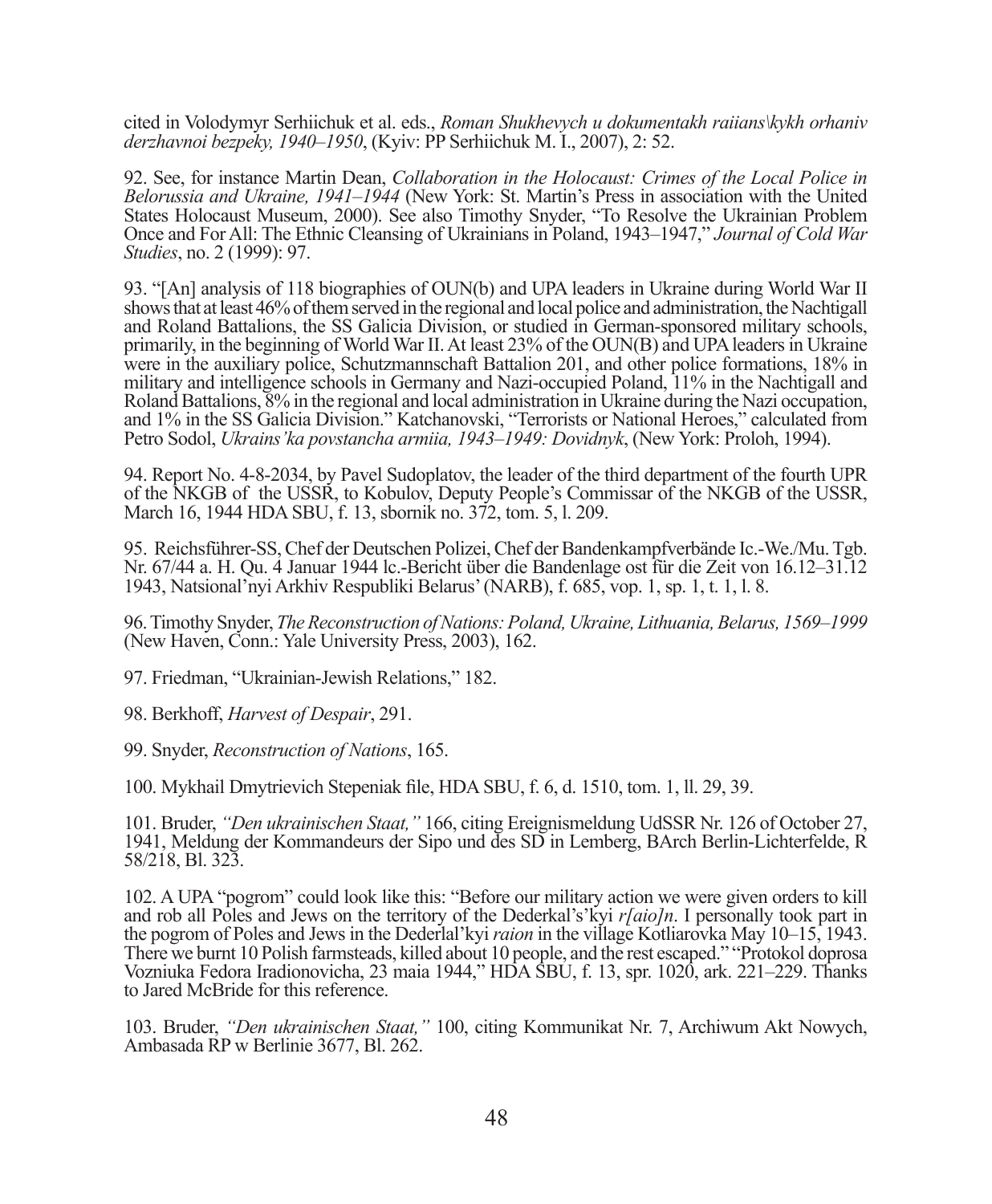cited in Volodymyr Serhiichuk et al. eds., *Roman Shukhevych u dokumentakh raiians\kykh orhaniv derzhavnoi bezpeky, 1940–1950*, (Kyiv: PP Serhiichuk M. I., 2007), 2: 52.

92. See, for instance Martin Dean, *Collaboration in the Holocaust: Crimes of the Local Police in Belorussia and Ukraine, 1941–1944* (New York: St. Martin's Press in association with the United States Holocaust Museum, 2000). See also Timothy Snyder, "To Resolve the Ukrainian Problem Once and For All: The Ethnic Cleansing of Ukrainians in Poland, 1943–1947," *Journal of Cold War Studies*, no. 2 (1999): 97.

93. "[An] analysis of 118 biographies of OUN(b) and UPA leaders in Ukraine during World War II shows that at least 46% of them served in the regional and local police and administration, the Nachtigall and Roland Battalions, the SS Galicia Division, or studied in German-sponsored military schools, primarily, in the beginning of World War II. At least 23% of the OUN(B) and UPA leaders in Ukraine were in the auxiliary police, Schutzmannschaft Battalion 201, and other police formations, 18% in military and intelligence schools in Germany and Nazi-occupied Poland, 11% in the Nachtigall and Roland Battalions, 8% in the regional and local administration in Ukraine during the Nazi occupation, and 1% in the SS Galicia Division." Katchanovski, "Terrorists or National Heroes," calculated from Petro Sodol, *Ukrains'ka povstancha armiia, 1943–1949: Dovidnyk*, (New York: Proloh, 1994).

94. Report No. 4-8-2034, by Pavel Sudoplatov, the leader of the third department of the fourth UPR of the NKGB of the USSR, to Kobulov, Deputy People's Commissar of the NKGB of the USSR, March 16, 1944 HDA SBU, f. 13, sbornik no. 372, tom. 5, l. 209.

95. Reichsführer-SS, Chef der Deutschen Polizei, Chef der Bandenkampfverbände Ic.-We./Mu. Tgb. Nr. 67/44 a. H. Qu. 4 Januar 1944 lc.-Bericht über die Bandenlage ost für die Zeit von 16.12–31.12 1943, Natsional'nyi Arkhiv Respubliki Belarus' (NARB), f. 685, vop. 1, sp. 1, t. 1, l. 8.

96. Timothy Snyder, *The Reconstruction of Nations: Poland, Ukraine, Lithuania, Belarus, 1569–1999* (New Haven, Conn.: Yale University Press, 2003), 162.

97. Friedman, "Ukrainian-Jewish Relations," 182.

98. Berkhoff, *Harvest of Despair*, 291.

99. Snyder, *Reconstruction of Nations*, 165.

100. Mykhail Dmytrievich Stepeniak file, HDA SBU, f. 6, d. 1510, tom. 1, ll. 29, 39.

101. Bruder, *"Den ukrainischen Staat,"* 166, citing Ereignismeldung UdSSR Nr. 126 of October 27, 1941, Meldung der Kommandeurs der Sipo und des SD in Lemberg, BArch Berlin-Lichterfelde, R 58/218, Bl. 323.

102. A UPA "pogrom" could look like this: "Before our military action we were given orders to kill and rob all Poles and Jews on the territory of the Dederkal's'kyi *r[aio]n*. I personally took part in the pogrom of Poles and Jews in the Dederlal'kyi *raion* in the village Kotliarovka May 10–15, 1943. There we burnt 10 Polish farmsteads, killed about 10 people, and the rest escaped." "Protokol doprosa Vozniuka Fedora Iradionovicha, 23 maia 1944," HDA SBU, f. 13, spr. 1020, ark. 221–229. Thanks to Jared McBride for this reference.

103. Bruder, *"Den ukrainischen Staat,"* 100, citing Kommunikat Nr. 7, Archiwum Akt Nowych, Ambasada RP w Berlinie 3677, Bl. 262.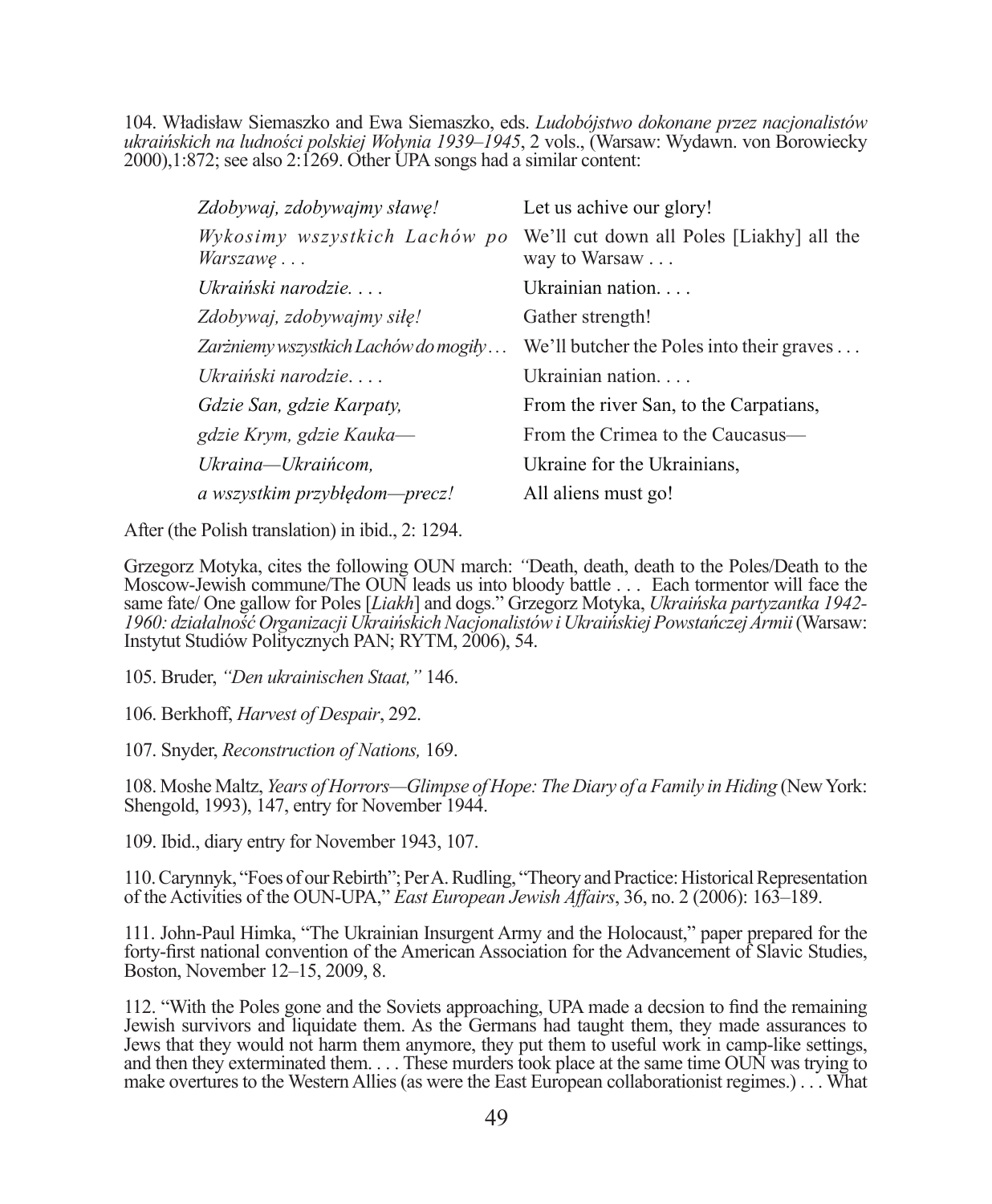104. Władisław Siemaszko and Ewa Siemaszko, eds. *Ludobójstwo dokonane przez nacjonalistów ukraińskich na ludności polskiej Wołynia 1939–1945*, 2 vols., (Warsaw: Wydawn. von Borowiecky  $2000$ , 1:872; see also 2:1269. Other UPA songs had a similar content:

| Zdobywaj, zdobywajmy sławę!                      | Let us achive our glory!                                   |
|--------------------------------------------------|------------------------------------------------------------|
| Wykosimy wszystkich Lachów po<br><i>Warszawe</i> | We'll cut down all Poles [Liakhy] all the<br>way to Warsaw |
| Ukraiński narodzie                               | Ukrainian nation                                           |
| Zdobywaj, zdobywajmy siłę!                       | Gather strength!                                           |
| Zarżniemy wszystkich Lachów do mogiły            | We'll butcher the Poles into their graves $\dots$          |
| Ukraiński narodzie                               | Ukrainian nation                                           |
| Gdzie San, gdzie Karpaty,                        | From the river San, to the Carpatians,                     |
| gdzie Krym, gdzie Kauka-                         | From the Crimea to the Caucasus—                           |
| Ukraina—Ukraińcom.                               | Ukraine for the Ukrainians,                                |
| a wszystkim przybłędom-precz!                    | All aliens must go!                                        |
|                                                  |                                                            |

After (the Polish translation) in ibid., 2: 1294.

Grzegorz Motyka, cites the following OUN march: *"*Death, death, death to the Poles/Death to the Moscow-Jewish commune/The OUN leads us into bloody battle . . . Each tormentor will face the same fate/ One gallow for Poles [*Liakh*] and dogs." Grzegorz Motyka, *Ukraińska partyzantka 1942- 1960: działalność Organizacji Ukraińskich Nacjonalistów i Ukraińskiej Powstańczej Armii* (Warsaw: Instytut Studiów Politycznych PAN; RYTM, 2006), 54.

105. Bruder, *"Den ukrainischen Staat,"* 146.

106. Berkhoff, *Harvest of Despair*, 292.

107. Snyder, *Reconstruction of Nations,* 169.

108. Moshe Maltz, *Years of Horrors—Glimpse of Hope: The Diary of a Family in Hiding* (New York: Shengold, 1993), 147, entry for November 1944.

109. Ibid., diary entry for November 1943, 107.

110. Carynnyk, "Foes of our Rebirth"; Per A. Rudling, "Theory and Practice: Historical Representation of the Activities of the OUN-UPA," *East European Jewish Affairs*, 36, no. 2 (2006): 163–189.

111. John-Paul Himka, "The Ukrainian Insurgent Army and the Holocaust," paper prepared for the forty-first national convention of the American Association for the Advancement of Slavic Studies, Boston, November 12–15, 2009, 8.

112. "With the Poles gone and the Soviets approaching, UPA made a decsion to find the remaining Jewish survivors and liquidate them. As the Germans had taught them, they made assurances to Jews that they would not harm them anymore, they put them to useful work in camp-like settings, and then they exterminated them. . . . These murders took place at the same time OUN was trying to make overtures to the Western Allies (as were the East European collaborationist regimes.) . . . What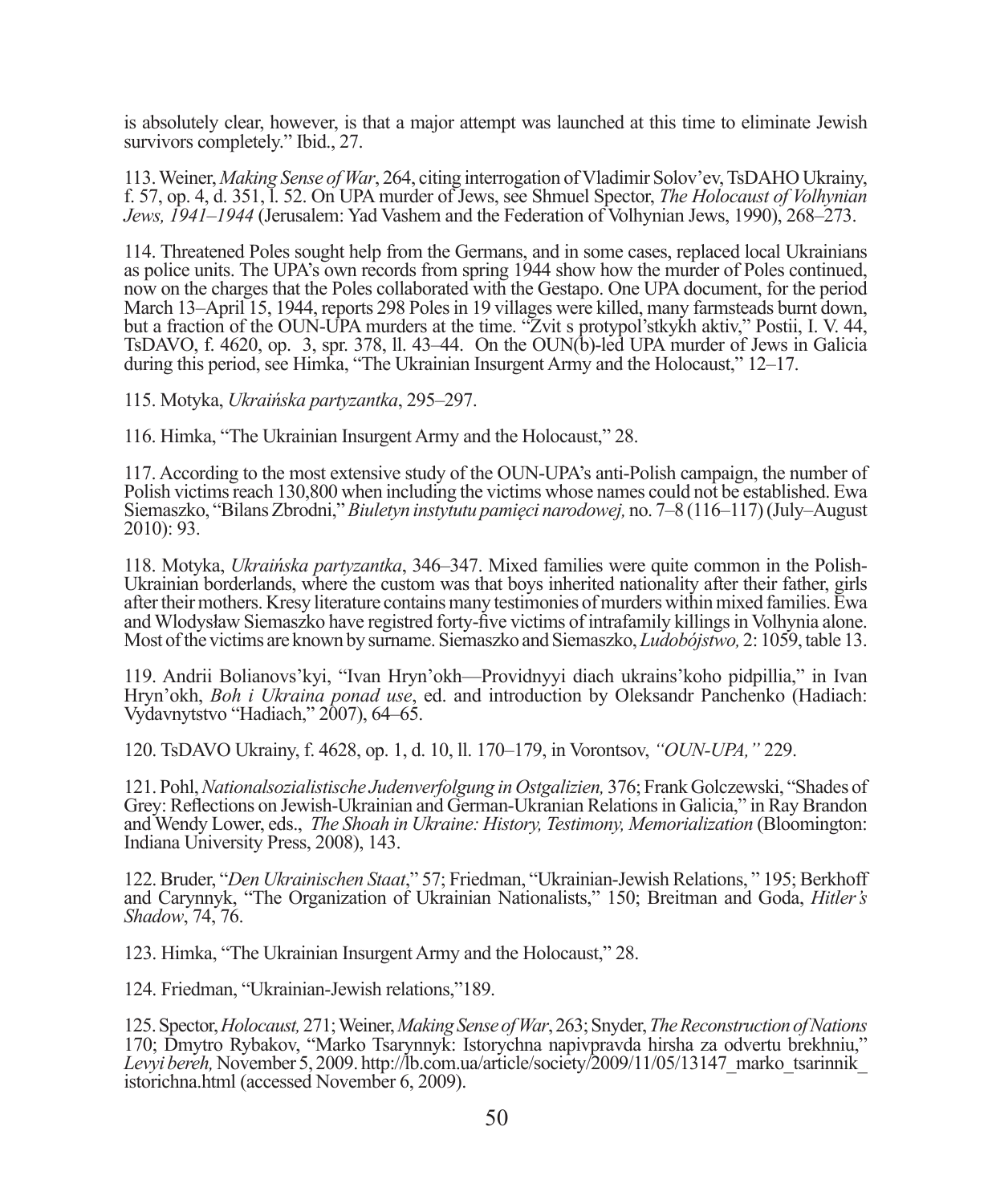is absolutely clear, however, is that a major attempt was launched at this time to eliminate Jewish survivors completely." Ibid., 27.

113. Weiner, *Making Sense of War*, 264, citing interrogation of Vladimir Solov'ev, TsDAHO Ukrainy, f. 57, op. 4, d. 351, l. 52. On UPA murder of Jews, see Shmuel Spector, *The Holocaust of Volhynian Jews, 1941–1944* (Jerusalem: Yad Vashem and the Federation of Volhynian Jews, 1990), 268–273.

114. Threatened Poles sought help from the Germans, and in some cases, replaced local Ukrainians as police units. The UPA's own records from spring 1944 show how the murder of Poles continued, now on the charges that the Poles collaborated with the Gestapo. One UPA document, for the period March 13–April 15, 1944, reports 298 Poles in 19 villages were killed, many farmsteads burnt down, but a fraction of the OUN-UPA murders at the time. "Zvit s protypol'stkykh aktiv," Postii, I. V. 44, TsDAVO, f. 4620, op. 3, spr. 378, ll. 43–44. On the OUN(b)-led UPA murder of Jews in Galicia during this period, see Himka, "The Ukrainian Insurgent Army and the Holocaust," 12–17.

115. Motyka, *Ukraińska partyzantka*, 295–297.

116. Himka, "The Ukrainian Insurgent Army and the Holocaust," 28.

117. According to the most extensive study of the OUN-UPA's anti-Polish campaign, the number of Polish victims reach 130,800 when including the victims whose names could not be established. Ewa Siemaszko, "Bilans Zbrodni," *Biuletyn instytutu pamięci narodowej,* no. 7–8 (116–117) (July–August 2010): 93.

118. Motyka, *Ukraińska partyzantka*, 346–347. Mixed families were quite common in the Polish-Ukrainian borderlands, where the custom was that boys inherited nationality after their father, girls after their mothers. Kresy literature contains many testimonies of murders within mixed families. Ewa and Wlodysław Siemaszko have registred forty-five victims of intrafamily killings in Volhynia alone. Most of the victims are known by surname. Siemaszko and Siemaszko, *Ludobójstwo,* 2: 1059, table 13.

119. Andrii Bolianovs'kyi, "Ivan Hryn'okh—Providnyyi diach ukrains'koho pidpillia," in Ivan Hryn'okh, *Boh i Ukraina ponad use*, ed. and introduction by Oleksandr Panchenko (Hadiach: Vydavnytstvo "Hadiach," 2007), 64–65.

120. TsDAVO Ukrainy, f. 4628, op. 1, d. 10, ll. 170–179, in Vorontsov, *"OUN-UPA,"* 229.

121. Pohl, *Nationalsozialistische Judenverfolgung in Ostgalizien,* 376; Frank Golczewski, "Shades of Grey: Reflections on Jewish-Ukrainian and German-Ukranian Relations in Galicia," in Ray Brandon and Wendy Lower, eds., *The Shoah in Ukraine: History, Testimony, Memorialization* (Bloomington: Indiana University Press, 2008), 143.

122. Bruder, "*Den Ukrainischen Staat*," 57; Friedman, "Ukrainian-Jewish Relations, " 195; Berkhoff and Carynnyk, "The Organization of Ukrainian Nationalists," 150; Breitman and Goda, *Hitler's Shadow*, 74, 76.

123. Himka, "The Ukrainian Insurgent Army and the Holocaust," 28.

124. Friedman, "Ukrainian-Jewish relations,"189.

125. Spector, *Holocaust,* 271; Weiner, *Making Sense of War*, 263; Snyder, *The Reconstruction of Nations*  170; Dmytro Rybakov, "Marko Tsarynnyk: Istorychna napivpravda hirsha za odvertu brekhniu," *Levyi bereh,* November 5, 2009. http://lb.com.ua/article/society/2009/11/05/13147\_marko\_tsarinnik\_ istorichna.html (accessed November 6, 2009).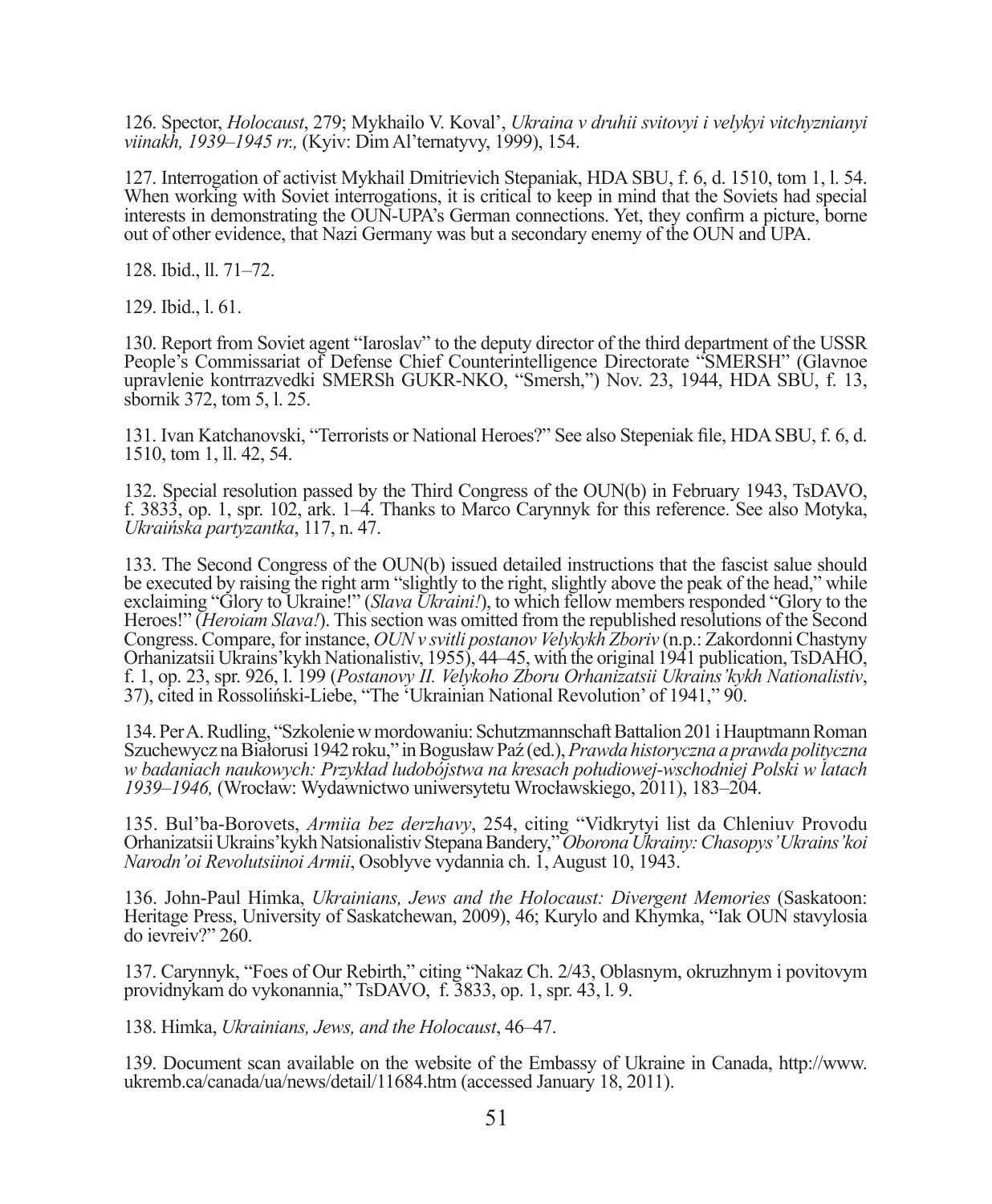126. Spector, *Holocaust*, 279; Mykhailo V. Koval', *Ukraina v druhii svitovyi i velykyi vitchyznianyi viinakh, 1939–1945 rr.,* (Kyiv: Dim Al'ternatyvy, 1999), 154.

127. Interrogation of activist Mykhail Dmitrievich Stepaniak, HDA SBU, f. 6, d. 1510, tom 1, l. 54. When working with Soviet interrogations, it is critical to keep in mind that the Soviets had special interests in demonstrating the OUN-UPA's German connections. Yet, they confirm a picture, borne out of other evidence, that Nazi Germany was but a secondary enemy of the OUN and UPA.

128. Ibid., ll. 71–72.

129. Ibid., l. 61.

130. Report from Soviet agent "Iaroslav" to the deputy director of the third department of the USSR People's Commissariat of Defense Chief Counterintelligence Directorate "SMERSH" (Glavnoe upravlenie kontrrazvedki SMERSh GUKR-NKO, "Smersh,") Nov. 23, 1944, HDA SBU, f. 13, sbornik 372, tom 5, l. 25.

131. Ivan Katchanovski, "Terrorists or National Heroes?" See also Stepeniak fi le, HDA SBU, f. 6, d. 1510, tom 1, ll. 42, 54.

132. Special resolution passed by the Third Congress of the OUN(b) in February 1943, TsDAVO, f. 3833, op. 1, spr. 102, ark. 1–4. Thanks to Marco Carynnyk for this reference. See also Motyka, *Ukraińska partyzantka*, 117, n. 47.

133. The Second Congress of the OUN(b) issued detailed instructions that the fascist salue should be executed by raising the right arm "slightly to the right, slightly above the peak of the head," while exclaiming "Glory to Ukraine!" (*Slava Ukraini!*), to which fellow members responded "Glory to the Heroes!" (*Heroiam Slava!*). This section was omitted from the republished resolutions of the Second Congress. Compare, for instance, *OUN v svitli postanov Velykykh Zboriv* (n.p.: Zakordonni Chastyny Orhanizatsii Ukrains'kykh Nationalistiv, 1955), 44–45, with the original 1941 publication, TsDAHO, f. 1, op. 23, spr. 926, l. 199 (*Postanovy II. Velykoho Zboru Orhanizatsii Ukrains'kykh Nationalistiv*, 37), cited in Rossoliński-Liebe, "The 'Ukrainian National Revolution' of 1941," 90.

134. Per A. Rudling, "Szkolenie w mordowaniu: Schutzmannschaft Battalion 201 i Hauptmann Roman Szuchewycz na Białorusi 1942 roku," in Bogusław Paź (ed.), *Prawda historyczna a prawda polityczna w badaniach naukowych: Przykład ludobójstwa na kresach połudiowej-wschodniej Polski w latach 1939–1946,* (Wrocław: Wydawnictwo uniwersytetu Wrocławskiego, 2011), 183–204.

135. Bul'ba-Borovets, *Armiia bez derzhavy*, 254, citing "Vidkrytyi list da Chleniuv Provodu Orhanizatsii Ukrains'kykh Natsionalistiv Stepana Bandery," *Oborona Ukrainy: Chasopys' Ukrains'koi Narodn'oi Revolutsiinoi Armii*, Osoblyve vydannia ch. 1, August 10, 1943.

136. John-Paul Himka, *Ukrainians, Jews and the Holocaust: Divergent Memories* (Saskatoon: Heritage Press, University of Saskatchewan, 2009), 46; Kurylo and Khymka, "Iak OUN stavylosia do ievreiv?" 260.

137. Carynnyk, "Foes of Our Rebirth," citing "Nakaz Ch. 2/43, Oblasnym, okruzhnym i povitovym providnykam do vykonannia," TsDAVO, f. 3833, op. 1, spr. 43, l. 9.

138. Himka, *Ukrainians, Jews, and the Holocaust*, 46–47.

139. Document scan available on the website of the Embassy of Ukraine in Canada, http://www. ukremb.ca/canada/ua/news/detail/11684.htm (accessed January 18, 2011).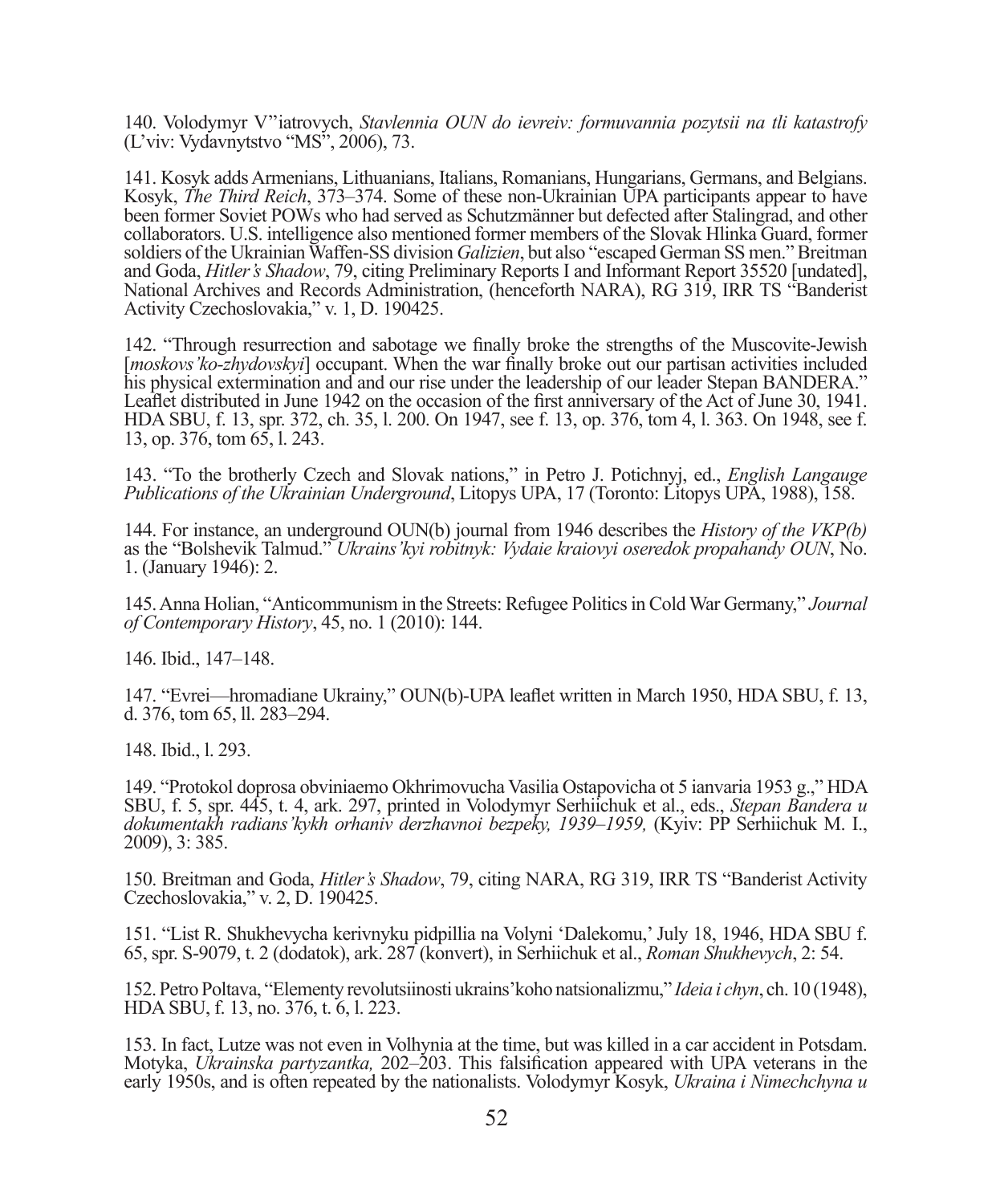140. Volodymyr V''iatrovych, *Stavlennia OUN do ievreiv: formuvannia pozytsii na tli katastrofy* (L'viv: Vydavnytstvo "MS", 2006), 73.

141. Kosyk adds Armenians, Lithuanians, Italians, Romanians, Hungarians, Germans, and Belgians. Kosyk, *The Third Reich*, 373–374. Some of these non-Ukrainian UPA participants appear to have been former Soviet POWs who had served as Schutzmänner but defected after Stalingrad, and other collaborators. U.S. intelligence also mentioned former members of the Slovak Hlinka Guard, former soldiers of the Ukrainian Waffen-SS division *Galizien*, but also "escaped German SS men." Breitman and Goda, *Hitler's Shadow*, 79, citing Preliminary Reports I and Informant Report 35520 [undated], National Archives and Records Administration, (henceforth NARA), RG 319, IRR TS "Banderist Activity Czechoslovakia," v. 1, D. 190425.

142. "Through resurrection and sabotage we finally broke the strengths of the Muscovite-Jewish [*moskovs'ko-zhydovskyi*] occupant. When the war finally broke out our partisan activities included his physical extermination and and our rise under the leadership of our leader Stepan BANDERA." Leaflet distributed in June 1942 on the occasion of the first anniversary of the Act of June 30, 1941. HDA SBU, f. 13, spr. 372, ch. 35, l. 200. On 1947, see f. 13, op. 376, tom 4, l. 363. On 1948, see f. 13, op. 376, tom 65, l. 243.

143. "To the brotherly Czech and Slovak nations," in Petro J. Potichnyj, ed., *English Langauge Publications of the Ukrainian Underground*, Litopys UPA, 17 (Toronto: Litopys UPA, 1988), 158.

144. For instance, an underground OUN(b) journal from 1946 describes the *History of the VKP(b)* as the "Bolshevik Talmud." *Ukrains'kyi robitnyk: Vydaie kraiovyi oseredok propahandy OUN*, No. 1. (January 1946): 2.

145. Anna Holian, "Anticommunism in the Streets: Refugee Politics in Cold War Germany," *Journal of Contemporary History*, 45, no. 1 (2010): 144.

146. Ibid., 147–148.

147. "Evrei—hromadiane Ukrainy," OUN(b)-UPA leaflet written in March 1950, HDA SBU, f. 13, d. 376, tom 65, ll. 283–294.

148. Ibid., l. 293.

149. "Protokol doprosa obviniaemo Okhrimovucha Vasilia Ostapovicha ot 5 ianvaria 1953 g.," HDA SBU, f. 5, spr. 445, t. 4, ark. 297, printed in Volodymyr Serhiichuk et al., eds., *Stepan Bandera u dokumentakh radians'kykh orhaniv derzhavnoi bezpeky, 1939–1959,* (Kyiv: PP Serhiichuk M. I., 2009), 3: 385.

150. Breitman and Goda, *Hitler's Shadow*, 79, citing NARA, RG 319, IRR TS "Banderist Activity Czechoslovakia," v. 2, D. 190425.

151. "List R. Shukhevycha kerivnyku pidpillia na Volyni 'Dalekomu,' July 18, 1946, HDA SBU f. 65, spr. S-9079, t. 2 (dodatok), ark. 287 (konvert), in Serhiichuk et al., *Roman Shukhevych*, 2: 54.

152. Petro Poltava, "Elementy revolutsiinosti ukrains'koho natsionalizmu," *Ideia i chyn*, ch. 10 (1948), HDA SBU, f. 13, no. 376, t. 6, l. 223.

153. In fact, Lutze was not even in Volhynia at the time, but was killed in a car accident in Potsdam. Motyka, *Ukrainska partyzantka*, 202–203. This falsification appeared with UPA veterans in the early 1950s, and is often repeated by the nationalists. Volodymyr Kosyk, *Ukraina i Nimechchyna u*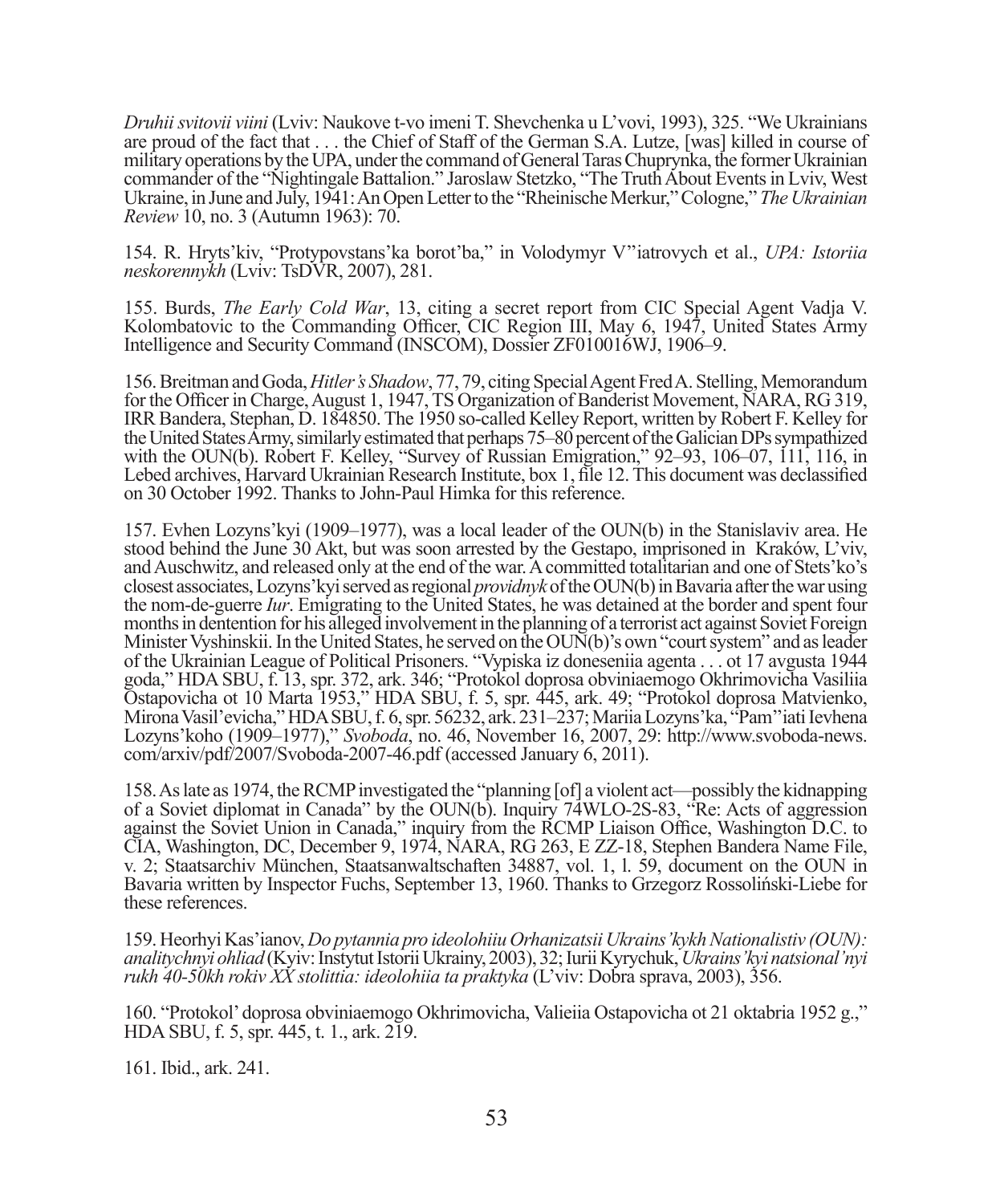*Druhii svitovii viini* (Lviv: Naukove t-vo imeni T. Shevchenka u L'vovi, 1993), 325. "We Ukrainians are proud of the fact that . . . the Chief of Staff of the German S.A. Lutze, [was] killed in course of military operations by the UPA, under the command of General Taras Chuprynka, the former Ukrainian commander of the "Nightingale Battalion." Jaroslaw Stetzko, "The Truth About Events in Lviv, West Ukraine, in June and July, 1941: An Open Letter to the "Rheinische Merkur," Cologne," *The Ukrainian Review* 10, no. 3 (Autumn 1963): 70.

154. R. Hryts'kiv, "Protypovstans'ka borot'ba," in Volodymyr V''iatrovych et al., *UPA: Istoriia neskorennykh* (Lviv: TsDVR, 2007), 281.

155. Burds, *The Early Cold War*, 13, citing a secret report from CIC Special Agent Vadja V. Kolombatovic to the Commanding Officer, CIC Region III, May 6, 1947, United States Army Intelligence and Security Command (INSCOM), Dossier ZF010016WJ, 1906–9.

156. Breitman and Goda, *Hitler's Shadow*, 77, 79, citing Special Agent Fred A. Stelling, Memorandum for the Officer in Charge, August 1, 1947, TS Organization of Banderist Movement, NARA, RG 319, IRR Bandera, Stephan, D. 184850. The 1950 so-called Kelley Report, written by Robert F. Kelley for the United States Army, similarly estimated that perhaps 75–80 percent of the Galician DPs sympathized with the OUN(b). Robert F. Kelley, "Survey of Russian Emigration," 92–93, 106–07, 111, 116, in Lebed archives, Harvard Ukrainian Research Institute, box 1, file 12. This document was declassified on 30 October 1992. Thanks to John-Paul Himka for this reference.

157. Evhen Lozyns'kyi (1909–1977), was a local leader of the OUN(b) in the Stanislaviv area. He stood behind the June 30 Akt, but was soon arrested by the Gestapo, imprisoned in Kraków, L'viv, and Auschwitz, and released only at the end of the war. A committed totalitarian and one of Stets'ko's closest associates, Lozyns'kyi served as regional *providnyk* of the OUN(b) in Bavaria after the war using the nom-de-guerre *Iur*. Emigrating to the United States, he was detained at the border and spent four months in dentention for his alleged involvement in the planning of a terrorist act against Soviet Foreign Minister Vyshinskii. In the United States, he served on the OUN(b)'s own "court system" and as leader of the Ukrainian League of Political Prisoners. "Vypiska iz doneseniia agenta . . . ot 17 avgusta 1944 goda," HDA SBU, f. 13, spr. 372, ark. 346; "Protokol doprosa obviniaemogo Okhrimovicha Vasiliia Ostapovicha ot 10 Marta 1953," HDA SBU, f. 5, spr. 445, ark. 49; "Protokol doprosa Matvienko, Mirona Vasil'evicha," HDA SBU, f. 6, spr. 56232, ark. 231–237; Mariia Lozyns'ka, "Pam''iati Ievhena Lozyns'koho (1909–1977)," *Svoboda*, no. 46, November 16, 2007, 29: http://www.svoboda-news. com/arxiv/pdf/2007/Svoboda-2007-46.pdf (accessed January 6, 2011).

158. As late as 1974, the RCMP investigated the "planning [of] a violent act—possibly the kidnapping of a Soviet diplomat in Canada" by the OUN(b). Inquiry 74WLO-2S-83, "Re: Acts of aggression against the Soviet Union in Canada," inquiry from the RCMP Liaison Office, Washington D.C. to CIA, Washington, DC, December 9, 1974, NARA, RG 263, E ZZ-18, Stephen Bandera Name File, v. 2; Staatsarchiv München, Staatsanwaltschaften 34887, vol. 1, l. 59, document on the OUN in Bavaria written by Inspector Fuchs, September 13, 1960. Thanks to Grzegorz Rossoliński-Liebe for these references.

159. Heorhyi Kas'ianov, *Do pytannia pro ideolohiiu Orhanizatsii Ukrains'kykh Nationalistiv (OUN): analitychnyi ohliad* (Kyiv: Instytut Istorii Ukrainy, 2003), 32; Iurii Kyrychuk, *Ukrains'kyi natsional'nyi rukh 40-50kh rokiv XX stolittia: ideolohiia ta praktyka* (L'viv: Dobra sprava, 2003), 356.

160. "Protokol' doprosa obviniaemogo Okhrimovicha, Valieiia Ostapovicha ot 21 oktabria 1952 g.," HDA SBU, f. 5, spr. 445, t. 1., ark. 219.

161. Ibid., ark. 241.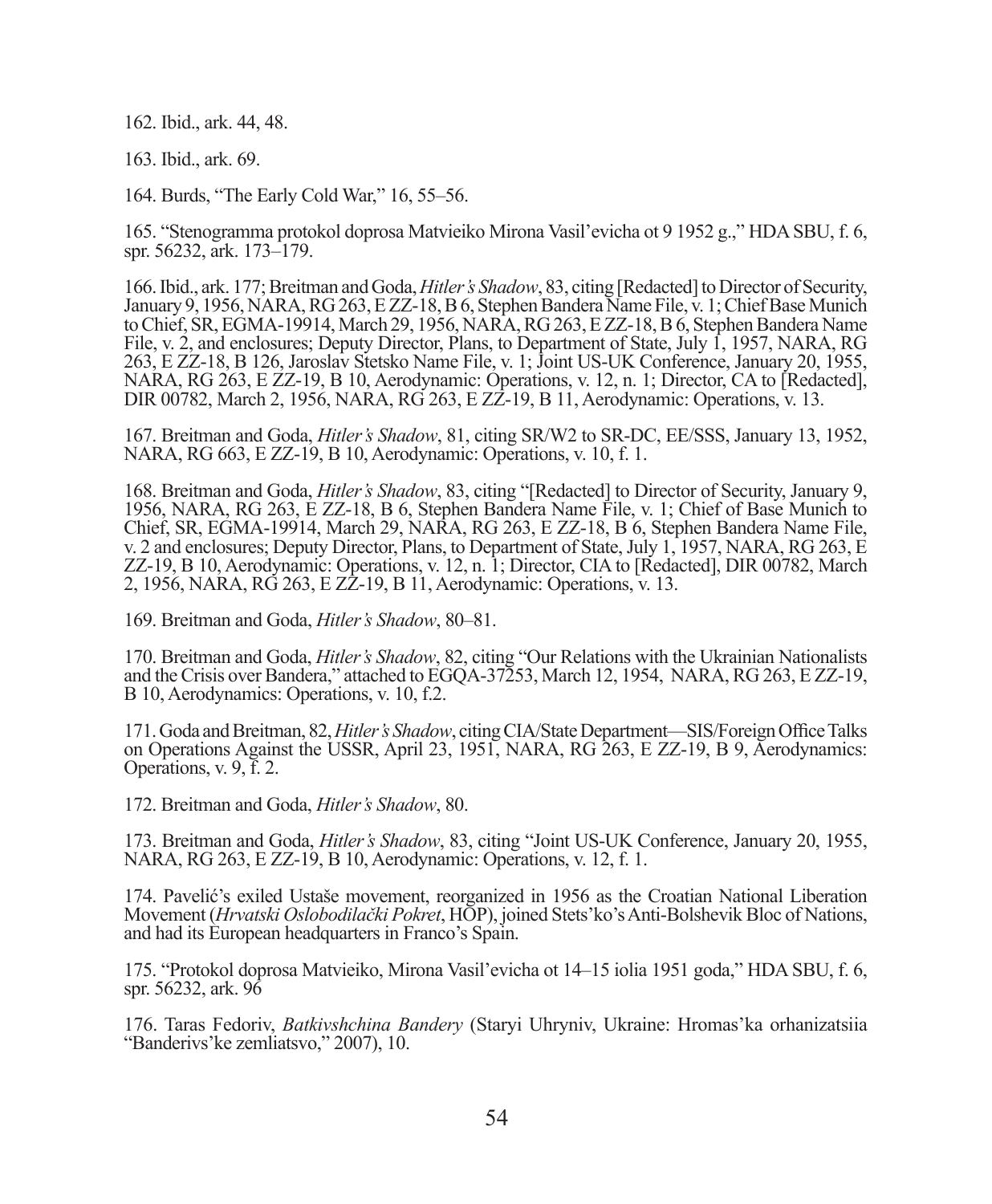162. Ibid., ark. 44, 48.

163. Ibid., ark. 69.

164. Burds, "The Early Cold War," 16, 55–56.

165. "Stenogramma protokol doprosa Matvieiko Mirona Vasil'evicha ot 9 1952 g.," HDA SBU, f. 6, spr. 56232, ark. 173–179.

166. Ibid., ark. 177; Breitman and Goda, *Hitler's Shadow*, 83, citing [Redacted] to Director of Security, January 9, 1956, NARA, RG 263, E ZZ-18, B 6, Stephen Bandera Name File, v. 1; Chief Base Munich to Chief, SR, EGMA-19914, March 29, 1956, NARA, RG 263, E ZZ-18, B 6, Stephen Bandera Name File, v. 2, and enclosures; Deputy Director, Plans, to Department of State, July 1, 1957, NARA, RG 263, E ZZ-18, B 126, Jaroslav Stetsko Name File, v. 1; Joint US-UK Conference, January 20, 1955, NARA, RG 263, E ZZ-19, B 10, Aerodynamic: Operations, v. 12, n. 1; Director, CA to [Redacted], DIR 00782, March 2, 1956, NARA, RG 263, E ZZ-19, B 11, Aerodynamic: Operations, v. 13.

167. Breitman and Goda, *Hitler's Shadow*, 81, citing SR/W2 to SR-DC, EE/SSS, January 13, 1952, NARA, RG 663, E ZZ-19, B 10, Aerodynamic: Operations, v. 10, f. 1.

168. Breitman and Goda, *Hitler's Shadow*, 83, citing "[Redacted] to Director of Security, January 9, 1956, NARA, RG 263, E ZZ-18, B 6, Stephen Bandera Name File, v. 1; Chief of Base Munich to Chief, SR, EGMA-19914, March 29, NARA, RG 263, E ZZ-18, B 6, Stephen Bandera Name File, v. 2 and enclosures; Deputy Director, Plans, to Department of State, July 1, 1957, NARA, RG 263, E ZZ-19, B 10, Aerodynamic: Operations, v. 12, n. 1; Director, CIA to [Redacted], DIR 00782, March 2, 1956, NARA, RG 263, E ZZ-19, B 11, Aerodynamic: Operations, v. 13.

169. Breitman and Goda, *Hitler's Shadow*, 80–81.

170. Breitman and Goda, *Hitler's Shadow*, 82, citing "Our Relations with the Ukrainian Nationalists and the Crisis over Bandera," attached to EGQA-37253, March 12, 1954, NARA, RG 263, E ZZ-19, B 10, Aerodynamics: Operations, v. 10, f.2.

171. Goda and Breitman, 82, *Hitler's Shadow*, citing CIA/State Department—SIS/Foreign Office Talks on Operations Against the USSR, April 23, 1951, NARA, RG 263, E ZZ-19, B 9, Aerodynamics: Operations, v. 9, f. 2.

172. Breitman and Goda, *Hitler's Shadow*, 80.

173. Breitman and Goda, *Hitler's Shadow*, 83, citing "Joint US-UK Conference, January 20, 1955, NARA, RG 263, E ZZ-19, B 10, Aerodynamic: Operations, v. 12, f. 1.

174. Pavelić's exiled Ustaše movement, reorganized in 1956 as the Croatian National Liberation Movement (*Hrvatski Oslobodilački Pokret*, HOP), joined Stets'ko's Anti-Bolshevik Bloc of Nations, and had its European headquarters in Franco's Spain.

175. "Protokol doprosa Matvieiko, Mirona Vasil'evicha ot 14–15 iolia 1951 goda," HDA SBU, f. 6, spr. 56232, ark. 96

176. Taras Fedoriv, *Batkivshchina Bandery* (Staryi Uhryniv, Ukraine: Hromas'ka orhanizatsiia "Banderivs'ke zemliatsvo," 2007), 10.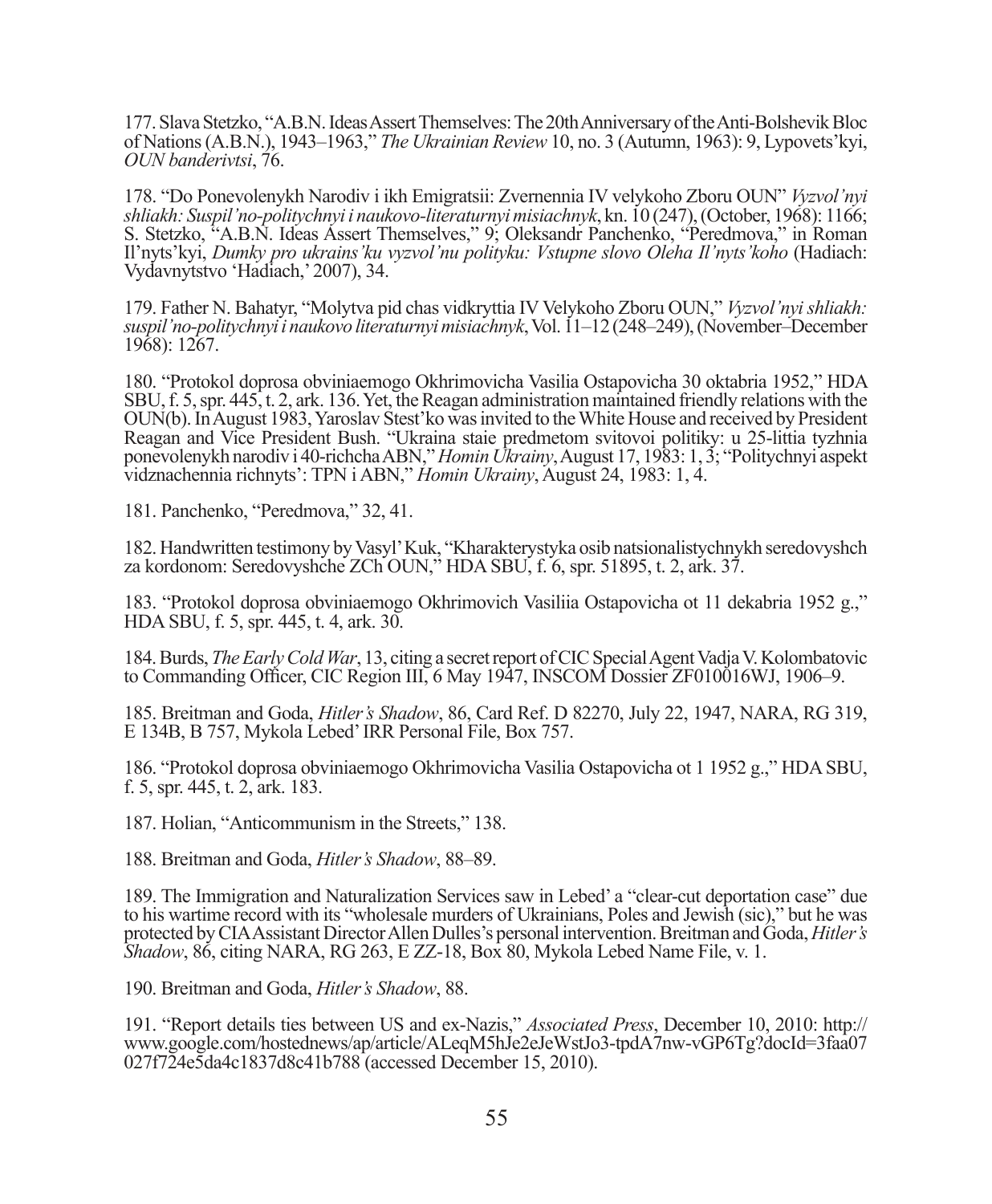177. Slava Stetzko, "A.B.N. Ideas Assert Themselves: The 20th Anniversary of the Anti-Bolshevik Bloc of Nations (A.B.N.), 1943–1963," *The Ukrainian Review* 10, no. 3 (Autumn, 1963): 9, Lypovets'kyi, *OUN banderivtsi*, 76.

178. "Do Ponevolenykh Narodiv i ikh Emigratsii: Zvernennia IV velykoho Zboru OUN" *Vyzvol'nyi shliakh: Suspil'no-politychnyi i naukovo-literaturnyi misiachnyk*, kn. 10 (247), (October, 1968): 1166; S. Stetzko, "A.B.N. Ideas Assert Themselves," 9; Oleksandr Panchenko, "Peredmova," in Roman Il'nyts'kyi, *Dumky pro ukrains'ku vyzvol'nu polityku: Vstupne slovo Oleha Il'nyts'koho* (Hadiach: Vydavnytstvo 'Hadiach,' 2007), 34.

179. Father N. Bahatyr, "Molytva pid chas vidkryttia IV Velykoho Zboru OUN," *Vyzvol'nyi shliakh: suspil'no-politychnyi i naukovo literaturnyi misiachnyk*, Vol. 11–12 (248–249), (November–December 1968): 1267.

180. "Protokol doprosa obviniaemogo Okhrimovicha Vasilia Ostapovicha 30 oktabria 1952," HDA SBU, f. 5, spr. 445, t. 2, ark. 136. Yet, the Reagan administration maintained friendly relations with the OUN(b). In August 1983, Yaroslav Stest'ko was invited to the White House and received by President Reagan and Vice President Bush. "Ukraina staie predmetom svitovoi politiky: u 25-littia tyzhnia ponevolenykh narodiv i 40-richcha ABN," *Homin Ukrainy*, August 17, 1983: 1, 3; "Politychnyi aspekt vidznachennia richnyts': TPN i ABN," *Homin Ukrainy*, August 24, 1983: 1, 4.

181. Panchenko, "Peredmova," 32, 41.

182. Handwritten testimony by Vasyl' Kuk, "Kharakterystyka osib natsionalistychnykh seredovyshch za kordonom: Seredovyshche ZCh OUN," HDA SBU, f. 6, spr. 51895, t. 2, ark. 37.

183. "Protokol doprosa obviniaemogo Okhrimovich Vasiliia Ostapovicha ot 11 dekabria 1952 g.," HDA SBU, f. 5, spr. 445, t. 4, ark. 30.

184. Burds, *The Early Cold War*, 13, citing a secret report of CIC Special Agent Vadja V. Kolombatovic to Commanding Officer, CIC Region III, 6 May 1947, INSCOM Dossier ZF010016WJ, 1906–9.

185. Breitman and Goda, *Hitler's Shadow*, 86, Card Ref. D 82270, July 22, 1947, NARA, RG 319, E 134B, B 757, Mykola Lebed' IRR Personal File, Box 757.

186. "Protokol doprosa obviniaemogo Okhrimovicha Vasilia Ostapovicha ot 1 1952 g.," HDA SBU, f. 5, spr. 445, t. 2, ark. 183.

187. Holian, "Anticommunism in the Streets," 138.

188. Breitman and Goda, *Hitler's Shadow*, 88–89.

189. The Immigration and Naturalization Services saw in Lebed' a "clear-cut deportation case" due to his wartime record with its "wholesale murders of Ukrainians, Poles and Jewish (sic)," but he was protected by CIA Assistant Director Allen Dulles's personal intervention. Breitman and Goda, *Hitler's Shadow*, 86, citing NARA, RG 263, E ZZ-18, Box 80, Mykola Lebed Name File, v. 1.

190. Breitman and Goda, *Hitler's Shadow*, 88.

191. "Report details ties between US and ex-Nazis," *Associated Press*, December 10, 2010: http:// www.google.com/hostednews/ap/article/ALeqM5hJe2eJeWstJo3-tpdA7nw-vGP6Tg?docId=3faa07 027f724e5da4c1837d8c41b788 (accessed December 15, 2010).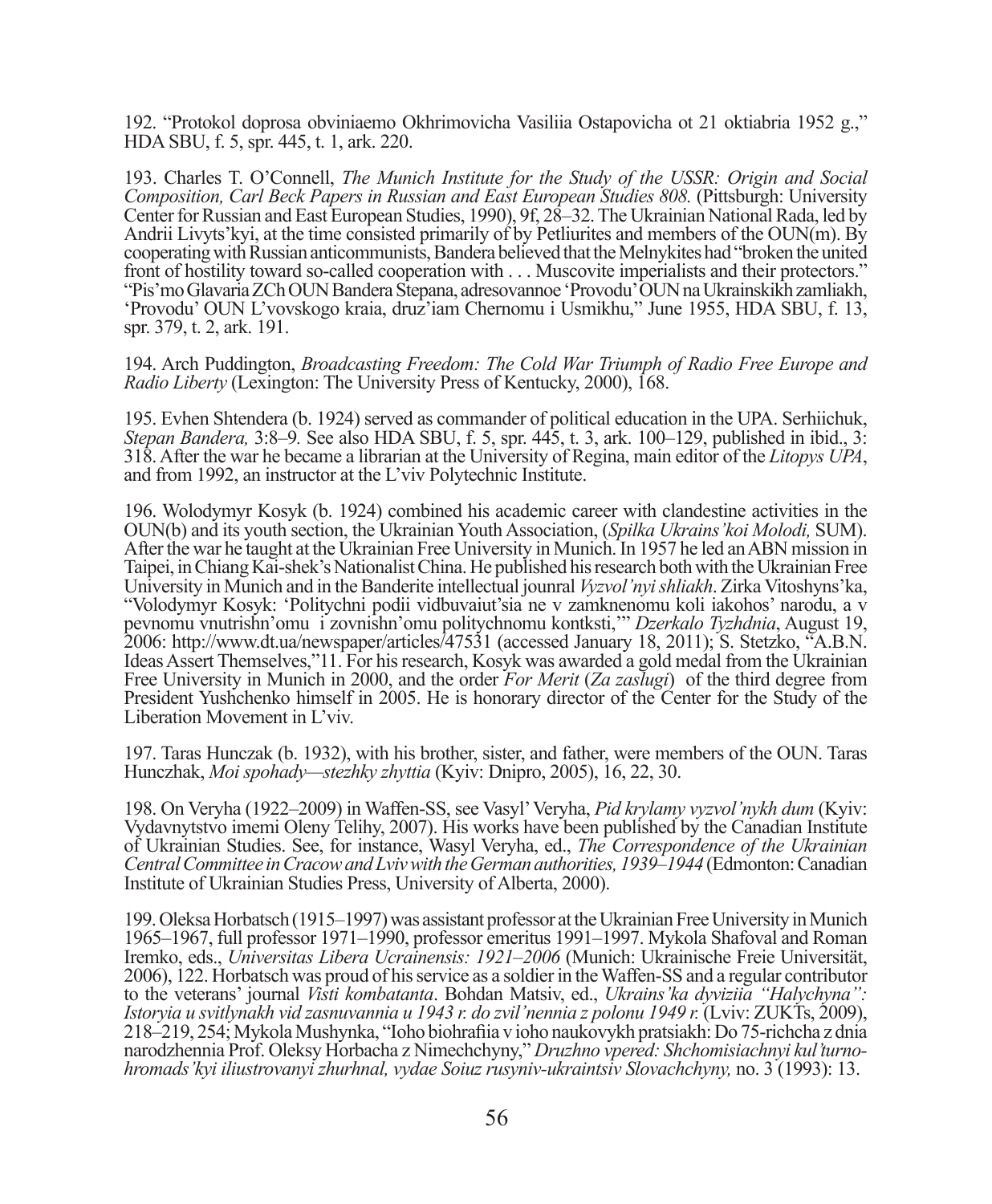192. "Protokol doprosa obviniaemo Okhrimovicha Vasiliia Ostapovicha ot 21 oktiabria 1952 g.," HDA SBU, f. 5, spr. 445, t. 1, ark. 220.

193. Charles T. O'Connell, *The Munich Institute for the Study of the USSR: Origin and Social Composition, Carl Beck Papers in Russian and East European Studies 808.* (Pittsburgh: University Center for Russian and East European Studies, 1990), 9f, 28–32. The Ukrainian National Rada, led by Andrii Livyts'kyi, at the time consisted primarily of by Petliurites and members of the OUN(m). By cooperating with Russian anticommunists, Bandera believed that the Melnykites had "broken the united front of hostility toward so-called cooperation with . . . Muscovite imperialists and their protectors." "Pis'mo Glavaria ZCh OUN Bandera Stepana, adresovannoe 'Provodu' OUN na Ukrainskikh zamliakh, 'Provodu' OUN L'vovskogo kraia, druz'iam Chernomu i Usmikhu," June 1955, HDA SBU, f. 13, spr. 379, t. 2, ark. 191.

194. Arch Puddington, *Broadcasting Freedom: The Cold War Triumph of Radio Free Europe and Radio Liberty* (Lexington: The University Press of Kentucky, 2000), 168.

195. Evhen Shtendera (b. 1924) served as commander of political education in the UPA. Serhiichuk, *Stepan Bandera,* 3:8–9*.* See also HDA SBU, f. 5, spr. 445, t. 3, ark. 100–129, published in ibid., 3: 318. After the war he became a librarian at the University of Regina, main editor of the *Litopys UPA*, and from 1992, an instructor at the L'viv Polytechnic Institute.

196. Wolodymyr Kosyk (b. 1924) combined his academic career with clandestine activities in the OUN(b) and its youth section, the Ukrainian Youth Association, (*Spilka Ukrains'koi Molodi,* SUM). After the war he taught at the Ukrainian Free University in Munich. In 1957 he led an ABN mission in Taipei, in Chiang Kai-shek's Nationalist China. He published his research both with the Ukrainian Free University in Munich and in the Banderite intellectual jounral *Vyzvol'nyi shliakh*. Zirka Vitoshyns'ka, "Volodymyr Kosyk: 'Politychni podii vidbuvaiut'sia ne v zamknenomu koli iakohos' narodu, a v pevnomu vnutrishn'omu i zovnishn'omu politychnomu kontksti,'" *Dzerkalo Tyzhdnia*, August 19, 2006: http://www.dt.ua/newspaper/articles/47531 (accessed January 18, 2011); S. Stetzko, "A.B.N. Ideas Assert Themselves,"11. For his research, Kosyk was awarded a gold medal from the Ukrainian Free University in Munich in 2000, and the order *For Merit* (*Za zaslugi*) of the third degree from President Yushchenko himself in 2005. He is honorary director of the Center for the Study of the Liberation Movement in L'viv.

197. Taras Hunczak (b. 1932), with his brother, sister, and father, were members of the OUN. Taras Hunczhak, *Moi spohady—stezhky zhyttia* (Kyiv: Dnipro, 2005), 16, 22, 30.

198. On Veryha (1922–2009) in Waffen-SS, see Vasyl' Veryha, *Pid krylamy vyzvol'nykh dum* (Kyiv: Vydavnytstvo imemi Oleny Telihy, 2007). His works have been published by the Canadian Institute of Ukrainian Studies. See, for instance, Wasyl Veryha, ed., *The Correspondence of the Ukrainian Central Committee in Cracow and Lviv with the German authorities, 1939–1944* (Edmonton: Canadian Institute of Ukrainian Studies Press, University of Alberta, 2000).

199. Oleksa Horbatsch (1915–1997) was assistant professor at the Ukrainian Free University in Munich 1965–1967, full professor 1971–1990, professor emeritus 1991–1997. Mykola Shafoval and Roman Iremko, eds., *Universitas Libera Ucrainensis: 1921–2006* (Munich: Ukrainische Freie Universität, 2006), 122. Horbatsch was proud of his service as a soldier in the Waffen-SS and a regular contributor to the veterans' journal *Visti kombatanta*. Bohdan Matsiv, ed., *Ukrains'ka dyviziia "Halychyna": Istoryia u svitlynakh vid zasnuvannia u 1943 r. do zvil'nennia z polonu 1949 r.* (Lviv: ZUKTs, 2009), 218–219, 254; Mykola Mushynka, "Ioho biohrafi ia v ioho naukovykh pratsiakh: Do 75-richcha z dnia narodzhennia Prof. Oleksy Horbacha z Nimechchyny," *Druzhno vpered: Shchomisiachnyi kul'turnohromads'kyi iliustrovanyi zhurhnal, vydae Soiuz rusyniv-ukraintsiv Slovachchyny,* no. 3 (1993): 13.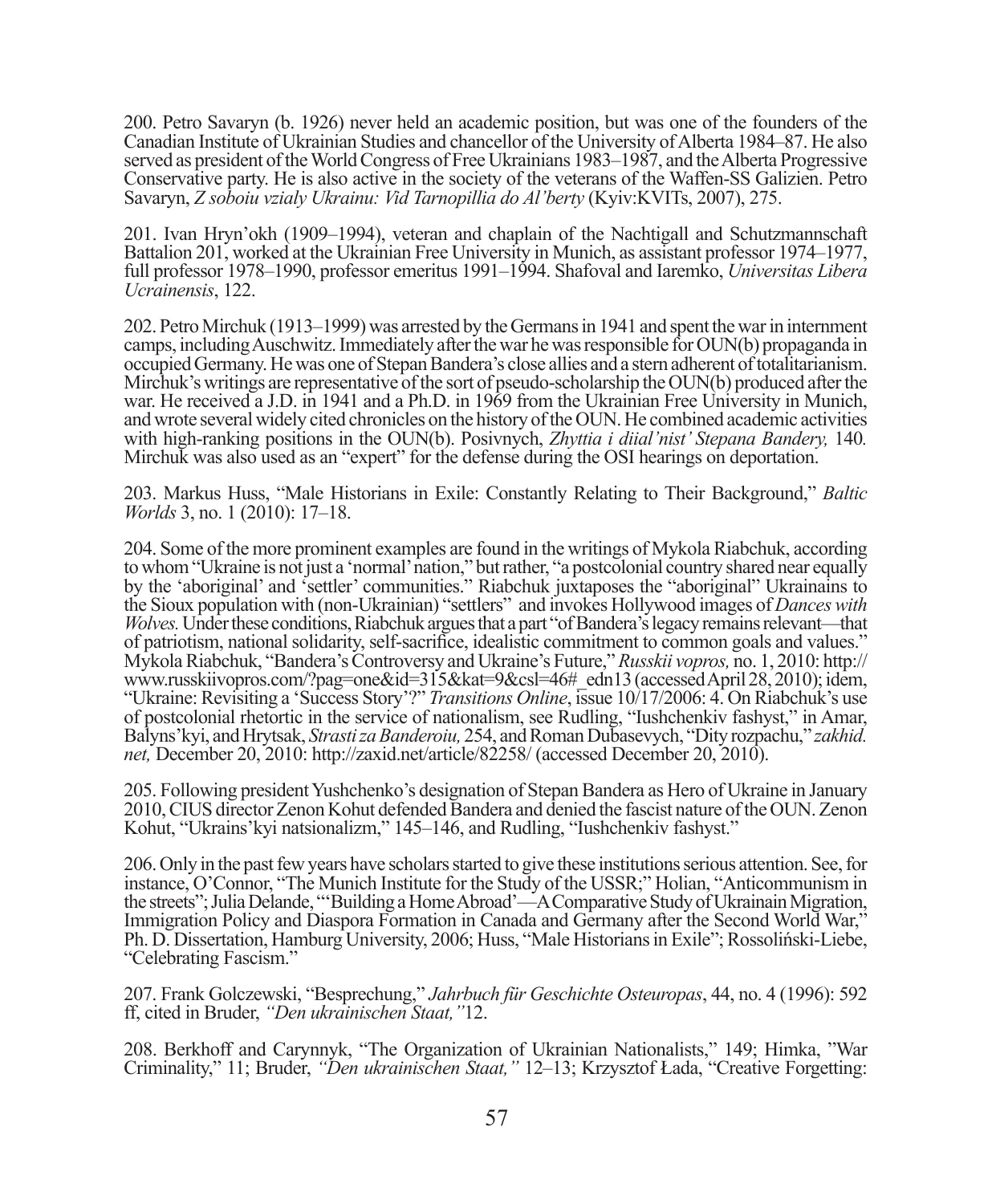200. Petro Savaryn (b. 1926) never held an academic position, but was one of the founders of the Canadian Institute of Ukrainian Studies and chancellor of the University of Alberta 1984–87. He also served as president of the World Congress of Free Ukrainians 1983–1987, and the Alberta Progressive Conservative party. He is also active in the society of the veterans of the Waffen-SS Galizien. Petro Savaryn, *Z soboiu vzialy Ukrainu: Vid Tarnopillia do Al'berty* (Kyiv:KVITs, 2007), 275.

201. Ivan Hryn'okh (1909–1994), veteran and chaplain of the Nachtigall and Schutzmannschaft Battalion 201, worked at the Ukrainian Free University in Munich, as assistant professor 1974–1977, full professor 1978–1990, professor emeritus 1991–1994. Shafoval and Iaremko, *Universitas Libera Ucrainensis*, 122.

202. Petro Mirchuk (1913–1999) was arrested by the Germans in 1941 and spent the war in internment camps, including Auschwitz. Immediately after the war he was responsible for OUN(b) propaganda in occupied Germany. He was one of Stepan Bandera's close allies and a stern adherent of totalitarianism. Mirchuk's writings are representative of the sort of pseudo-scholarship the OUN(b) produced after the war. He received a J.D. in 1941 and a Ph.D. in 1969 from the Ukrainian Free University in Munich, and wrote several widely cited chronicles on the history of the OUN. He combined academic activities with high-ranking positions in the OUN(b). Posivnych, *Zhyttia i diial'nist' Stepana Bandery*, 140. Mirchuk was also used as an "expert" for the defense during the OSI hearings on deportation.

203. Markus Huss, "Male Historians in Exile: Constantly Relating to Their Background," *Baltic Worlds* 3, no. 1 (2010): 17–18.

204. Some of the more prominent examples are found in the writings of Mykola Riabchuk, according to whom "Ukraine is not just a 'normal' nation," but rather, "a postcolonial country shared near equally by the 'aboriginal' and 'settler' communities." Riabchuk juxtaposes the "aboriginal" Ukrainains to the Sioux population with (non-Ukrainian) "settlers" and invokes Hollywood images of *Dances with Wolves.* Under these conditions, Riabchuk argues that a part "of Bandera's legacy remains relevant—that of patriotism, national solidarity, self-sacrifice, idealistic commitment to common goals and values." Mykola Riabchuk, "Bandera's Controversy and Ukraine's Future," *Russkii vopros,* no. 1, 2010: http:// www.russkiivopros.com/?pag=one&id=315&kat=9&csl=46#\_edn13 (accessed April 28, 2010); idem, "Ukraine: Revisiting a 'Success Story'?" *Transitions Online*, issue 10/17/2006: 4. On Riabchuk's use of postcolonial rhetortic in the service of nationalism, see Rudling, "Iushchenkiv fashyst," in Amar, Balyns'kyi, and Hrytsak, *Strasti za Banderoiu,* 254, and Roman Dubasevych, "Dity rozpachu," *zakhid. net,* December 20, 2010: http://zaxid.net/article/82258/ (accessed December 20, 2010).

205. Following president Yushchenko's designation of Stepan Bandera as Hero of Ukraine in January 2010, CIUS director Zenon Kohut defended Bandera and denied the fascist nature of the OUN. Zenon Kohut, "Ukrains'kyi natsionalizm," 145–146, and Rudling, "Iushchenkiv fashyst."

206. Only in the past few years have scholars started to give these institutions serious attention. See, for instance, O'Connor, "The Munich Institute for the Study of the USSR;" Holian, "Anticommunism in the streets"; Julia Delande, "'Building a Home Abroad'—A Comparative Study of Ukrainain Migration, Immigration Policy and Diaspora Formation in Canada and Germany after the Second World War," Ph. D. Dissertation, Hamburg University, 2006; Huss, "Male Historians in Exile"; Rossoliński-Liebe, "Celebrating Fascism."

207. Frank Golczewski, "Besprechung," *Jahrbuch für Geschichte Osteuropas*, 44, no. 4 (1996): 592 ff, cited in Bruder, *"Den ukrainischen Staat,"*12.

208. Berkhoff and Carynnyk, "The Organization of Ukrainian Nationalists," 149; Himka, "War Criminality," 11; Bruder, *"Den ukrainischen Staat,"* 12–13; Krzysztof Łada, "Creative Forgetting: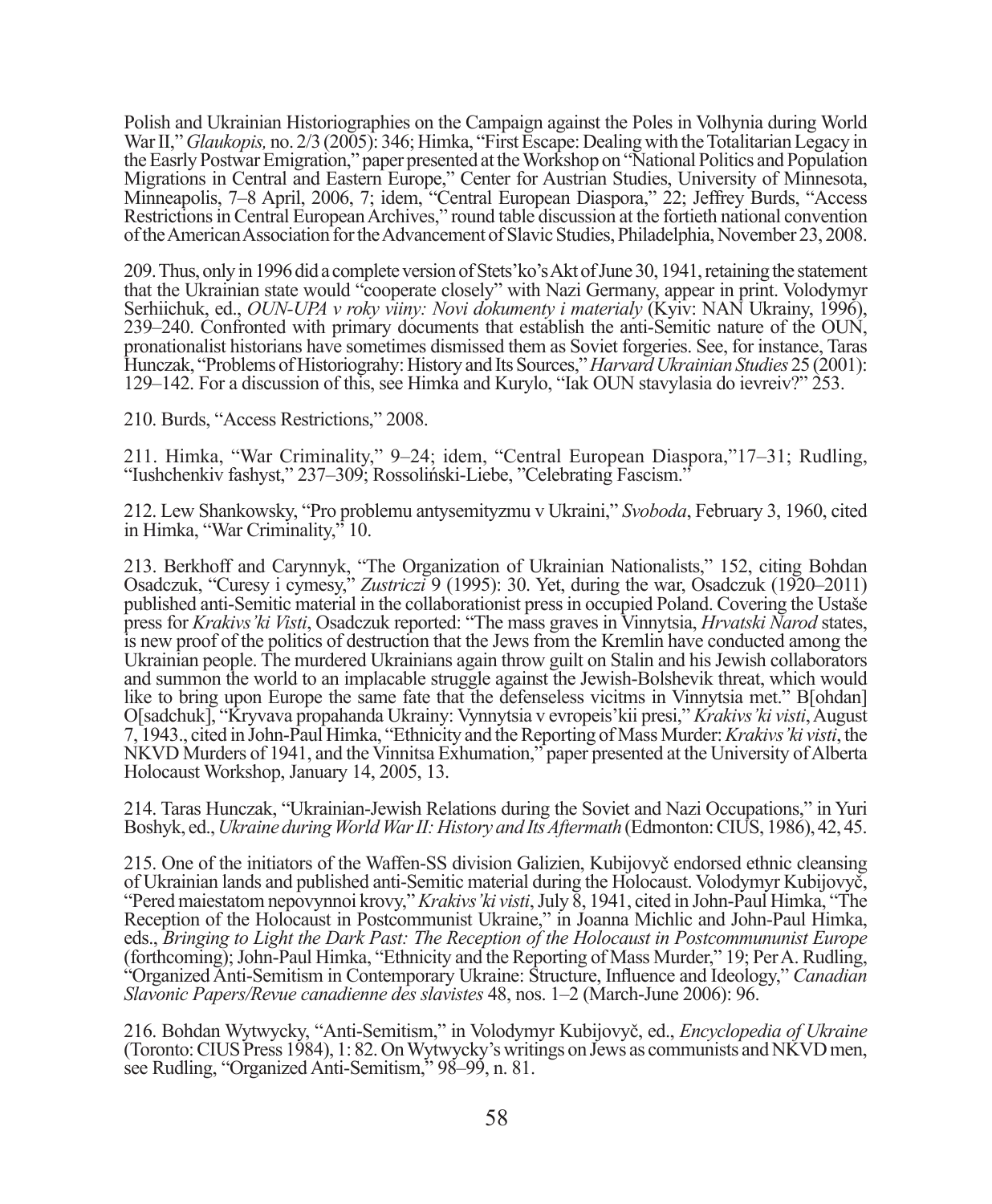Polish and Ukrainian Historiographies on the Campaign against the Poles in Volhynia during World War II," *Glaukopis,* no. 2/3 (2005): 346; Himka, "First Escape: Dealing with the Totalitarian Legacy in the Easrly Postwar Emigration," paper presented at the Workshop on "National Politics and Population Migrations in Central and Eastern Europe," Center for Austrian Studies, University of Minnesota, Minneapolis, 7–8 April, 2006, 7; idem, "Central European Diaspora," 22; Jeffrey Burds, "Access Restrictions in Central European Archives," round table discussion at the fortieth national convention of the American Association for the Advancement of Slavic Studies, Philadelphia, November 23, 2008.

209. Thus, only in 1996 did a complete version of Stets'ko's Akt of June 30, 1941, retaining the statement that the Ukrainian state would "cooperate closely" with Nazi Germany, appear in print. Volodymyr Serhiichuk, ed., *OUN-UPA v roky viiny: Novi dokumenty i materialy* (Kyiv: NAN Ukrainy, 1996), 239–240. Confronted with primary documents that establish the anti-Semitic nature of the OUN, pronationalist historians have sometimes dismissed them as Soviet forgeries. See, for instance, Taras Hunczak, "Problems of Historiograhy: History and Its Sources," *Harvard Ukrainian Studies* 25 (2001): 129–142. For a discussion of this, see Himka and Kurylo, "Iak OUN stavylasia do ievreiv?" 253.

210. Burds, "Access Restrictions," 2008.

211. Himka, "War Criminality," 9–24; idem, "Central European Diaspora,"17–31; Rudling, "Iushchenkiv fashyst," 237–309; Rossoliński-Liebe, "Celebrating Fascism."

212. Lew Shankowsky, "Pro problemu antysemityzmu v Ukraini," *Svoboda*, February 3, 1960, cited in Himka, "War Criminality," 10.

213. Berkhoff and Carynnyk, "The Organization of Ukrainian Nationalists," 152, citing Bohdan Osadczuk, "Curesy i cymesy," *Zustriczi* 9 (1995): 30. Yet, during the war, Osadczuk (1920–2011) published anti-Semitic material in the collaborationist press in occupied Poland. Covering the Ustaše press for *Krakivs'ki Visti*, Osadczuk reported: "The mass graves in Vinnytsia, *Hrvatski Narod* states, is new proof of the politics of destruction that the Jews from the Kremlin have conducted among the Ukrainian people. The murdered Ukrainians again throw guilt on Stalin and his Jewish collaborators and summon the world to an implacable struggle against the Jewish-Bolshevik threat, which would like to bring upon Europe the same fate that the defenseless vicitms in Vinnytsia met." B[ohdan] O[sadchuk], "Kryvava propahanda Ukrainy: Vynnytsia v evropeis'kii presi," *Krakivs'ki visti*, August 7, 1943., cited in John-Paul Himka, "Ethnicity and the Reporting of Mass Murder: *Krakivs'ki visti*, the NKVD Murders of 1941, and the Vinnitsa Exhumation," paper presented at the University of Alberta Holocaust Workshop, January 14, 2005, 13.

214. Taras Hunczak, "Ukrainian-Jewish Relations during the Soviet and Nazi Occupations," in Yuri Boshyk, ed., *Ukraine during World War II: History and Its Aftermath* (Edmonton: CIUS, 1986), 42, 45.

215. One of the initiators of the Waffen-SS division Galizien, Kubijovyč endorsed ethnic cleansing "Pered maiestatom nepovynnoi krovy," *Krakivs' ki visti*, July 8, 1941, cited in John-Paul Himka, "The Reception of the Holocaust in Postcommunist Ukraine," in Joanna Michlic and John-Paul Himka, eds., *Bringing to Light the Dark Past: The Reception of the Holocaust in Postcommununist Europe* (forthcoming); John-Paul Himka, "Ethnicity and the Reporting of Mass Murder," 19; Per A. Rudling, "Organized Anti-Semitism in Contemporary Ukraine: Structure, Influence and Ideology," *Canadian Slavonic Papers/Revue canadienne des slavistes* 48, nos. 1–2 (March-June 2006): 96.

216. Bohdan Wytwycky, "Anti-Semitism," in Volodymyr Kubijovyč, ed., *Encyclopedia of Ukraine* (Toronto: CIUS Press 1984), 1: 82. On Wytwycky's writings on Jews as communists and NKVD men, see Rudling, "Organized Anti-Semitism," 98–99, n. 81.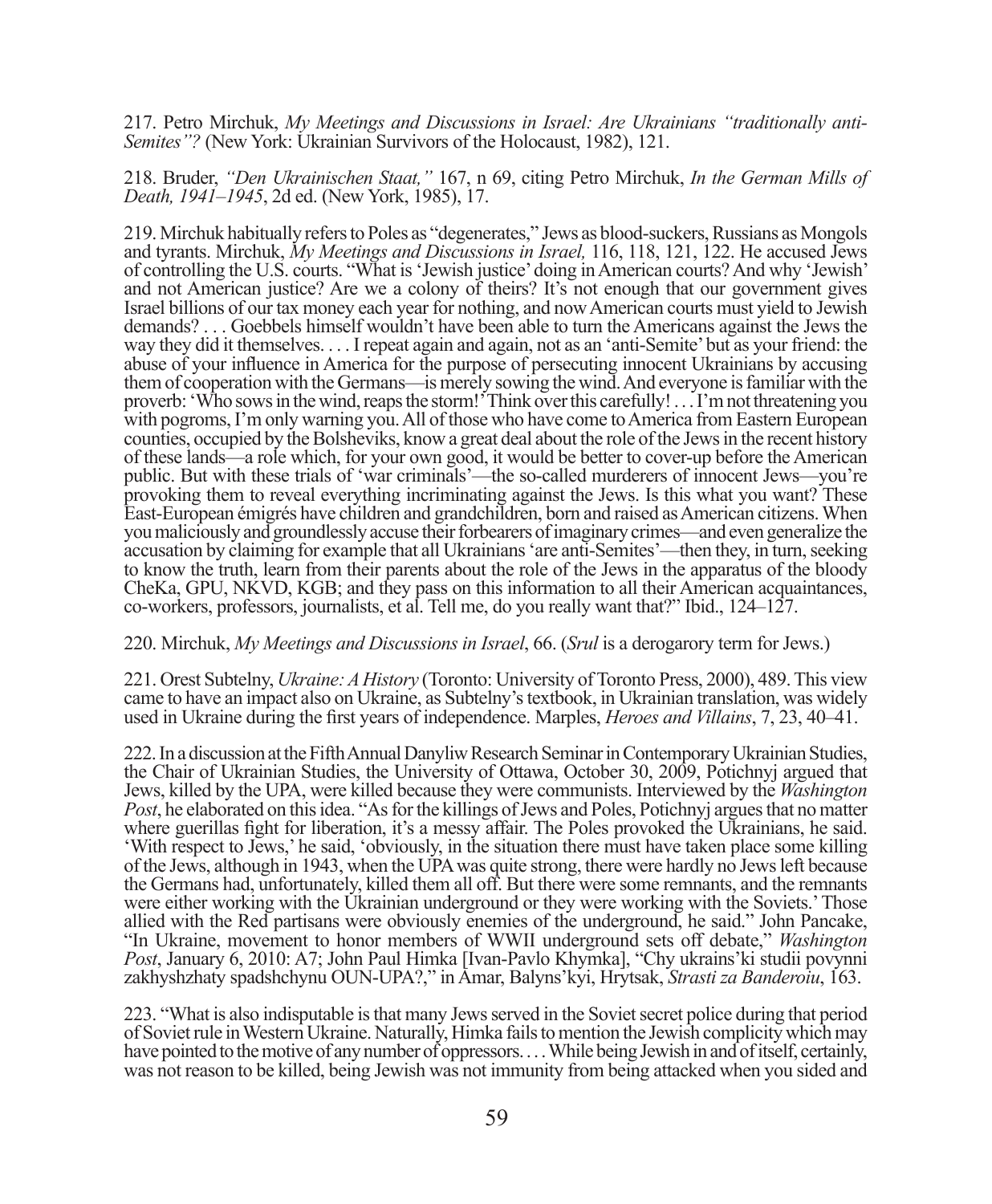217. Petro Mirchuk, *My Meetings and Discussions in Israel: Are Ukrainians "traditionally anti-Semites"?* (New York: Ukrainian Survivors of the Holocaust, 1982), 121.

218. Bruder, *"Den Ukrainischen Staat,"* 167, n 69, citing Petro Mirchuk, *In the German Mills of Death, 1941–1945*, 2d ed. (New York, 1985), 17.

219. Mirchuk habitually refers to Poles as "degenerates," Jews as blood-suckers, Russians as Mongols and tyrants. Mirchuk, *My Meetings and Discussions in Israel,* 116, 118, 121, 122. He accused Jews of controlling the U.S. courts. "What is 'Jewish justice' doing in American courts? And why 'Jewish' and not American justice? Are we a colony of theirs? It's not enough that our government gives Israel billions of our tax money each year for nothing, and now American courts must yield to Jewish demands? . . . Goebbels himself wouldn't have been able to turn the Americans against the Jews the way they did it themselves. . . . I repeat again and again, not as an 'anti-Semite' but as your friend: the abuse of your influence in America for the purpose of persecuting innocent Ukrainians by accusing them of cooperation with the Germans—is merely sowing the wind. And everyone is familiar with the proverb: 'Who sows in the wind, reaps the storm!' Think over this carefully! . . . I'm not threatening you with pogroms, I'm only warning you. All of those who have come to America from Eastern European counties, occupied by the Bolsheviks, know a great deal about the role of the Jews in the recent history of these lands—a role which, for your own good, it would be better to cover-up before the American public. But with these trials of 'war criminals'—the so-called murderers of innocent Jews—you're provoking them to reveal everything incriminating against the Jews. Is this what you want? These East-European émigrés have children and grandchildren, born and raised as American citizens. When you maliciously and groundlessly accuse their forbearers of imaginary crimes—and even generalize the accusation by claiming for example that all Ukrainians 'are anti-Semites'—then they, in turn, seeking to know the truth, learn from their parents about the role of the Jews in the apparatus of the bloody CheKa, GPU, NKVD, KGB; and they pass on this information to all their American acquaintances, co-workers, professors, journalists, et al. Tell me, do you really want that?" Ibid., 124–127.

## 220. Mirchuk, *My Meetings and Discussions in Israel*, 66. (*Srul* is a derogarory term for Jews.)

221. Orest Subtelny, *Ukraine: A History* (Toronto: University of Toronto Press, 2000), 489. This view came to have an impact also on Ukraine, as Subtelny's textbook, in Ukrainian translation, was widely used in Ukraine during the first years of independence. Marples, *Heroes and Villains*, 7, 23, 40–41.

222. In a discussion at the Fifth Annual Danyliw Research Seminar in Contemporary Ukrainian Studies, the Chair of Ukrainian Studies, the University of Ottawa, October 30, 2009, Potichnyj argued that Jews, killed by the UPA, were killed because they were communists. Interviewed by the *Washington Post*, he elaborated on this idea. "As for the killings of Jews and Poles, Potichnyj argues that no matter where guerillas fight for liberation, it's a messy affair. The Poles provoked the Ukrainians, he said. 'With respect to Jews,' he said, 'obviously, in the situation there must have taken place some killing of the Jews, although in 1943, when the UPA was quite strong, there were hardly no Jews left because the Germans had, unfortunately, killed them all off. But there were some remnants, and the remnants were either working with the Ukrainian underground or they were working with the Soviets.' Those allied with the Red partisans were obviously enemies of the underground, he said." John Pancake, "In Ukraine, movement to honor members of WWII underground sets off debate," *Washington Post*, January 6, 2010: A7; John Paul Himka [Ivan-Pavlo Khymka], "Chy ukrains'ki studii povynni zakhyshzhaty spadshchynu OUN-UPA?," in Amar, Balyns'kyi, Hrytsak, *Strasti za Banderoiu*, 163.

223. "What is also indisputable is that many Jews served in the Soviet secret police during that period of Soviet rule in Western Ukraine. Naturally, Himka fails to mention the Jewish complicity which may have pointed to the motive of any number of oppressors. . . . While being Jewish in and of itself, certainly, was not reason to be killed, being Jewish was not immunity from being attacked when you sided and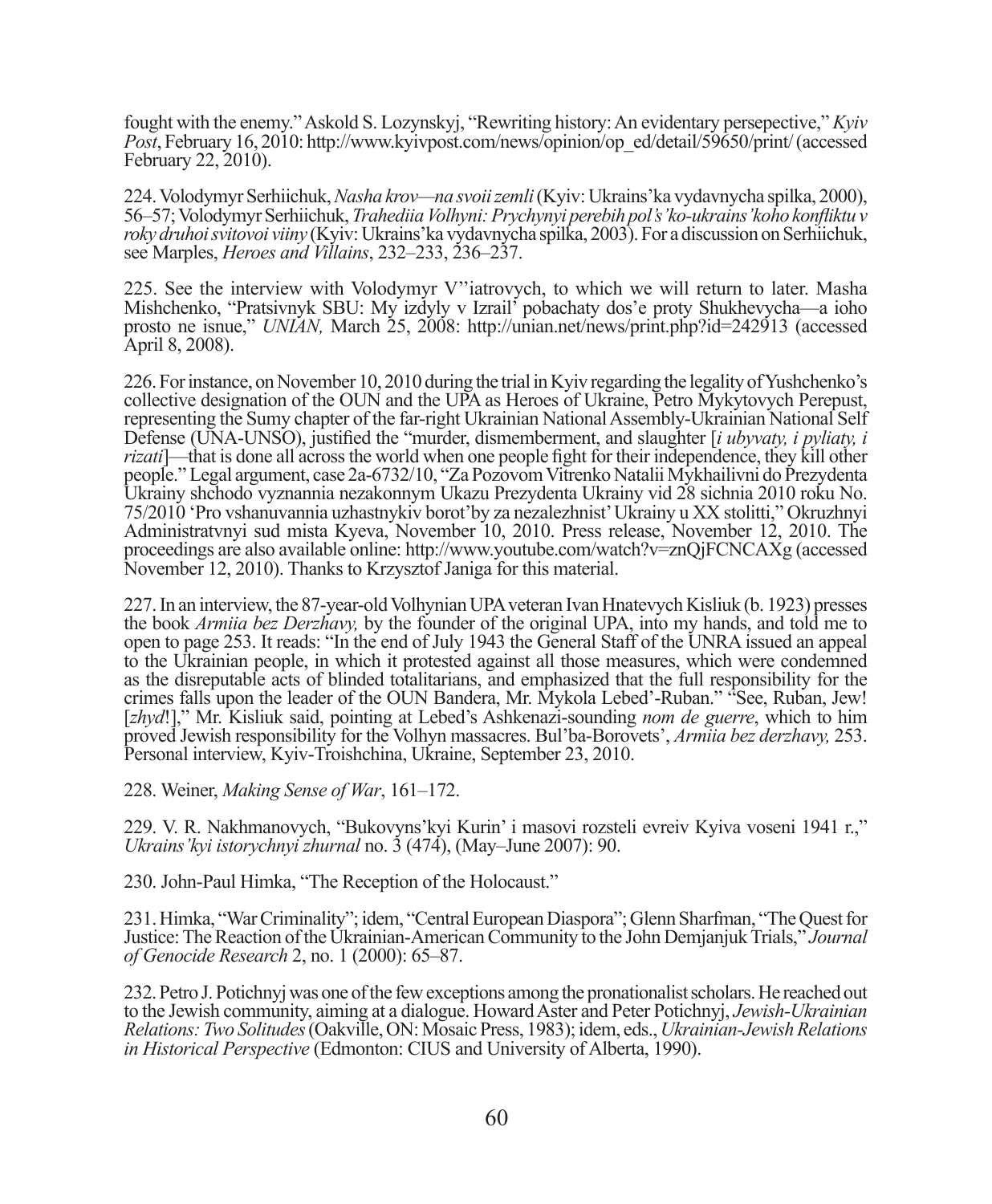fought with the enemy." Askold S. Lozynskyj, "Rewriting history: An evidentary persepective," *Kyiv Post*, February 16, 2010: http://www.kyivpost.com/news/opinion/op\_ed/detail/59650/print/ (accessed February 22, 2010).

224. Volodymyr Serhiichuk, *Nasha krov—na svoii zemli* (Kyiv: Ukrains'ka vydavnycha spilka, 2000), 56–57; Volodymyr Serhiichuk, *Trahediia Volhyni: Prychynyi perebih pol's'ko-ukrains'koho konfl iktu v roky druhoi svitovoi viiny* (Kyiv: Ukrains'ka vydavnycha spilka, 2003). For a discussion on Serhiichuk, see Marples, *Heroes and Villains*, 232–233, 236–237.

225. See the interview with Volodymyr V''iatrovych, to which we will return to later. Masha Mishchenko, "Pratsivnyk SBU: My izdyly v Izrail' pobachaty dos'e proty Shukhevycha—a ioho prosto ne isnue," *UNIAN,* March 25, 2008: http://unian.net/news/print.php?id=242913 (accessed April 8, 2008).

226. For instance, on November 10, 2010 during the trial in Kyiv regarding the legality of Yushchenko's collective designation of the OUN and the UPA as Heroes of Ukraine, Petro Mykytovych Perepust, representing the Sumy chapter of the far-right Ukrainian National Assembly-Ukrainian National Self Defense (UNA-UNSO), justified the "murder, dismemberment, and slaughter [*i ubyvaty, i pyliaty, i rizati*]—that is done all across the world when one people fight for their independence, they kill other people." Legal argument, case 2a-6732/10, "Za Pozovom Vitrenko Natalii Mykhailivni do Prezydenta Ukrainy shchodo vyznannia nezakonnym Ukazu Prezydenta Ukrainy vid 28 sichnia 2010 roku No. 75/2010 'Pro vshanuvannia uzhastnykiv borot'by za nezalezhnist' Ukrainy u XX stolitti," Okruzhnyi Administratvnyi sud mista Kyeva, November 10, 2010. Press release, November 12, 2010. The proceedings are also available online: http://www.youtube.com/watch?v=znQjFCNCAXg (accessed November 12, 2010). Thanks to Krzysztof Janiga for this material.

227. In an interview, the 87-year-old Volhynian UPA veteran Ivan Hnatevych Kisliuk (b. 1923) presses the book *Armiia bez Derzhavy,* by the founder of the original UPA, into my hands, and told me to open to page 253. It reads: "In the end of July 1943 the General Staff of the UNRA issued an appeal to the Ukrainian people, in which it protested against all those measures, which were condemned as the disreputable acts of blinded totalitarians, and emphasized that the full responsibility for the crimes falls upon the leader of the OUN Bandera, Mr. Mykola Lebed'-Ruban." "See, Ruban, Jew! [*zhyd*!]," Mr. Kisliuk said, pointing at Lebed's Ashkenazi-sounding *nom de guerre*, which to him proved Jewish responsibility for the Volhyn massacres. Bul'ba-Borovets', *Armiia bez derzhavy,* 253. Personal interview, Kyiv-Troishchina, Ukraine, September 23, 2010.

228. Weiner, *Making Sense of War*, 161–172.

229. V. R. Nakhmanovych, "Bukovyns'kyi Kurin' i masovi rozsteli evreiv Kyiva voseni 1941 r.," *Ukrains'kyi istorychnyi zhurnal* no. 3 (474), (May–June 2007): 90.

230. John-Paul Himka, "The Reception of the Holocaust."

231. Himka, "War Criminality"; idem, "Central European Diaspora"; Glenn Sharfman, "The Quest for Justice: The Reaction of the Ukrainian-American Community to the John Demjanjuk Trials," *Journal of Genocide Research* 2, no. 1 (2000): 65–87.

232. Petro J. Potichnyj was one of the few exceptions among the pronationalist scholars. He reached out to the Jewish community, aiming at a dialogue. Howard Aster and Peter Potichnyj, *Jewish-Ukrainian Relations: Two Solitudes* (Oakville, ON: Mosaic Press, 1983); idem, eds., *Ukrainian-Jewish Relations in Historical Perspective* (Edmonton: CIUS and University of Alberta, 1990).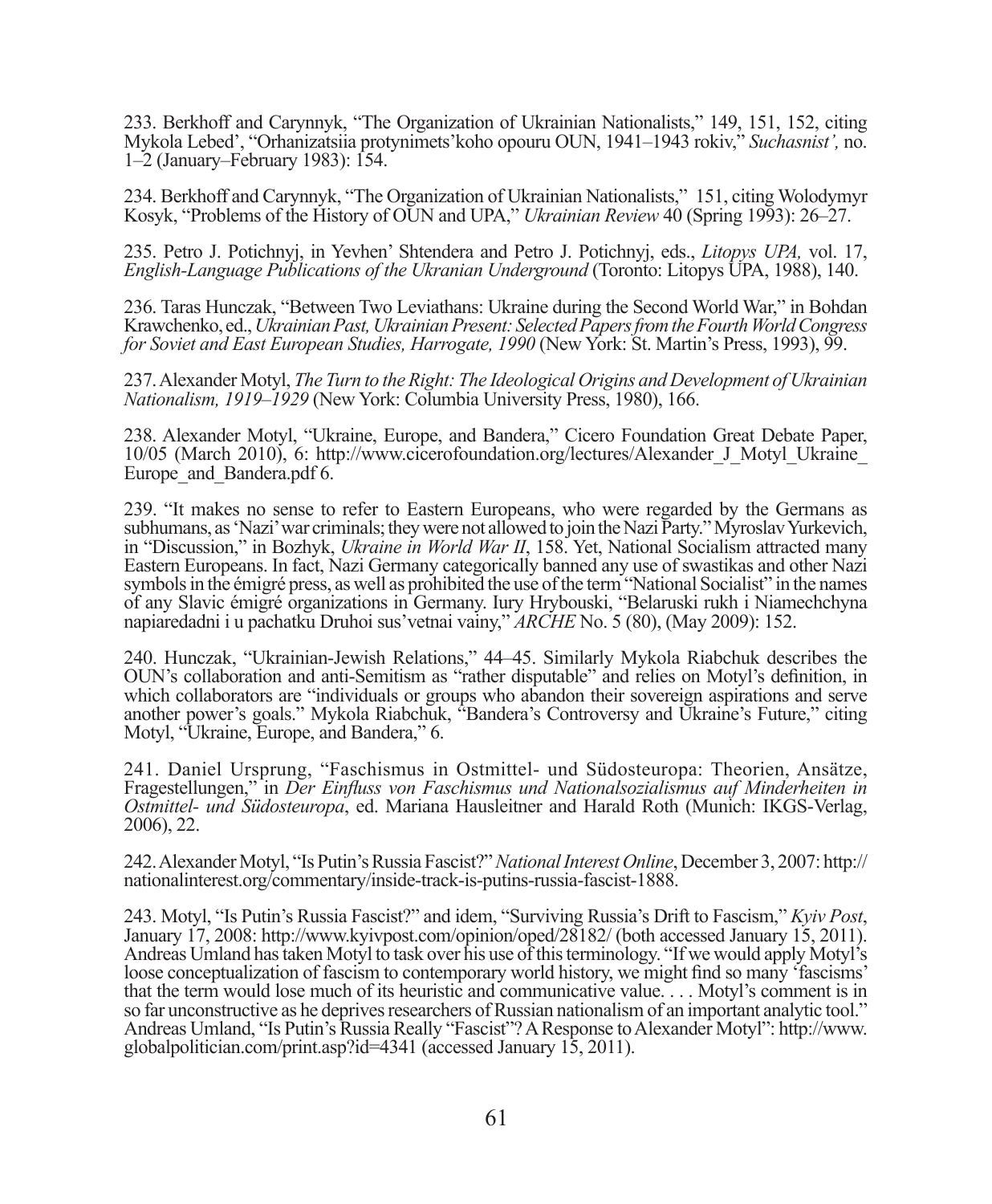233. Berkhoff and Carynnyk, "The Organization of Ukrainian Nationalists," 149, 151, 152, citing Mykola Lebed', "Orhanizatsiia protynimets'koho opouru OUN, 1941–1943 rokiv," *Suchasnist',* no. 1–2 (January–February 1983): 154.

234. Berkhoff and Carynnyk, "The Organization of Ukrainian Nationalists," 151, citing Wolodymyr Kosyk, "Problems of the History of OUN and UPA," *Ukrainian Review* 40 (Spring 1993): 26-27.

235. Petro J. Potichnyj, in Yevhen' Shtendera and Petro J. Potichnyj, eds., *Litopys UPA,* vol. 17, *English-Language Publications of the Ukranian Underground* (Toronto: Litopys UPA, 1988), 140.

236. Taras Hunczak, "Between Two Leviathans: Ukraine during the Second World War," in Bohdan Krawchenko, ed., *Ukrainian Past, Ukrainian Present: Selected Papers from the Fourth World Congress for Soviet and East European Studies, Harrogate, 1990* (New York: St. Martin's Press, 1993), 99.

237. Alexander Motyl, *The Turn to the Right: The Ideological Origins and Development of Ukrainian Nationalism, 1919–1929* (New York: Columbia University Press, 1980), 166.

238. Alexander Motyl, "Ukraine, Europe, and Bandera," Cicero Foundation Great Debate Paper, 10/05 (March 2010), 6: http://www.cicerofoundation.org/lectures/Alexander\_J\_Motyl\_Ukraine\_ Europe and Bandera.pdf 6.

239. "It makes no sense to refer to Eastern Europeans, who were regarded by the Germans as subhumans, as 'Nazi' war criminals; they were not allowed to join the Nazi Party." Myroslav Yurkevich, in "Discussion," in Bozhyk, *Ukraine in World War II*, 158. Yet, National Socialism attracted many Eastern Europeans. In fact, Nazi Germany categorically banned any use of swastikas and other Nazi symbols in the émigré press, as well as prohibited the use of the term "National Socialist" in the names of any Slavic émigré organizations in Germany. Iury Hrybouski, "Belaruski rukh i Niamechchyna napiaredadni i u pachatku Druhoi sus'vetnai vainy," *ARCHE* No. 5 (80), (May 2009): 152.

240. Hunczak, "Ukrainian-Jewish Relations," 44–45. Similarly Mykola Riabchuk describes the OUN's collaboration and anti-Semitism as "rather disputable" and relies on Motyl's definition, in which collaborators are "individuals or groups who abandon their sovereign aspirations and serve another power's goals." Mykola Riabchuk, "Bandera's Controversy and Ukraine's Future," citing Motyl, "Ukraine, Europe, and Bandera," 6.

241. Daniel Ursprung, "Faschismus in Ostmittel- und Südosteuropa: Theorien, Ansätze, Fragestellungen," in *Der Einfluss von Faschismus und Nationalsozialismus auf Minderheiten in Ostmittel- und Südosteuropa*, ed. Mariana Hausleitner and Harald Roth (Munich: IKGS-Verlag, 2006), 22.

242. Alexander Motyl, "Is Putin's Russia Fascist?" *National Interest Online*, December 3, 2007: http:// nationalinterest.org/commentary/inside-track-is-putins-russia-fascist-1888.

243. Motyl, "Is Putin's Russia Fascist?" and idem, "Surviving Russia's Drift to Fascism," *Kyiv Post*, January 17, 2008: http://www.kyivpost.com/opinion/oped/28182/ (both accessed January 15, 2011). Andreas Umland has taken Motyl to task over his use of this terminology. "If we would apply Motyl's loose conceptualization of fascism to contemporary world history, we might find so many 'fascisms' that the term would lose much of its heuristic and communicative value. . . . Motyl's comment is in so far unconstructive as he deprives researchers of Russian nationalism of an important analytic tool." Andreas Umland, "Is Putin's Russia Really "Fascist"? A Response to Alexander Motyl": http://www. globalpolitician.com/print.asp?id=4341 (accessed January 15, 2011).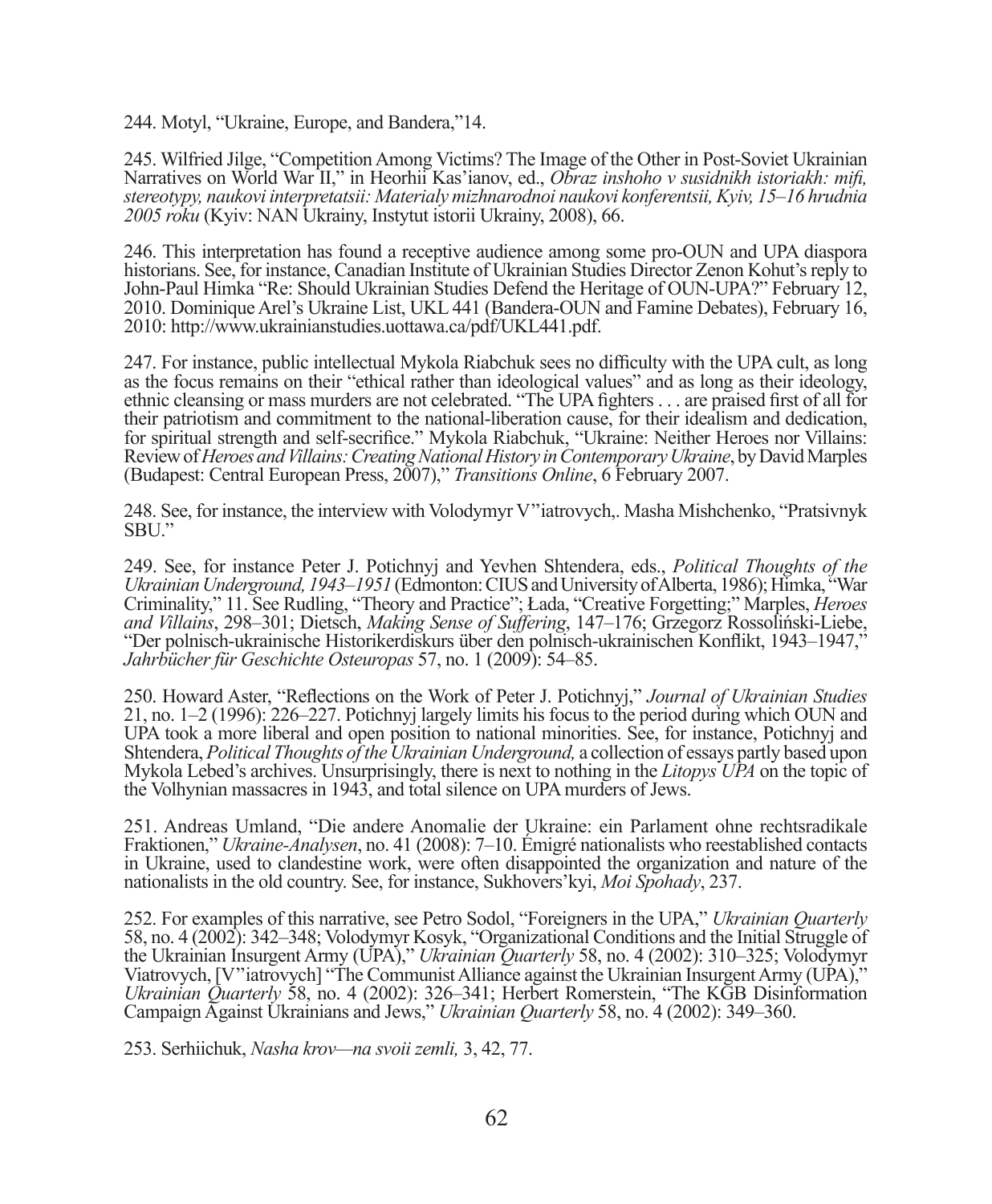244. Motyl, "Ukraine, Europe, and Bandera,"14.

245. Wilfried Jilge, "Competition Among Victims? The Image of the Other in Post-Soviet Ukrainian Narratives on World War II," in Heorhii Kas'ianov, ed., *Obraz inshoho v susidnikh istoriakh: mifi , stereotypy, naukovi interpretatsii: Materialy mizhnarodnoi naukovi konferentsii, Kyiv, 15–16 hrudnia 2005 roku* (Kyiv: NAN Ukrainy, Instytut istorii Ukrainy, 2008), 66.

246. This interpretation has found a receptive audience among some pro-OUN and UPA diaspora historians. See, for instance, Canadian Institute of Ukrainian Studies Director Zenon Kohut's reply to John-Paul Himka "Re: Should Ukrainian Studies Defend the Heritage of OUN-UPA?" February 12, 2010. Dominique Arel's Ukraine List, UKL 441 (Bandera-OUN and Famine Debates), February 16, 2010: http://www.ukrainianstudies.uottawa.ca/pdf/UKL441.pdf.

247. For instance, public intellectual Mykola Riabchuk sees no difficulty with the UPA cult, as long as the focus remains on their "ethical rather than ideological values" and as long as their ideology, ethnic cleansing or mass murders are not celebrated. "The UPA fighters . . . are praised first of all for their patriotism and commitment to the national-liberation cause, for their idealism and dedication, for spiritual strength and self-secrifice." Mykola Riabchuk, "Ukraine: Neither Heroes nor Villains: Review of *Heroes and Villains: Creating National History in Contemporary Ukraine*, by David Marples (Budapest: Central European Press, 2007)," *Transitions Online*, 6 February 2007.

248. See, for instance, the interview with Volodymyr V''iatrovych,. Masha Mishchenko, "Pratsivnyk SBU."

249. See, for instance Peter J. Potichnyj and Yevhen Shtendera, eds., *Political Thoughts of the Ukrainian Underground, 1943–1951* (Edmonton: CIUS and University of Alberta, 1986); Himka, "War Criminality," 11. See Rudling, "Theory and Practice"; Łada, "Creative Forgetting;" Marples, *Heroes and Villains*, 298–301; Dietsch, *Making Sense of Suffering*, 147–176; Grzegorz Rossoliński-Liebe, "Der polnisch-ukrainische Historikerdiskurs über den polnisch-ukrainischen Konflikt, 1943–1947," *Jahrbücher für Geschichte Osteuropas* 57, no. 1 (2009): 54–85.

250. Howard Aster, "Reflections on the Work of Peter J. Potichnyj," *Journal of Ukrainian Studies* 21, no. 1–2 (1996): 226–227. Potichnyj largely limits his focus to the period during which OUN and UPA took a more liberal and open position to national minorities. See, for instance, Potichnyj and Shtendera, *Political Thoughts of the Ukrainian Underground,* a collection of essays partly based upon Mykola Lebed's archives. Unsurprisingly, there is next to nothing in the *Litopys UPA* on the topic of the Volhynian massacres in 1943, and total silence on UPA murders of Jews.

251. Andreas Umland, "Die andere Anomalie der Ukraine: ein Parlament ohne rechtsradikale Fraktionen," *Ukraine-Analysen*, no. 41 (2008): 7–10. Émigré nationalists who reestablished contacts in Ukraine, used to clandestine work, were often disappointed the organization and nature of the nationalists in the old country. See, for instance, Sukhovers'kyi, *Moi Spohady*, 237.

252. For examples of this narrative, see Petro Sodol, "Foreigners in the UPA," *Ukrainian Quarterly* 58, no. 4 (2002): 342–348; Volodymyr Kosyk, "Organizational Conditions and the Initial Struggle of the Ukrainian Insurgent Army (UPA)," *Ukrainian Quarterly* 58, no. 4 (2002): 310–325; Volodymyr Viatrovych, [V''iatrovych] "The Communist Alliance against the Ukrainian Insurgent Army (UPA)," *Ukrainian Quarterly* 58, no. 4 (2002): 326–341; Herbert Romerstein, "The KGB Disinformation Campaign Against Ukrainians and Jews," *Ukrainian Quarterly* 58, no. 4 (2002): 349–360.

253. Serhiichuk, *Nasha krov—na svoii zemli,* 3, 42, 77.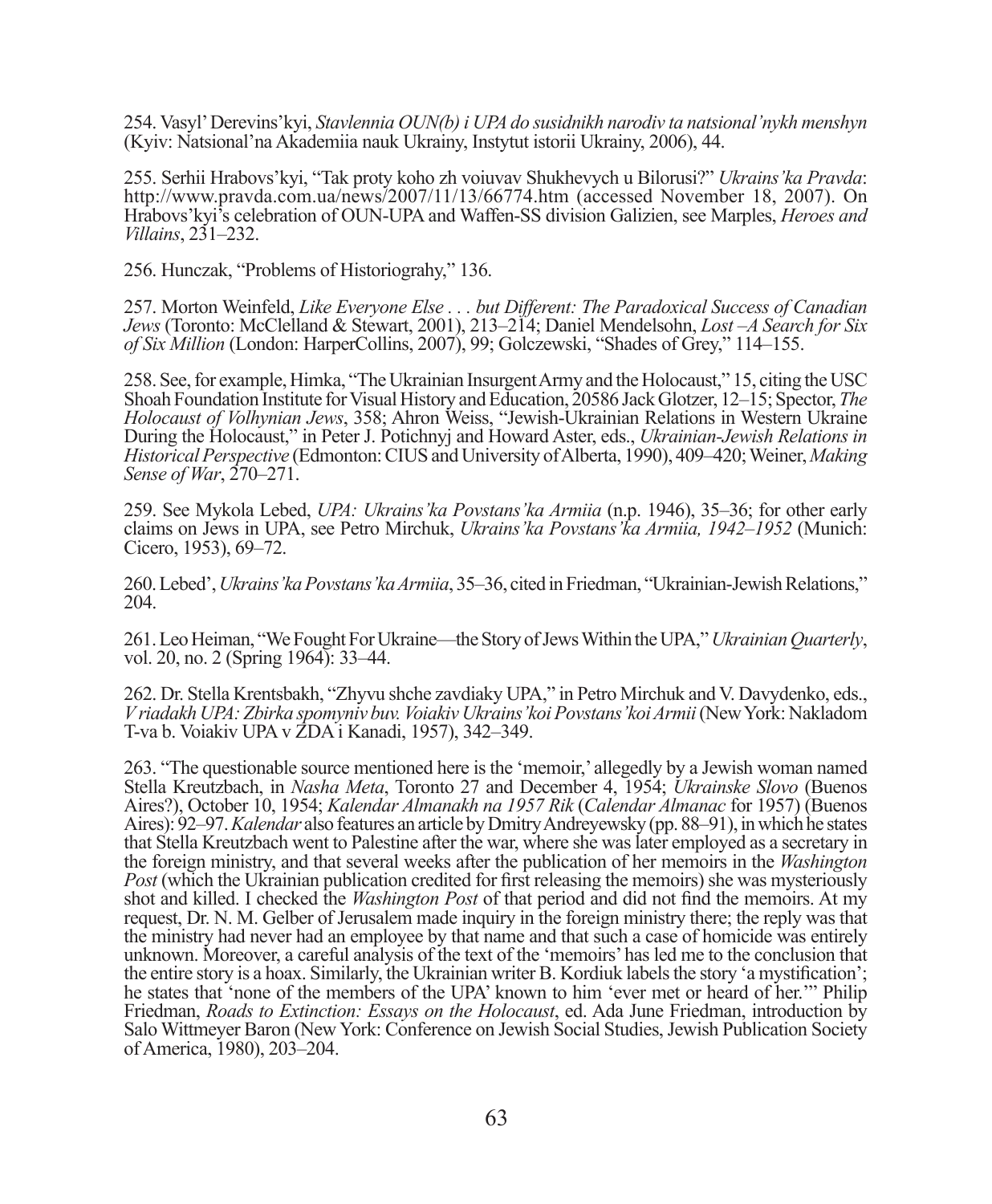254. Vasyl' Derevins'kyi, *Stavlennia OUN(b) i UPA do susidnikh narodiv ta natsional'nykh menshyn* (Kyiv: Natsional'na Akademiia nauk Ukrainy, Instytut istorii Ukrainy, 2006), 44.

255. Serhii Hrabovs'kyi, "Tak proty koho zh voiuvav Shukhevych u Bilorusi?" *Ukrains'ka Pravda*: http://www.pravda.com.ua/news/2007/11/13/66774.htm (accessed November 18, 2007). On Hrabovs'kyi's celebration of OUN-UPA and Waffen-SS division Galizien, see Marples, *Heroes and Villains*, 231–232.

256. Hunczak, "Problems of Historiograhy," 136.

257. Morton Weinfeld, *Like Everyone Else . . . but Different: The Paradoxical Success of Canadian Jews* (Toronto: McClelland & Stewart, 2001), 213–214; Daniel Mendelsohn, *Lost –A Search for Six of Six Million* (London: HarperCollins, 2007), 99; Golczewski, "Shades of Grey," 114–155.

258. See, for example, Himka, "The Ukrainian Insurgent Army and the Holocaust," 15, citing the USC Shoah Foundation Institute for Visual History and Education, 20586 Jack Glotzer, 12–15; Spector, *The Holocaust of Volhynian Jews*, 358; Ahron Weiss, "Jewish-Ukrainian Relations in Western Ukraine During the Holocaust," in Peter J. Potichnyj and Howard Aster, eds., *Ukrainian-Jewish Relations in Historical Perspective* (Edmonton: CIUS and University of Alberta, 1990), 409–420; Weiner, *Making Sense of War*, 270–271.

259. See Mykola Lebed, *UPA: Ukrains'ka Povstans'ka Armiia* (n.p. 1946), 35–36; for other early claims on Jews in UPA, see Petro Mirchuk, *Ukrains'ka Povstans'ka Armiia, 1942–1952* (Munich: Cicero, 1953), 69–72.

260. Lebed', *Ukrains'ka Povstans'ka Armiia*, 35–36, cited in Friedman, "Ukrainian-Jewish Relations," 204.

261. Leo Heiman, "We Fought For Ukraine—the Story of Jews Within the UPA," *Ukrainian Quarterly*, vol. 20, no. 2 (Spring 1964): 33–44.

262. Dr. Stella Krentsbakh, "Zhyvu shche zavdiaky UPA," in Petro Mirchuk and V. Davydenko, eds., *V riadakh UPA: Zbirka spomyniv buv. Voiakiv Ukrains'koi Povstans'koi Armii* (New York: Nakladom T-va b. Voiakiv UPA v ZDA i Kanadi, 1957), 342–349.

263. "The questionable source mentioned here is the 'memoir,' allegedly by a Jewish woman named Stella Kreutzbach, in *Nasha Meta*, Toronto 27 and December 4, 1954; *Ukrainske Slovo* (Buenos Aires?), October 10, 1954; *Kalendar Almanakh na 1957 Rik* (*Calendar Almanac* for 1957) (Buenos Aires): 92–97. *Kalendar* also features an article by Dmitry Andreyewsky (pp. 88–91), in which he states that Stella Kreutzbach went to Palestine after the war, where she was later employed as a secretary in the foreign ministry, and that several weeks after the publication of her memoirs in the *Washington Post* (which the Ukrainian publication credited for first releasing the memoirs) she was mysteriously shot and killed. I checked the *Washington Post* of that period and did not find the memoirs. At my request, Dr. N. M. Gelber of Jerusalem made inquiry in the foreign ministry there; the reply was that the ministry had never had an employee by that name and that such a case of homicide was entirely unknown. Moreover, a careful analysis of the text of the 'memoirs' has led me to the conclusion that the entire story is a hoax. Similarly, the Ukrainian writer B. Kordiuk labels the story 'a mystification'; he states that 'none of the members of the UPA' known to him 'ever met or heard of her.'" Philip Friedman, *Roads to Extinction: Essays on the Holocaust*, ed. Ada June Friedman, introduction by Salo Wittmeyer Baron (New York: Conference on Jewish Social Studies, Jewish Publication Society of America, 1980), 203–204.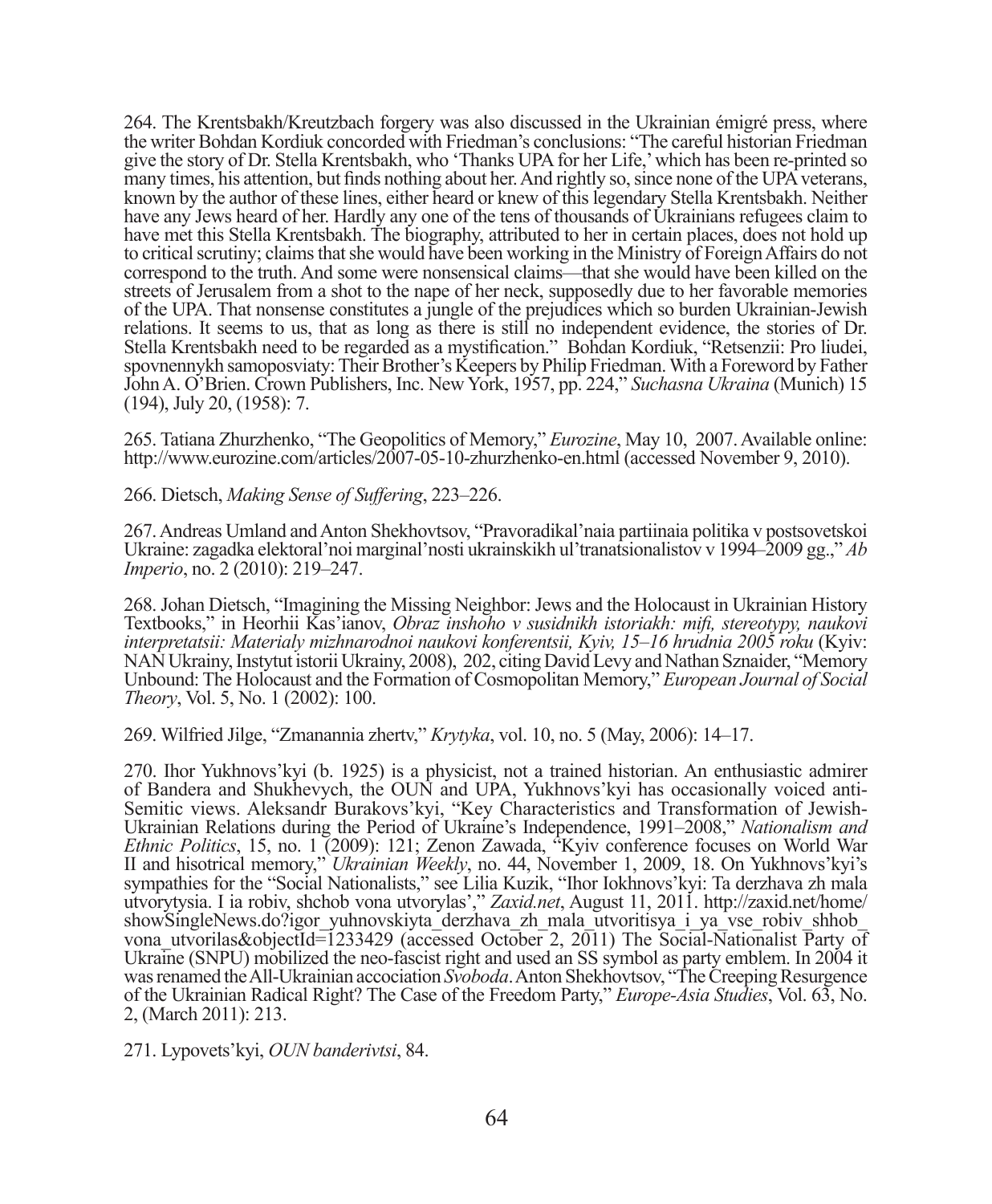264. The Krentsbakh/Kreutzbach forgery was also discussed in the Ukrainian émigré press, where the writer Bohdan Kordiuk concorded with Friedman's conclusions: "The careful historian Friedman give the story of Dr. Stella Krentsbakh, who 'Thanks UPA for her Life,' which has been re-printed so many times, his attention, but finds nothing about her. And rightly so, since none of the UPA veterans, known by the author of these lines, either heard or knew of this legendary Stella Krentsbakh. Neither have any Jews heard of her. Hardly any one of the tens of thousands of Ukrainians refugees claim to have met this Stella Krentsbakh. The biography, attributed to her in certain places, does not hold up to critical scrutiny; claims that she would have been working in the Ministry of Foreign Affairs do not correspond to the truth. And some were nonsensical claims—that she would have been killed on the streets of Jerusalem from a shot to the nape of her neck, supposedly due to her favorable memories of the UPA. That nonsense constitutes a jungle of the prejudices which so burden Ukrainian-Jewish relations. It seems to us, that as long as there is still no independent evidence, the stories of Dr. Stella Krentsbakh need to be regarded as a mystification." Bohdan Kordiuk, "Retsenzii: Pro liudei, spovnennykh samoposviaty: Their Brother's Keepers by Philip Friedman. With a Foreword by Father John A. O'Brien. Crown Publishers, Inc. New York, 1957, pp. 224," *Suchasna Ukraina* (Munich) 15 (194), July 20, (1958): 7.

265. Tatiana Zhurzhenko, "The Geopolitics of Memory," *Eurozine*, May 10, 2007. Available online: http://www.eurozine.com/articles/2007-05-10-zhurzhenko-en.html (accessed November 9, 2010).

266. Dietsch, *Making Sense of Suffering*, 223–226.

267. Andreas Umland and Anton Shekhovtsov, "Pravoradikal'naia partiinaia politika v postsovetskoi Ukraine: zagadka elektoral'noi marginal'nosti ukrainskikh ul'tranatsionalistov v 1994–2009 gg.," *Ab Imperio*, no. 2 (2010): 219–247.

268. Johan Dietsch, "Imagining the Missing Neighbor: Jews and the Holocaust in Ukrainian History Textbooks," in Heorhii Kas'ianov, *Obraz inshoho v susidnikh istoriakh: mifi , stereotypy, naukovi interpretatsii: Materialy mizhnarodnoi naukovi konferentsii, Kyiv, 15–16 hrudnia 2005 roku* (Kyiv: NAN Ukrainy, Instytut istorii Ukrainy, 2008), 202, citing David Levy and Nathan Sznaider, "Memory Unbound: The Holocaust and the Formation of Cosmopolitan Memory," *European Journal of Social Theory*, Vol. 5, No. 1 (2002): 100.

269. Wilfried Jilge, "Zmanannia zhertv," *Krytyka*, vol. 10, no. 5 (May, 2006): 14–17.

270. Ihor Yukhnovs'kyi (b. 1925) is a physicist, not a trained historian. An enthusiastic admirer of Bandera and Shukhevych, the OUN and UPA, Yukhnovs'kyi has occasionally voiced anti-Semitic views. Aleksandr Burakovs'kyi, "Key Characteristics and Transformation of Jewish-Ukrainian Relations during the Period of Ukraine's Independence, 1991–2008," *Nationalism and Ethnic Politics*, 15, no. 1 (2009): 121; Zenon Zawada, "Kyiv conference focuses on World War II and hisotrical memory," *Ukrainian Weekly*, no. 44, November 1, 2009, 18. On Yukhnovs'kyi's sympathies for the "Social Nationalists," see Lilia Kuzik, "Ihor Iokhnovs'kyi: Ta derzhava zh mala utvorytysia. I ia robiv, shchob vona utvorylas'," *Zaxid.net*, August 11, 2011. http://zaxid.net/home/ showSingleNews.do?igor\_yuhnovskiyta\_derzhava\_zh\_mala\_utvoritisya\_i\_ya\_vse\_robiv\_shhob vona utvorilas&objectId=1233429 (accessed October 2, 2011) The Social-Nationalist Party of Ukraine (SNPU) mobilized the neo-fascist right and used an SS symbol as party emblem. In 2004 it was renamed the All-Ukrainian accociation *Svoboda*. Anton Shekhovtsov, "The Creeping Resurgence of the Ukrainian Radical Right? The Case of the Freedom Party," *Europe-Asia Studies*, Vol. 63, No. 2, (March 2011): 213.

271. Lypovets'kyi, *OUN banderivtsi*, 84.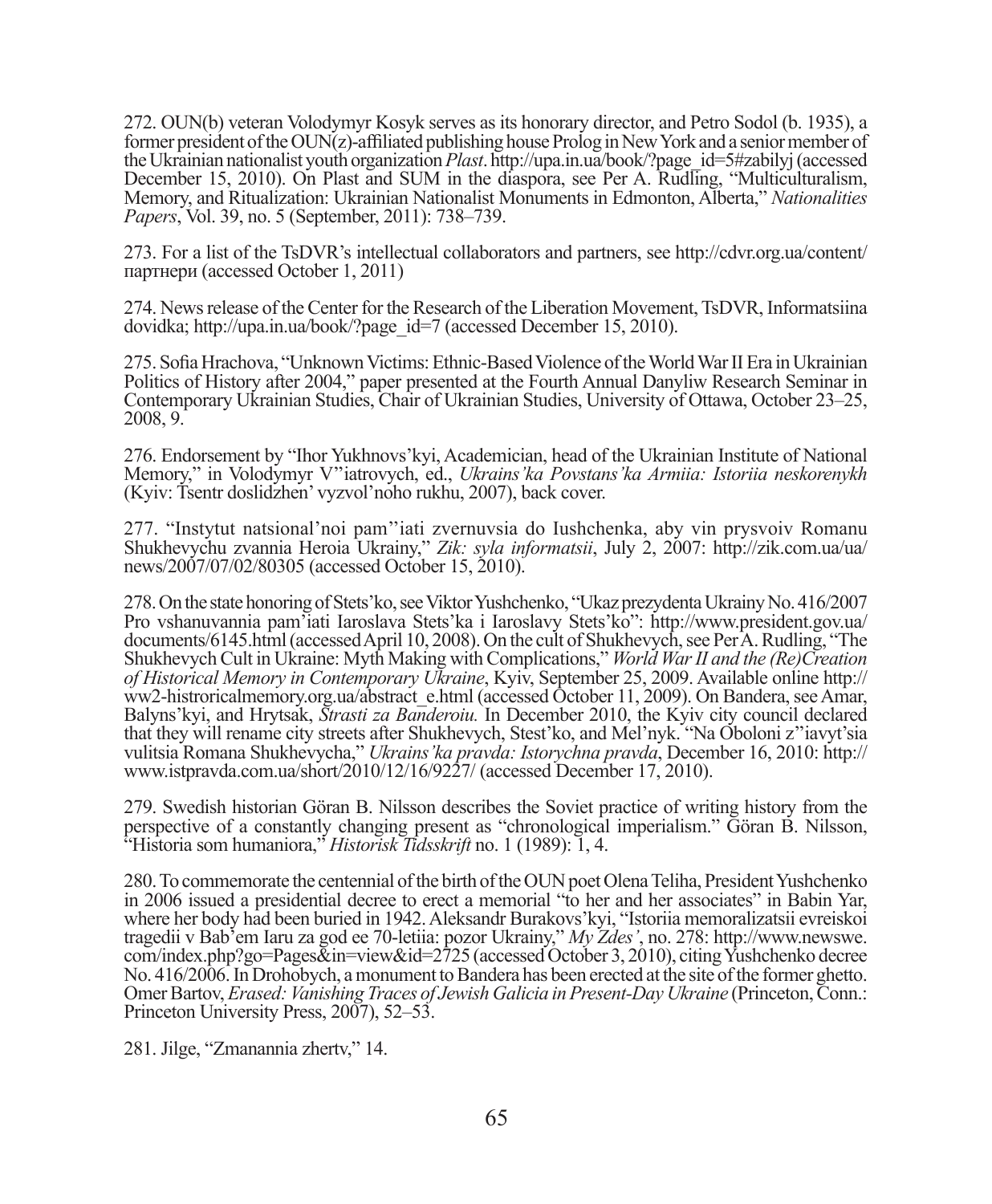272. OUN(b) veteran Volodymyr Kosyk serves as its honorary director, and Petro Sodol (b. 1935), a former president of the  $\text{OUN}(z)$ -affiliated publishing house Prolog in New York and a senior member of the Ukrainian nationalist youth organization *Plast*. http://upa.in.ua/book/?page\_id=5#zabilyj (accessed December 15, 2010). On Plast and SUM in the diaspora, see Per A. Rudling, "Multiculturalism, Memory, and Ritualization: Ukrainian Nationalist Monuments in Edmonton, Alberta," *Nationalities Papers*, Vol. 39, no. 5 (September, 2011): 738–739.

273. For a list of the TsDVR's intellectual collaborators and partners, see http://cdvr.org.ua/content/ партнери (accessed October 1, 2011)

274. News release of the Center for the Research of the Liberation Movement, TsDVR, Informatsiina dovidka; http://upa.in.ua/book/?page\_id=7 (accessed December 15, 2010).

275. Sofia Hrachova, "Unknown Victims: Ethnic-Based Violence of the World War II Era in Ukrainian Politics of History after 2004," paper presented at the Fourth Annual Danyliw Research Seminar in Contemporary Ukrainian Studies, Chair of Ukrainian Studies, University of Ottawa, October 23–25, 2008, 9.

276. Endorsement by "Ihor Yukhnovs'kyi, Academician, head of the Ukrainian Institute of National Memory," in Volodymyr V''iatrovych, ed., *Ukrains'ka Povstans'ka Armiia: Istoriia neskorenykh* (Kyiv: Tsentr doslidzhen' vyzvol'noho rukhu, 2007), back cover.

277. "Instytut natsional'noi pam''iati zvernuvsia do Iushchenka, aby vin prysvoiv Romanu Shukhevychu zvannia Heroia Ukrainy," *Zik: syla informatsii*, July 2, 2007: http://zik.com.ua/ua/ news/2007/07/02/80305 (accessed October 15, 2010).

278. On the state honoring of Stets'ko, see Viktor Yushchenko, "Ukaz prezydenta Ukrainy No. 416/2007 Pro vshanuvannia pam'iati Iaroslava Stets'ka i Iaroslavy Stets'ko": http://www.president.gov.ua/ documents/6145.html (accessed April 10, 2008). On the cult of Shukhevych, see Per A. Rudling, "The Shukhevych Cult in Ukraine: Myth Making with Complications," *World War II and the (Re)Creation of Historical Memory in Contemporary Ukraine*, Kyiv, September 25, 2009. Available online http:// ww2-histroricalmemory.org.ua/abstract\_e.html (accessed October 11, 2009). On Bandera, see Amar, Balyns'kyi, and Hrytsak, *Strasti za Banderoiu.* In December 2010, the Kyiv city council declared that they will rename city streets after Shukhevych, Stest'ko, and Mel'nyk. "Na Oboloni z''iavyt'sia vulitsia Romana Shukhevycha," *Ukrains'ka pravda: Istorychna pravda*, December 16, 2010: http:// www.istpravda.com.ua/short/2010/12/16/9227/ (accessed December 17, 2010).

279. Swedish historian Göran B. Nilsson describes the Soviet practice of writing history from the perspective of a constantly changing present as "chronological imperialism." Göran B. Nilsson, "Historia som humaniora," *Historisk Tidsskrift* no. 1 (1989): 1, 4.

280. To commemorate the centennial of the birth of the OUN poet Olena Teliha, President Yushchenko in 2006 issued a presidential decree to erect a memorial "to her and her associates" in Babin Yar, where her body had been buried in 1942. Aleksandr Burakovs'kyi, "Istoriia memoralizatsii evreiskoi tragedii v Bab'em Iaru za god ee 70-letiia: pozor Ukrainy," *My Zdes'*, no. 278: http://www.newswe. com/index.php?go=Pages&in=view&id=2725 (accessed October 3, 2010), citing Yushchenko decree No. 416/2006. In Drohobych, a monument to Bandera has been erected at the site of the former ghetto. Omer Bartov, *Erased: Vanishing Traces of Jewish Galicia in Present-Day Ukraine* (Princeton, Conn.: Princeton University Press, 2007), 52–53.

281. Jilge, "Zmanannia zhertv," 14.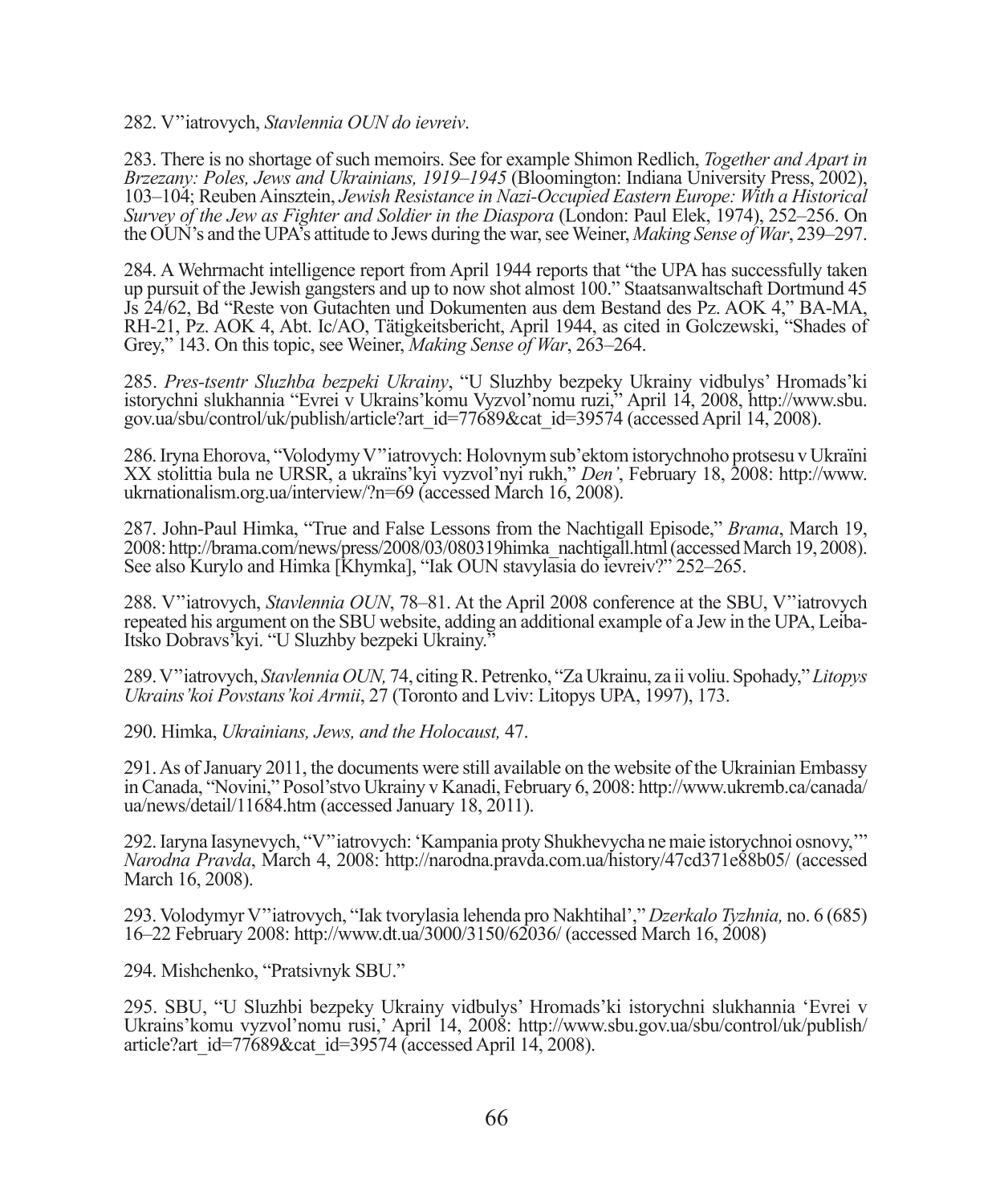282. V''iatrovych, *Stavlennia OUN do ievreiv*.

283. There is no shortage of such memoirs. See for example Shimon Redlich, *Together and Apart in Brzezany: Poles, Jews and Ukrainians, 1919–1945* (Bloomington: Indiana University Press, 2002), 103–104; Reuben Ainsztein, *Jewish Resistance in Nazi-Occupied Eastern Europe: With a Historical Survey of the Jew as Fighter and Soldier in the Diaspora* (London: Paul Elek, 1974), 252–256. On the OUN's and the UPA's attitude to Jews during the war, see Weiner, *Making Sense of War*, 239–297.

284. A Wehrmacht intelligence report from April 1944 reports that "the UPA has successfully taken up pursuit of the Jewish gangsters and up to now shot almost 100." Staatsanwaltschaft Dortmund 45 Js 24/62, Bd "Reste von Gutachten und Dokumenten aus dem Bestand des Pz. AOK 4," BA-MA, RH-21, Pz. AOK 4, Abt. Ic/AO, Tätigkeitsbericht, April 1944, as cited in Golczewski, "Shades of Grey," 143. On this topic, see Weiner, *Making Sense of War*, 263–264.

285. *Pres-tsentr Sluzhba bezpeki Ukrainy*, "U Sluzhby bezpeky Ukrainy vidbulys' Hromads'ki istorychni slukhannia "Evrei v Ukrains'komu Vyzvol'nomu ruzi," April 14, 2008, http://www.sbu. gov.ua/sbu/control/uk/publish/article?art\_id=77689&cat\_id=39574 (accessed April 14, 2008).

286. Iryna Ehorova, "Volodymy V''iatrovych: Holovnym sub'ektom istorychnoho protsesu v Ukraїni XX stolittia bula ne URSR, a ukraїns'kyi vyzvol'nyi rukh," *Den'*, February 18, 2008: http://www. ukrnationalism.org.ua/interview/?n=69 (accessed March 16, 2008).

287. John-Paul Himka, "True and False Lessons from the Nachtigall Episode," *Brama*, March 19, 2008: http://brama.com/news/press/2008/03/080319himka\_nachtigall.html (accessed March 19, 2008). See also Kurylo and Himka [Khymka], "Iak OUN stavylasia do ievreiv?" 252–265.

288. V''iatrovych, *Stavlennia OUN*, 78–81. At the April 2008 conference at the SBU, V''iatrovych repeated his argument on the SBU website, adding an additional example of a Jew in the UPA, Leiba-Itsko Dobravs'kyi. "U Sluzhby bezpeki Ukrainy."

289. V''iatrovych, *Stavlennia OUN,* 74, citing R. Petrenko, "Za Ukrainu, za ii voliu. Spohady," *Litopys Ukrains'koi Povstans'koi Armii*, 27 (Toronto and Lviv: Litopys UPA, 1997), 173.

290. Himka, *Ukrainians, Jews, and the Holocaust,* 47.

291. As of January 2011, the documents were still available on the website of the Ukrainian Embassy in Canada, "Novini," Posol'stvo Ukrainy v Kanadi, February 6, 2008: http://www.ukremb.ca/canada/ ua/news/detail/11684.htm (accessed January 18, 2011).

292. Iaryna Iasynevych, "V''iatrovych: 'Kampania proty Shukhevycha ne maie istorychnoi osnovy,'" *Narodna Pravda*, March 4, 2008: http://narodna.pravda.com.ua/history/47cd371e88b05/ (accessed March 16, 2008).

293. Volodymyr V''iatrovych, "Iak tvorylasia lehenda pro Nakhtihal'," *Dzerkalo Tyzhnia,* no. 6 (685) 16–22 February 2008: http://www.dt.ua/3000/3150/62036/ (accessed March 16, 2008)

294. Mishchenko, "Pratsivnyk SBU."

295. SBU, "U Sluzhbi bezpeky Ukrainy vidbulys' Hromads'ki istorychni slukhannia 'Evrei v Ukrains'komu vyzvol'nomu rusi,' April 14, 2008: http://www.sbu.gov.ua/sbu/control/uk/publish/ article?art id=77689&cat id=39574 (accessed April 14, 2008).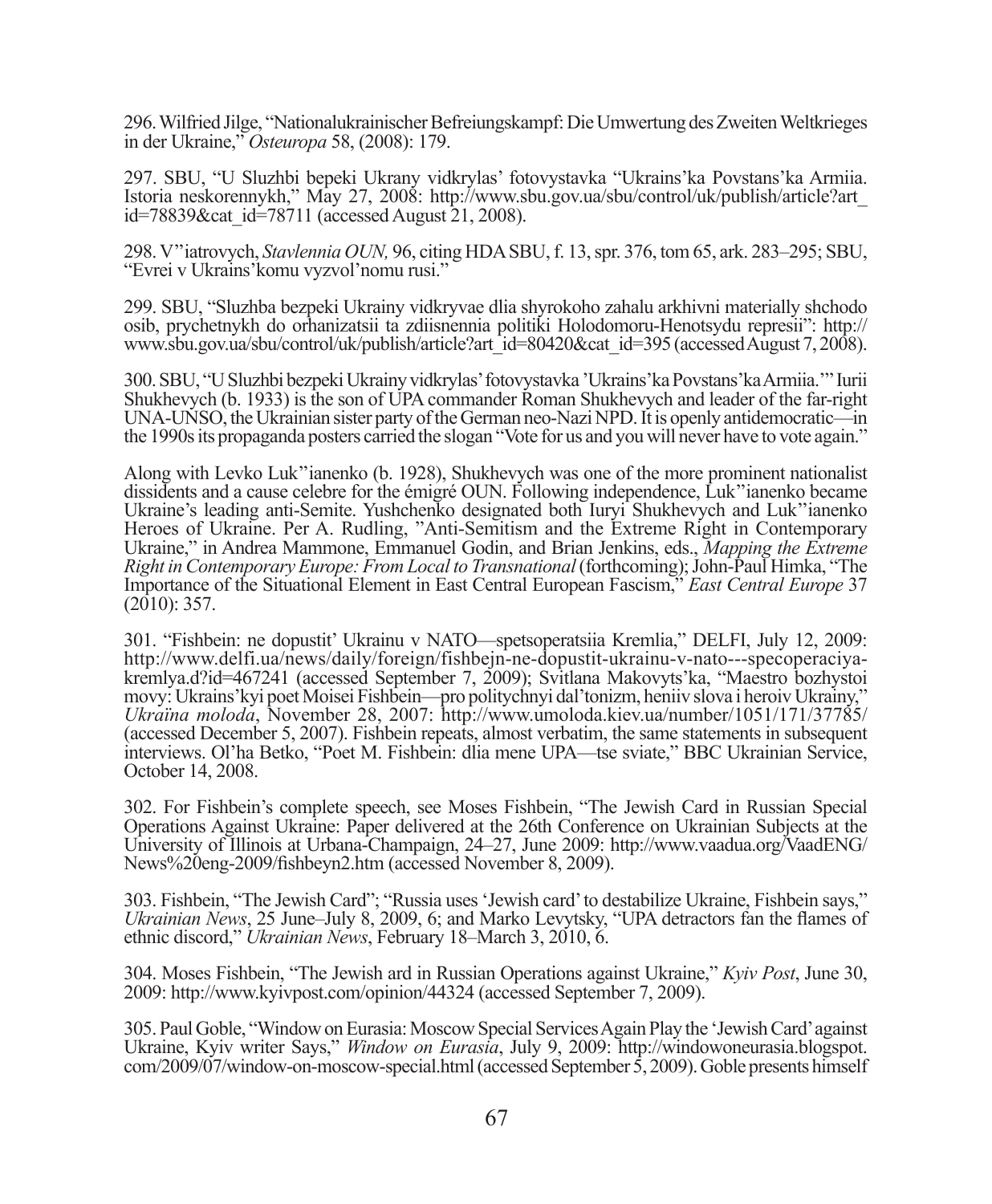296. Wilfried Jilge, "Nationalukrainischer Befreiungskampf: Die Umwertung des Zweiten Weltkrieges in der Ukraine," *Osteuropa* 58, (2008): 179.

297. SBU, "U Sluzhbi bepeki Ukrany vidkrylas' fotovystavka "Ukrains'ka Povstans'ka Armiia. Istoria neskorennykh," May 27, 2008: http://www.sbu.gov.ua/sbu/control/uk/publish/article?art\_ id=78839&cat\_id=78711 (accessed August 21, 2008).

298. V''iatrovych, *Stavlennia OUN,* 96, citing HDA SBU, f. 13, spr. 376, tom 65, ark. 283–295; SBU, "Evrei v Ukrains'komu vyzvol'nomu rusi."

299. SBU, "Sluzhba bezpeki Ukrainy vidkryvae dlia shyrokoho zahalu arkhivni materially shchodo osib, prychetnykh do orhanizatsii ta zdiisnennia politiki Holodomoru-Henotsydu represii": http:// www.sbu.gov.ua/sbu/control/uk/publish/article?art\_id=80420&cat\_id=395 (accessed August 7, 2008).

300. SBU, "U Sluzhbi bezpeki Ukrainy vidkrylas' fotovystavka 'Ukrains'ka Povstans'ka Armiia.'" Iurii Shukhevych (b. 1933) is the son of UPA commander Roman Shukhevych and leader of the far-right UNA-UNSO, the Ukrainian sister party of the German neo-Nazi NPD. It is openly antidemocratic—in the 1990s its propaganda posters carried the slogan "Vote for us and you will never have to vote again."

Along with Levko Luk''ianenko (b. 1928), Shukhevych was one of the more prominent nationalist dissidents and a cause celebre for the émigré OUN. Following independence, Luk''ianenko became Ukraine's leading anti-Semite. Yushchenko designated both Iuryi Shukhevych and Luk''ianenko Heroes of Ukraine. Per A. Rudling, "Anti-Semitism and the Extreme Right in Contemporary Ukraine," in Andrea Mammone, Emmanuel Godin, and Brian Jenkins, eds., *Mapping the Extreme Right in Contemporary Europe: From Local to Transnational* (forthcoming); John-Paul Himka, "The Importance of the Situational Element in East Central European Fascism," *East Central Europe* 37  $(2010): 357.$ 

301. "Fishbein: ne dopustit' Ukrainu v NATO—spetsoperatsiia Kremlia," DELFI, July 12, 2009: http://www.delfi.ua/news/daily/foreign/fishbejn-ne-dopustit-ukrainu-v-nato---specoperaciyakremlya.d?id=467241 (accessed September 7, 2009); Svitlana Makovyts'ka, "Maestro bozhystoi movy: Ukrains'kyi poet Moisei Fishbein—pro politychnyi dal'tonizm, heniiv slova i heroiv Ukrainy," *Ukraїna moloda*, November 28, 2007: http://www.umoloda.kiev.ua/number/1051/171/37785/ (accessed December 5, 2007). Fishbein repeats, almost verbatim, the same statements in subsequent interviews. Ol'ha Betko, "Poet M. Fishbein: dlia mene UPA—tse sviate," BBC Ukrainian Service, October 14, 2008.

302. For Fishbein's complete speech, see Moses Fishbein, "The Jewish Card in Russian Special Operations Against Ukraine: Paper delivered at the 26th Conference on Ukrainian Subjects at the University of Illinois at Urbana-Champaign, 24–27, June 2009: http://www.vaadua.org/VaadENG/ News%20eng-2009/fishbeyn2.htm (accessed November 8, 2009).

303. Fishbein, "The Jewish Card"; "Russia uses 'Jewish card' to destabilize Ukraine, Fishbein says," *Ukrainian News*, 25 June–July 8, 2009, 6; and Marko Levytsky, "UPA detractors fan the flames of ethnic discord," *Ukrainian News*, February 18–March 3, 2010, 6.

304. Moses Fishbein, "The Jewish ard in Russian Operations against Ukraine," *Kyiv Post*, June 30, 2009: http://www.kyivpost.com/opinion/44324 (accessed September 7, 2009).

305. Paul Goble, "Window on Eurasia: Moscow Special Services Again Play the 'Jewish Card' against Ukraine, Kyiv writer Says," *Window on Eurasia*, July 9, 2009: http://windowoneurasia.blogspot. com/2009/07/window-on-moscow-special.html (accessed September 5, 2009). Goble presents himself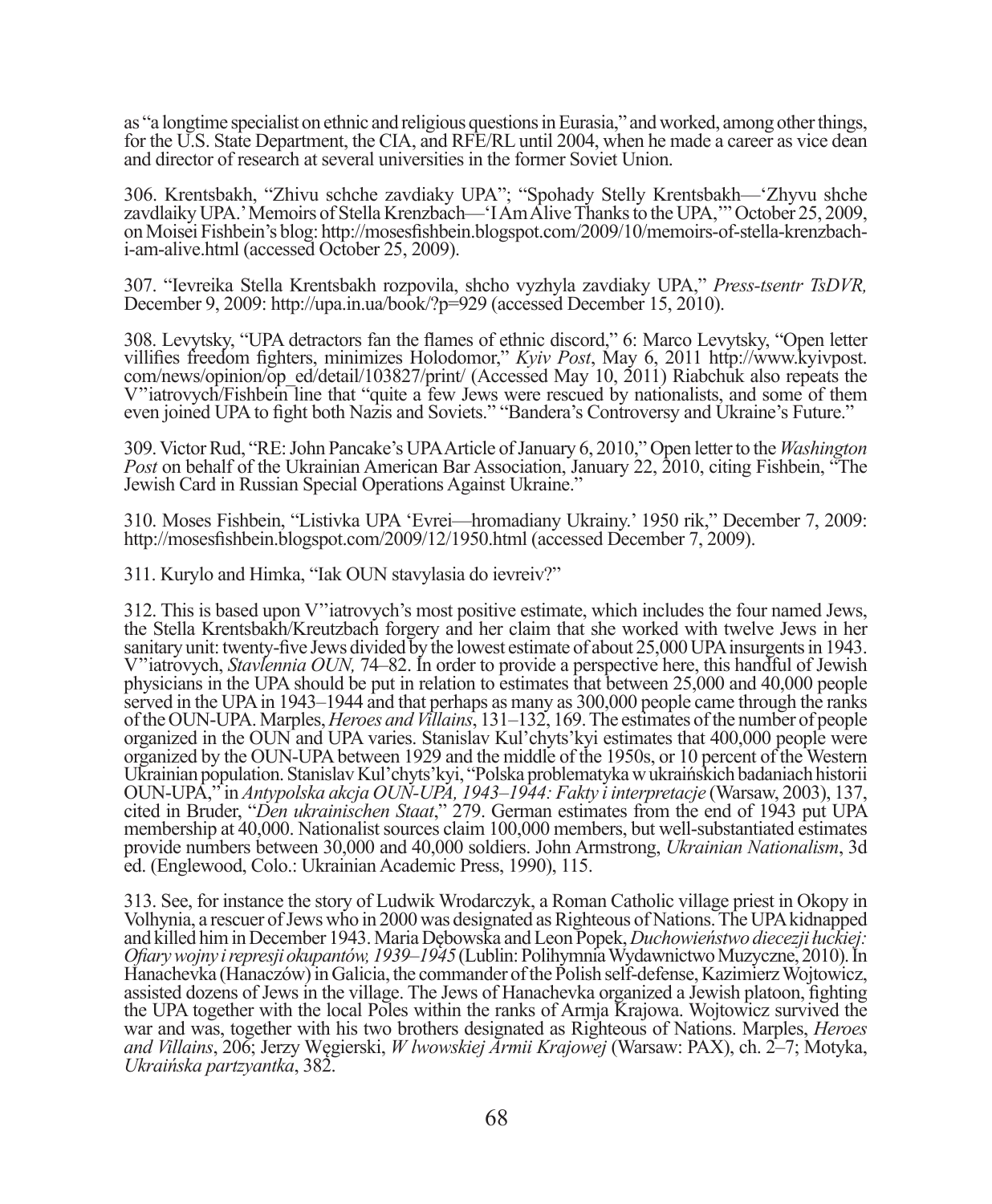as "a longtime specialist on ethnic and religious questions in Eurasia," and worked, among other things, for the U.S. State Department, the CIA, and RFE/RL until 2004, when he made a career as vice dean and director of research at several universities in the former Soviet Union.

306. Krentsbakh, "Zhivu schche zavdiaky UPA"; "Spohady Stelly Krentsbakh—'Zhyvu shche zavdlaiky UPA.' Memoirs of Stella Krenzbach—'I Am Alive Thanks to the UPA,'" October 25, 2009, on Moisei Fishbein's blog: http://mosesfishbein.blogspot.com/2009/10/memoirs-of-stella-krenzbachi-am-alive.html (accessed October 25, 2009).

307. "Ievreika Stella Krentsbakh rozpovila, shcho vyzhyla zavdiaky UPA," *Press-tsentr TsDVR,* December 9, 2009: http://upa.in.ua/book/?p=929 (accessed December 15, 2010).

308. Levytsky, "UPA detractors fan the flames of ethnic discord," 6: Marco Levytsky, "Open letter villifies freedom fighters, minimizes Holodomor," *Kyiv Post*, May 6, 2011 http://www.kyivpost. com/news/opinion/op\_ed/detail/103827/print/ (Accessed May 10, 2011) Riabchuk also repeats the V''iatrovych/Fishbein line that "quite a few Jews were rescued by nationalists, and some of them even joined UPA to fi ght both Nazis and Soviets." "Bandera's Controversy and Ukraine's Future."

309. Victor Rud, "RE: John Pancake's UPA Article of January 6, 2010," Open letter to the *Washington Post* on behalf of the Ukrainian American Bar Association, January 22, 2010, citing Fishbein, "The Jewish Card in Russian Special Operations Against Ukraine."

310. Moses Fishbein, "Listivka UPA 'Evrei—hromadiany Ukrainy.' 1950 rik," December 7, 2009: http://mosesfishbein.blogspot.com/2009/12/1950.html (accessed December 7, 2009).

311. Kurylo and Himka, "Iak OUN stavylasia do ievreiv?"

312. This is based upon V''iatrovych's most positive estimate, which includes the four named Jews, the Stella Krentsbakh/Kreutzbach forgery and her claim that she worked with twelve Jews in her sanitary unit: twenty-five Jews divided by the lowest estimate of about 25,000 UPA insurgents in 1943. V''iatrovych, *Stavlennia OUN,* 74–82. In order to provide a perspective here, this handful of Jewish physicians in the UPA should be put in relation to estimates that between 25,000 and 40,000 people served in the UPA in 1943–1944 and that perhaps as many as 300,000 people came through the ranks of the OUN-UPA. Marples, *Heroes and Villains*, 131–132, 169. The estimates of the number of people organized in the OUN and UPA varies. Stanislav Kul'chyts'kyi estimates that 400,000 people were organized by the OUN-UPA between 1929 and the middle of the 1950s, or 10 percent of the Western Ukrainian population. Stanislav Kul'chyts'kyi, "Polska problematyka w ukraińskich badaniach historii OUN-UPA," in *Antypolska akcja OUN-UPA, 1943–1944: Fakty i interpretacje* (Warsaw, 2003), 137, cited in Bruder, "*Den ukrainischen Staat*," 279. German estimates from the end of 1943 put UPA membership at 40,000. Nationalist sources claim 100,000 members, but well-substantiated estimates provide numbers between 30,000 and 40,000 soldiers. John Armstrong, *Ukrainian Nationalism*, 3d ed. (Englewood, Colo.: Ukrainian Academic Press, 1990), 115.

313. See, for instance the story of Ludwik Wrodarczyk, a Roman Catholic village priest in Okopy in Volhynia, a rescuer of Jews who in 2000 was designated as Righteous of Nations. The UPA kidnapped and killed him in December 1943. Maria Dębowska and Leon Popek, *Duchowieństwo diecezji łuckiej: Ofi ary wojny i represji okupantów, 1939–1945* (Lublin: Polihymnia Wydawnictwo Muzyczne, 2010). In Hanachevka (Hanaczów) in Galicia, the commander of the Polish self-defense, Kazimierz Wojtowicz, assisted dozens of Jews in the village. The Jews of Hanachevka organized a Jewish platoon, fighting the UPA together with the local Poles within the ranks of Armja Krajowa. Wojtowicz survived the war and was, together with his two brothers designated as Righteous of Nations. Marples, *Heroes and Villains*, 206; Jerzy Węgierski, *W lwowskiej Armii Krajowej* (Warsaw: PAX), ch. 2–7; Motyka, *Ukraińska partzyantka*, 382.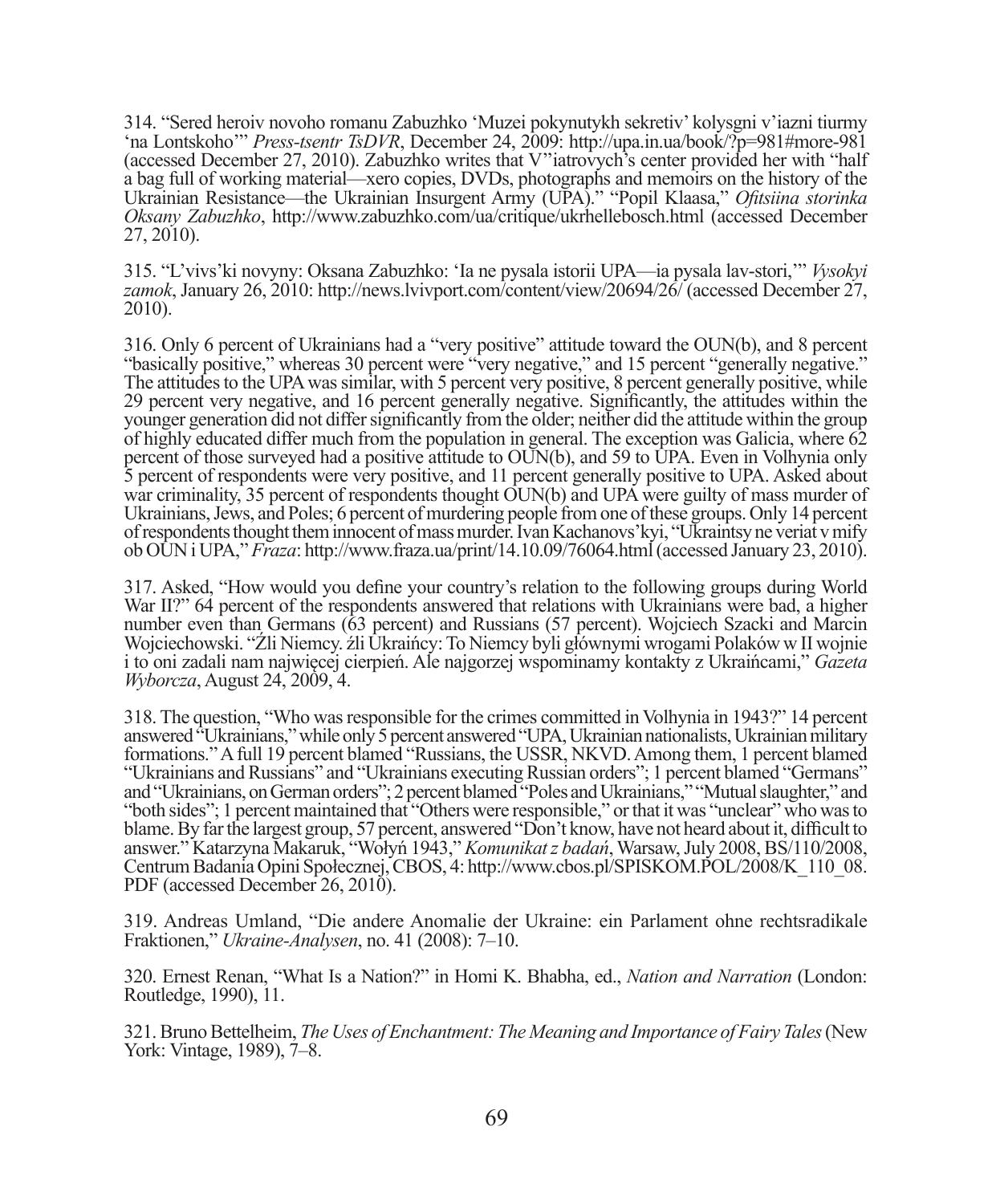314. "Sered heroiv novoho romanu Zabuzhko 'Muzei pokynutykh sekretiv' kolysgni v'iazni tiurmy 'na Lontskoho'" *Press-tsentr TsDVR*, December 24, 2009: http://upa.in.ua/book/?p=981#more-981 (accessed December 27, 2010). Zabuzhko writes that V''iatrovych's center provided her with "half a bag full of working material—xero copies, DVDs, photographs and memoirs on the history of the Ukrainian Resistance—the Ukrainian Insurgent Army (UPA)." "Popil Klaasa," *Ofi tsiina storinka Oksany Zabuzhko*, http://www.zabuzhko.com/ua/critique/ukrhellebosch.html (accessed December 27, 2010).

315. "L'vivs'ki novyny: Oksana Zabuzhko: 'Ia ne pysala istorii UPA—ia pysala lav-stori,'" *Vysokyi zamok*, January 26, 2010: http://news.lvivport.com/content/view/20694/26/ (accessed December 27, 2010).

316. Only 6 percent of Ukrainians had a "very positive" attitude toward the OUN(b), and 8 percent "basically positive," whereas 30 percent were "very negative," and 15 percent "generally negative." The attitudes to the UPA was similar, with 5 percent very positive, 8 percent generally positive, while 29 percent very negative, and 16 percent generally negative. Significantly, the attitudes within the younger generation did not differ significantly from the older; neither did the attitude within the group of highly educated differ much from the population in general. The exception was Galicia, where 62 percent of those surveyed had a positive attitude to OUN(b), and 59 to UPA. Even in Volhynia only 5 percent of respondents were very positive, and 11 percent generally positive to UPA. Asked about war criminality, 35 percent of respondents thought OUN(b) and UPA were guilty of mass murder of Ukrainians, Jews, and Poles; 6 percent of murdering people from one of these groups. Only 14 percent of respondents thought them innocent of mass murder. Ivan Kachanovs'kyi, "Ukraintsy ne veriat v mify ob OUN i UPA," *Fraza*: http://www.fraza.ua/print/14.10.09/76064.html (accessed January 23, 2010).

317. Asked, "How would you define your country's relation to the following groups during World War II?" 64 percent of the respondents answered that relations with Ukrainians were bad, a higher number even than Germans (63 percent) and Russians (57 percent). Wojciech Szacki and Marcin Wojciechowski. "Źli Niemcy. źli Ukraińcy: To Niemcy byli głównymi wrogami Polaków w II wojnie i to oni zadali nam najwięcej cierpień. Ale najgorzej wspominamy kontakty z Ukraińcami," *Gazeta Wyborcza*, August 24, 2009, 4.

318. The question, "Who was responsible for the crimes committed in Volhynia in 1943?" 14 percent answered "Ukrainians," while only 5 percent answered "UPA, Ukrainian nationalists, Ukrainian military formations." A full 19 percent blamed "Russians, the USSR, NKVD. Among them, 1 percent blamed "Ukrainians and Russians" and "Ukrainians executing Russian orders"; 1 percent blamed "Germans" and "Ukrainians, on German orders"; 2 percent blamed "Poles and Ukrainians," "Mutual slaughter," and "both sides"; 1 percent maintained that "Others were responsible," or that it was "unclear" who was to blame. By far the largest group, 57 percent, answered "Don't know, have not heard about it, difficult to answer." Katarzyna Makaruk, "Wołyń 1943," *Komunikat z badań*, Warsaw, July 2008, BS/110/2008, Centrum Badania Opini Społecznej, CBOS, 4: http://www.cbos.pl/SPISKOM.POL/2008/K\_110\_08. PDF (accessed December 26, 2010).

319. Andreas Umland, "Die andere Anomalie der Ukraine: ein Parlament ohne rechtsradikale Fraktionen," *Ukraine-Analysen*, no. 41 (2008): 7–10.

320. Ernest Renan, "What Is a Nation?" in Homi K. Bhabha, ed., *Nation and Narration* (London: Routledge, 1990), 11.

321. Bruno Bettelheim, *The Uses of Enchantment: The Meaning and Importance of Fairy Tales* (New York: Vintage, 1989), 7–8.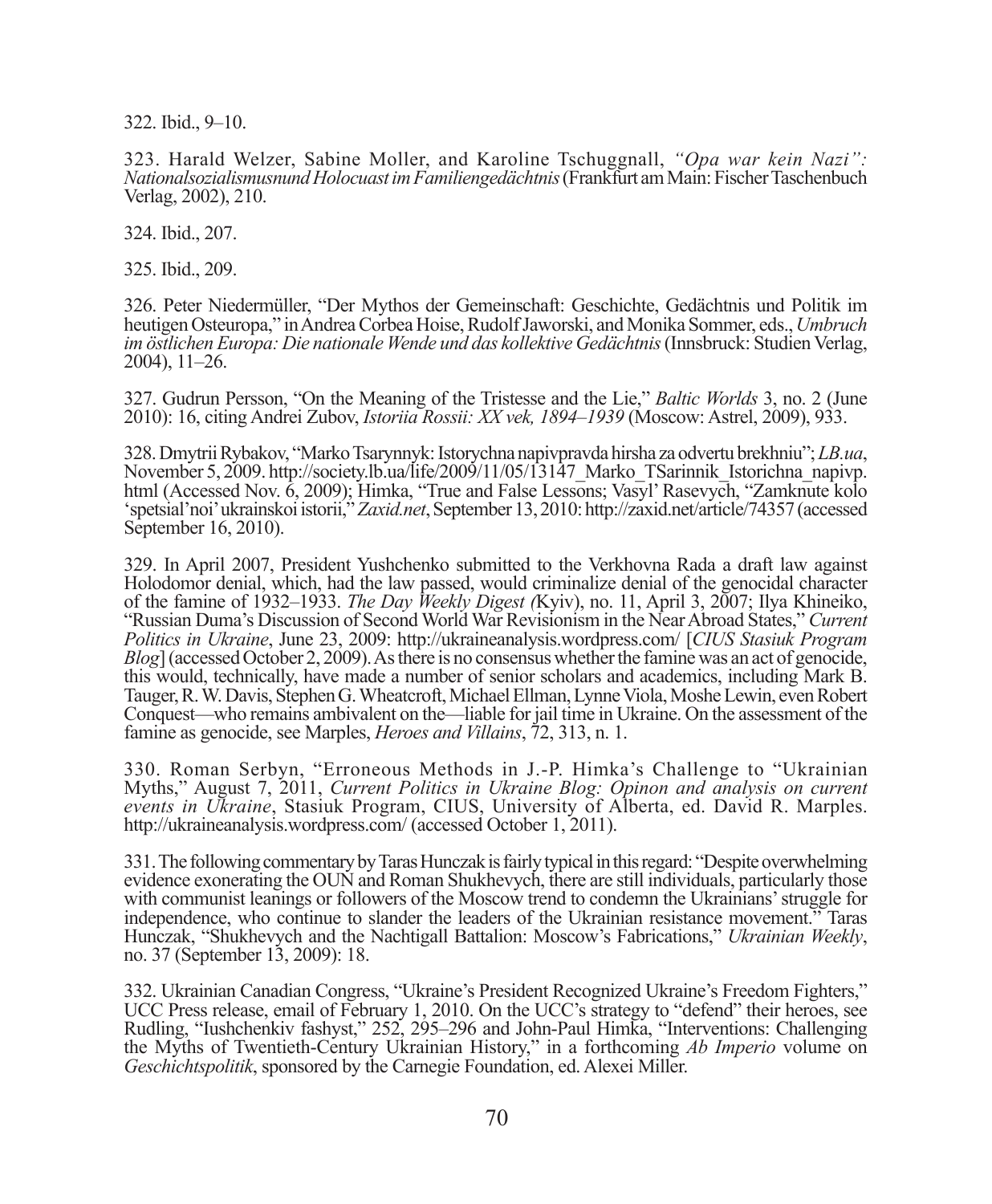322. Ibid., 9–10.

323. Harald Welzer, Sabine Moller, and Karoline Tschuggnall, *"Opa war kein Nazi": Nationalsozialismusnund Holocuast im Familiengedächtnis* (Frankfurt am Main: Fischer Taschenbuch Verlag, 2002), 210.

324. Ibid., 207.

325. Ibid., 209.

326. Peter Niedermüller, "Der Mythos der Gemeinschaft: Geschichte, Gedächtnis und Politik im heutigen Osteuropa," in Andrea Corbea Hoise, Rudolf Jaworski, and Monika Sommer, eds., *Umbruch im östlichen Europa: Die nationale Wende und das kollektive Gedächtnis* (Innsbruck: Studien Verlag, 2004), 11–26.

327. Gudrun Persson, "On the Meaning of the Tristesse and the Lie," *Baltic Worlds* 3, no. 2 (June 2010): 16, citing Andrei Zubov, *Istoriia Rossii: XX vek, 1894–1939* (Moscow: Astrel, 2009), 933.

328. Dmytrii Rybakov, "Marko Tsarynnyk: Istorychna napivpravda hirsha za odvertu brekhniu"; *LB.ua*, November 5, 2009. http://society.lb.ua/life/2009/11/05/13147\_Marko\_TSarinnik\_Istorichna\_napivp. html (Accessed Nov. 6, 2009); Himka, "True and False Lessons; Vasyl' Rasevych, "Zamknute kolo 'spetsial'noi' ukrainskoi istorii," *Zaxid.net*, September 13, 2010: http://zaxid.net/article/74357 (accessed September 16, 2010).

329. In April 2007, President Yushchenko submitted to the Verkhovna Rada a draft law against Holodomor denial, which, had the law passed, would criminalize denial of the genocidal character of the famine of 1932–1933. *The Day Weekly Digest (*Kyiv), no. 11, April 3, 2007; Ilya Khineiko, "Russian Duma's Discussion of Second World War Revisionism in the Near Abroad States," *Current Politics in Ukraine*, June 23, 2009: http://ukraineanalysis.wordpress.com/ [*CIUS Stasiuk Program Blog*] (accessed October 2, 2009). As there is no consensus whether the famine was an act of genocide, this would, technically, have made a number of senior scholars and academics, including Mark B. Tauger, R. W. Davis, Stephen G. Wheatcroft, Michael Ellman, Lynne Viola, Moshe Lewin, even Robert Conquest—who remains ambivalent on the—liable for jail time in Ukraine. On the assessment of the famine as genocide, see Marples, *Heroes and Villains*, 72, 313, n. 1.

330. Roman Serbyn, "Erroneous Methods in J.-P. Himka's Challenge to "Ukrainian Myths," August 7, 2011, *Current Politics in Ukraine Blog: Opinon and analysis on current events in Ukraine*, Stasiuk Program, CIUS, University of Alberta, ed. David R. Marples. http://ukraineanalysis.wordpress.com/ (accessed October 1, 2011).

331. The following commentary by Taras Hunczak is fairly typical in this regard: "Despite overwhelming evidence exonerating the OUN and Roman Shukhevych, there are still individuals, particularly those with communist leanings or followers of the Moscow trend to condemn the Ukrainians' struggle for independence, who continue to slander the leaders of the Ukrainian resistance movement.<sup>35</sup> Taras Hunczak, "Shukhevych and the Nachtigall Battalion: Moscow's Fabrications," *Ukrainian Weekly*, no. 37 (September 13, 2009): 18.

332. Ukrainian Canadian Congress, "Ukraine's President Recognized Ukraine's Freedom Fighters," UCC Press release, email of February 1, 2010. On the UCC's strategy to "defend" their heroes, see Rudling, "Iushchenkiv fashyst," 252, 295–296 and John-Paul Himka, "Interventions: Challenging the Myths of Twentieth-Century Ukrainian History," in a forthcoming *Ab Imperio* volume on *Geschichtspolitik*, sponsored by the Carnegie Foundation, ed. Alexei Miller.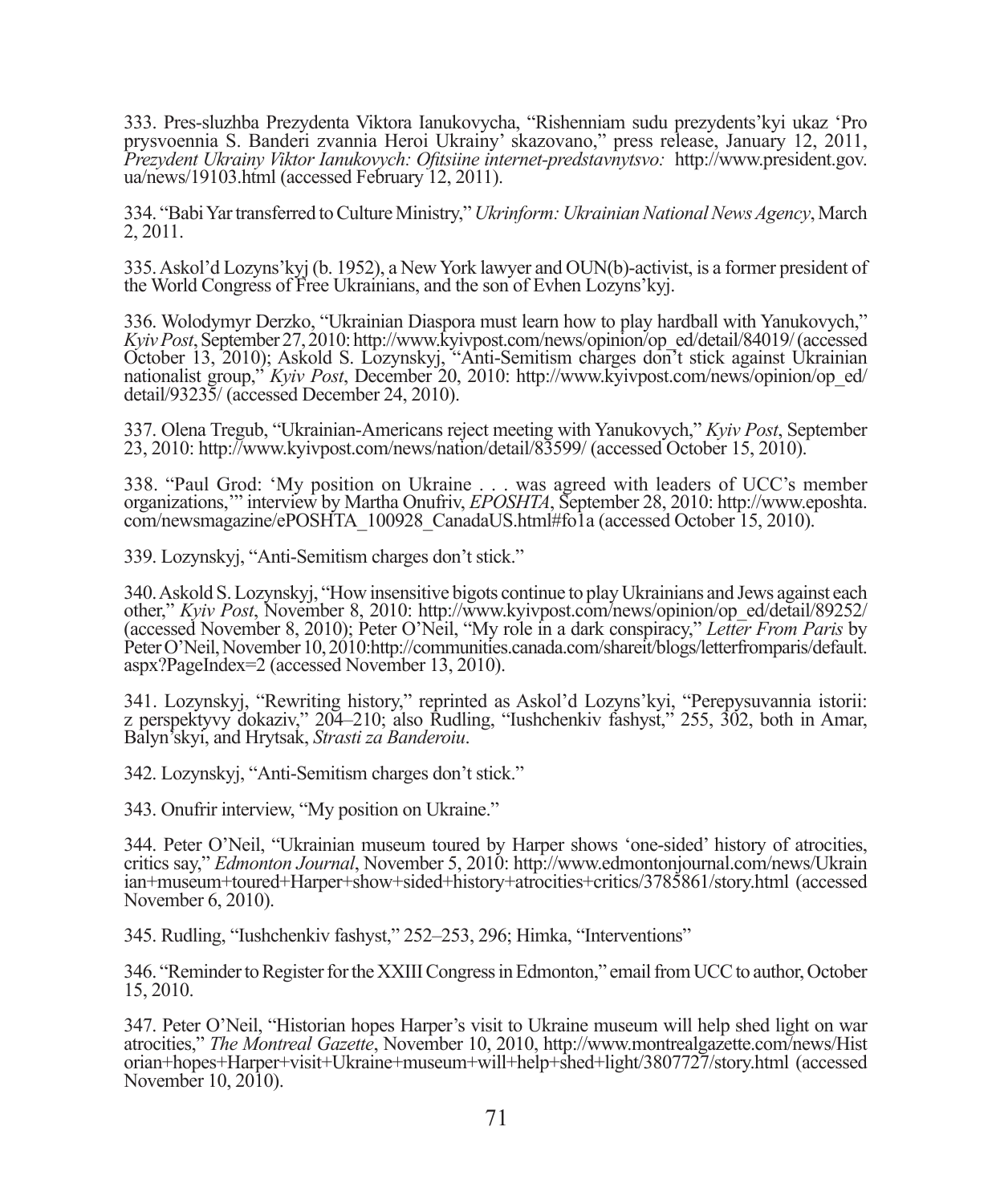333. Pres-sluzhba Prezydenta Viktora Ianukovycha, "Rishenniam sudu prezydents'kyi ukaz 'Pro prysvoennia S. Banderi zvannia Heroi Ukrainy' skazovano," press release, January 12, 2011, *Prezydent Ukrainy Viktor Ianukovych: Ofi tsiine internet-predstavnytsvo:* http://www.president.gov. ua/news/19103.html (accessed February 12, 2011).

334. "Babi Yar transferred to Culture Ministry," *Ukrinform: Ukrainian National News Agency*, March 2, 2011.

335. Askol'd Lozyns'kyj (b. 1952), a New York lawyer and OUN(b)-activist, is a former president of the World Congress of Free Ukrainians, and the son of Evhen Lozyns'kyj.

336. Wolodymyr Derzko, "Ukrainian Diaspora must learn how to play hardball with Yanukovych," *Kyiv Post*, September 27, 2010: http://www.kyivpost.com/news/opinion/op\_ed/detail/84019/ (accessed October 13, 2010); Askold S. Lozynskyj, "Anti-Semitism charges don't stick against Ukrainian nationalist group," *Kyiv Post*, December 20, 2010: http://www.kyivpost.com/news/opinion/op\_ed/ detail/93235/ (accessed December 24, 2010).

337. Olena Tregub, "Ukrainian-Americans reject meeting with Yanukovych," *Kyiv Post*, September 23, 2010: http://www.kyivpost.com/news/nation/detail/83599/ (accessed October 15, 2010).

338. "Paul Grod: 'My position on Ukraine . . . was agreed with leaders of UCC's member organizations,'" interview by Martha Onufriv, *EPOSHTA*, September 28, 2010: http://www.eposhta. com/newsmagazine/ePOSHTA\_100928\_CanadaUS.html#fo1a (accessed October 15, 2010).

339. Lozynskyj, "Anti-Semitism charges don't stick."

340. Askold S. Lozynskyj, "How insensitive bigots continue to play Ukrainians and Jews against each other," *Kyiv Post*, November 8, 2010: http://www.kyivpost.com/news/opinion/op\_ed/detail/89252/ (accessed November 8, 2010); Peter O'Neil, "My role in a dark conspiracy," *Letter From Paris* by Peter O'Neil, November 10, 2010:http://communities.canada.com/shareit/blogs/letterfromparis/default. aspx?PageIndex=2 (accessed November 13, 2010).

341. Lozynskyj, "Rewriting history," reprinted as Askol'd Lozyns'kyi, "Perepysuvannia istorii: z perspektyvy dokaziv," 204–210; also Rudling, "Iushchenkiv fashyst," 255, 302, both in Amar, Balyn'skyi, and Hrytsak, *Strasti za Banderoiu*.

342. Lozynskyj, "Anti-Semitism charges don't stick."

343. Onufrir interview, "My position on Ukraine."

344. Peter O'Neil, "Ukrainian museum toured by Harper shows 'one-sided' history of atrocities, critics say," *Edmonton Journal*, November 5, 2010: http://www.edmontonjournal.com/news/Ukrain ian+museum+toured+Harper+show+sided+history+atrocities+critics/3785861/story.html (accessed November 6, 2010).

345. Rudling, "Iushchenkiv fashyst," 252–253, 296; Himka, "Interventions"

346. "Reminder to Register for the XXIII Congress in Edmonton," email from UCC to author, October 15, 2010.

347. Peter O'Neil, "Historian hopes Harper's visit to Ukraine museum will help shed light on war atrocities," *The Montreal Gazette*, November 10, 2010, http://www.montrealgazette.com/news/Hist orian+hopes+Harper+visit+Ukraine+museum+will+help+shed+light/3807727/story.html (accessed November 10, 2010).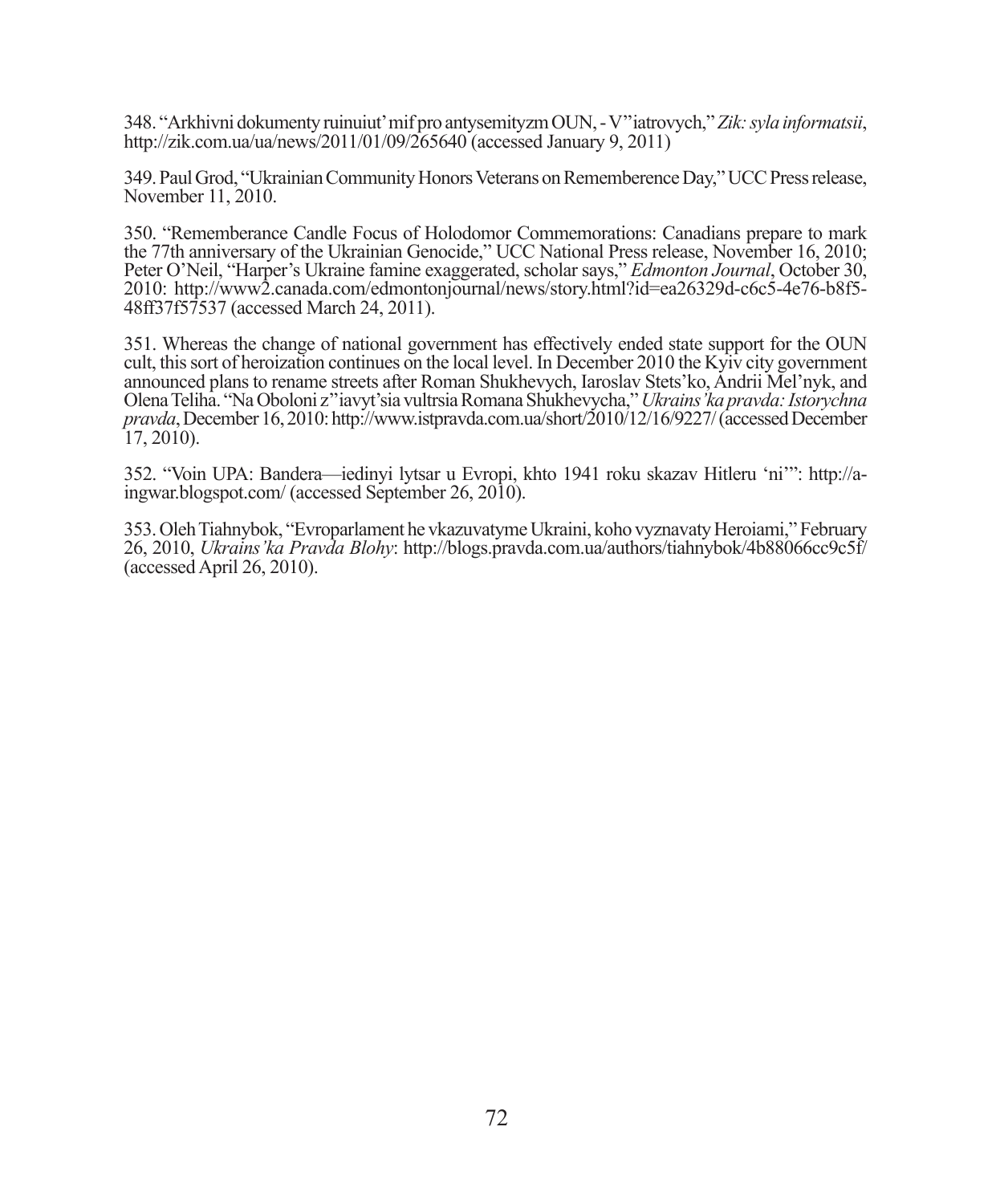348. "Arkhivni dokumenty ruinuiut' mif pro antysemityzm OUN, - V''iatrovych," *Zik: syla informatsii*, http://zik.com.ua/ua/news/2011/01/09/265640 (accessed January 9, 2011)

349. Paul Grod, "Ukrainian Community Honors Veterans on Rememberence Day," UCC Press release, November 11, 2010.

350. "Rememberance Candle Focus of Holodomor Commemorations: Canadians prepare to mark the 77th anniversary of the Ukrainian Genocide," UCC National Press release, November 16, 2010; Peter O'Neil, "Harper's Ukraine famine exaggerated, scholar says," *Edmonton Journal*, October 30, 2010: http://www2.canada.com/edmontonjournal/news/story.html?id=ea26329d-c6c5-4e76-b8f5- 48ff37f57537 (accessed March 24, 2011).

351. Whereas the change of national government has effectively ended state support for the OUN cult, this sort of heroization continues on the local level. In December 2010 the Kyiv city government announced plans to rename streets after Roman Shukhevych, Iaroslav Stets'ko, Andrii Mel'nyk, and Olena Teliha. "Na Oboloni z''iavyt'sia vultrsia Romana Shukhevycha," *Ukrains'ka pravda: Istorychna pravda*, December 16, 2010: http://www.istpravda.com.ua/short/2010/12/16/9227/ (accessed December 17, 2010).

352. "Voin UPA: Bandera—iedinyi lytsar u Evropi, khto 1941 roku skazav Hitleru 'ni'": http://aingwar.blogspot.com/ (accessed September 26, 2010).

353. Oleh Tiahnybok, "Evroparlament he vkazuvatyme Ukraini, koho vyznavaty Heroiami," February 26, 2010, *Ukrains'ka Pravda Blohy*: http://blogs.pravda.com.ua/authors/tiahnybok/4b88066cc9c5f/ (accessed April 26, 2010).